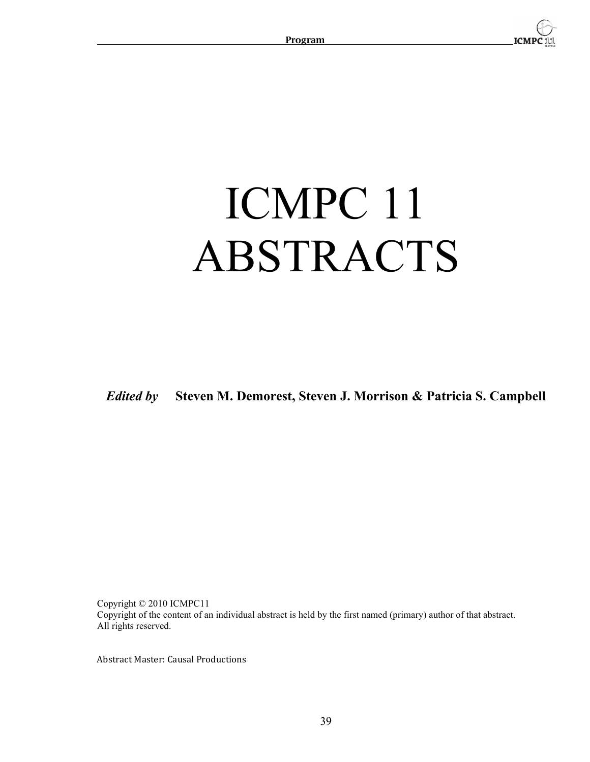

# ICMPC 11 ABSTRACTS

*Edited by* **Steven M. Demorest, Steven J. Morrison & Patricia S. Campbell**

Copyright © 2010 ICMPC11 Copyright of the content of an individual abstract is held by the first named (primary) author of that abstract. All rights reserved.

Abstract Master: Causal Productions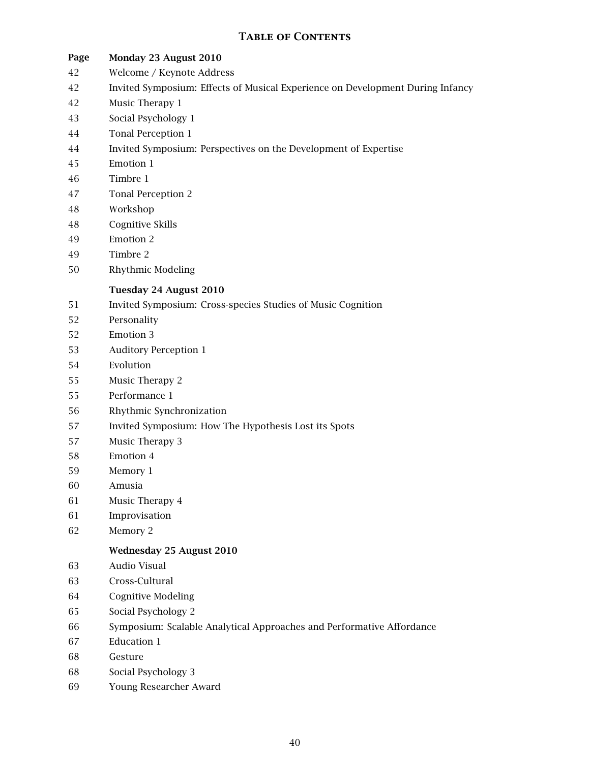# **Table of Contents**

- **Page Monday 23 August 2010**
- 42 Welcome / Keynote Address
- 42 Invited Symposium: Effects of Musical Experience on Development During Infancy
- 42 Music Therapy 1
- 43 Social Psychology 1
- 44 Tonal Perception 1
- 44 Invited Symposium: Perspectives on the Development of Expertise
- 45 Emotion 1
- 46 Timbre 1
- 47 Tonal Perception 2
- 48 Workshop
- 48 Cognitive Skills
- 49 Emotion 2
- 49 Timbre 2
- 50 Rhythmic Modeling

# **Tuesday 24 August 2010**

- 51 Invited Symposium: Cross-species Studies of Music Cognition
- 52 Personality
- 52 Emotion 3
- 53 Auditory Perception 1
- 54 Evolution
- 55 Music Therapy 2
- 55 Performance 1
- 56 Rhythmic Synchronization
- 57 Invited Symposium: How The Hypothesis Lost its Spots
- 57 Music Therapy 3
- 58 Emotion 4
- 59 Memory 1
- 60 Amusia
- 61 Music Therapy 4
- 61 Improvisation
- 62 Memory 2

# **Wednesday 25 August 2010**

- 63 Audio Visual
- 63 Cross-Cultural
- 64 Cognitive Modeling
- 65 Social Psychology 2
- 66 Symposium: Scalable Analytical Approaches and Performative Affordance
- 67 Education 1
- 68 Gesture
- 68 Social Psychology 3
- 69 Young Researcher Award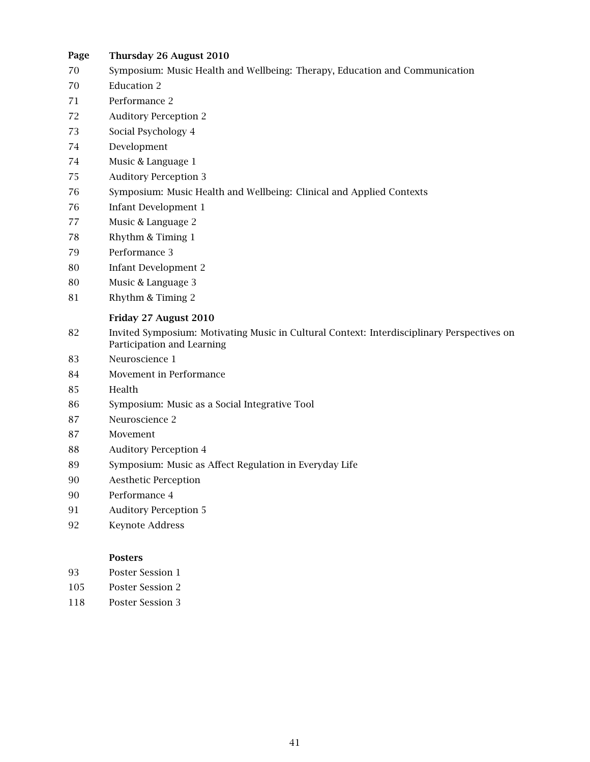- **Page Thursday 26 August 2010**
- 70 Symposium: Music Health and Wellbeing: Therapy, Education and Communication
- 70 Education 2
- 71 Performance 2
- 72 Auditory Perception 2
- 73 Social Psychology 4
- 74 Development
- 74 Music & Language 1
- 75 Auditory Perception 3
- 76 Symposium: Music Health and Wellbeing: Clinical and Applied Contexts
- 76 Infant Development 1
- 77 Music & Language 2
- 78 Rhythm & Timing 1
- 79 Performance 3
- 80 Infant Development 2
- 80 Music & Language 3
- 81 Rhythm & Timing 2

# **Friday 27 August 2010**

- 82 Invited Symposium: Motivating Music in Cultural Context: Interdisciplinary Perspectives on Participation and Learning
- 83 Neuroscience 1
- 84 Movement in Performance
- 85 Health
- 86 Symposium: Music as a Social Integrative Tool
- 87 Neuroscience 2
- 87 Movement
- 88 Auditory Perception 4
- 89 Symposium: Music as Affect Regulation in Everyday Life
- 90 Aesthetic Perception
- 90 Performance 4
- 91 Auditory Perception 5
- 92 Keynote Address

# **Posters**

- 93 Poster Session 1
- 105 Poster Session 2
- 118 Poster Session 3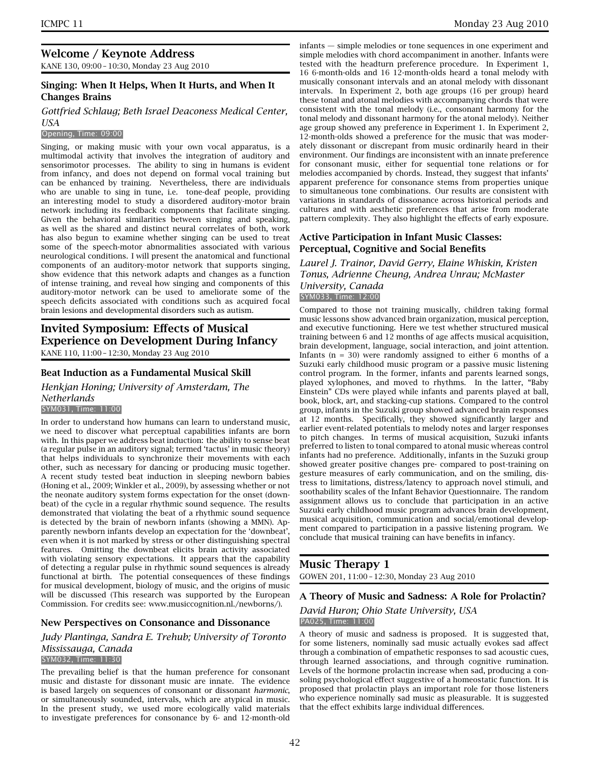# **Welcome / Keynote Address**

KANE 130, 09:00 – 10:30, Monday 23 Aug 2010

# **Singing: When It Helps, When It Hurts, and When It Changes Brains**

*Gottfried Schlaug; Beth Israel Deaconess Medical Center, USA*

#### Opening, Time: 09:00

Singing, or making music with your own vocal apparatus, is a multimodal activity that involves the integration of auditory and sensorimotor processes. The ability to sing in humans is evident from infancy, and does not depend on formal vocal training but can be enhanced by training. Nevertheless, there are individuals who are unable to sing in tune, i.e. tone-deaf people, providing an interesting model to study a disordered auditory-motor brain network including its feedback components that facilitate singing. Given the behavioral similarities between singing and speaking, as well as the shared and distinct neural correlates of both, work has also begun to examine whether singing can be used to treat some of the speech-motor abnormalities associated with various neurological conditions. I will present the anatomical and functional components of an auditory-motor network that supports singing, show evidence that this network adapts and changes as a function of intense training, and reveal how singing and components of this auditory-motor network can be used to ameliorate some of the speech deficits associated with conditions such as acquired focal brain lesions and developmental disorders such as autism.

# **Invited Symposium: Effects of Musical Experience on Development During Infancy** KANE 110, 11:00 – 12:30, Monday 23 Aug 2010

**Beat Induction as a Fundamental Musical Skill**

*Henkjan Honing; University of Amsterdam, The Netherlands*

#### SYM031, Time: 11:00

In order to understand how humans can learn to understand music, we need to discover what perceptual capabilities infants are born with. In this paper we address beat induction: the ability to sense beat (a regular pulse in an auditory signal; termed 'tactus' in music theory) that helps individuals to synchronize their movements with each other, such as necessary for dancing or producing music together. A recent study tested beat induction in sleeping newborn babies (Honing et al., 2009; Winkler et al., 2009), by assessing whether or not the neonate auditory system forms expectation for the onset (downbeat) of the cycle in a regular rhythmic sound sequence. The results demonstrated that violating the beat of a rhythmic sound sequence is detected by the brain of newborn infants (showing a MMN). Apparently newborn infants develop an expectation for the 'downbeat', even when it is not marked by stress or other distinguishing spectral features. Omitting the downbeat elicits brain activity associated with violating sensory expectations. It appears that the capability of detecting a regular pulse in rhythmic sound sequences is already functional at birth. The potential consequences of these findings for musical development, biology of music, and the origins of music will be discussed (This research was supported by the European Commission. For credits see: www.musiccognition.nl./newborns/).

#### **New Perspectives on Consonance and Dissonance**

*Judy Plantinga, Sandra E. Trehub; University of Toronto Mississauga, Canada*

# SYM032, Time: 11:30

The prevailing belief is that the human preference for consonant music and distaste for dissonant music are innate. The evidence is based largely on sequences of consonant or dissonant *harmonic*, or simultaneously sounded, intervals, which are atypical in music. In the present study, we used more ecologically valid materials to investigate preferences for consonance by 6- and 12-month-old infants — simple melodies or tone sequences in one experiment and simple melodies with chord accompaniment in another. Infants were tested with the headturn preference procedure. In Experiment 1, 16 6-month-olds and 16 12-month-olds heard a tonal melody with musically consonant intervals and an atonal melody with dissonant intervals. In Experiment 2, both age groups (16 per group) heard these tonal and atonal melodies with accompanying chords that were consistent with the tonal melody (i.e., consonant harmony for the tonal melody and dissonant harmony for the atonal melody). Neither age group showed any preference in Experiment 1. In Experiment 2, 12-month-olds showed a preference for the music that was moderately dissonant or discrepant from music ordinarily heard in their environment. Our findings are inconsistent with an innate preference for consonant music, either for sequential tone relations or for melodies accompanied by chords. Instead, they suggest that infants' apparent preference for consonance stems from properties unique to simultaneous tone combinations. Our results are consistent with variations in standards of dissonance across historical periods and cultures and with aesthetic preferences that arise from moderate pattern complexity. They also highlight the effects of early exposure.

#### **Active Participation in Infant Music Classes: Perceptual, Cognitive and Social Benefits**

*Laurel J. Trainor, David Gerry, Elaine Whiskin, Kristen Tonus, Adrienne Cheung, Andrea Unrau; McMaster University, Canada* SYM033, Time: 12:00

Compared to those not training musically, children taking formal music lessons show advanced brain organization, musical perception, and executive functioning. Here we test whether structured musical training between 6 and 12 months of age affects musical acquisition, brain development, language, social interaction, and joint attention. Infants ( $n = 30$ ) were randomly assigned to either 6 months of a Suzuki early childhood music program or a passive music listening control program. In the former, infants and parents learned songs, played xylophones, and moved to rhythms. In the latter, "Baby Einstein" CDs were played while infants and parents played at ball, book, block, art, and stacking-cup stations. Compared to the control group, infants in the Suzuki group showed advanced brain responses at 12 months. Specifically, they showed significantly larger and earlier event-related potentials to melody notes and larger responses to pitch changes. In terms of musical acquisition, Suzuki infants preferred to listen to tonal compared to atonal music whereas control infants had no preference. Additionally, infants in the Suzuki group showed greater positive changes pre- compared to post-training on gesture measures of early communication, and on the smiling, distress to limitations, distress/latency to approach novel stimuli, and soothability scales of the Infant Behavior Questionnaire. The random assignment allows us to conclude that participation in an active Suzuki early childhood music program advances brain development, musical acquisition, communication and social/emotional development compared to participation in a passive listening program. We conclude that musical training can have benefits in infancy.

# **Music Therapy 1**

GOWEN 201, 11:00 – 12:30, Monday 23 Aug 2010

#### **A Theory of Music and Sadness: A Role for Prolactin?**

#### *David Huron; Ohio State University, USA* PA025, Time: 11:00

A theory of music and sadness is proposed. It is suggested that, for some listeners, nominally sad music actually evokes sad affect through a combination of empathetic responses to sad acoustic cues, through learned associations, and through cognitive rumination. Levels of the hormone prolactin increase when sad, producing a consoling psychological effect suggestive of a homeostatic function. It is proposed that prolactin plays an important role for those listeners who experience nominally sad music as pleasurable. It is suggested that the effect exhibits large individual differences.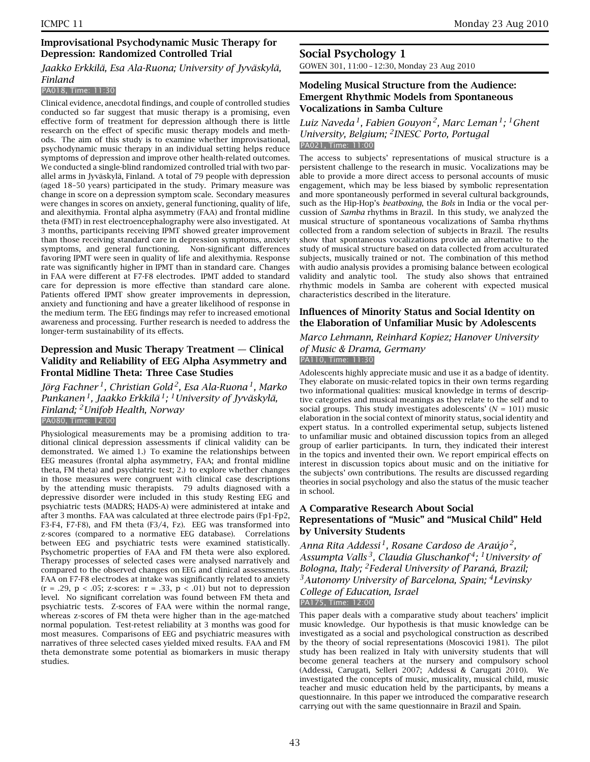# **Improvisational Psychodynamic Music Therapy for Depression: Randomized Controlled Trial**

#### *Jaakko Erkkilä, Esa Ala-Ruona; University of Jyväskylä, Finland*

#### PA018, Time: 11:30

Clinical evidence, anecdotal findings, and couple of controlled studies conducted so far suggest that music therapy is a promising, even effective form of treatment for depression although there is little research on the effect of specific music therapy models and methods. The aim of this study is to examine whether improvisational, psychodynamic music therapy in an individual setting helps reduce symptoms of depression and improve other health-related outcomes. We conducted a single-blind randomized controlled trial with two parallel arms in Jyväskylä, Finland. A total of 79 people with depression (aged 18–50 years) participated in the study. Primary measure was change in score on a depression symptom scale. Secondary measures were changes in scores on anxiety, general functioning, quality of life, and alexithymia. Frontal alpha asymmetry (FAA) and frontal midline theta (FMT) in rest electroencephalography were also investigated. At 3 months, participants receiving IPMT showed greater improvement than those receiving standard care in depression symptoms, anxiety symptoms, and general functioning. Non-significant differences favoring IPMT were seen in quality of life and alexithymia. Response rate was significantly higher in IPMT than in standard care. Changes in FAA were different at F7-F8 electrodes. IPMT added to standard care for depression is more effective than standard care alone. Patients offered IPMT show greater improvements in depression, anxiety and functioning and have a greater likelihood of response in the medium term. The EEG findings may refer to increased emotional awareness and processing. Further research is needed to address the longer-term sustainability of its effects.

# **Depression and Music Therapy Treatment — Clinical Validity and Reliability of EEG Alpha Asymmetry and Frontal Midline Theta: Three Case Studies**

*Jörg Fachner 1, Christian Gold 2, Esa Ala-Ruona 1, Marko Punkanen 1, Jaakko Erkkilä 1; 1University of Jyväskylä, Finland; 2Unifob Health, Norway* PA080, Time: 12:00

Physiological measurements may be a promising addition to traditional clinical depression assessments if clinical validity can be demonstrated. We aimed 1.) To examine the relationships between EEG measures (frontal alpha asymmetry, FAA; and frontal midline theta, FM theta) and psychiatric test; 2.) to explore whether changes in those measures were congruent with clinical case descriptions by the attending music therapists. 79 adults diagnosed with a depressive disorder were included in this study Resting EEG and psychiatric tests (MADRS; HADS-A) were administered at intake and after 3 months. FAA was calculated at three electrode pairs (Fp1-Fp2, F3-F4, F7-F8), and FM theta (F3/4, Fz). EEG was transformed into z-scores (compared to a normative EEG database). Correlations between EEG and psychiatric tests were examined statistically. Psychometric properties of FAA and FM theta were also explored. Therapy processes of selected cases were analysed narratively and compared to the observed changes on EEG and clinical assessments. FAA on F7-F8 electrodes at intake was significantly related to anxiety  $(r = .29, p < .05; z-scores: r = .33, p < .01)$  but not to depression level. No significant correlation was found between FM theta and psychiatric tests. Z-scores of FAA were within the normal range, whereas z-scores of FM theta were higher than in the age-matched normal population. Test-retest reliability at 3 months was good for most measures. Comparisons of EEG and psychiatric measures with narratives of three selected cases yielded mixed results. FAA and FM theta demonstrate some potential as biomarkers in music therapy studies.

# **Social Psychology 1**

GOWEN 301, 11:00 – 12:30, Monday 23 Aug 2010

# **Modeling Musical Structure from the Audience: Emergent Rhythmic Models from Spontaneous Vocalizations in Samba Culture**

# *Luiz Naveda 1, Fabien Gouyon 2, Marc Leman 1; 1Ghent University, Belgium; 2INESC Porto, Portugal* PA021, Time: 11:00

The access to subjects' representations of musical structure is a persistent challenge to the research in music. Vocalizations may be able to provide a more direct access to personal accounts of music engagement, which may be less biased by symbolic representation and more spontaneously performed in several cultural backgrounds, such as the Hip-Hop's *beatboxing*, the *Bols* in India or the vocal percussion of *Samba* rhythms in Brazil. In this study, we analyzed the musical structure of spontaneous vocalizations of Samba rhythms collected from a random selection of subjects in Brazil. The results show that spontaneous vocalizations provide an alternative to the study of musical structure based on data collected from acculturated subjects, musically trained or not. The combination of this method with audio analysis provides a promising balance between ecological validity and analytic tool. The study also shows that entrained rhythmic models in Samba are coherent with expected musical characteristics described in the literature.

# **Influences of Minority Status and Social Identity on the Elaboration of Unfamiliar Music by Adolescents**

# *Marco Lehmann, Reinhard Kopiez; Hanover University of Music & Drama, Germany* PA110, Time: 11:30

Adolescents highly appreciate music and use it as a badge of identity. They elaborate on music-related topics in their own terms regarding two informational qualities: musical knowledge in terms of descriptive categories and musical meanings as they relate to the self and to social groups. This study investigates adolescents'  $(N = 101)$  music elaboration in the social context of minority status, social identity and expert status. In a controlled experimental setup, subjects listened to unfamiliar music and obtained discussion topics from an alleged group of earlier participants. In turn, they indicated their interest in the topics and invented their own. We report empirical effects on interest in discussion topics about music and on the initiative for the subjects' own contributions. The results are discussed regarding theories in social psychology and also the status of the music teacher in school.

# **A Comparative Research About Social Representations of "Music" and "Musical Child" Held by University Students**

*Anna Rita Addessi 1, Rosane Cardoso de Araújo 2, Assumpta Valls 3, Claudia Gluschankof 4; 1University of Bologna, Italy; 2Federal University of Paraná, Brazil; 3Autonomy University of Barcelona, Spain; 4Levinsky College of Education, Israel*

PA175, Time: 12:00

This paper deals with a comparative study about teachers' implicit music knowledge. Our hypothesis is that music knowledge can be investigated as a social and psychological construction as described by the theory of social representations (Moscovici 1981). The pilot study has been realized in Italy with university students that will become general teachers at the nursery and compulsory school (Addessi, Carugati, Selleri 2007; Addessi & Carugati 2010). We investigated the concepts of music, musicality, musical child, music teacher and music education held by the participants, by means a questionnaire. In this paper we introduced the comparative research carrying out with the same questionnaire in Brazil and Spain.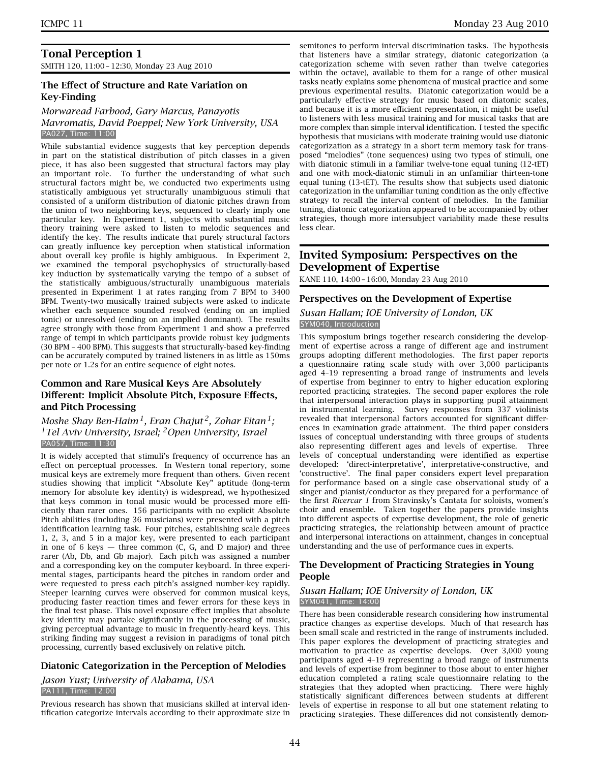# **Tonal Perception 1**

SMITH 120, 11:00 – 12:30, Monday 23 Aug 2010

# **The Effect of Structure and Rate Variation on Key-Finding**

#### *Morwaread Farbood, Gary Marcus, Panayotis Mavromatis, David Poeppel; New York University, USA* PA027, Time: 11:00

While substantial evidence suggests that key perception depends in part on the statistical distribution of pitch classes in a given piece, it has also been suggested that structural factors may play an important role. To further the understanding of what such structural factors might be, we conducted two experiments using statistically ambiguous yet structurally unambiguous stimuli that consisted of a uniform distribution of diatonic pitches drawn from the union of two neighboring keys, sequenced to clearly imply one particular key. In Experiment 1, subjects with substantial music theory training were asked to listen to melodic sequences and identify the key. The results indicate that purely structural factors can greatly influence key perception when statistical information about overall key profile is highly ambiguous. In Experiment 2, we examined the temporal psychophysics of structurally-based key induction by systematically varying the tempo of a subset of the statistically ambiguous/structurally unambiguous materials presented in Experiment 1 at rates ranging from 7 BPM to 3400 BPM. Twenty-two musically trained subjects were asked to indicate whether each sequence sounded resolved (ending on an implied tonic) or unresolved (ending on an implied dominant). The results agree strongly with those from Experiment 1 and show a preferred range of tempi in which participants provide robust key judgments (30 BPM – 400 BPM). This suggests that structurally-based key-finding can be accurately computed by trained listeners in as little as 150ms per note or 1.2s for an entire sequence of eight notes.

# **Common and Rare Musical Keys Are Absolutely Different: Implicit Absolute Pitch, Exposure Effects, and Pitch Processing**

*Moshe Shay Ben-Haim 1, Eran Chajut 2, Zohar Eitan 1; 1Tel Aviv University, Israel; 2Open University, Israel* PA057, Time: 11:30

It is widely accepted that stimuli's frequency of occurrence has an effect on perceptual processes. In Western tonal repertory, some musical keys are extremely more frequent than others. Given recent studies showing that implicit "Absolute Key" aptitude (long-term memory for absolute key identity) is widespread, we hypothesized that keys common in tonal music would be processed more efficiently than rarer ones. 156 participants with no explicit Absolute Pitch abilities (including 36 musicians) were presented with a pitch identification learning task. Four pitches, establishing scale degrees 1, 2, 3, and 5 in a major key, were presented to each participant in one of 6 keys — three common (C, G, and D major) and three rarer (Ab, Db, and Gb major). Each pitch was assigned a number and a corresponding key on the computer keyboard. In three experimental stages, participants heard the pitches in random order and were requested to press each pitch's assigned number-key rapidly. Steeper learning curves were observed for common musical keys, producing faster reaction times and fewer errors for these keys in the final test phase. This novel exposure effect implies that absolute key identity may partake significantly in the processing of music, giving perceptual advantage to music in frequently-heard keys. This striking finding may suggest a revision in paradigms of tonal pitch processing, currently based exclusively on relative pitch.

# **Diatonic Categorization in the Perception of Melodies**

# *Jason Yust; University of Alabama, USA*

PA111, Time: 12:00

Previous research has shown that musicians skilled at interval identification categorize intervals according to their approximate size in semitones to perform interval discrimination tasks. The hypothesis that listeners have a similar strategy, diatonic categorization (a categorization scheme with seven rather than twelve categories within the octave), available to them for a range of other musical tasks neatly explains some phenomena of musical practice and some previous experimental results. Diatonic categorization would be a particularly effective strategy for music based on diatonic scales, and because it is a more efficient representation, it might be useful to listeners with less musical training and for musical tasks that are more complex than simple interval identification. I tested the specific hypothesis that musicians with moderate training would use diatonic categorization as a strategy in a short term memory task for transposed "melodies" (tone sequences) using two types of stimuli, one with diatonic stimuli in a familiar twelve-tone equal tuning (12-tET) and one with mock-diatonic stimuli in an unfamiliar thirteen-tone equal tuning (13-tET). The results show that subjects used diatonic categorization in the unfamiliar tuning condition as the only effective strategy to recall the interval content of melodies. In the familiar tuning, diatonic categorization appeared to be accompanied by other strategies, though more intersubject variability made these results less clear.

# **Invited Symposium: Perspectives on the Development of Expertise**

KANE 110, 14:00 – 16:00, Monday 23 Aug 2010

# **Perspectives on the Development of Expertise**

#### *Susan Hallam; IOE University of London, UK* SYM040, Introduction

This symposium brings together research considering the development of expertise across a range of different age and instrument groups adopting different methodologies. The first paper reports a questionnaire rating scale study with over 3,000 participants aged 4–19 representing a broad range of instruments and levels of expertise from beginner to entry to higher education exploring reported practicing strategies. The second paper explores the role that interpersonal interaction plays in supporting pupil attainment in instrumental learning. Survey responses from 337 violinists revealed that interpersonal factors accounted for significant differ-

ences in examination grade attainment. The third paper considers issues of conceptual understanding with three groups of students also representing different ages and levels of expertise. Three levels of conceptual understanding were identified as expertise developed: 'direct-interpretative', interpretative-constructive, and 'constructive'. The final paper considers expert level preparation for performance based on a single case observational study of a singer and pianist/conductor as they prepared for a performance of the first *Ricercar 1* from Stravinsky's Cantata for soloists, women's choir and ensemble. Taken together the papers provide insights into different aspects of expertise development, the role of generic practicing strategies, the relationship between amount of practice and interpersonal interactions on attainment, changes in conceptual understanding and the use of performance cues in experts.

# **The Development of Practicing Strategies in Young People**

# *Susan Hallam; IOE University of London, UK* SYM041, Time: 14:00

There has been considerable research considering how instrumental practice changes as expertise develops. Much of that research has been small scale and restricted in the range of instruments included. This paper explores the development of practicing strategies and motivation to practice as expertise develops. Over 3,000 young participants aged 4–19 representing a broad range of instruments and levels of expertise from beginner to those about to enter higher education completed a rating scale questionnaire relating to the strategies that they adopted when practicing. There were highly statistically significant differences between students at different levels of expertise in response to all but one statement relating to practicing strategies. These differences did not consistently demon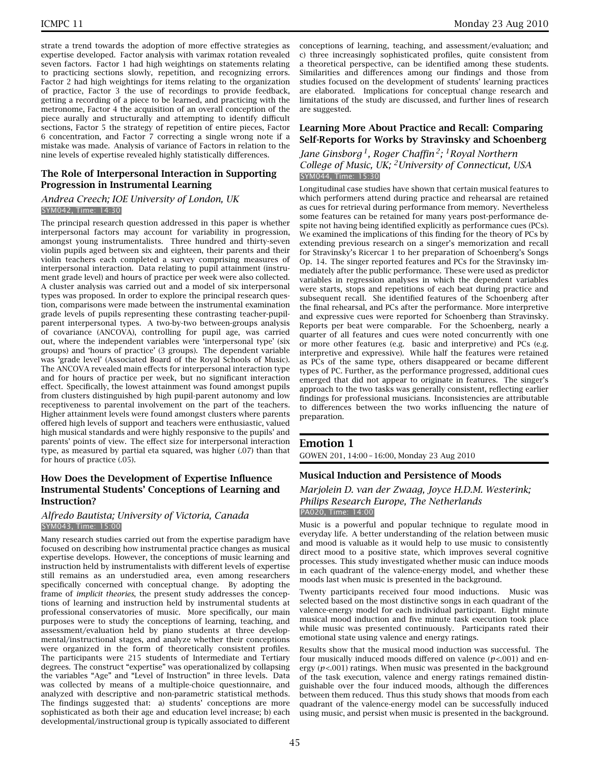strate a trend towards the adoption of more effective strategies as expertise developed. Factor analysis with varimax rotation revealed seven factors. Factor 1 had high weightings on statements relating to practicing sections slowly, repetition, and recognizing errors. Factor 2 had high weightings for items relating to the organization of practice, Factor 3 the use of recordings to provide feedback, getting a recording of a piece to be learned, and practicing with the metronome, Factor 4 the acquisition of an overall conception of the piece aurally and structurally and attempting to identify difficult sections, Factor 5 the strategy of repetition of entire pieces, Factor 6 concentration, and Factor 7 correcting a single wrong note if a mistake was made. Analysis of variance of Factors in relation to the nine levels of expertise revealed highly statistically differences.

# **The Role of Interpersonal Interaction in Supporting Progression in Instrumental Learning**

#### *Andrea Creech; IOE University of London, UK* SYM042, Time: 14:30

The principal research question addressed in this paper is whether interpersonal factors may account for variability in progression, amongst young instrumentalists. Three hundred and thirty-seven violin pupils aged between six and eighteen, their parents and their violin teachers each completed a survey comprising measures of interpersonal interaction. Data relating to pupil attainment (instrument grade level) and hours of practice per week were also collected. A cluster analysis was carried out and a model of six interpersonal types was proposed. In order to explore the principal research question, comparisons were made between the instrumental examination grade levels of pupils representing these contrasting teacher-pupilparent interpersonal types. A two-by-two between-groups analysis of covariance (ANCOVA), controlling for pupil age, was carried out, where the independent variables were 'interpersonal type' (six groups) and 'hours of practice' (3 groups). The dependent variable was 'grade level' (Associated Board of the Royal Schools of Music). The ANCOVA revealed main effects for interpersonal interaction type and for hours of practice per week, but no significant interaction effect. Specifically, the lowest attainment was found amongst pupils from clusters distinguished by high pupil-parent autonomy and low receptiveness to parental involvement on the part of the teachers. Higher attainment levels were found amongst clusters where parents offered high levels of support and teachers were enthusiastic, valued high musical standards and were highly responsive to the pupils' and parents' points of view. The effect size for interpersonal interaction type, as measured by partial eta squared, was higher (.07) than that for hours of practice (.05).

# **How Does the Development of Expertise Influence Instrumental Students' Conceptions of Learning and Instruction?**

#### *Alfredo Bautista; University of Victoria, Canada* SYM043, Time: 15:00

Many research studies carried out from the expertise paradigm have focused on describing how instrumental practice changes as musical expertise develops. However, the conceptions of music learning and instruction held by instrumentalists with different levels of expertise still remains as an understudied area, even among researchers specifically concerned with conceptual change. By adopting the frame of *implicit theories*, the present study addresses the conceptions of learning and instruction held by instrumental students at professional conservatories of music. More specifically, our main purposes were to study the conceptions of learning, teaching, and assessment/evaluation held by piano students at three developmental/instructional stages, and analyze whether their conceptions were organized in the form of theoretically consistent profiles. The participants were 215 students of Intermediate and Tertiary degrees. The construct "expertise" was operationalized by collapsing the variables "Age" and "Level of Instruction" in three levels. Data was collected by means of a multiple-choice questionnaire, and analyzed with descriptive and non-parametric statistical methods. The findings suggested that: a) students' conceptions are more sophisticated as both their age and education level increase; b) each developmental/instructional group is typically associated to different

conceptions of learning, teaching, and assessment/evaluation; and c) three increasingly sophisticated profiles, quite consistent from a theoretical perspective, can be identified among these students. Similarities and differences among our findings and those from studies focused on the development of students' learning practices are elaborated. Implications for conceptual change research and limitations of the study are discussed, and further lines of research are suggested.

# **Learning More About Practice and Recall: Comparing Self-Reports for Works by Stravinsky and Schoenberg**

# *Jane Ginsborg 1, Roger Chaffin 2; 1Royal Northern College of Music, UK; 2University of Connecticut, USA* SYM044, Time: 15:30

Longitudinal case studies have shown that certain musical features to which performers attend during practice and rehearsal are retained as cues for retrieval during performance from memory. Nevertheless some features can be retained for many years post-performance despite not having being identified explicitly as performance cues (PCs). We examined the implications of this finding for the theory of PCs by extending previous research on a singer's memorization and recall for Stravinsky's Ricercar 1 to her preparation of Schoenberg's Songs Op. 14. The singer reported features and PCs for the Stravinsky immediately after the public performance. These were used as predictor variables in regression analyses in which the dependent variables were starts, stops and repetitions of each beat during practice and subsequent recall. She identified features of the Schoenberg after the final rehearsal, and PCs after the performance. More interpretive and expressive cues were reported for Schoenberg than Stravinsky. Reports per beat were comparable. For the Schoenberg, nearly a quarter of all features and cues were noted concurrently with one or more other features (e.g. basic and interpretive) and PCs (e.g. interpretive and expressive). While half the features were retained as PCs of the same type, others disappeared or became different types of PC. Further, as the performance progressed, additional cues emerged that did not appear to originate in features. The singer's approach to the two tasks was generally consistent, reflecting earlier findings for professional musicians. Inconsistencies are attributable to differences between the two works influencing the nature of preparation.

# **Emotion 1**

GOWEN 201, 14:00 – 16:00, Monday 23 Aug 2010

# **Musical Induction and Persistence of Moods**

#### *Marjolein D. van der Zwaag, Joyce H.D.M. Westerink; Philips Research Europe, The Netherlands* PA020, Time: 14:00

Music is a powerful and popular technique to regulate mood in everyday life. A better understanding of the relation between music and mood is valuable as it would help to use music to consistently direct mood to a positive state, which improves several cognitive processes. This study investigated whether music can induce moods in each quadrant of the valence-energy model, and whether these moods last when music is presented in the background.

Twenty participants received four mood inductions. Music was selected based on the most distinctive songs in each quadrant of the valence-energy model for each individual participant. Eight minute musical mood induction and five minute task execution took place while music was presented continuously. Participants rated their emotional state using valence and energy ratings.

Results show that the musical mood induction was successful. The four musically induced moods differed on valence (*p*<.001) and energy (*p*<.001) ratings. When music was presented in the background of the task execution, valence and energy ratings remained distinguishable over the four induced moods, although the differences between them reduced. Thus this study shows that moods from each quadrant of the valence-energy model can be successfully induced using music, and persist when music is presented in the background.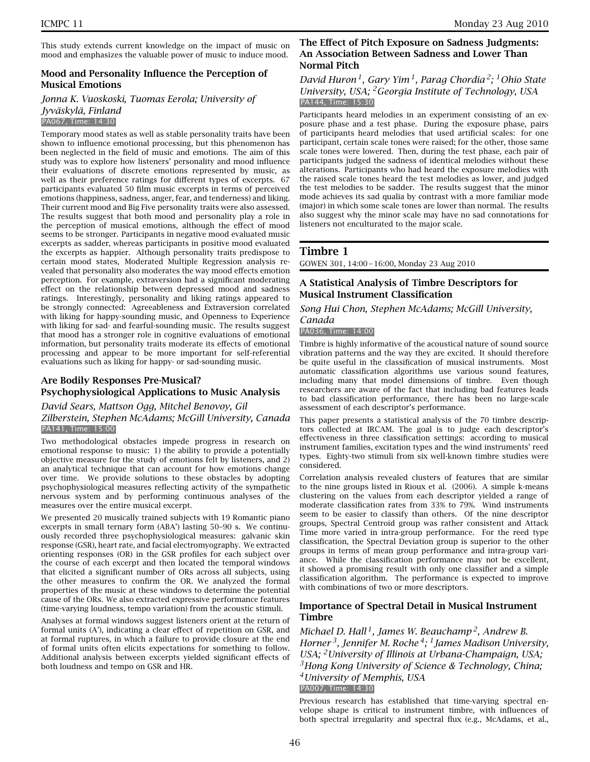This study extends current knowledge on the impact of music on mood and emphasizes the valuable power of music to induce mood.

# **Mood and Personality Influence the Perception of Musical Emotions**

*Jonna K. Vuoskoski, Tuomas Eerola; University of Jyväskylä, Finland* PA067, Time: 14:30

Temporary mood states as well as stable personality traits have been shown to influence emotional processing, but this phenomenon has been neglected in the field of music and emotions. The aim of this study was to explore how listeners' personality and mood influence their evaluations of discrete emotions represented by music, as well as their preference ratings for different types of excerpts. 67 participants evaluated 50 film music excerpts in terms of perceived emotions (happiness, sadness, anger, fear, and tenderness) and liking. Their current mood and Big Five personality traits were also assessed. The results suggest that both mood and personality play a role in the perception of musical emotions, although the effect of mood seems to be stronger. Participants in negative mood evaluated music excerpts as sadder, whereas participants in positive mood evaluated the excerpts as happier. Although personality traits predispose to certain mood states, Moderated Multiple Regression analysis revealed that personality also moderates the way mood effects emotion perception. For example, extraversion had a significant moderating effect on the relationship between depressed mood and sadness ratings. Interestingly, personality and liking ratings appeared to be strongly connected: Agreeableness and Extraversion correlated with liking for happy-sounding music, and Openness to Experience with liking for sad- and fearful-sounding music. The results suggest that mood has a stronger role in cognitive evaluations of emotional information, but personality traits moderate its effects of emotional processing and appear to be more important for self-referential evaluations such as liking for happy- or sad-sounding music.

# **Are Bodily Responses Pre-Musical? Psychophysiological Applications to Music Analysis**

# *David Sears, Mattson Ogg, Mitchel Benovoy, Gil*

*Zilberstein, Stephen McAdams; McGill University, Canada* PA141, Time: 15:00

Two methodological obstacles impede progress in research on emotional response to music: 1) the ability to provide a potentially objective measure for the study of emotions felt by listeners, and 2) an analytical technique that can account for how emotions change over time. We provide solutions to these obstacles by adopting psychophysiological measures reflecting activity of the sympathetic nervous system and by performing continuous analyses of the measures over the entire musical excerpt.

We presented 20 musically trained subjects with 19 Romantic piano excerpts in small ternary form (ABA') lasting 50–90 s. We continuously recorded three psychophysiological measures: galvanic skin response (GSR), heart rate, and facial electromyography. We extracted orienting responses (OR) in the GSR profiles for each subject over the course of each excerpt and then located the temporal windows that elicited a significant number of ORs across all subjects, using the other measures to confirm the OR. We analyzed the formal properties of the music at these windows to determine the potential cause of the ORs. We also extracted expressive performance features (time-varying loudness, tempo variation) from the acoustic stimuli.

Analyses at formal windows suggest listeners orient at the return of formal units (A'), indicating a clear effect of repetition on GSR, and at formal ruptures, in which a failure to provide closure at the end of formal units often elicits expectations for something to follow. Additional analysis between excerpts yielded significant effects of both loudness and tempo on GSR and HR.

# **The Effect of Pitch Exposure on Sadness Judgments: An Association Between Sadness and Lower Than Normal Pitch**

# *David Huron 1, Gary Yim 1, Parag Chordia 2; 1Ohio State University, USA; 2Georgia Institute of Technology, USA* PA144, Time: 15:30

Participants heard melodies in an experiment consisting of an exposure phase and a test phase. During the exposure phase, pairs of participants heard melodies that used artificial scales: for one participant, certain scale tones were raised; for the other, those same scale tones were lowered. Then, during the test phase, each pair of participants judged the sadness of identical melodies without these alterations. Participants who had heard the exposure melodies with the raised scale tones heard the test melodies as lower, and judged the test melodies to be sadder. The results suggest that the minor mode achieves its sad qualia by contrast with a more familiar mode (major) in which some scale tones are lower than normal. The results also suggest why the minor scale may have no sad connotations for listeners not enculturated to the major scale.

# **Timbre 1**

GOWEN 301, 14:00 – 16:00, Monday 23 Aug 2010

# **A Statistical Analysis of Timbre Descriptors for Musical Instrument Classification**

*Song Hui Chon, Stephen McAdams; McGill University,*

# *Canada*

PA036, Time: 14:00

Timbre is highly informative of the acoustical nature of sound source vibration patterns and the way they are excited. It should therefore be quite useful in the classification of musical instruments. Most automatic classification algorithms use various sound features, including many that model dimensions of timbre. Even though researchers are aware of the fact that including bad features leads to bad classification performance, there has been no large-scale assessment of each descriptor's performance.

This paper presents a statistical analysis of the 70 timbre descriptors collected at IRCAM. The goal is to judge each descriptor's effectiveness in three classification settings: according to musical instrument families, excitation types and the wind instruments' reed types. Eighty-two stimuli from six well-known timbre studies were considered.

Correlation analysis revealed clusters of features that are similar to the nine groups listed in Rioux et al. (2006). A simple k-means clustering on the values from each descriptor yielded a range of moderate classification rates from 33% to 79%. Wind instruments seem to be easier to classify than others. Of the nine descriptor groups, Spectral Centroid group was rather consistent and Attack Time more varied in intra-group performance. For the reed type classification, the Spectral Deviation group is superior to the other groups in terms of mean group performance and intra-group variance. While the classification performance may not be excellent, it showed a promising result with only one classifier and a simple classification algorithm. The performance is expected to improve with combinations of two or more descriptors.

# **Importance of Spectral Detail in Musical Instrument Timbre**

*Michael D. Hall 1, James W. Beauchamp 2, Andrew B. Horner 3, Jennifer M. Roche 4; 1James Madison University, USA; 2University of Illinois at Urbana-Champaign, USA; 3Hong Kong University of Science & Technology, China; 4University of Memphis, USA* PA007, Time: 14:30

Previous research has established that time-varying spectral envelope shape is critical to instrument timbre, with influences of both spectral irregularity and spectral flux (e.g., McAdams, et al.,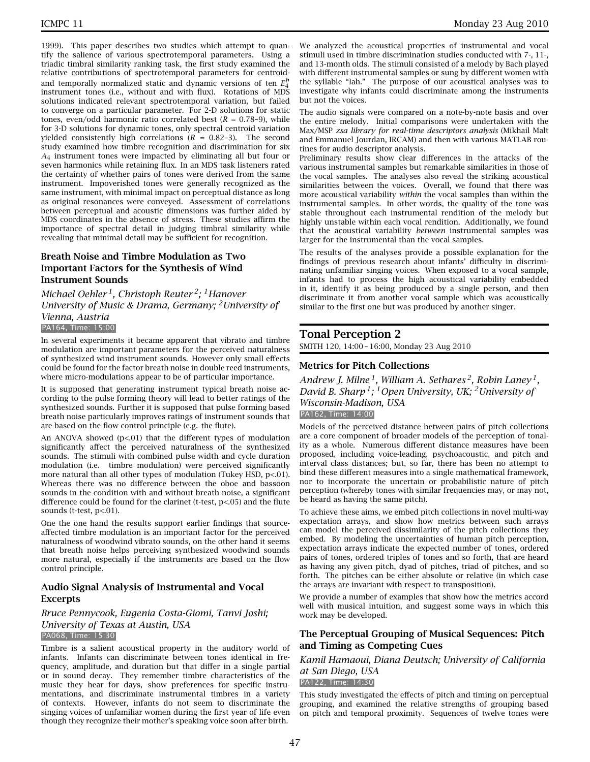1999). This paper describes two studies which attempt to quantify the salience of various spectrotemporal parameters. Using a triadic timbral similarity ranking task, the first study examined the relative contributions of spectrotemporal parameters for centroidand temporally normalized static and dynamic versions of ten *E<sup>b</sup>* 4 instrument tones (i.e., without and with flux). Rotations of MDS solutions indicated relevant spectrotemporal variation, but failed to converge on a particular parameter. For 2-D solutions for static tones, even/odd harmonic ratio correlated best  $(R = 0.78-9)$ , while for 3-D solutions for dynamic tones, only spectral centroid variation yielded consistently high correlations  $(R = 0.82-3)$ . The second study examined how timbre recognition and discrimination for six *A*4 instrument tones were impacted by eliminating all but four or seven harmonics while retaining flux. In an MDS task listeners rated the certainty of whether pairs of tones were derived from the same instrument. Impoverished tones were generally recognized as the same instrument, with minimal impact on perceptual distance as long as original resonances were conveyed. Assessment of correlations between perceptual and acoustic dimensions was further aided by MDS coordinates in the absence of stress. These studies affirm the importance of spectral detail in judging timbral similarity while revealing that minimal detail may be sufficient for recognition.

# **Breath Noise and Timbre Modulation as Two Important Factors for the Synthesis of Wind Instrument Sounds**

*Michael Oehler 1, Christoph Reuter 2; 1Hanover University of Music & Drama, Germany; 2University of Vienna, Austria*

#### PA164, Time: 15:00

In several experiments it became apparent that vibrato and timbre modulation are important parameters for the perceived naturalness of synthesized wind instrument sounds. However only small effects could be found for the factor breath noise in double reed instruments, where micro-modulations appear to be of particular importance.

It is supposed that generating instrument typical breath noise according to the pulse forming theory will lead to better ratings of the synthesized sounds. Further it is supposed that pulse forming based breath noise particularly improves ratings of instrument sounds that are based on the flow control principle (e.g. the flute).

An ANOVA showed  $(p<01)$  that the different types of modulation significantly affect the perceived naturalness of the synthesized sounds. The stimuli with combined pulse width and cycle duration modulation (i.e. timbre modulation) were perceived significantly more natural than all other types of modulation (Tukey HSD, p<.01). Whereas there was no difference between the oboe and bassoon sounds in the condition with and without breath noise, a significant difference could be found for the clarinet (t-test,  $p$ <.05) and the flute sounds (t-test, p<.01).

One the one hand the results support earlier findings that sourceaffected timbre modulation is an important factor for the perceived naturalness of woodwind vibrato sounds, on the other hand it seems that breath noise helps perceiving synthesized woodwind sounds more natural, especially if the instruments are based on the flow control principle.

# **Audio Signal Analysis of Instrumental and Vocal Excerpts**

*Bruce Pennycook, Eugenia Costa-Giomi, Tanvi Joshi; University of Texas at Austin, USA* PA068, Time: 15:30

Timbre is a salient acoustical property in the auditory world of infants. Infants can discriminate between tones identical in frequency, amplitude, and duration but that differ in a single partial or in sound decay. They remember timbre characteristics of the music they hear for days, show preferences for specific instrumentations, and discriminate instrumental timbres in a variety of contexts. However, infants do not seem to discriminate the singing voices of unfamiliar women during the first year of life even though they recognize their mother's speaking voice soon after birth.

We analyzed the acoustical properties of instrumental and vocal stimuli used in timbre discrimination studies conducted with 7-, 11-, and 13-month olds. The stimuli consisted of a melody by Bach played with different instrumental samples or sung by different women with the syllable "lah." The purpose of our acoustical analyses was to investigate why infants could discriminate among the instruments but not the voices.

The audio signals were compared on a note-by-note basis and over the entire melody. Initial comparisons were undertaken with the Max/MSP *zsa library for real-time descriptors analysis* (Mikhail Malt and Emmanuel Jourdan, IRCAM) and then with various MATLAB routines for audio descriptor analysis.

Preliminary results show clear differences in the attacks of the various instrumental samples but remarkable similarities in those of the vocal samples. The analyses also reveal the striking acoustical similarities between the voices. Overall, we found that there was more acoustical variability *within* the vocal samples than within the instrumental samples. In other words, the quality of the tone was stable throughout each instrumental rendition of the melody but highly unstable within each vocal rendition. Additionally, we found that the acoustical variability *between* instrumental samples was larger for the instrumental than the vocal samples.

The results of the analyses provide a possible explanation for the findings of previous research about infants' difficulty in discriminating unfamiliar singing voices. When exposed to a vocal sample, infants had to process the high acoustical variability embedded in it, identify it as being produced by a single person, and then discriminate it from another vocal sample which was acoustically similar to the first one but was produced by another singer.

#### **Tonal Perception 2**

SMITH 120, 14:00 – 16:00, Monday 23 Aug 2010

#### **Metrics for Pitch Collections**

*Andrew J. Milne 1, William A. Sethares 2, Robin Laney 1, David B. Sharp 1; 1Open University, UK; 2University of Wisconsin-Madison, USA* PA162, Time: 14:00

Models of the perceived distance between pairs of pitch collections are a core component of broader models of the perception of tonality as a whole. Numerous different distance measures have been proposed, including voice-leading, psychoacoustic, and pitch and interval class distances; but, so far, there has been no attempt to bind these different measures into a single mathematical framework, nor to incorporate the uncertain or probabilistic nature of pitch perception (whereby tones with similar frequencies may, or may not, be heard as having the same pitch).

To achieve these aims, we embed pitch collections in novel multi-way expectation arrays, and show how metrics between such arrays can model the perceived dissimilarity of the pitch collections they embed. By modeling the uncertainties of human pitch perception, expectation arrays indicate the expected number of tones, ordered pairs of tones, ordered triples of tones and so forth, that are heard as having any given pitch, dyad of pitches, triad of pitches, and so forth. The pitches can be either absolute or relative (in which case the arrays are invariant with respect to transposition).

We provide a number of examples that show how the metrics accord well with musical intuition, and suggest some ways in which this work may be developed.

#### **The Perceptual Grouping of Musical Sequences: Pitch and Timing as Competing Cues**

*Kamil Hamaoui, Diana Deutsch; University of California at San Diego, USA* PA122, Time: 14:30

This study investigated the effects of pitch and timing on perceptual grouping, and examined the relative strengths of grouping based on pitch and temporal proximity. Sequences of twelve tones were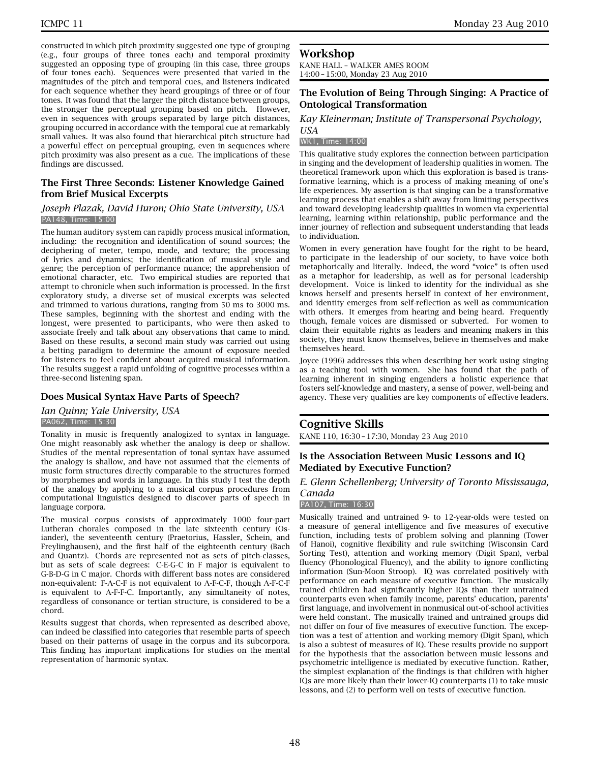constructed in which pitch proximity suggested one type of grouping (e.g., four groups of three tones each) and temporal proximity suggested an opposing type of grouping (in this case, three groups of four tones each). Sequences were presented that varied in the magnitudes of the pitch and temporal cues, and listeners indicated for each sequence whether they heard groupings of three or of four tones. It was found that the larger the pitch distance between groups, the stronger the perceptual grouping based on pitch. However, even in sequences with groups separated by large pitch distances, grouping occurred in accordance with the temporal cue at remarkably small values. It was also found that hierarchical pitch structure had a powerful effect on perceptual grouping, even in sequences where pitch proximity was also present as a cue. The implications of these findings are discussed.

# **The First Three Seconds: Listener Knowledge Gained from Brief Musical Excerpts**

#### *Joseph Plazak, David Huron; Ohio State University, USA* PA148, Time: 15:00

The human auditory system can rapidly process musical information, including: the recognition and identification of sound sources; the deciphering of meter, tempo, mode, and texture; the processing of lyrics and dynamics; the identification of musical style and genre; the perception of performance nuance; the apprehension of emotional character, etc. Two empirical studies are reported that attempt to chronicle when such information is processed. In the first exploratory study, a diverse set of musical excerpts was selected and trimmed to various durations, ranging from 50 ms to 3000 ms. These samples, beginning with the shortest and ending with the longest, were presented to participants, who were then asked to associate freely and talk about any observations that came to mind. Based on these results, a second main study was carried out using a betting paradigm to determine the amount of exposure needed for listeners to feel confident about acquired musical information. The results suggest a rapid unfolding of cognitive processes within a three-second listening span.

# **Does Musical Syntax Have Parts of Speech?**

#### *Ian Quinn; Yale University, USA* PA062, Time: 15:30

Tonality in music is frequently analogized to syntax in language. One might reasonably ask whether the analogy is deep or shallow. Studies of the mental representation of tonal syntax have assumed the analogy is shallow, and have not assumed that the elements of music form structures directly comparable to the structures formed by morphemes and words in language. In this study I test the depth of the analogy by applying to a musical corpus procedures from computational linguistics designed to discover parts of speech in language corpora.

The musical corpus consists of approximately 1000 four-part Lutheran chorales composed in the late sixteenth century (Osiander), the seventeenth century (Praetorius, Hassler, Schein, and Freylinghausen), and the first half of the eighteenth century (Bach and Quantz). Chords are represented not as sets of pitch-classes, but as sets of scale degrees: C-E-G-C in F major is equivalent to G-B-D-G in C major. Chords with different bass notes are considered non-equivalent: F-A-C-F is not equivalent to A-F-C-F, though A-F-C-F is equivalent to A-F-F-C. Importantly, any simultaneity of notes, regardless of consonance or tertian structure, is considered to be a chord.

Results suggest that chords, when represented as described above, can indeed be classified into categories that resemble parts of speech based on their patterns of usage in the corpus and its subcorpora. This finding has important implications for studies on the mental representation of harmonic syntax.

# **Workshop**

KANE HALL – WALKER AMES ROOM 14:00 – 15:00, Monday 23 Aug 2010

# **The Evolution of Being Through Singing: A Practice of Ontological Transformation**

#### *Kay Kleinerman; Institute of Transpersonal Psychology, USA*

#### WK1, Time: 14:00

This qualitative study explores the connection between participation in singing and the development of leadership qualities in women. The theoretical framework upon which this exploration is based is transformative learning, which is a process of making meaning of one's life experiences. My assertion is that singing can be a transformative learning process that enables a shift away from limiting perspectives and toward developing leadership qualities in women via experiential learning, learning within relationship, public performance and the inner journey of reflection and subsequent understanding that leads to individuation.

Women in every generation have fought for the right to be heard, to participate in the leadership of our society, to have voice both metaphorically and literally. Indeed, the word "voice" is often used as a metaphor for leadership, as well as for personal leadership development. Voice is linked to identity for the individual as she knows herself and presents herself in context of her environment, and identity emerges from self-reflection as well as communication with others. It emerges from hearing and being heard. Frequently though, female voices are dismissed or subverted. For women to claim their equitable rights as leaders and meaning makers in this society, they must know themselves, believe in themselves and make themselves heard.

Joyce (1996) addresses this when describing her work using singing as a teaching tool with women. She has found that the path of learning inherent in singing engenders a holistic experience that fosters self-knowledge and mastery, a sense of power, well-being and agency. These very qualities are key components of effective leaders.

# **Cognitive Skills**

KANE 110, 16:30 – 17:30, Monday 23 Aug 2010

# **Is the Association Between Music Lessons and IQ Mediated by Executive Function?**

# *E. Glenn Schellenberg; University of Toronto Mississauga, Canada*

#### PA107, Time: 16:30

Musically trained and untrained 9- to 12-year-olds were tested on a measure of general intelligence and five measures of executive function, including tests of problem solving and planning (Tower of Hanoi), cognitive flexibility and rule switching (Wisconsin Card Sorting Test), attention and working memory (Digit Span), verbal fluency (Phonological Fluency), and the ability to ignore conflicting information (Sun-Moon Stroop). IQ was correlated positively with performance on each measure of executive function. The musically trained children had significantly higher IQs than their untrained counterparts even when family income, parents' education, parents' first language, and involvement in nonmusical out-of-school activities were held constant. The musically trained and untrained groups did not differ on four of five measures of executive function. The exception was a test of attention and working memory (Digit Span), which is also a subtest of measures of IQ. These results provide no support for the hypothesis that the association between music lessons and psychometric intelligence is mediated by executive function. Rather, the simplest explanation of the findings is that children with higher IQs are more likely than their lower-IQ counterparts (1) to take music lessons, and (2) to perform well on tests of executive function.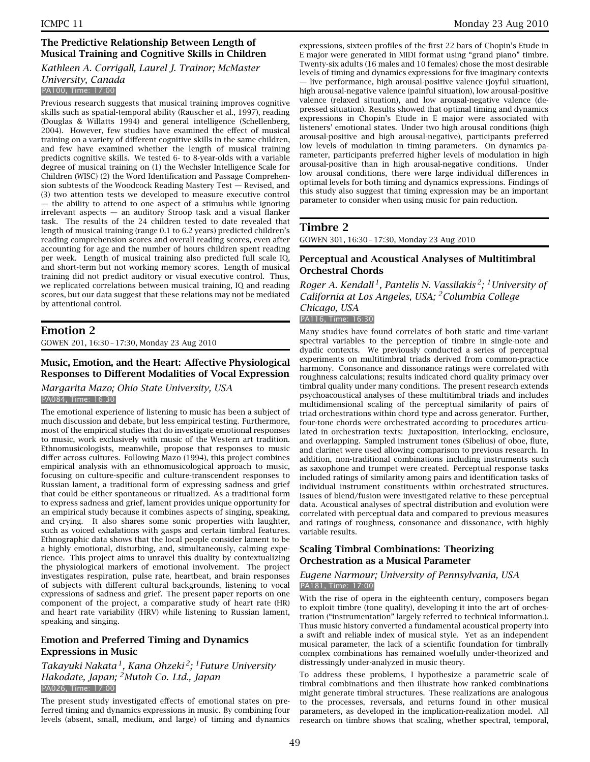# **The Predictive Relationship Between Length of Musical Training and Cognitive Skills in Children**

# *Kathleen A. Corrigall, Laurel J. Trainor; McMaster University, Canada*

PA100, Time: 17:00

Previous research suggests that musical training improves cognitive skills such as spatial-temporal ability (Rauscher et al., 1997), reading (Douglas & Willatts 1994) and general intelligence (Schellenberg, 2004). However, few studies have examined the effect of musical training on a variety of different cognitive skills in the same children, and few have examined whether the length of musical training predicts cognitive skills. We tested 6- to 8-year-olds with a variable degree of musical training on (1) the Wechsler Intelligence Scale for Children (WISC) (2) the Word Identification and Passage Comprehension subtests of the Woodcock Reading Mastery Test — Revised, and (3) two attention tests we developed to measure executive control — the ability to attend to one aspect of a stimulus while ignoring irrelevant aspects — an auditory Stroop task and a visual flanker task. The results of the 24 children tested to date revealed that length of musical training (range 0.1 to 6.2 years) predicted children's reading comprehension scores and overall reading scores, even after accounting for age and the number of hours children spent reading per week. Length of musical training also predicted full scale IQ, and short-term but not working memory scores. Length of musical training did not predict auditory or visual executive control. Thus, we replicated correlations between musical training, IQ and reading scores, but our data suggest that these relations may not be mediated by attentional control.

# **Emotion 2**

GOWEN 201, 16:30 – 17:30, Monday 23 Aug 2010

# **Music, Emotion, and the Heart: Affective Physiological Responses to Different Modalities of Vocal Expression**

#### *Margarita Mazo; Ohio State University, USA* PA084, Time: 16:30

The emotional experience of listening to music has been a subject of much discussion and debate, but less empirical testing. Furthermore, most of the empirical studies that do investigate emotional responses to music, work exclusively with music of the Western art tradition. Ethnomusicologists, meanwhile, propose that responses to music differ across cultures. Following Mazo (1994), this project combines empirical analysis with an ethnomusicological approach to music, focusing on culture-specific and culture-transcendent responses to Russian lament, a traditional form of expressing sadness and grief that could be either spontaneous or ritualized. As a traditional form to express sadness and grief, lament provides unique opportunity for an empirical study because it combines aspects of singing, speaking, and crying. It also shares some sonic properties with laughter, such as voiced exhalations with gasps and certain timbral features. Ethnographic data shows that the local people consider lament to be a highly emotional, disturbing, and, simultaneously, calming experience. This project aims to unravel this duality by contextualizing the physiological markers of emotional involvement. The project investigates respiration, pulse rate, heartbeat, and brain responses of subjects with different cultural backgrounds, listening to vocal expressions of sadness and grief. The present paper reports on one component of the project, a comparative study of heart rate (HR) and heart rate variability (HRV) while listening to Russian lament, speaking and singing.

# **Emotion and Preferred Timing and Dynamics Expressions in Music**

# *Takayuki Nakata 1, Kana Ohzeki 2; 1Future University Hakodate, Japan; 2Mutoh Co. Ltd., Japan* PA026, Time: 17:00

The present study investigated effects of emotional states on preferred timing and dynamics expressions in music. By combining four levels (absent, small, medium, and large) of timing and dynamics expressions, sixteen profiles of the first 22 bars of Chopin's Etude in E major were generated in MIDI format using "grand piano" timbre. Twenty-six adults (16 males and 10 females) chose the most desirable levels of timing and dynamics expressions for five imaginary contexts — live performance, high arousal-positive valence (joyful situation), high arousal-negative valence (painful situation), low arousal-positive valence (relaxed situation), and low arousal-negative valence (depressed situation). Results showed that optimal timing and dynamics expressions in Chopin's Etude in E major were associated with listeners' emotional states. Under two high arousal conditions (high arousal-positive and high arousal-negative), participants preferred low levels of modulation in timing parameters. On dynamics parameter, participants preferred higher levels of modulation in high arousal-positive than in high arousal-negative conditions. Under low arousal conditions, there were large individual differences in optimal levels for both timing and dynamics expressions. Findings of this study also suggest that timing expression may be an important parameter to consider when using music for pain reduction.

# **Timbre 2**

GOWEN 301, 16:30 – 17:30, Monday 23 Aug 2010

# **Perceptual and Acoustical Analyses of Multitimbral Orchestral Chords**

*Roger A. Kendall 1, Pantelis N. Vassilakis 2; 1University of California at Los Angeles, USA; 2Columbia College Chicago, USA*

#### PA116, Time: 16:30

Many studies have found correlates of both static and time-variant spectral variables to the perception of timbre in single-note and dyadic contexts. We previously conducted a series of perceptual experiments on multitimbral triads derived from common-practice harmony. Consonance and dissonance ratings were correlated with roughness calculations; results indicated chord quality primacy over timbral quality under many conditions. The present research extends psychoacoustical analyses of these multitimbral triads and includes multidimensional scaling of the perceptual similarity of pairs of triad orchestrations within chord type and across generator. Further, four-tone chords were orchestrated according to procedures articulated in orchestration texts: Juxtaposition, interlocking, enclosure, and overlapping. Sampled instrument tones (Sibelius) of oboe, flute, and clarinet were used allowing comparison to previous research. In addition, non-traditional combinations including instruments such as saxophone and trumpet were created. Perceptual response tasks included ratings of similarity among pairs and identification tasks of individual instrument constituents within orchestrated structures. Issues of blend/fusion were investigated relative to these perceptual data. Acoustical analyses of spectral distribution and evolution were correlated with perceptual data and compared to previous measures and ratings of roughness, consonance and dissonance, with highly variable results.

# **Scaling Timbral Combinations: Theorizing Orchestration as a Musical Parameter**

# *Eugene Narmour; University of Pennsylvania, USA* PA181, Time: 17:00

With the rise of opera in the eighteenth century, composers began to exploit timbre (tone quality), developing it into the art of orchestration ("instrumentation" largely referred to technical information.). Thus music history converted a fundamental acoustical property into a swift and reliable index of musical style. Yet as an independent musical parameter, the lack of a scientific foundation for timbrally complex combinations has remained woefully under-theorized and distressingly under-analyzed in music theory.

To address these problems, I hypothesize a parametric scale of timbral combinations and then illustrate how ranked combinations might generate timbral structures. These realizations are analogous to the processes, reversals, and returns found in other musical parameters, as developed in the implication-realization model. All research on timbre shows that scaling, whether spectral, temporal,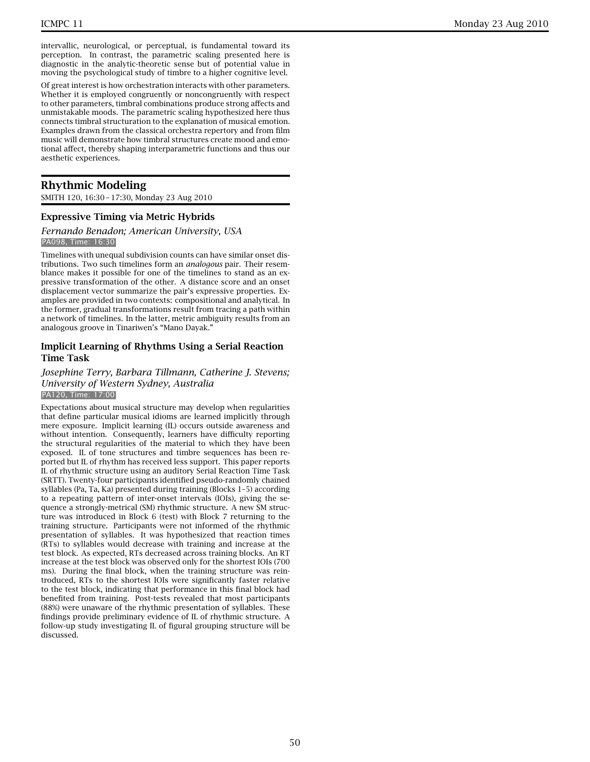intervallic, neurological, or perceptual, is fundamental toward its perception. In contrast, the parametric scaling presented here is diagnostic in the analytic-theoretic sense but of potential value in moving the psychological study of timbre to a higher cognitive level.

Of great interest is how orchestration interacts with other parameters. Whether it is employed congruently or noncongruently with respect to other parameters, timbral combinations produce strong affects and unmistakable moods. The parametric scaling hypothesized here thus connects timbral structuration to the explanation of musical emotion. Examples drawn from the classical orchestra repertory and from film music will demonstrate how timbral structures create mood and emotional affect, thereby shaping interparametric functions and thus our aesthetic experiences.

# **Rhythmic Modeling**

SMITH 120, 16:30 – 17:30, Monday 23 Aug 2010

# **Expressive Timing via Metric Hybrids**

#### *Fernando Benadon; American University, USA* PA098, Time: 16:30

Timelines with unequal subdivision counts can have similar onset distributions. Two such timelines form an *analogous* pair. Their resemblance makes it possible for one of the timelines to stand as an expressive transformation of the other. A distance score and an onset displacement vector summarize the pair's expressive properties. Examples are provided in two contexts: compositional and analytical. In the former, gradual transformations result from tracing a path within a network of timelines. In the latter, metric ambiguity results from an analogous groove in Tinariwen's "Mano Dayak."

# **Implicit Learning of Rhythms Using a Serial Reaction Time Task**

# *Josephine Terry, Barbara Tillmann, Catherine J. Stevens; University of Western Sydney, Australia* PA120, Time: 17:00

Expectations about musical structure may develop when regularities that define particular musical idioms are learned implicitly through mere exposure. Implicit learning (IL) occurs outside awareness and without intention. Consequently, learners have difficulty reporting the structural regularities of the material to which they have been exposed. IL of tone structures and timbre sequences has been reported but IL of rhythm has received less support. This paper reports IL of rhythmic structure using an auditory Serial Reaction Time Task (SRTT). Twenty-four participants identified pseudo-randomly chained syllables (Pa, Ta, Ka) presented during training (Blocks 1–5) according to a repeating pattern of inter-onset intervals (IOIs), giving the sequence a strongly-metrical (SM) rhythmic structure. A new SM structure was introduced in Block 6 (test) with Block 7 returning to the training structure. Participants were not informed of the rhythmic presentation of syllables. It was hypothesized that reaction times (RTs) to syllables would decrease with training and increase at the test block. As expected, RTs decreased across training blocks. An RT increase at the test block was observed only for the shortest IOIs (700 ms). During the final block, when the training structure was reintroduced, RTs to the shortest IOIs were significantly faster relative to the test block, indicating that performance in this final block had benefited from training. Post-tests revealed that most participants (88%) were unaware of the rhythmic presentation of syllables. These findings provide preliminary evidence of IL of rhythmic structure. A follow-up study investigating IL of figural grouping structure will be discussed.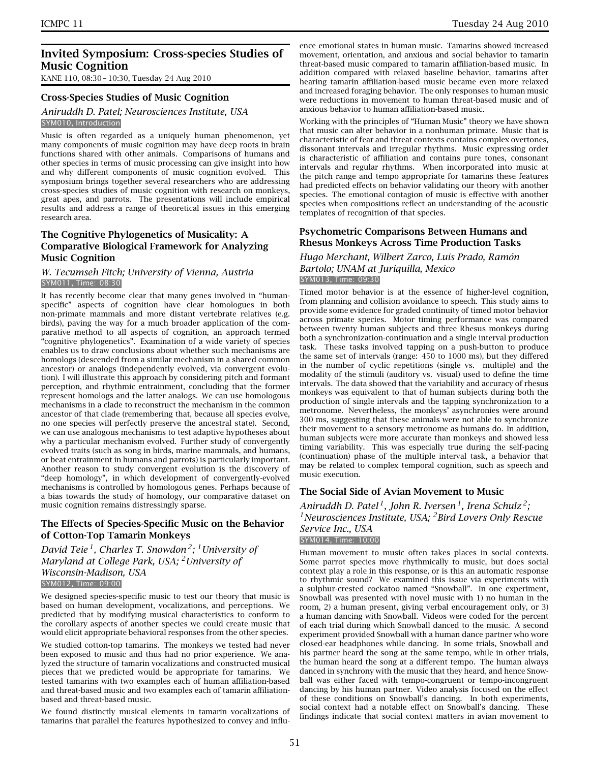# **Invited Symposium: Cross-species Studies of Music Cognition**

KANE 110, 08:30 – 10:30, Tuesday 24 Aug 2010

#### **Cross-Species Studies of Music Cognition**

#### *Aniruddh D. Patel; Neurosciences Institute, USA* SYM010, Introduction

Music is often regarded as a uniquely human phenomenon, yet many components of music cognition may have deep roots in brain functions shared with other animals. Comparisons of humans and other species in terms of music processing can give insight into how and why different components of music cognition evolved. This symposium brings together several researchers who are addressing cross-species studies of music cognition with research on monkeys, great apes, and parrots. The presentations will include empirical results and address a range of theoretical issues in this emerging research area.

# **The Cognitive Phylogenetics of Musicality: A Comparative Biological Framework for Analyzing Music Cognition**

#### *W. Tecumseh Fitch; University of Vienna, Austria* SYM011, Time: 08:30

It has recently become clear that many genes involved in "humanspecific" aspects of cognition have clear homologues in both non-primate mammals and more distant vertebrate relatives (e.g. birds), paving the way for a much broader application of the comparative method to all aspects of cognition, an approach termed "cognitive phylogenetics". Examination of a wide variety of species enables us to draw conclusions about whether such mechanisms are homologs (descended from a similar mechanism in a shared common ancestor) or analogs (independently evolved, via convergent evolution). I will illustrate this approach by considering pitch and formant perception, and rhythmic entrainment, concluding that the former represent homologs and the latter analogs. We can use homologous mechanisms in a clade to reconstruct the mechanism in the common ancestor of that clade (remembering that, because all species evolve, no one species will perfectly preserve the ancestral state). Second, we can use analogous mechanisms to test adaptive hypotheses about why a particular mechanism evolved. Further study of convergently evolved traits (such as song in birds, marine mammals, and humans, or beat entrainment in humans and parrots) is particularly important. Another reason to study convergent evolution is the discovery of "deep homology", in which development of convergently-evolved mechanisms is controlled by homologous genes. Perhaps because of a bias towards the study of homology, our comparative dataset on music cognition remains distressingly sparse.

# **The Effects of Species-Specific Music on the Behavior of Cotton-Top Tamarin Monkeys**

*David Teie 1, Charles T. Snowdon 2; 1University of Maryland at College Park, USA; 2University of Wisconsin-Madison, USA* SYM012, Time: 09:00

We designed species-specific music to test our theory that music is based on human development, vocalizations, and perceptions. We predicted that by modifying musical characteristics to conform to the corollary aspects of another species we could create music that would elicit appropriate behavioral responses from the other species.

We studied cotton-top tamarins. The monkeys we tested had never been exposed to music and thus had no prior experience. We analyzed the structure of tamarin vocalizations and constructed musical pieces that we predicted would be appropriate for tamarins. We tested tamarins with two examples each of human affiliation-based and threat-based music and two examples each of tamarin affiliationbased and threat-based music.

We found distinctly musical elements in tamarin vocalizations of tamarins that parallel the features hypothesized to convey and influence emotional states in human music. Tamarins showed increased movement, orientation, and anxious and social behavior to tamarin threat-based music compared to tamarin affiliation-based music. In addition compared with relaxed baseline behavior, tamarins after hearing tamarin affiliation-based music became even more relaxed and increased foraging behavior. The only responses to human music were reductions in movement to human threat-based music and of anxious behavior to human affiliation-based music.

Working with the principles of "Human Music" theory we have shown that music can alter behavior in a nonhuman primate. Music that is characteristic of fear and threat contexts contains complex overtones, dissonant intervals and irregular rhythms. Music expressing order is characteristic of affiliation and contains pure tones, consonant intervals and regular rhythms. When incorporated into music at the pitch range and tempo appropriate for tamarins these features had predicted effects on behavior validating our theory with another species. The emotional contagion of music is effective with another species when compositions reflect an understanding of the acoustic templates of recognition of that species.

# **Psychometric Comparisons Between Humans and Rhesus Monkeys Across Time Production Tasks**

#### *Hugo Merchant, Wilbert Zarco, Luis Prado, Ramón Bartolo; UNAM at Juriquilla, Mexico* SYM013, Time: 09:30

Timed motor behavior is at the essence of higher-level cognition, from planning and collision avoidance to speech. This study aims to provide some evidence for graded continuity of timed motor behavior across primate species. Motor timing performance was compared between twenty human subjects and three Rhesus monkeys during both a synchronization-continuation and a single interval production task. These tasks involved tapping on a push-button to produce the same set of intervals (range: 450 to 1000 ms), but they differed in the number of cyclic repetitions (single vs. multiple) and the modality of the stimuli (auditory vs. visual) used to define the time intervals. The data showed that the variability and accuracy of rhesus monkeys was equivalent to that of human subjects during both the production of single intervals and the tapping synchronization to a metronome. Nevertheless, the monkeys' asynchronies were around 300 ms, suggesting that these animals were not able to synchronize their movement to a sensory metronome as humans do. In addition, human subjects were more accurate than monkeys and showed less timing variability. This was especially true during the self-pacing (continuation) phase of the multiple interval task, a behavior that may be related to complex temporal cognition, such as speech and music execution.

#### **The Social Side of Avian Movement to Music**

*Aniruddh D. Patel 1, John R. Iversen 1, Irena Schulz 2; 1Neurosciences Institute, USA; 2Bird Lovers Only Rescue Service Inc., USA* SYM014, Time: 10:00

Human movement to music often takes places in social contexts. Some parrot species move rhythmically to music, but does social context play a role in this response, or is this an automatic response to rhythmic sound? We examined this issue via experiments with a sulphur-crested cockatoo named "Snowball". In one experiment, Snowball was presented with novel music with 1) no human in the room, 2) a human present, giving verbal encouragement only, or 3) a human dancing with Snowball. Videos were coded for the percent of each trial during which Snowball danced to the music. A second experiment provided Snowball with a human dance partner who wore closed-ear headphones while dancing. In some trials, Snowball and his partner heard the song at the same tempo, while in other trials, the human heard the song at a different tempo. The human always danced in synchrony with the music that they heard, and hence Snowball was either faced with tempo-congruent or tempo-incongruent dancing by his human partner. Video analysis focused on the effect of these conditions on Snowball's dancing. In both experiments, social context had a notable effect on Snowball's dancing. These findings indicate that social context matters in avian movement to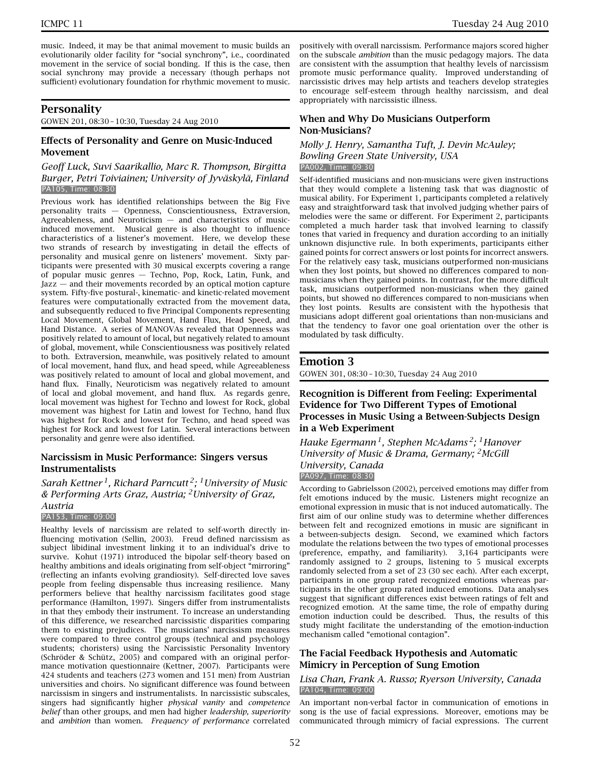music. Indeed, it may be that animal movement to music builds an evolutionarily older facility for "social synchrony", i.e., coordinated movement in the service of social bonding. If this is the case, then social synchrony may provide a necessary (though perhaps not sufficient) evolutionary foundation for rhythmic movement to music.

# **Personality**

GOWEN 201, 08:30 – 10:30, Tuesday 24 Aug 2010

# **Effects of Personality and Genre on Music-Induced Movement**

#### *Geoff Luck, Suvi Saarikallio, Marc R. Thompson, Birgitta Burger, Petri Toiviainen; University of Jyväskylä, Finland* PA105, Time: 08:30

Previous work has identified relationships between the Big Five personality traits — Openness, Conscientiousness, Extraversion, Agreeableness, and Neuroticism — and characteristics of musicinduced movement. Musical genre is also thought to influence characteristics of a listener's movement. Here, we develop these two strands of research by investigating in detail the effects of personality and musical genre on listeners' movement. Sixty participants were presented with 30 musical excerpts covering a range of popular music genres — Techno, Pop, Rock, Latin, Funk, and Jazz — and their movements recorded by an optical motion capture system. Fifty-five postural-, kinematic- and kinetic-related movement features were computationally extracted from the movement data, and subsequently reduced to five Principal Components representing Local Movement, Global Movement, Hand Flux, Head Speed, and Hand Distance. A series of MANOVAs revealed that Openness was positively related to amount of local, but negatively related to amount of global, movement, while Conscientiousness was positively related to both. Extraversion, meanwhile, was positively related to amount of local movement, hand flux, and head speed, while Agreeableness was positively related to amount of local and global movement, and hand flux. Finally, Neuroticism was negatively related to amount of local and global movement, and hand flux. As regards genre, local movement was highest for Techno and lowest for Rock, global movement was highest for Latin and lowest for Techno, hand flux was highest for Rock and lowest for Techno, and head speed was highest for Rock and lowest for Latin. Several interactions between personality and genre were also identified.

# **Narcissism in Music Performance: Singers versus Instrumentalists**

*Sarah Kettner 1, Richard Parncutt 2; 1University of Music & Performing Arts Graz, Austria; 2University of Graz, Austria*

#### PA153, Time: 09:00

Healthy levels of narcissism are related to self-worth directly influencing motivation (Sellin, 2003). Freud defined narcissism as subject libidinal investment linking it to an individual's drive to survive. Kohut (1971) introduced the bipolar self-theory based on healthy ambitions and ideals originating from self-object "mirroring" (reflecting an infants evolving grandiosity). Self-directed love saves people from feeling dispensable thus increasing resilience. Many performers believe that healthy narcissism facilitates good stage performance (Hamilton, 1997). Singers differ from instrumentalists in that they embody their instrument. To increase an understanding of this difference, we researched narcissistic disparities comparing them to existing prejudices. The musicians' narcissism measures were compared to three control groups (technical and psychology students; choristers) using the Narcissistic Personality Inventory (Schröder & Schütz, 2005) and compared with an original performance motivation questionnaire (Kettner, 2007). Participants were 424 students and teachers (273 women and 151 men) from Austrian universities and choirs. No significant difference was found between narcissism in singers and instrumentalists. In narcissistic subscales, singers had significantly higher *physical vanity* and *competence belief* than other groups, and men had higher *leadership, superiority* and *ambition* than women. *Frequency of performance* correlated

positively with overall narcissism. Performance majors scored higher on the subscale *ambition* than the music pedagogy majors. The data are consistent with the assumption that healthy levels of narcissism promote music performance quality. Improved understanding of narcissistic drives may help artists and teachers develop strategies to encourage self-esteem through healthy narcissism, and deal appropriately with narcissistic illness.

# **When and Why Do Musicians Outperform Non-Musicians?**

# *Molly J. Henry, Samantha Tuft, J. Devin McAuley; Bowling Green State University, USA* PA002, Time: 09:30

Self-identified musicians and non-musicians were given instructions that they would complete a listening task that was diagnostic of musical ability. For Experiment 1, participants completed a relatively easy and straightforward task that involved judging whether pairs of melodies were the same or different. For Experiment 2, participants completed a much harder task that involved learning to classify tones that varied in frequency and duration according to an initially unknown disjunctive rule. In both experiments, participants either gained points for correct answers or lost points for incorrect answers. For the relatively easy task, musicians outperformed non-musicians when they lost points, but showed no differences compared to nonmusicians when they gained points. In contrast, for the more difficult task, musicians outperformed non-musicians when they gained points, but showed no differences compared to non-musicians when they lost points. Results are consistent with the hypothesis that musicians adopt different goal orientations than non-musicians and that the tendency to favor one goal orientation over the other is modulated by task difficulty.

# **Emotion 3**

GOWEN 301, 08:30 – 10:30, Tuesday 24 Aug 2010

# **Recognition is Different from Feeling: Experimental Evidence for Two Different Types of Emotional Processes in Music Using a Between-Subjects Design in a Web Experiment**

*Hauke Egermann 1, Stephen McAdams 2; 1Hanover University of Music & Drama, Germany; 2McGill University, Canada* PA097, Time: 08:30

According to Gabrielsson (2002), perceived emotions may differ from felt emotions induced by the music. Listeners might recognize an emotional expression in music that is not induced automatically. The first aim of our online study was to determine whether differences between felt and recognized emotions in music are significant in a between-subjects design. Second, we examined which factors modulate the relations between the two types of emotional processes (preference, empathy, and familiarity). 3,164 participants were randomly assigned to 2 groups, listening to 5 musical excerpts randomly selected from a set of 23 (30 sec each). After each excerpt, participants in one group rated recognized emotions whereas participants in the other group rated induced emotions. Data analyses suggest that significant differences exist between ratings of felt and recognized emotion. At the same time, the role of empathy during emotion induction could be described. Thus, the results of this study might facilitate the understanding of the emotion-induction mechanism called "emotional contagion".

# **The Facial Feedback Hypothesis and Automatic Mimicry in Perception of Sung Emotion**

#### *Lisa Chan, Frank A. Russo; Ryerson University, Canada* PA104, Time: 09:00

An important non-verbal factor in communication of emotions in song is the use of facial expressions. Moreover, emotions may be communicated through mimicry of facial expressions. The current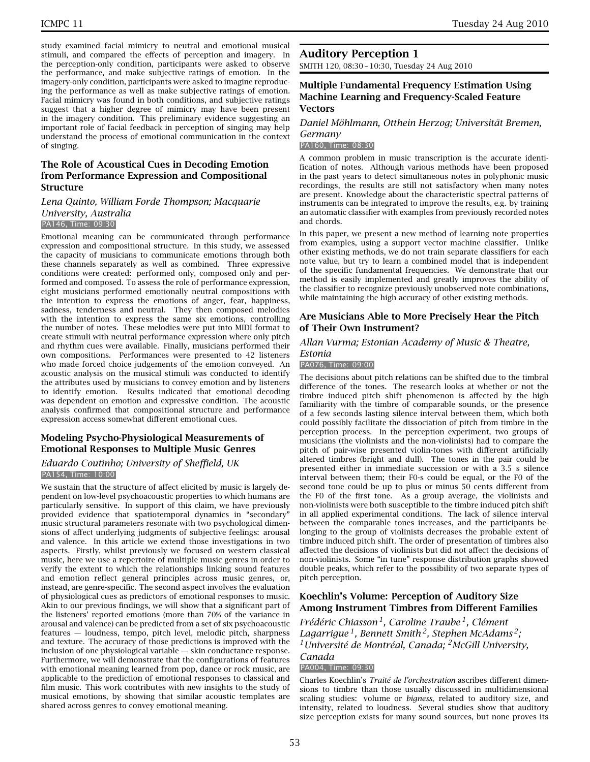study examined facial mimicry to neutral and emotional musical stimuli, and compared the effects of perception and imagery. In the perception-only condition, participants were asked to observe the performance, and make subjective ratings of emotion. In the imagery-only condition, participants were asked to imagine reproducing the performance as well as make subjective ratings of emotion. Facial mimicry was found in both conditions, and subjective ratings suggest that a higher degree of mimicry may have been present in the imagery condition. This preliminary evidence suggesting an important role of facial feedback in perception of singing may help understand the process of emotional communication in the context of singing.

# **The Role of Acoustical Cues in Decoding Emotion from Performance Expression and Compositional Structure**

#### *Lena Quinto, William Forde Thompson; Macquarie University, Australia* PA146, Time: 09:30

Emotional meaning can be communicated through performance expression and compositional structure. In this study, we assessed the capacity of musicians to communicate emotions through both these channels separately as well as combined. Three expressive conditions were created: performed only, composed only and performed and composed. To assess the role of performance expression, eight musicians performed emotionally neutral compositions with the intention to express the emotions of anger, fear, happiness, sadness, tenderness and neutral. They then composed melodies with the intention to express the same six emotions, controlling the number of notes. These melodies were put into MIDI format to create stimuli with neutral performance expression where only pitch and rhythm cues were available. Finally, musicians performed their own compositions. Performances were presented to 42 listeners who made forced choice judgements of the emotion conveyed. An acoustic analysis on the musical stimuli was conducted to identify the attributes used by musicians to convey emotion and by listeners to identify emotion. Results indicated that emotional decoding was dependent on emotion and expressive condition. The acoustic analysis confirmed that compositional structure and performance expression access somewhat different emotional cues.

# **Modeling Psycho-Physiological Measurements of Emotional Responses to Multiple Music Genres**

#### *Eduardo Coutinho; University of Sheffield, UK* PA154, Time: 10:00

We sustain that the structure of affect elicited by music is largely dependent on low-level psychoacoustic properties to which humans are particularly sensitive. In support of this claim, we have previously provided evidence that spatiotemporal dynamics in "secondary" music structural parameters resonate with two psychological dimensions of affect underlying judgments of subjective feelings: arousal and valence. In this article we extend those investigations in two aspects. Firstly, whilst previously we focused on western classical music, here we use a repertoire of multiple music genres in order to verify the extent to which the relationships linking sound features and emotion reflect general principles across music genres, or, instead, are genre-specific. The second aspect involves the evaluation of physiological cues as predictors of emotional responses to music. Akin to our previous findings, we will show that a significant part of the listeners' reported emotions (more than 70% of the variance in arousal and valence) can be predicted from a set of six psychoacoustic features — loudness, tempo, pitch level, melodic pitch, sharpness and texture. The accuracy of those predictions is improved with the inclusion of one physiological variable — skin conductance response. Furthermore, we will demonstrate that the configurations of features with emotional meaning learned from pop, dance or rock music, are applicable to the prediction of emotional responses to classical and film music. This work contributes with new insights to the study of musical emotions, by showing that similar acoustic templates are shared across genres to convey emotional meaning.

# **Auditory Perception 1**

SMITH 120, 08:30 – 10:30, Tuesday 24 Aug 2010

# **Multiple Fundamental Frequency Estimation Using Machine Learning and Frequency-Scaled Feature Vectors**

# *Daniel Möhlmann, Otthein Herzog; Universität Bremen,*

#### *Germany* PA160, Time: 08:30

A common problem in music transcription is the accurate identification of notes. Although various methods have been proposed in the past years to detect simultaneous notes in polyphonic music recordings, the results are still not satisfactory when many notes are present. Knowledge about the characteristic spectral patterns of instruments can be integrated to improve the results, e.g. by training an automatic classifier with examples from previously recorded notes and chords.

In this paper, we present a new method of learning note properties from examples, using a support vector machine classifier. Unlike other existing methods, we do not train separate classifiers for each note value, but try to learn a combined model that is independent of the specific fundamental frequencies. We demonstrate that our method is easily implemented and greatly improves the ability of the classifier to recognize previously unobserved note combinations, while maintaining the high accuracy of other existing methods.

#### **Are Musicians Able to More Precisely Hear the Pitch of Their Own Instrument?**

#### *Allan Vurma; Estonian Academy of Music & Theatre,*

# *Estonia*

#### PA076, Time: 09:00

The decisions about pitch relations can be shifted due to the timbral difference of the tones. The research looks at whether or not the timbre induced pitch shift phenomenon is affected by the high familiarity with the timbre of comparable sounds, or the presence of a few seconds lasting silence interval between them, which both could possibly facilitate the dissociation of pitch from timbre in the perception process. In the perception experiment, two groups of musicians (the violinists and the non-violinists) had to compare the pitch of pair-wise presented violin-tones with different artificially altered timbres (bright and dull). The tones in the pair could be presented either in immediate succession or with a 3.5 s silence interval between them; their F0-s could be equal, or the F0 of the second tone could be up to plus or minus 50 cents different from the F0 of the first tone. As a group average, the violinists and non-violinists were both susceptible to the timbre induced pitch shift in all applied experimental conditions. The lack of silence interval between the comparable tones increases, and the participants belonging to the group of violinists decreases the probable extent of timbre induced pitch shift. The order of presentation of timbres also affected the decisions of violinists but did not affect the decisions of non-violinists. Some "in tune" response distribution graphs showed double peaks, which refer to the possibility of two separate types of pitch perception.

# **Koechlin's Volume: Perception of Auditory Size Among Instrument Timbres from Different Families**

*Frédéric Chiasson 1, Caroline Traube 1, Clément Lagarrigue 1, Bennett Smith 2, Stephen McAdams 2; 1Université de Montréal, Canada; 2McGill University,*

#### *Canada* PA004, Time: 09:30

Charles Koechlin's *Traité de l'orchestration* ascribes different dimensions to timbre than those usually discussed in multidimensional scaling studies: volume or *bigness*, related to auditory size, and intensity, related to loudness. Several studies show that auditory size perception exists for many sound sources, but none proves its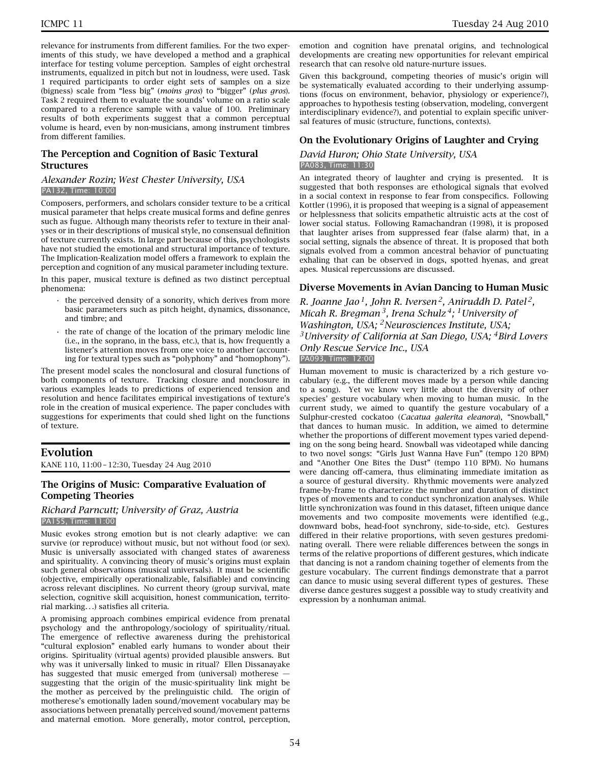relevance for instruments from different families. For the two experiments of this study, we have developed a method and a graphical interface for testing volume perception. Samples of eight orchestral instruments, equalized in pitch but not in loudness, were used. Task 1 required participants to order eight sets of samples on a size (bigness) scale from "less big" (*moins gros*) to "bigger" (*plus gros*). Task 2 required them to evaluate the sounds' volume on a ratio scale compared to a reference sample with a value of 100. Preliminary results of both experiments suggest that a common perceptual volume is heard, even by non-musicians, among instrument timbres from different families.

# **The Perception and Cognition of Basic Textural Structures**

#### *Alexander Rozin; West Chester University, USA* PA132, Time: 10:00

Composers, performers, and scholars consider texture to be a critical musical parameter that helps create musical forms and define genres such as fugue. Although many theorists refer to texture in their analyses or in their descriptions of musical style, no consensual definition of texture currently exists. In large part because of this, psychologists have not studied the emotional and structural importance of texture. The Implication-Realization model offers a framework to explain the perception and cognition of any musical parameter including texture.

In this paper, musical texture is defined as two distinct perceptual phenomena:

- the perceived density of a sonority, which derives from more basic parameters such as pitch height, dynamics, dissonance, and timbre; and
- the rate of change of the location of the primary melodic line (i.e., in the soprano, in the bass, etc.), that is, how frequently a listener's attention moves from one voice to another (accounting for textural types such as "polyphony" and "homophony").

The present model scales the nonclosural and closural functions of both components of texture. Tracking closure and nonclosure in various examples leads to predictions of experienced tension and resolution and hence facilitates empirical investigations of texture's role in the creation of musical experience. The paper concludes with suggestions for experiments that could shed light on the functions of texture.

# **Evolution**

KANE 110, 11:00 – 12:30, Tuesday 24 Aug 2010

# **The Origins of Music: Comparative Evaluation of Competing Theories**

#### *Richard Parncutt; University of Graz, Austria* PA155, Time: 11:00

Music evokes strong emotion but is not clearly adaptive: we can survive (or reproduce) without music, but not without food (or sex). Music is universally associated with changed states of awareness and spirituality. A convincing theory of music's origins must explain such general observations (musical universals). It must be scientific (objective, empirically operationalizable, falsifiable) and convincing across relevant disciplines. No current theory (group survival, mate selection, cognitive skill acquisition, honest communication, territorial marking*...*) satisfies all criteria.

A promising approach combines empirical evidence from prenatal psychology and the anthropology/sociology of spirituality/ritual. The emergence of reflective awareness during the prehistorical "cultural explosion" enabled early humans to wonder about their origins. Spirituality (virtual agents) provided plausible answers. But why was it universally linked to music in ritual? Ellen Dissanayake has suggested that music emerged from (universal) motherese suggesting that the origin of the music-spirituality link might be the mother as perceived by the prelinguistic child. The origin of motherese's emotionally laden sound/movement vocabulary may be associations between prenatally perceived sound/movement patterns and maternal emotion. More generally, motor control, perception,

emotion and cognition have prenatal origins, and technological developments are creating new opportunities for relevant empirical research that can resolve old nature-nurture issues.

Given this background, competing theories of music's origin will be systematically evaluated according to their underlying assumptions (focus on environment, behavior, physiology or experience?), approaches to hypothesis testing (observation, modeling, convergent interdisciplinary evidence?), and potential to explain specific universal features of music (structure, functions, contexts).

# **On the Evolutionary Origins of Laughter and Crying**

#### *David Huron; Ohio State University, USA* PA083, Time: 11:30

An integrated theory of laughter and crying is presented. It is suggested that both responses are ethological signals that evolved in a social context in response to fear from conspecifics. Following Kottler (1996), it is proposed that weeping is a signal of appeasement or helplessness that solicits empathetic altruistic acts at the cost of lower social status. Following Ramachandran (1998), it is proposed that laughter arises from suppressed fear (false alarm) that, in a social setting, signals the absence of threat. It is proposed that both signals evolved from a common ancestral behavior of punctuating exhaling that can be observed in dogs, spotted hyenas, and great apes. Musical repercussions are discussed.

# **Diverse Movements in Avian Dancing to Human Music**

*R. Joanne Jao 1, John R. Iversen 2, Aniruddh D. Patel 2, Micah R. Bregman 3, Irena Schulz 4; 1University of Washington, USA; 2Neurosciences Institute, USA; 3University of California at San Diego, USA; 4Bird Lovers Only Rescue Service Inc., USA* PA093, Time: 12:00

Human movement to music is characterized by a rich gesture vocabulary (e.g., the different moves made by a person while dancing to a song). Yet we know very little about the diversity of other species' gesture vocabulary when moving to human music. In the current study, we aimed to quantify the gesture vocabulary of a Sulphur-crested cockatoo (*Cacatua galerita eleanora*), "Snowball," that dances to human music. In addition, we aimed to determine whether the proportions of different movement types varied depending on the song being heard. Snowball was videotaped while dancing to two novel songs: "Girls Just Wanna Have Fun" (tempo 120 BPM) and "Another One Bites the Dust" (tempo 110 BPM). No humans were dancing off-camera, thus eliminating immediate imitation as a source of gestural diversity. Rhythmic movements were analyzed frame-by-frame to characterize the number and duration of distinct types of movements and to conduct synchronization analyses. While little synchronization was found in this dataset, fifteen unique dance movements and two composite movements were identified (e.g., downward bobs, head-foot synchrony, side-to-side, etc). Gestures differed in their relative proportions, with seven gestures predominating overall. There were reliable differences between the songs in terms of the relative proportions of different gestures, which indicate that dancing is not a random chaining together of elements from the gesture vocabulary. The current findings demonstrate that a parrot can dance to music using several different types of gestures. These diverse dance gestures suggest a possible way to study creativity and expression by a nonhuman animal.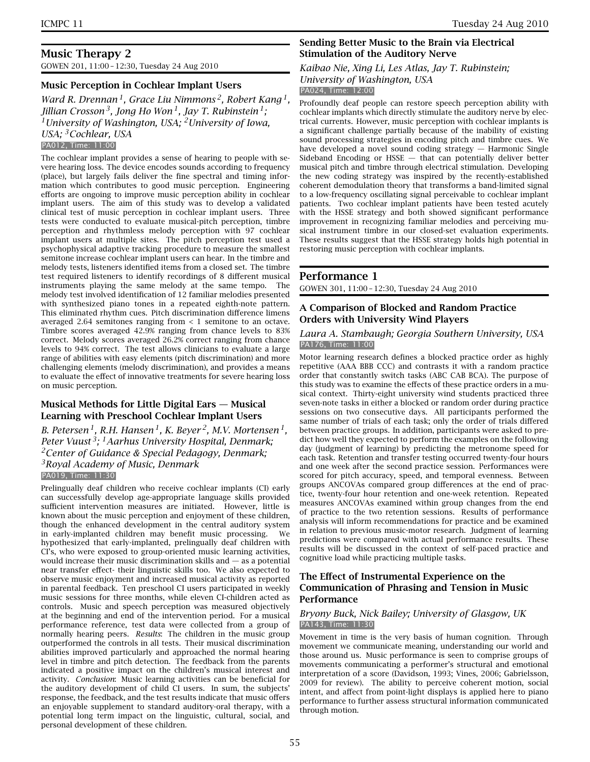GOWEN 201, 11:00 – 12:30, Tuesday 24 Aug 2010

# **Music Perception in Cochlear Implant Users**

*Ward R. Drennan 1, Grace Liu Nimmons 2, Robert Kang 1, Jillian Crosson 3, Jong Ho Won 1, Jay T. Rubinstein 1; 1University of Washington, USA; 2University of Iowa, USA; 3Cochlear, USA* PA012, Time: 11:00

The cochlear implant provides a sense of hearing to people with severe hearing loss. The device encodes sounds according to frequency (place), but largely fails deliver the fine spectral and timing information which contributes to good music perception. Engineering efforts are ongoing to improve music perception ability in cochlear implant users. The aim of this study was to develop a validated clinical test of music perception in cochlear implant users. Three tests were conducted to evaluate musical-pitch perception, timbre perception and rhythmless melody perception with 97 cochlear implant users at multiple sites. The pitch perception test used a psychophysical adaptive tracking procedure to measure the smallest semitone increase cochlear implant users can hear. In the timbre and melody tests, listeners identified items from a closed set. The timbre test required listeners to identify recordings of 8 different musical instruments playing the same melody at the same tempo. The melody test involved identification of 12 familiar melodies presented with synthesized piano tones in a repeated eighth-note pattern. This eliminated rhythm cues. Pitch discrimination difference limens averaged 2.64 semitones ranging from < 1 semitone to an octave. Timbre scores averaged 42.9% ranging from chance levels to 83% correct. Melody scores averaged 26.2% correct ranging from chance levels to 94% correct. The test allows clinicians to evaluate a large range of abilities with easy elements (pitch discrimination) and more challenging elements (melody discrimination), and provides a means to evaluate the effect of innovative treatments for severe hearing loss on music perception.

# **Musical Methods for Little Digital Ears — Musical Learning with Preschool Cochlear Implant Users**

*B. Petersen 1, R.H. Hansen 1, K. Beyer 2, M.V. Mortensen 1, Peter Vuust 3; 1Aarhus University Hospital, Denmark; 2Center of Guidance & Special Pedagogy, Denmark; 3Royal Academy of Music, Denmark* PA019, Time: 11:30

Prelingually deaf children who receive cochlear implants (CI) early can successfully develop age-appropriate language skills provided sufficient intervention measures are initiated. However, little is known about the music perception and enjoyment of these children, though the enhanced development in the central auditory system in early-implanted children may benefit music processing. We hypothesized that early-implanted, prelingually deaf children with CI's, who were exposed to group-oriented music learning activities, would increase their music discrimination skills and — as a potential near transfer effect- their linguistic skills too. We also expected to observe music enjoyment and increased musical activity as reported in parental feedback. Ten preschool CI users participated in weekly music sessions for three months, while eleven CI-children acted as controls. Music and speech perception was measured objectively at the beginning and end of the intervention period. For a musical performance reference, test data were collected from a group of normally hearing peers. *Results*: The children in the music group outperformed the controls in all tests. Their musical discrimination abilities improved particularly and approached the normal hearing level in timbre and pitch detection. The feedback from the parents indicated a positive impact on the children's musical interest and activity. *Conclusion*: Music learning activities can be beneficial for the auditory development of child CI users. In sum, the subjects' response, the feedback, and the test results indicate that music offers an enjoyable supplement to standard auditory-oral therapy, with a potential long term impact on the linguistic, cultural, social, and personal development of these children.

# **Sending Better Music to the Brain via Electrical Stimulation of the Auditory Nerve**

#### *Kaibao Nie, Xing Li, Les Atlas, Jay T. Rubinstein; University of Washington, USA* PA024, Time: 12:00

Profoundly deaf people can restore speech perception ability with cochlear implants which directly stimulate the auditory nerve by electrical currents. However, music perception with cochlear implants is a significant challenge partially because of the inability of existing sound processing strategies in encoding pitch and timbre cues. We have developed a novel sound coding strategy — Harmonic Single Sideband Encoding or HSSE — that can potentially deliver better musical pitch and timbre through electrical stimulation. Developing the new coding strategy was inspired by the recently-established coherent demodulation theory that transforms a band-limited signal to a low-frequency oscillating signal perceivable to cochlear implant patients. Two cochlear implant patients have been tested acutely with the HSSE strategy and both showed significant performance improvement in recognizing familiar melodies and perceiving musical instrument timbre in our closed-set evaluation experiments. These results suggest that the HSSE strategy holds high potential in restoring music perception with cochlear implants.

# **Performance 1**

GOWEN 301, 11:00 – 12:30, Tuesday 24 Aug 2010

# **A Comparison of Blocked and Random Practice Orders with University Wind Players**

#### *Laura A. Stambaugh; Georgia Southern University, USA* PA176, Time: 11:00

Motor learning research defines a blocked practice order as highly repetitive (AAA BBB CCC) and contrasts it with a random practice order that constantly switch tasks (ABC CAB BCA). The purpose of this study was to examine the effects of these practice orders in a musical context. Thirty-eight university wind students practiced three seven-note tasks in either a blocked or random order during practice sessions on two consecutive days. All participants performed the same number of trials of each task; only the order of trials differed between practice groups. In addition, participants were asked to predict how well they expected to perform the examples on the following day (judgment of learning) by predicting the metronome speed for each task. Retention and transfer testing occurred twenty-four hours and one week after the second practice session. Performances were scored for pitch accuracy, speed, and temporal evenness. Between groups ANCOVAs compared group differences at the end of practice, twenty-four hour retention and one-week retention. Repeated measures ANCOVAs examined within group changes from the end of practice to the two retention sessions. Results of performance analysis will inform recommendations for practice and be examined in relation to previous music-motor research. Judgment of learning predictions were compared with actual performance results. These results will be discussed in the context of self-paced practice and cognitive load while practicing multiple tasks.

# **The Effect of Instrumental Experience on the Communication of Phrasing and Tension in Music Performance**

#### *Bryony Buck, Nick Bailey; University of Glasgow, UK* PA143, Time: 11:30

Movement in time is the very basis of human cognition. Through movement we communicate meaning, understanding our world and those around us. Music performance is seen to comprise groups of movements communicating a performer's structural and emotional interpretation of a score (Davidson, 1993; Vines, 2006; Gabrielsson, 2009 for review). The ability to perceive coherent motion, social intent, and affect from point-light displays is applied here to piano performance to further assess structural information communicated through motion.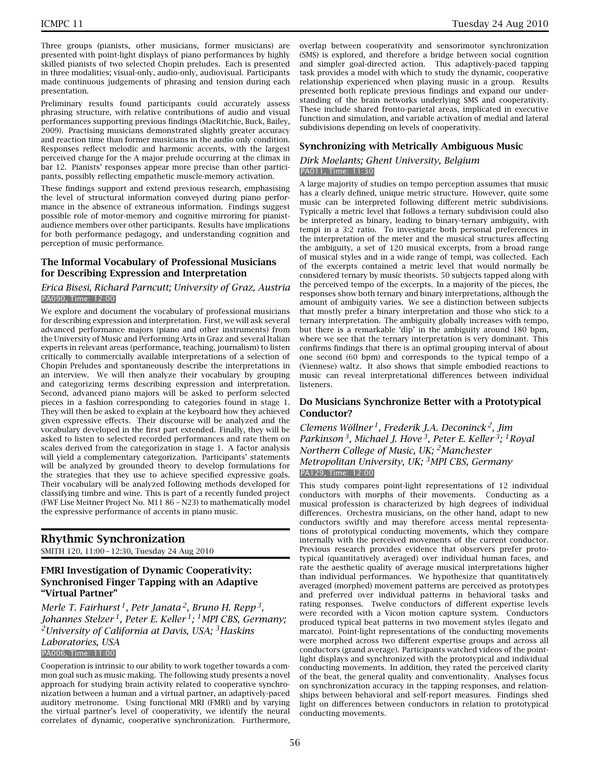Three groups (pianists, other musicians, former musicians) are presented with point-light displays of piano performances by highly skilled pianists of two selected Chopin preludes. Each is presented in three modalities; visual-only, audio-only, audiovisual. Participants made continuous judgements of phrasing and tension during each presentation.

Preliminary results found participants could accurately assess phrasing structure, with relative contributions of audio and visual performances supporting previous findings (MacRitchie, Buck, Bailey, 2009). Practising musicians demonstrated slightly greater accuracy and reaction time than former musicians in the audio only condition. Responses reflect melodic and harmonic accents, with the largest perceived change for the A major prelude occurring at the climax in bar 12. Pianists' responses appear more precise than other participants, possibly reflecting empathetic muscle-memory activation.

These findings support and extend previous research, emphasising the level of structural information conveyed during piano performance in the absence of extraneous information. Findings suggest possible role of motor-memory and cognitive mirroring for pianistaudience members over other participants. Results have implications for both performance pedagogy, and understanding cognition and perception of music performance.

# **The Informal Vocabulary of Professional Musicians for Describing Expression and Interpretation**

#### *Erica Bisesi, Richard Parncutt; University of Graz, Austria* PA090, Time: 12:00

We explore and document the vocabulary of professional musicians for describing expression and interpretation. First, we will ask several advanced performance majors (piano and other instruments) from the University of Music and Performing Arts in Graz and several Italian experts in relevant areas (performance, teaching, journalism) to listen critically to commercially available interpretations of a selection of Chopin Preludes and spontaneously describe the interpretations in an interview. We will then analyze their vocabulary by grouping and categorizing terms describing expression and interpretation. Second, advanced piano majors will be asked to perform selected pieces in a fashion corresponding to categories found in stage 1. They will then be asked to explain at the keyboard how they achieved given expressive effects. Their discourse will be analyzed and the vocabulary developed in the first part extended. Finally, they will be asked to listen to selected recorded performances and rate them on scales derived from the categorization in stage 1. A factor analysis will yield a complementary categorization. Participants' statements will be analyzed by grounded theory to develop formulations for the strategies that they use to achieve specified expressive goals. Their vocabulary will be analyzed following methods developed for classifying timbre and wine. This is part of a recently funded project (FWF Lise Meitner Project No. M11 86 – N23) to mathematically model the expressive performance of accents in piano music.

# **Rhythmic Synchronization**

SMITH 120, 11:00 – 12:30, Tuesday 24 Aug 2010

# **FMRI Investigation of Dynamic Cooperativity: Synchronised Finger Tapping with an Adaptive "Virtual Partner"**

*Merle T. Fairhurst 1, Petr Janata 2, Bruno H. Repp 3, Johannes Stelzer 1, Peter E. Keller 1; 1MPI CBS, Germany; 2University of California at Davis, USA; 3Haskins Laboratories, USA*

PA006, Time: 11:00

Cooperation is intrinsic to our ability to work together towards a common goal such as music making. The following study presents a novel approach for studying brain activity related to cooperative synchronization between a human and a virtual partner, an adaptively-paced auditory metronome. Using functional MRI (FMRI) and by varying the virtual partner's level of cooperativity, we identify the neural correlates of dynamic, cooperative synchronization. Furthermore,

overlap between cooperativity and sensorimotor synchronization (SMS) is explored, and therefore a bridge between social cognition and simpler goal-directed action. This adaptively-paced tapping task provides a model with which to study the dynamic, cooperative relationship experienced when playing music in a group. Results presented both replicate previous findings and expand our understanding of the brain networks underlying SMS and cooperativity. These include shared fronto-parietal areas, implicated in executive function and simulation, and variable activation of medial and lateral subdivisions depending on levels of cooperativity.

# **Synchronizing with Metrically Ambiguous Music**

#### *Dirk Moelants; Ghent University, Belgium* PA011, Time: 11:30

A large majority of studies on tempo perception assumes that music has a clearly defined, unique metric structure. However, quite some music can be interpreted following different metric subdivisions. Typically a metric level that follows a ternary subdivision could also be interpreted as binary, leading to binary-ternary ambiguity, with tempi in a 3:2 ratio. To investigate both personal preferences in the interpretation of the meter and the musical structures affecting the ambiguity, a set of 120 musical excerpts, from a broad range of musical styles and in a wide range of tempi, was collected. Each of the excerpts contained a metric level that would normally be considered ternary by music theorists. 50 subjects tapped along with the perceived tempo of the excerpts. In a majority of the pieces, the responses show both ternary and binary interpretations, although the amount of ambiguity varies. We see a distinction between subjects that mostly prefer a binary interpretation and those who stick to a ternary interpretation. The ambiguity globally increases with tempo, but there is a remarkable 'dip' in the ambiguity around 180 bpm, where we see that the ternary interpretation is very dominant. This confirms findings that there is an optimal grouping interval of about one second (60 bpm) and corresponds to the typical tempo of a (Viennese) waltz. It also shows that simple embodied reactions to music can reveal interpretational differences between individual listeners.

# **Do Musicians Synchronize Better with a Prototypical Conductor?**

*Clemens Wöllner 1, Frederik J.A. Deconinck 2, Jim Parkinson 3, Michael J. Hove 3, Peter E. Keller 3; 1Royal Northern College of Music, UK; 2Manchester Metropolitan University, UK; 3MPI CBS, Germany* PA129, Time: 12:00

This study compares point-light representations of 12 individual conductors with morphs of their movements. Conducting as a musical profession is characterized by high degrees of individual differences. Orchestra musicians, on the other hand, adapt to new conductors swiftly and may therefore access mental representations of prototypical conducting movements, which they compare internally with the perceived movements of the current conductor. Previous research provides evidence that observers prefer prototypical (quantitatively averaged) over individual human faces, and rate the aesthetic quality of average musical interpretations higher than individual performances. We hypothesize that quantitatively averaged (morphed) movement patterns are perceived as prototypes and preferred over individual patterns in behavioral tasks and rating responses. Twelve conductors of different expertise levels were recorded with a Vicon motion capture system. Conductors produced typical beat patterns in two movement styles (legato and marcato). Point-light representations of the conducting movements were morphed across two different expertise groups and across all conductors (grand average). Participants watched videos of the pointlight displays and synchronized with the prototypical and individual conducting movements. In addition, they rated the perceived clarity of the beat, the general quality and conventionality. Analyses focus on synchronization accuracy in the tapping responses, and relationships between behavioral and self-report measures. Findings shed light on differences between conductors in relation to prototypical conducting movements.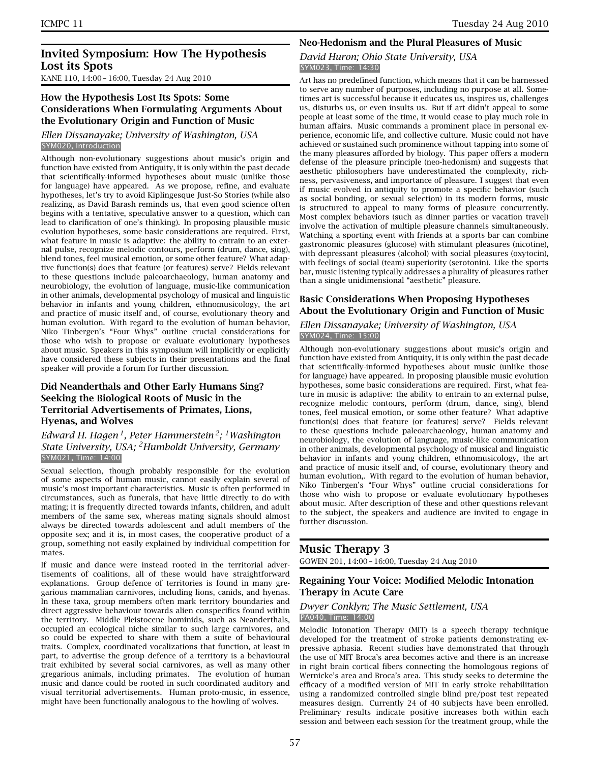# **Invited Symposium: How The Hypothesis Lost its Spots**

KANE 110, 14:00 – 16:00, Tuesday 24 Aug 2010

# **How the Hypothesis Lost Its Spots: Some Considerations When Formulating Arguments About the Evolutionary Origin and Function of Music**

#### *Ellen Dissanayake; University of Washington, USA* SYM020, Introduction

Although non-evolutionary suggestions about music's origin and function have existed from Antiquity, it is only within the past decade that scientifically-informed hypotheses about music (unlike those for language) have appeared. As we propose, refine, and evaluate hypotheses, let's try to avoid Kiplingesque Just-So Stories (while also realizing, as David Barash reminds us, that even good science often begins with a tentative, speculative answer to a question, which can lead to clarification of one's thinking). In proposing plausible music evolution hypotheses, some basic considerations are required. First, what feature in music is adaptive: the ability to entrain to an external pulse, recognize melodic contours, perform (drum, dance, sing), blend tones, feel musical emotion, or some other feature? What adaptive function(s) does that feature (or features) serve? Fields relevant to these questions include paleoarchaeology, human anatomy and neurobiology, the evolution of language, music-like communication in other animals, developmental psychology of musical and linguistic behavior in infants and young children, ethnomusicology, the art and practice of music itself and, of course, evolutionary theory and human evolution. With regard to the evolution of human behavior, Niko Tinbergen's "Four Whys" outline crucial considerations for those who wish to propose or evaluate evolutionary hypotheses about music. Speakers in this symposium will implicitly or explicitly have considered these subjects in their presentations and the final speaker will provide a forum for further discussion.

# **Did Neanderthals and Other Early Humans Sing? Seeking the Biological Roots of Music in the Territorial Advertisements of Primates, Lions, Hyenas, and Wolves**

# *Edward H. Hagen 1, Peter Hammerstein 2; 1Washington State University, USA; 2Humboldt University, Germany* SYM021, Time: 14:00

Sexual selection, though probably responsible for the evolution of some aspects of human music, cannot easily explain several of music's most important characteristics. Music is often performed in circumstances, such as funerals, that have little directly to do with mating; it is frequently directed towards infants, children, and adult members of the same sex, whereas mating signals should almost always be directed towards adolescent and adult members of the opposite sex; and it is, in most cases, the cooperative product of a group, something not easily explained by individual competition for mates.

If music and dance were instead rooted in the territorial advertisements of coalitions, all of these would have straightforward explanations. Group defence of territories is found in many gregarious mammalian carnivores, including lions, canids, and hyenas. In these taxa, group members often mark territory boundaries and direct aggressive behaviour towards alien conspecifics found within the territory. Middle Pleistocene hominids, such as Neanderthals, occupied an ecological niche similar to such large carnivores, and so could be expected to share with them a suite of behavioural traits. Complex, coordinated vocalizations that function, at least in part, to advertise the group defence of a territory is a behavioural trait exhibited by several social carnivores, as well as many other gregarious animals, including primates. The evolution of human music and dance could be rooted in such coordinated auditory and visual territorial advertisements. Human proto-music, in essence, might have been functionally analogous to the howling of wolves.

# **Neo-Hedonism and the Plural Pleasures of Music**

#### *David Huron; Ohio State University, USA* SYM023, Time: 14:30

Art has no predefined function, which means that it can be harnessed to serve any number of purposes, including no purpose at all. Sometimes art is successful because it educates us, inspires us, challenges us, disturbs us, or even insults us. But if art didn't appeal to some people at least some of the time, it would cease to play much role in human affairs. Music commands a prominent place in personal experience, economic life, and collective culture. Music could not have achieved or sustained such prominence without tapping into some of the many pleasures afforded by biology. This paper offers a modern defense of the pleasure principle (neo-hedonism) and suggests that aesthetic philosophers have underestimated the complexity, richness, pervasiveness, and importance of pleasure. I suggest that even if music evolved in antiquity to promote a specific behavior (such as social bonding, or sexual selection) in its modern forms, music is structured to appeal to many forms of pleasure concurrently. Most complex behaviors (such as dinner parties or vacation travel) involve the activation of multiple pleasure channels simultaneously. Watching a sporting event with friends at a sports bar can combine gastronomic pleasures (glucose) with stimulant pleasures (nicotine), with depressant pleasures (alcohol) with social pleasures (oxytocin), with feelings of social (team) superiority (serotonin). Like the sports bar, music listening typically addresses a plurality of pleasures rather than a single unidimensional "aesthetic" pleasure.

# **Basic Considerations When Proposing Hypotheses About the Evolutionary Origin and Function of Music**

#### *Ellen Dissanayake; University of Washington, USA* SYM024, Time: 15:00

Although non-evolutionary suggestions about music's origin and function have existed from Antiquity, it is only within the past decade that scientifically-informed hypotheses about music (unlike those for language) have appeared. In proposing plausible music evolution hypotheses, some basic considerations are required. First, what feature in music is adaptive: the ability to entrain to an external pulse, recognize melodic contours, perform (drum, dance, sing), blend tones, feel musical emotion, or some other feature? What adaptive function(s) does that feature (or features) serve? Fields relevant to these questions include paleoarchaeology, human anatomy and neurobiology, the evolution of language, music-like communication in other animals, developmental psychology of musical and linguistic behavior in infants and young children, ethnomusicology, the art and practice of music itself and, of course, evolutionary theory and human evolution,. With regard to the evolution of human behavior, Niko Tinbergen's "Four Whys" outline crucial considerations for those who wish to propose or evaluate evolutionary hypotheses about music. After description of these and other questions relevant to the subject, the speakers and audience are invited to engage in further discussion.

# **Music Therapy 3**

GOWEN 201, 14:00 – 16:00, Tuesday 24 Aug 2010

# **Regaining Your Voice: Modified Melodic Intonation Therapy in Acute Care**

#### *Dwyer Conklyn; The Music Settlement, USA* PA040, Time: 14:00

Melodic Intonation Therapy (MIT) is a speech therapy technique developed for the treatment of stroke patients demonstrating expressive aphasia. Recent studies have demonstrated that through the use of MIT Broca's area becomes active and there is an increase in right brain cortical fibers connecting the homologous regions of Wernicke's area and Broca's area. This study seeks to determine the efficacy of a modified version of MIT in early stroke rehabilitation using a randomized controlled single blind pre/post test repeated measures design. Currently 24 of 40 subjects have been enrolled. Preliminary results indicate positive increases both within each session and between each session for the treatment group, while the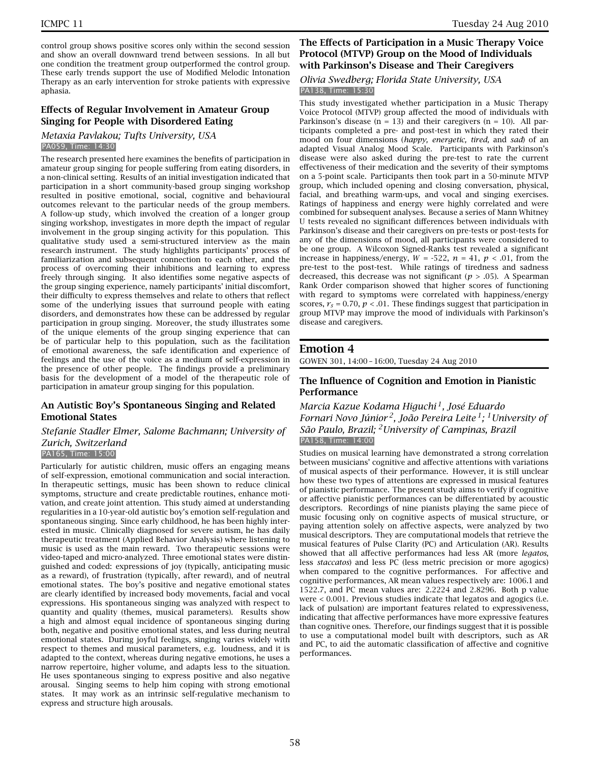control group shows positive scores only within the second session and show an overall downward trend between sessions. In all but one condition the treatment group outperformed the control group. These early trends support the use of Modified Melodic Intonation Therapy as an early intervention for stroke patients with expressive aphasia.

# **Effects of Regular Involvement in Amateur Group Singing for People with Disordered Eating**

*Metaxia Pavlakou; Tufts University, USA* PA059, Time: 14:30

The research presented here examines the benefits of participation in amateur group singing for people suffering from eating disorders, in a non-clinical setting. Results of an initial investigation indicated that participation in a short community-based group singing workshop resulted in positive emotional, social, cognitive and behavioural outcomes relevant to the particular needs of the group members. A follow-up study, which involved the creation of a longer group singing workshop, investigates in more depth the impact of regular involvement in the group singing activity for this population. This qualitative study used a semi-structured interview as the main research instrument. The study highlights participants' process of familiarization and subsequent connection to each other, and the process of overcoming their inhibitions and learning to express freely through singing. It also identifies some negative aspects of the group singing experience, namely participants' initial discomfort, their difficulty to express themselves and relate to others that reflect some of the underlying issues that surround people with eating disorders, and demonstrates how these can be addressed by regular participation in group singing. Moreover, the study illustrates some of the unique elements of the group singing experience that can be of particular help to this population, such as the facilitation of emotional awareness, the safe identification and experience of feelings and the use of the voice as a medium of self-expression in the presence of other people. The findings provide a preliminary basis for the development of a model of the therapeutic role of participation in amateur group singing for this population.

# **An Autistic Boy's Spontaneous Singing and Related Emotional States**

# *Stefanie Stadler Elmer, Salome Bachmann; University of Zurich, Switzerland*

# PA165, Time: 15:00

Particularly for autistic children, music offers an engaging means of self-expression, emotional communication and social interaction. In therapeutic settings, music has been shown to reduce clinical symptoms, structure and create predictable routines, enhance motivation, and create joint attention. This study aimed at understanding regularities in a 10-year-old autistic boy's emotion self-regulation and spontaneous singing. Since early childhood, he has been highly interested in music. Clinically diagnosed for severe autism, he has daily therapeutic treatment (Applied Behavior Analysis) where listening to music is used as the main reward. Two therapeutic sessions were video-taped and micro-analyzed. Three emotional states were distinguished and coded: expressions of joy (typically, anticipating music as a reward), of frustration (typically, after reward), and of neutral emotional states. The boy's positive and negative emotional states are clearly identified by increased body movements, facial and vocal expressions. His spontaneous singing was analyzed with respect to quantity and quality (themes, musical parameters). Results show a high and almost equal incidence of spontaneous singing during both, negative and positive emotional states, and less during neutral emotional states. During joyful feelings, singing varies widely with respect to themes and musical parameters, e.g. loudness, and it is adapted to the context, whereas during negative emotions, he uses a narrow repertoire, higher volume, and adapts less to the situation. He uses spontaneous singing to express positive and also negative arousal. Singing seems to help him coping with strong emotional states. It may work as an intrinsic self-regulative mechanism to express and structure high arousals.

# **The Effects of Participation in a Music Therapy Voice Protocol (MTVP) Group on the Mood of Individuals with Parkinson's Disease and Their Caregivers**

#### *Olivia Swedberg; Florida State University, USA* PA138, Time: 15:30

This study investigated whether participation in a Music Therapy Voice Protocol (MTVP) group affected the mood of individuals with Parkinson's disease ( $n = 13$ ) and their caregivers ( $n = 10$ ). All participants completed a pre- and post-test in which they rated their mood on four dimensions (*happy, energetic, tired,* and *sad*) of an adapted Visual Analog Mood Scale. Participants with Parkinson's disease were also asked during the pre-test to rate the current effectiveness of their medication and the severity of their symptoms on a 5-point scale. Participants then took part in a 50-minute MTVP group, which included opening and closing conversation, physical, facial, and breathing warm-ups, and vocal and singing exercises. Ratings of happiness and energy were highly correlated and were combined for subsequent analyses. Because a series of Mann Whitney U tests revealed no significant differences between individuals with Parkinson's disease and their caregivers on pre-tests or post-tests for any of the dimensions of mood, all participants were considered to be one group. A Wilcoxon Signed-Ranks test revealed a significant increase in happiness/energy,  $W = -522$ ,  $n = 41$ ,  $p < .01$ , from the pre-test to the post-test. While ratings of tiredness and sadness decreased, this decrease was not significant ( $p > .05$ ). A Spearman Rank Order comparison showed that higher scores of functioning with regard to symptoms were correlated with happiness/energy scores,  $r_s$  = 0.70,  $p < 01$ . These findings suggest that participation in group MTVP may improve the mood of individuals with Parkinson's disease and caregivers.

# **Emotion 4**

GOWEN 301, 14:00 – 16:00, Tuesday 24 Aug 2010

# **The Influence of Cognition and Emotion in Pianistic Performance**

# *Marcia Kazue Kodama Higuchi 1, José Eduardo Fornari Novo Júnior 2, João Pereira Leite 1; 1University of São Paulo, Brazil; 2University of Campinas, Brazil* PA158, Time: 14:00

Studies on musical learning have demonstrated a strong correlation between musicians' cognitive and affective attentions with variations of musical aspects of their performance. However, it is still unclear how these two types of attentions are expressed in musical features of pianistic performance. The present study aims to verify if cognitive or affective pianistic performances can be differentiated by acoustic descriptors. Recordings of nine pianists playing the same piece of music focusing only on cognitive aspects of musical structure, or paying attention solely on affective aspects, were analyzed by two musical descriptors. They are computational models that retrieve the musical features of Pulse Clarity (PC) and Articulation (AR). Results showed that all affective performances had less AR (more *legatos*, less *staccatos*) and less PC (less metric precision or more agogics) when compared to the cognitive performances. For affective and cognitive performances, AR mean values respectively are: 1006.1 and 1522.7, and PC mean values are: 2.2224 and 2.8296. Both p value were < 0.001. Previous studies indicate that legatos and agogics (i.e. lack of pulsation) are important features related to expressiveness, indicating that affective performances have more expressive features than cognitive ones. Therefore, our findings suggest that it is possible to use a computational model built with descriptors, such as AR and PC, to aid the automatic classification of affective and cognitive performances.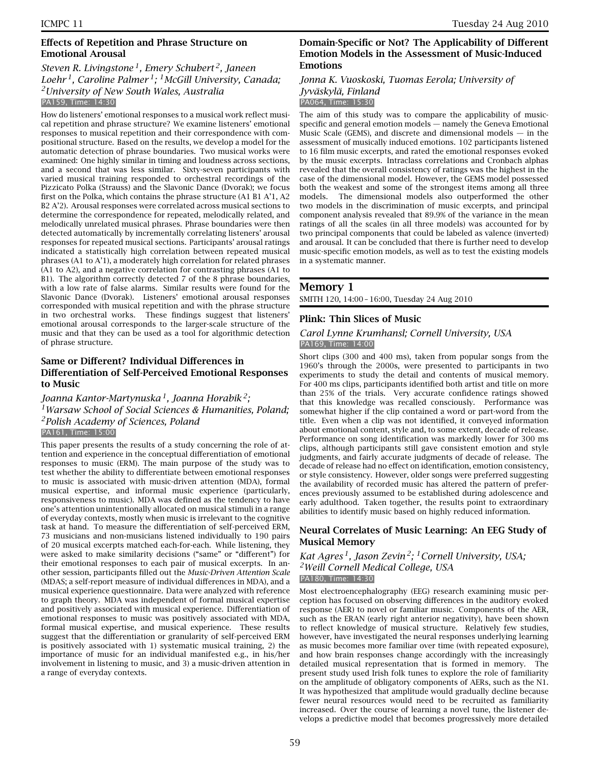# **Effects of Repetition and Phrase Structure on Emotional Arousal**

# *Steven R. Livingstone 1, Emery Schubert 2, Janeen Loehr 1, Caroline Palmer 1; 1McGill University, Canada; 2University of New South Wales, Australia* PA159, Time: 14:30

How do listeners' emotional responses to a musical work reflect musical repetition and phrase structure? We examine listeners' emotional responses to musical repetition and their correspondence with compositional structure. Based on the results, we develop a model for the automatic detection of phrase boundaries. Two musical works were examined: One highly similar in timing and loudness across sections, and a second that was less similar. Sixty-seven participants with varied musical training responded to orchestral recordings of the Pizzicato Polka (Strauss) and the Slavonic Dance (Dvorak); we focus first on the Polka, which contains the phrase structure (A1 B1 A'1, A2 B2 A'2). Arousal responses were correlated across musical sections to determine the correspondence for repeated, melodically related, and melodically unrelated musical phrases. Phrase boundaries were then detected automatically by incrementally correlating listeners' arousal responses for repeated musical sections. Participants' arousal ratings indicated a statistically high correlation between repeated musical phrases (A1 to A'1), a moderately high correlation for related phrases (A1 to A2), and a negative correlation for contrasting phrases (A1 to B1). The algorithm correctly detected 7 of the 8 phrase boundaries, with a low rate of false alarms. Similar results were found for the Slavonic Dance (Dvorak). Listeners' emotional arousal responses corresponded with musical repetition and with the phrase structure in two orchestral works. These findings suggest that listeners' emotional arousal corresponds to the larger-scale structure of the music and that they can be used as a tool for algorithmic detection of phrase structure.

# **Same or Different? Individual Differences in Differentiation of Self-Perceived Emotional Responses to Music**

# *Joanna Kantor-Martynuska 1, Joanna Horabik 2; 1Warsaw School of Social Sciences & Humanities, Poland; 2Polish Academy of Sciences, Poland* PA161, Time: 15:00

This paper presents the results of a study concerning the role of attention and experience in the conceptual differentiation of emotional responses to music (ERM). The main purpose of the study was to test whether the ability to differentiate between emotional responses to music is associated with music-driven attention (MDA), formal musical expertise, and informal music experience (particularly, responsiveness to music). MDA was defined as the tendency to have one's attention unintentionally allocated on musical stimuli in a range of everyday contexts, mostly when music is irrelevant to the cognitive task at hand. To measure the differentiation of self-perceived ERM, 73 musicians and non-musicians listened individually to 190 pairs of 20 musical excerpts matched each-for-each. While listening, they were asked to make similarity decisions ("same" or "different") for their emotional responses to each pair of musical excerpts. In another session, participants filled out the *Music-Driven Attention Scale* (MDAS; a self-report measure of individual differences in MDA), and a musical experience questionnaire. Data were analyzed with reference to graph theory. MDA was independent of formal musical expertise and positively associated with musical experience. Differentiation of emotional responses to music was positively associated with MDA, formal musical expertise, and musical experience. These results suggest that the differentiation or granularity of self-perceived ERM is positively associated with 1) systematic musical training, 2) the importance of music for an individual manifested e.g., in his/her involvement in listening to music, and 3) a music-driven attention in a range of everyday contexts.

# **Domain-Specific or Not? The Applicability of Different Emotion Models in the Assessment of Music-Induced Emotions**

#### *Jonna K. Vuoskoski, Tuomas Eerola; University of Jyväskylä, Finland* PA064, Time: 15:30

The aim of this study was to compare the applicability of musicspecific and general emotion models — namely the Geneva Emotional Music Scale (GEMS), and discrete and dimensional models — in the assessment of musically induced emotions. 102 participants listened to 16 film music excerpts, and rated the emotional responses evoked by the music excerpts. Intraclass correlations and Cronbach alphas revealed that the overall consistency of ratings was the highest in the case of the dimensional model. However, the GEMS model possessed both the weakest and some of the strongest items among all three models. The dimensional models also outperformed the other two models in the discrimination of music excerpts, and principal component analysis revealed that 89.9% of the variance in the mean ratings of all the scales (in all three models) was accounted for by two principal components that could be labeled as valence (inverted) and arousal. It can be concluded that there is further need to develop music-specific emotion models, as well as to test the existing models in a systematic manner.

# **Memory 1**

SMITH 120, 14:00 – 16:00, Tuesday 24 Aug 2010

# **Plink: Thin Slices of Music**

# *Carol Lynne Krumhansl; Cornell University, USA* PA169, Time: 14:00

Short clips (300 and 400 ms), taken from popular songs from the 1960's through the 2000s, were presented to participants in two experiments to study the detail and contents of musical memory. For 400 ms clips, participants identified both artist and title on more than 25% of the trials. Very accurate confidence ratings showed that this knowledge was recalled consciously. Performance was somewhat higher if the clip contained a word or part-word from the title. Even when a clip was not identified, it conveyed information about emotional content, style and, to some extent, decade of release. Performance on song identification was markedly lower for 300 ms clips, although participants still gave consistent emotion and style judgments, and fairly accurate judgments of decade of release. The decade of release had no effect on identification, emotion consistency, or style consistency. However, older songs were preferred suggesting the availability of recorded music has altered the pattern of preferences previously assumed to be established during adolescence and early adulthood. Taken together, the results point to extraordinary abilities to identify music based on highly reduced information.

# **Neural Correlates of Music Learning: An EEG Study of Musical Memory**

#### *Kat Agres 1, Jason Zevin 2; 1Cornell University, USA; 2Weill Cornell Medical College, USA* PA180, Time: 14:30

Most electroencephalography (EEG) research examining music perception has focused on observing differences in the auditory evoked response (AER) to novel or familiar music. Components of the AER, such as the ERAN (early right anterior negativity), have been shown to reflect knowledge of musical structure. Relatively few studies, however, have investigated the neural responses underlying learning as music becomes more familiar over time (with repeated exposure), and how brain responses change accordingly with the increasingly detailed musical representation that is formed in memory. The present study used Irish folk tunes to explore the role of familiarity on the amplitude of obligatory components of AERs, such as the N1. It was hypothesized that amplitude would gradually decline because fewer neural resources would need to be recruited as familiarity increased. Over the course of learning a novel tune, the listener develops a predictive model that becomes progressively more detailed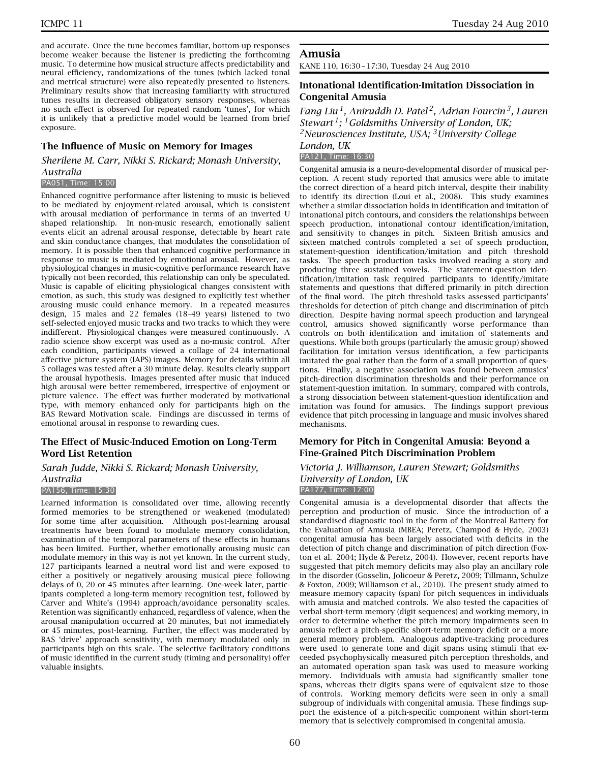and accurate. Once the tune becomes familiar, bottom-up responses become weaker because the listener is predicting the forthcoming music. To determine how musical structure affects predictability and neural efficiency, randomizations of the tunes (which lacked tonal and metrical structure) were also repeatedly presented to listeners. Preliminary results show that increasing familiarity with structured tunes results in decreased obligatory sensory responses, whereas no such effect is observed for repeated random 'tunes', for which it is unlikely that a predictive model would be learned from brief exposure.

# **The Influence of Music on Memory for Images**

*Sherilene M. Carr, Nikki S. Rickard; Monash University, Australia*

#### PA051, Time: 15:00

Enhanced cognitive performance after listening to music is believed to be mediated by enjoyment-related arousal, which is consistent with arousal mediation of performance in terms of an inverted U shaped relationship. In non-music research, emotionally salient events elicit an adrenal arousal response, detectable by heart rate and skin conductance changes, that modulates the consolidation of memory. It is possible then that enhanced cognitive performance in response to music is mediated by emotional arousal. However, as physiological changes in music-cognitive performance research have typically not been recorded, this relationship can only be speculated. Music is capable of eliciting physiological changes consistent with emotion, as such, this study was designed to explicitly test whether arousing music could enhance memory. In a repeated measures design, 15 males and 22 females (18–49 years) listened to two self-selected enjoyed music tracks and two tracks to which they were indifferent. Physiological changes were measured continuously. A radio science show excerpt was used as a no-music control. After each condition, participants viewed a collage of 24 international affective picture system (IAPS) images. Memory for details within all 5 collages was tested after a 30 minute delay. Results clearly support the arousal hypothesis. Images presented after music that induced high arousal were better remembered, irrespective of enjoyment or picture valence. The effect was further moderated by motivational type, with memory enhanced only for participants high on the BAS Reward Motivation scale. Findings are discussed in terms of emotional arousal in response to rewarding cues.

# **The Effect of Music-Induced Emotion on Long-Term Word List Retention**

*Sarah Judde, Nikki S. Rickard; Monash University,*

#### *Australia*

#### PA156, Time: 15:30

Learned information is consolidated over time, allowing recently formed memories to be strengthened or weakened (modulated) for some time after acquisition. Although post-learning arousal treatments have been found to modulate memory consolidation, examination of the temporal parameters of these effects in humans has been limited. Further, whether emotionally arousing music can modulate memory in this way is not yet known. In the current study, 127 participants learned a neutral word list and were exposed to either a positively or negatively arousing musical piece following delays of 0, 20 or 45 minutes after learning. One-week later, participants completed a long-term memory recognition test, followed by Carver and White's (1994) approach/avoidance personality scales. Retention was significantly enhanced, regardless of valence, when the arousal manipulation occurred at 20 minutes, but not immediately or 45 minutes, post-learning. Further, the effect was moderated by BAS 'drive' approach sensitivity, with memory modulated only in participants high on this scale. The selective facilitatory conditions of music identified in the current study (timing and personality) offer valuable insights.

# **Amusia**

KANE 110, 16:30 – 17:30, Tuesday 24 Aug 2010

# **Intonational Identification-Imitation Dissociation in Congenital Amusia**

*Fang Liu 1, Aniruddh D. Patel 2, Adrian Fourcin 3, Lauren Stewart 1; 1Goldsmiths University of London, UK; 2Neurosciences Institute, USA; 3University College London, UK*

# PA121, Time: 16:30

Congenital amusia is a neuro-developmental disorder of musical perception. A recent study reported that amusics were able to imitate the correct direction of a heard pitch interval, despite their inability to identify its direction (Loui et al., 2008). This study examines whether a similar dissociation holds in identification and imitation of intonational pitch contours, and considers the relationships between speech production, intonational contour identification/imitation, and sensitivity to changes in pitch. Sixteen British amusics and sixteen matched controls completed a set of speech production, statement-question identification/imitation and pitch threshold tasks. The speech production tasks involved reading a story and producing three sustained vowels. The statement-question identification/imitation task required participants to identify/imitate statements and questions that differed primarily in pitch direction of the final word. The pitch threshold tasks assessed participants' thresholds for detection of pitch change and discrimination of pitch direction. Despite having normal speech production and laryngeal control, amusics showed significantly worse performance than controls on both identification and imitation of statements and questions. While both groups (particularly the amusic group) showed facilitation for imitation versus identification, a few participants imitated the goal rather than the form of a small proportion of questions. Finally, a negative association was found between amusics' pitch-direction discrimination thresholds and their performance on statement-question imitation. In summary, compared with controls, a strong dissociation between statement-question identification and imitation was found for amusics. The findings support previous evidence that pitch processing in language and music involves shared mechanisms.

# **Memory for Pitch in Congenital Amusia: Beyond a Fine-Grained Pitch Discrimination Problem**

# *Victoria J. Williamson, Lauren Stewart; Goldsmiths University of London, UK* PA177, Time: 17:00

Congenital amusia is a developmental disorder that affects the perception and production of music. Since the introduction of a standardised diagnostic tool in the form of the Montreal Battery for the Evaluation of Amusia (MBEA; Peretz, Champod & Hyde, 2003) congenital amusia has been largely associated with deficits in the detection of pitch change and discrimination of pitch direction (Foxton et al. 2004; Hyde & Peretz, 2004). However, recent reports have suggested that pitch memory deficits may also play an ancillary role in the disorder (Gosselin, Jolicoeur & Peretz, 2009; Tillmann, Schulze & Foxton, 2009; Williamson et al., 2010). The present study aimed to measure memory capacity (span) for pitch sequences in individuals with amusia and matched controls. We also tested the capacities of verbal short-term memory (digit sequences) and working memory, in order to determine whether the pitch memory impairments seen in amusia reflect a pitch-specific short-term memory deficit or a more general memory problem. Analogous adaptive-tracking procedures were used to generate tone and digit spans using stimuli that exceeded psychophysically measured pitch perception thresholds, and an automated operation span task was used to measure working memory. Individuals with amusia had significantly smaller tone spans, whereas their digits spans were of equivalent size to those of controls. Working memory deficits were seen in only a small subgroup of individuals with congenital amusia. These findings support the existence of a pitch-specific component within short-term memory that is selectively compromised in congenital amusia.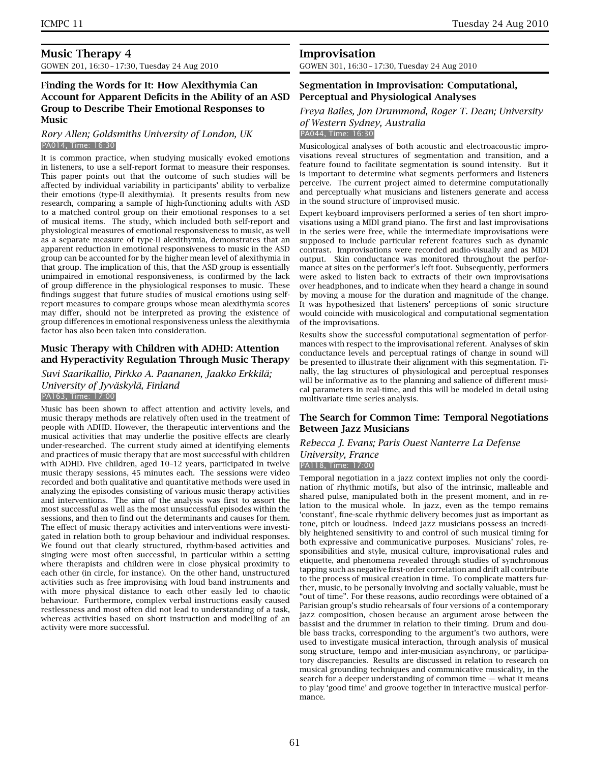# **Music Therapy 4** GOWEN 201, 16:30 – 17:30, Tuesday 24 Aug 2010

# **Finding the Words for It: How Alexithymia Can Account for Apparent Deficits in the Ability of an ASD Group to Describe Their Emotional Responses to Music**

#### *Rory Allen; Goldsmiths University of London, UK* PA014, Time: 16:30

It is common practice, when studying musically evoked emotions in listeners, to use a self-report format to measure their responses. This paper points out that the outcome of such studies will be affected by individual variability in participants' ability to verbalize their emotions (type-II alexithymia). It presents results from new research, comparing a sample of high-functioning adults with ASD to a matched control group on their emotional responses to a set of musical items. The study, which included both self-report and physiological measures of emotional responsiveness to music, as well as a separate measure of type-II alexithymia, demonstrates that an apparent reduction in emotional responsiveness to music in the ASD group can be accounted for by the higher mean level of alexithymia in that group. The implication of this, that the ASD group is essentially unimpaired in emotional responsiveness, is confirmed by the lack of group difference in the physiological responses to music. These findings suggest that future studies of musical emotions using selfreport measures to compare groups whose mean alexithymia scores may differ, should not be interpreted as proving the existence of group differences in emotional responsiveness unless the alexithymia factor has also been taken into consideration.

# **Music Therapy with Children with ADHD: Attention and Hyperactivity Regulation Through Music Therapy**

#### *Suvi Saarikallio, Pirkko A. Paananen, Jaakko Erkkilä; University of Jyväskylä, Finland* PA163, Time: 17:00

Music has been shown to affect attention and activity levels, and music therapy methods are relatively often used in the treatment of people with ADHD. However, the therapeutic interventions and the musical activities that may underlie the positive effects are clearly under-researched. The current study aimed at identifying elements and practices of music therapy that are most successful with children with ADHD. Five children, aged 10–12 years, participated in twelve music therapy sessions, 45 minutes each. The sessions were video recorded and both qualitative and quantitative methods were used in analyzing the episodes consisting of various music therapy activities and interventions. The aim of the analysis was first to assort the most successful as well as the most unsuccessful episodes within the sessions, and then to find out the determinants and causes for them. The effect of music therapy activities and interventions were investigated in relation both to group behaviour and individual responses. We found out that clearly structured, rhythm-based activities and singing were most often successful, in particular within a setting where therapists and children were in close physical proximity to each other (in circle, for instance). On the other hand, unstructured activities such as free improvising with loud band instruments and with more physical distance to each other easily led to chaotic behaviour. Furthermore, complex verbal instructions easily caused restlessness and most often did not lead to understanding of a task, whereas activities based on short instruction and modelling of an activity were more successful.

# **Improvisation**

GOWEN 301, 16:30 – 17:30, Tuesday 24 Aug 2010

# **Segmentation in Improvisation: Computational, Perceptual and Physiological Analyses**

#### *Freya Bailes, Jon Drummond, Roger T. Dean; University of Western Sydney, Australia* PA044, Time: 16:30

Musicological analyses of both acoustic and electroacoustic improvisations reveal structures of segmentation and transition, and a feature found to facilitate segmentation is sound intensity. But it is important to determine what segments performers and listeners perceive. The current project aimed to determine computationally and perceptually what musicians and listeners generate and access in the sound structure of improvised music.

Expert keyboard improvisers performed a series of ten short improvisations using a MIDI grand piano. The first and last improvisations in the series were free, while the intermediate improvisations were supposed to include particular referent features such as dynamic contrast. Improvisations were recorded audio-visually and as MIDI output. Skin conductance was monitored throughout the performance at sites on the performer's left foot. Subsequently, performers were asked to listen back to extracts of their own improvisations over headphones, and to indicate when they heard a change in sound by moving a mouse for the duration and magnitude of the change. It was hypothesized that listeners' perceptions of sonic structure would coincide with musicological and computational segmentation of the improvisations.

Results show the successful computational segmentation of performances with respect to the improvisational referent. Analyses of skin conductance levels and perceptual ratings of change in sound will be presented to illustrate their alignment with this segmentation. Finally, the lag structures of physiological and perceptual responses will be informative as to the planning and salience of different musical parameters in real-time, and this will be modeled in detail using multivariate time series analysis.

# **The Search for Common Time: Temporal Negotiations Between Jazz Musicians**

#### *Rebecca J. Evans; Paris Ouest Nanterre La Defense University, France* PA118, Time: 17:00

Temporal negotiation in a jazz context implies not only the coordination of rhythmic motifs, but also of the intrinsic, malleable and shared pulse, manipulated both in the present moment, and in relation to the musical whole. In jazz, even as the tempo remains 'constant', fine-scale rhythmic delivery becomes just as important as tone, pitch or loudness. Indeed jazz musicians possess an incredibly heightened sensitivity to and control of such musical timing for both expressive and communicative purposes. Musicians' roles, responsibilities and style, musical culture, improvisational rules and etiquette, and phenomena revealed through studies of synchronous tapping such as negative first-order correlation and drift all contribute to the process of musical creation in time. To complicate matters further, music, to be personally involving and socially valuable, must be "out of time". For these reasons, audio recordings were obtained of a Parisian group's studio rehearsals of four versions of a contemporary jazz composition, chosen because an argument arose between the bassist and the drummer in relation to their timing. Drum and double bass tracks, corresponding to the argument's two authors, were used to investigate musical interaction, through analysis of musical song structure, tempo and inter-musician asynchrony, or participatory discrepancies. Results are discussed in relation to research on musical grounding techniques and communicative musicality, in the search for a deeper understanding of common time — what it means to play 'good time' and groove together in interactive musical performance.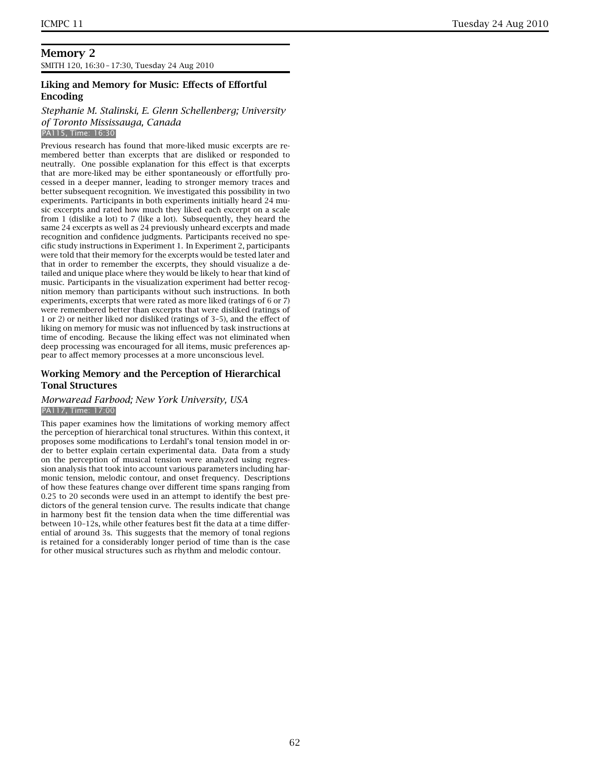# **Memory 2** SMITH 120, 16:30 – 17:30, Tuesday 24 Aug 2010

# **Liking and Memory for Music: Effects of Effortful Encoding**

# *Stephanie M. Stalinski, E. Glenn Schellenberg; University of Toronto Mississauga, Canada*

PA115, Time: 16:30

Previous research has found that more-liked music excerpts are remembered better than excerpts that are disliked or responded to neutrally. One possible explanation for this effect is that excerpts that are more-liked may be either spontaneously or effortfully processed in a deeper manner, leading to stronger memory traces and better subsequent recognition. We investigated this possibility in two experiments. Participants in both experiments initially heard 24 music excerpts and rated how much they liked each excerpt on a scale from 1 (dislike a lot) to 7 (like a lot). Subsequently, they heard the same 24 excerpts as well as 24 previously unheard excerpts and made recognition and confidence judgments. Participants received no specific study instructions in Experiment 1. In Experiment 2, participants were told that their memory for the excerpts would be tested later and that in order to remember the excerpts, they should visualize a detailed and unique place where they would be likely to hear that kind of music. Participants in the visualization experiment had better recognition memory than participants without such instructions. In both experiments, excerpts that were rated as more liked (ratings of 6 or 7) were remembered better than excerpts that were disliked (ratings of 1 or 2) or neither liked nor disliked (ratings of 3–5), and the effect of liking on memory for music was not influenced by task instructions at time of encoding. Because the liking effect was not eliminated when deep processing was encouraged for all items, music preferences appear to affect memory processes at a more unconscious level.

# **Working Memory and the Perception of Hierarchical Tonal Structures**

# *Morwaread Farbood; New York University, USA* PA117, Time: 17:00

This paper examines how the limitations of working memory affect the perception of hierarchical tonal structures. Within this context, it proposes some modifications to Lerdahl's tonal tension model in order to better explain certain experimental data. Data from a study on the perception of musical tension were analyzed using regression analysis that took into account various parameters including harmonic tension, melodic contour, and onset frequency. Descriptions of how these features change over different time spans ranging from 0.25 to 20 seconds were used in an attempt to identify the best predictors of the general tension curve. The results indicate that change in harmony best fit the tension data when the time differential was between 10–12s, while other features best fit the data at a time differential of around 3s. This suggests that the memory of tonal regions is retained for a considerably longer period of time than is the case for other musical structures such as rhythm and melodic contour.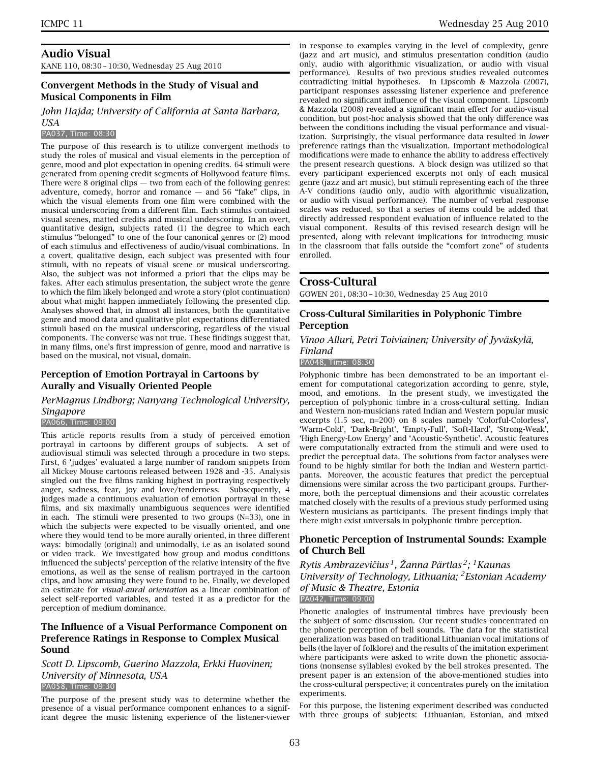# **Audio Visual**

KANE 110, 08:30 – 10:30, Wednesday 25 Aug 2010

# **Convergent Methods in the Study of Visual and Musical Components in Film**

*John Hajda; University of California at Santa Barbara, USA*

#### PA037, Time: 08:30

The purpose of this research is to utilize convergent methods to study the roles of musical and visual elements in the perception of genre, mood and plot expectation in opening credits. 64 stimuli were generated from opening credit segments of Hollywood feature films. There were 8 original clips  $-$  two from each of the following genres: adventure, comedy, horror and romance  $-$  and 56 "fake" clips, in which the visual elements from one film were combined with the musical underscoring from a different film. Each stimulus contained visual scenes, matted credits and musical underscoring. In an overt, quantitative design, subjects rated (1) the degree to which each stimulus "belonged" to one of the four canonical genres or (2) mood of each stimulus and effectiveness of audio/visual combinations. In a covert, qualitative design, each subject was presented with four stimuli, with no repeats of visual scene or musical underscoring. Also, the subject was not informed a priori that the clips may be fakes. After each stimulus presentation, the subject wrote the genre to which the film likely belonged and wrote a story (plot continuation) about what might happen immediately following the presented clip. Analyses showed that, in almost all instances, both the quantitative genre and mood data and qualitative plot expectations differentiated stimuli based on the musical underscoring, regardless of the visual components. The converse was not true. These findings suggest that, in many films, one's first impression of genre, mood and narrative is based on the musical, not visual, domain.

# **Perception of Emotion Portrayal in Cartoons by Aurally and Visually Oriented People**

# *PerMagnus Lindborg; Nanyang Technological University, Singapore*

#### PA066, Time: 09:00

This article reports results from a study of perceived emotion portrayal in cartoons by different groups of subjects. A set of audiovisual stimuli was selected through a procedure in two steps. First, 6 'judges' evaluated a large number of random snippets from all Mickey Mouse cartoons released between 1928 and -35. Analysis singled out the five films ranking highest in portraying respectively anger, sadness, fear, joy and love/tenderness. Subsequently, 4 judges made a continuous evaluation of emotion portrayal in these films, and six maximally unambiguous sequences were identified in each. The stimuli were presented to two groups (N=33), one in which the subjects were expected to be visually oriented, and one where they would tend to be more aurally oriented, in three different ways: bimodally (original) and unimodally, i.e as an isolated sound or video track. We investigated how group and modus conditions influenced the subjects' perception of the relative intensity of the five emotions, as well as the sense of realism portrayed in the cartoon clips, and how amusing they were found to be. Finally, we developed an estimate for *visual-aural orientation* as a linear combination of select self-reported variables, and tested it as a predictor for the perception of medium dominance.

# **The Influence of a Visual Performance Component on Preference Ratings in Response to Complex Musical Sound**

#### *Scott D. Lipscomb, Guerino Mazzola, Erkki Huovinen; University of Minnesota, USA* PA058, Time: 09:30

The purpose of the present study was to determine whether the presence of a visual performance component enhances to a significant degree the music listening experience of the listener-viewer in response to examples varying in the level of complexity, genre (jazz and art music), and stimulus presentation condition (audio only, audio with algorithmic visualization, or audio with visual performance). Results of two previous studies revealed outcomes contradicting initial hypotheses. In Lipscomb & Mazzola (2007), participant responses assessing listener experience and preference revealed no significant influence of the visual component. Lipscomb & Mazzola (2008) revealed a significant main effect for audio-visual condition, but post-hoc analysis showed that the only difference was between the conditions including the visual performance and visualization. Surprisingly, the visual performance data resulted in *lower* preference ratings than the visualization. Important methodological modifications were made to enhance the ability to address effectively the present research questions. A block design was utilized so that every participant experienced excerpts not only of each musical genre (jazz and art music), but stimuli representing each of the three A-V conditions (audio only, audio with algorithmic visualization, or audio with visual performance). The number of verbal response scales was reduced, so that a series of items could be added that directly addressed respondent evaluation of influence related to the visual component. Results of this revised research design will be presented, along with relevant implications for introducing music in the classroom that falls outside the "comfort zone" of students enrolled.

#### **Cross-Cultural**

GOWEN 201, 08:30 – 10:30, Wednesday 25 Aug 2010

# **Cross-Cultural Similarities in Polyphonic Timbre Perception**

*Vinoo Alluri, Petri Toiviainen; University of Jyväskylä, Finland*

PA048, Time: 08:30

Polyphonic timbre has been demonstrated to be an important element for computational categorization according to genre, style, mood, and emotions. In the present study, we investigated the perception of polyphonic timbre in a cross-cultural setting. Indian and Western non-musicians rated Indian and Western popular music excerpts (1.5 sec, n=200) on 8 scales namely 'Colorful-Colorless', 'Warm-Cold', 'Dark-Bright', 'Empty-Full', 'Soft-Hard', 'Strong-Weak', 'High Energy-Low Energy' and 'Acoustic-Synthetic'. Acoustic features were computationally extracted from the stimuli and were used to predict the perceptual data. The solutions from factor analyses were found to be highly similar for both the Indian and Western participants. Moreover, the acoustic features that predict the perceptual dimensions were similar across the two participant groups. Furthermore, both the perceptual dimensions and their acoustic correlates matched closely with the results of a previous study performed using Western musicians as participants. The present findings imply that there might exist universals in polyphonic timbre perception.

# **Phonetic Perception of Instrumental Sounds: Example of Church Bell**

*Rytis Ambrazeviˇcius 1, Žanna Pärtlas 2; 1Kaunas University of Technology, Lithuania; 2Estonian Academy of Music & Theatre, Estonia*

PA042, Time: 09:00

Phonetic analogies of instrumental timbres have previously been the subject of some discussion. Our recent studies concentrated on the phonetic perception of bell sounds. The data for the statistical generalization was based on traditional Lithuanian vocal imitations of bells (the layer of folklore) and the results of the imitation experiment where participants were asked to write down the phonetic associations (nonsense syllables) evoked by the bell strokes presented. The present paper is an extension of the above-mentioned studies into the cross-cultural perspective; it concentrates purely on the imitation experiments.

For this purpose, the listening experiment described was conducted with three groups of subjects: Lithuanian, Estonian, and mixed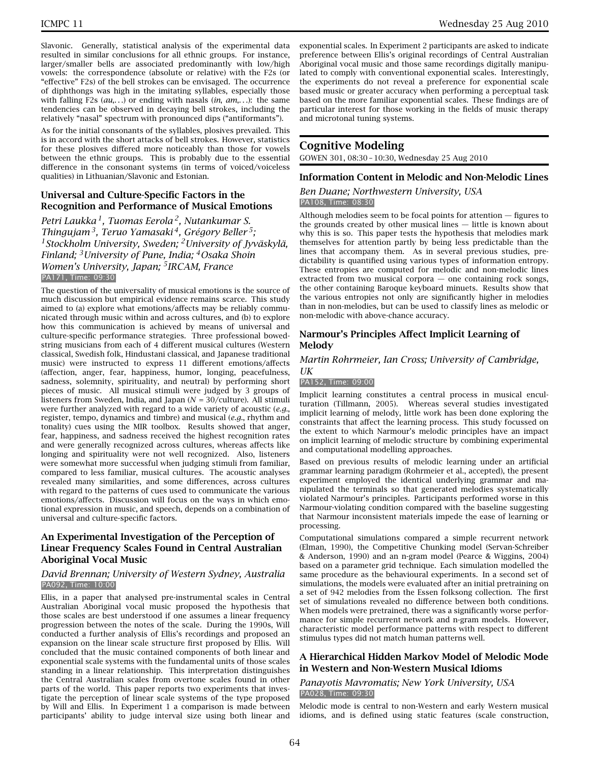Slavonic. Generally, statistical analysis of the experimental data resulted in similar conclusions for all ethnic groups. For instance, larger/smaller bells are associated predominantly with low/high vowels: the correspondence (absolute or relative) with the F2s (or "effective" F2s) of the bell strokes can be envisaged. The occurrence of diphthongs was high in the imitating syllables, especially those with falling F2s (*au*,*...*) or ending with nasals (*in*, *am*,*...*): the same tendencies can be observed in decaying bell strokes, including the relatively "nasal" spectrum with pronounced dips ("antiformants").

As for the initial consonants of the syllables, plosives prevailed. This is in accord with the short attacks of bell strokes. However, statistics for these plosives differed more noticeably than those for vowels between the ethnic groups. This is probably due to the essential difference in the consonant systems (in terms of voiced/voiceless qualities) in Lithuanian/Slavonic and Estonian.

# **Universal and Culture-Specific Factors in the Recognition and Performance of Musical Emotions**

*Petri Laukka 1, Tuomas Eerola 2, Nutankumar S. Thingujam 3, Teruo Yamasaki 4, Grégory Beller 5; 1Stockholm University, Sweden; 2University of Jyväskylä, Finland; 3University of Pune, India; 4Osaka Shoin Women's University, Japan; 5IRCAM, France* PA171, Time: 09:30

The question of the universality of musical emotions is the source of much discussion but empirical evidence remains scarce. This study aimed to (a) explore what emotions/affects may be reliably communicated through music within and across cultures, and (b) to explore how this communication is achieved by means of universal and culture-specific performance strategies. Three professional bowedstring musicians from each of 4 different musical cultures (Western classical, Swedish folk, Hindustani classical, and Japanese traditional music) were instructed to express 11 different emotions/affects (affection, anger, fear, happiness, humor, longing, peacefulness, sadness, solemnity, spirituality, and neutral) by performing short pieces of music. All musical stimuli were judged by 3 groups of listeners from Sweden, India, and Japan (*N* = 30/culture). All stimuli were further analyzed with regard to a wide variety of acoustic (*e.g.*, register, tempo, dynamics and timbre) and musical (*e.g.*, rhythm and tonality) cues using the MIR toolbox. Results showed that anger, fear, happiness, and sadness received the highest recognition rates and were generally recognized across cultures, whereas affects like longing and spirituality were not well recognized. Also, listeners were somewhat more successful when judging stimuli from familiar, compared to less familiar, musical cultures. The acoustic analyses revealed many similarities, and some differences, across cultures with regard to the patterns of cues used to communicate the various emotions/affects. Discussion will focus on the ways in which emotional expression in music, and speech, depends on a combination of universal and culture-specific factors.

# **An Experimental Investigation of the Perception of Linear Frequency Scales Found in Central Australian Aboriginal Vocal Music**

#### *David Brennan; University of Western Sydney, Australia* PA092, Time: 10:00

Ellis, in a paper that analysed pre-instrumental scales in Central Australian Aboriginal vocal music proposed the hypothesis that those scales are best understood if one assumes a linear frequency progression between the notes of the scale. During the 1990s, Will conducted a further analysis of Ellis's recordings and proposed an expansion on the linear scale structure first proposed by Ellis. Will concluded that the music contained components of both linear and exponential scale systems with the fundamental units of those scales standing in a linear relationship. This interpretation distinguishes the Central Australian scales from overtone scales found in other parts of the world. This paper reports two experiments that investigate the perception of linear scale systems of the type proposed by Will and Ellis. In Experiment 1 a comparison is made between participants' ability to judge interval size using both linear and

exponential scales. In Experiment 2 participants are asked to indicate preference between Ellis's original recordings of Central Australian Aboriginal vocal music and those same recordings digitally manipulated to comply with conventional exponential scales. Interestingly, the experiments do not reveal a preference for exponential scale based music or greater accuracy when performing a perceptual task based on the more familiar exponential scales. These findings are of particular interest for those working in the fields of music therapy and microtonal tuning systems.

# **Cognitive Modeling**

GOWEN 301, 08:30 – 10:30, Wednesday 25 Aug 2010

# **Information Content in Melodic and Non-Melodic Lines**

#### *Ben Duane; Northwestern University, USA* PA108, Time: 08:30

Although melodies seem to be focal points for attention — figures to the grounds created by other musical lines — little is known about why this is so. This paper tests the hypothesis that melodies mark themselves for attention partly by being less predictable than the lines that accompany them. As in several previous studies, predictability is quantified using various types of information entropy. These entropies are computed for melodic and non-melodic lines extracted from two musical corpora — one containing rock songs, the other containing Baroque keyboard minuets. Results show that the various entropies not only are significantly higher in melodies than in non-melodies, but can be used to classify lines as melodic or non-melodic with above-chance accuracy.

# **Narmour's Principles Affect Implicit Learning of Melody**

# *Martin Rohrmeier, Ian Cross; University of Cambridge, UK*

#### PA152, Time: 09:00

Implicit learning constitutes a central process in musical enculturation (Tillmann, 2005). Whereas several studies investigated implicit learning of melody, little work has been done exploring the constraints that affect the learning process. This study focussed on the extent to which Narmour's melodic principles have an impact on implicit learning of melodic structure by combining experimental and computational modelling approaches.

Based on previous results of melodic learning under an artificial grammar learning paradigm (Rohrmeier et al., accepted), the present experiment employed the identical underlying grammar and manipulated the terminals so that generated melodies systematically violated Narmour's principles. Participants performed worse in this Narmour-violating condition compared with the baseline suggesting that Narmour inconsistent materials impede the ease of learning or processing.

Computational simulations compared a simple recurrent network (Elman, 1990), the Competitive Chunking model (Servan-Schreiber & Anderson, 1990) and an n-gram model (Pearce & Wiggins, 2004) based on a parameter grid technique. Each simulation modelled the same procedure as the behavioural experiments. In a second set of simulations, the models were evaluated after an initial pretraining on a set of 942 melodies from the Essen folksong collection. The first set of simulations revealed no difference between both conditions. When models were pretrained, there was a significantly worse performance for simple recurrent network and n-gram models. However, characteristic model performance patterns with respect to different stimulus types did not match human patterns well.

# **A Hierarchical Hidden Markov Model of Melodic Mode in Western and Non-Western Musical Idioms**

#### *Panayotis Mavromatis; New York University, USA* PA028, Time: 09:30

Melodic mode is central to non-Western and early Western musical idioms, and is defined using static features (scale construction,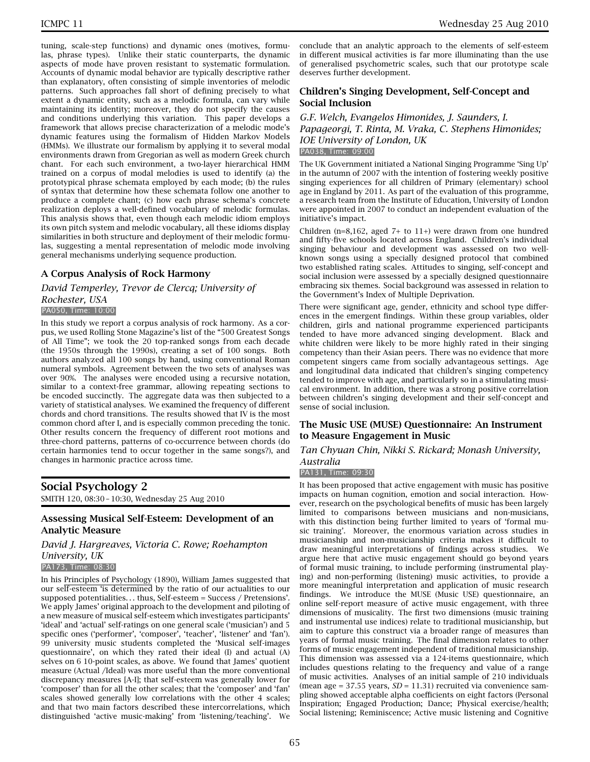tuning, scale-step functions) and dynamic ones (motives, formulas, phrase types). Unlike their static counterparts, the dynamic aspects of mode have proven resistant to systematic formulation. Accounts of dynamic modal behavior are typically descriptive rather than explanatory, often consisting of simple inventories of melodic patterns. Such approaches fall short of defining precisely to what extent a dynamic entity, such as a melodic formula, can vary while maintaining its identity; moreover, they do not specify the causes and conditions underlying this variation. This paper develops a framework that allows precise characterization of a melodic mode's dynamic features using the formalism of Hidden Markov Models (HMMs). We illustrate our formalism by applying it to several modal environments drawn from Gregorian as well as modern Greek church chant. For each such environment, a two-layer hierarchical HMM trained on a corpus of modal melodies is used to identify (a) the prototypical phrase schemata employed by each mode; (b) the rules of syntax that determine how these schemata follow one another to produce a complete chant; (c) how each phrase schema's concrete realization deploys a well-defined vocabulary of melodic formulas. This analysis shows that, even though each melodic idiom employs its own pitch system and melodic vocabulary, all these idioms display similarities in both structure and deployment of their melodic formulas, suggesting a mental representation of melodic mode involving general mechanisms underlying sequence production.

# **A Corpus Analysis of Rock Harmony**

*David Temperley, Trevor de Clercq; University of Rochester, USA* PA050, Time: 10:00

In this study we report a corpus analysis of rock harmony. As a corpus, we used Rolling Stone Magazine's list of the "500 Greatest Songs of All Time"; we took the 20 top-ranked songs from each decade (the 1950s through the 1990s), creating a set of 100 songs. Both authors analyzed all 100 songs by hand, using conventional Roman numeral symbols. Agreement between the two sets of analyses was over 90%. The analyses were encoded using a recursive notation, similar to a context-free grammar, allowing repeating sections to be encoded succinctly. The aggregate data was then subjected to a variety of statistical analyses. We examined the frequency of different chords and chord transitions. The results showed that IV is the most common chord after I, and is especially common preceding the tonic. Other results concern the frequency of different root motions and three-chord patterns, patterns of co-occurrence between chords (do certain harmonies tend to occur together in the same songs?), and changes in harmonic practice across time.

# **Social Psychology 2**

SMITH 120, 08:30 – 10:30, Wednesday 25 Aug 2010

# **Assessing Musical Self-Esteem: Development of an Analytic Measure**

*David J. Hargreaves, Victoria C. Rowe; Roehampton University, UK*

PA173, Time: 08:30

In his Principles of Psychology (1890), William James suggested that our self-esteem 'is determined by the ratio of our actualities to our supposed potentialities*...* thus, Self-esteem = Success / Pretensions'. We apply James' original approach to the development and piloting of a new measure of musical self-esteem which investigates participants' 'ideal' and 'actual' self-ratings on one general scale ('musician') and 5 specific ones ('performer', 'composer', 'teacher', 'listener' and 'fan'). 99 university music students completed the 'Musical self-images questionnaire', on which they rated their ideal (I) and actual (A) selves on 6 10-point scales, as above. We found that James' quotient measure (Actual /Ideal) was more useful than the more conventional discrepancy measures [A-I]; that self-esteem was generally lower for 'composer' than for all the other scales; that the 'composer' and 'fan' scales showed generally low correlations with the other 4 scales; and that two main factors described these intercorrelations, which distinguished 'active music-making' from 'listening/teaching'. We

conclude that an analytic approach to the elements of self-esteem in different musical activities is far more illuminating than the use of generalised psychometric scales, such that our prototype scale deserves further development.

# **Children's Singing Development, Self-Concept and Social Inclusion**

*G.F. Welch, Evangelos Himonides, J. Saunders, I. Papageorgi, T. Rinta, M. Vraka, C. Stephens Himonides; IOE University of London, UK* PA038, Time: 09:00

The UK Government initiated a National Singing Programme 'Sing Up' in the autumn of 2007 with the intention of fostering weekly positive singing experiences for all children of Primary (elementary) school age in England by 2011. As part of the evaluation of this programme, a research team from the Institute of Education, University of London were appointed in 2007 to conduct an independent evaluation of the initiative's impact.

Children (n=8,162, aged 7+ to 11+) were drawn from one hundred and fifty-five schools located across England. Children's individual singing behaviour and development was assessed on two wellknown songs using a specially designed protocol that combined two established rating scales. Attitudes to singing, self-concept and social inclusion were assessed by a specially designed questionnaire embracing six themes. Social background was assessed in relation to the Government's Index of Multiple Deprivation.

There were significant age, gender, ethnicity and school type differences in the emergent findings. Within these group variables, older children, girls and national programme experienced participants tended to have more advanced singing development. Black and white children were likely to be more highly rated in their singing competency than their Asian peers. There was no evidence that more competent singers came from socially advantageous settings. Age and longitudinal data indicated that children's singing competency tended to improve with age, and particularly so in a stimulating musical environment. In addition, there was a strong positive correlation between children's singing development and their self-concept and sense of social inclusion.

# **The Music USE (MUSE) Questionnaire: An Instrument to Measure Engagement in Music**

*Tan Chyuan Chin, Nikki S. Rickard; Monash University, Australia*

#### PA131, Time: 09:30

It has been proposed that active engagement with music has positive impacts on human cognition, emotion and social interaction. However, research on the psychological benefits of music has been largely limited to comparisons between musicians and non-musicians, with this distinction being further limited to years of 'formal music training'. Moreover, the enormous variation across studies in musicianship and non-musicianship criteria makes it difficult to draw meaningful interpretations of findings across studies. We argue here that active music engagement should go beyond years of formal music training, to include performing (instrumental playing) and non-performing (listening) music activities, to provide a more meaningful interpretation and application of music research findings. We introduce the MUSE (Music USE) questionnaire, an online self-report measure of active music engagement, with three dimensions of musicality. The first two dimensions (music training and instrumental use indices) relate to traditional musicianship, but aim to capture this construct via a broader range of measures than years of formal music training. The final dimension relates to other forms of music engagement independent of traditional musicianship. This dimension was assessed via a 124-items questionnaire, which includes questions relating to the frequency and value of a range of music activities. Analyses of an initial sample of 210 individuals (mean age  $= 37.55$  years,  $SD = 11.31$ ) recruited via convenience sampling showed acceptable alpha coefficients on eight factors (Personal Inspiration; Engaged Production; Dance; Physical exercise/health; Social listening; Reminiscence; Active music listening and Cognitive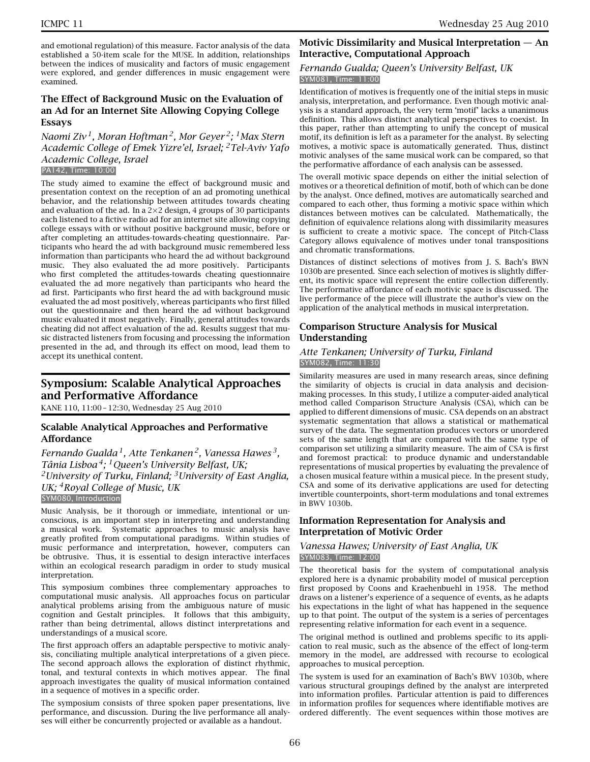and emotional regulation) of this measure. Factor analysis of the data established a 50-item scale for the MUSE. In addition, relationships between the indices of musicality and factors of music engagement were explored, and gender differences in music engagement were examined.

# **The Effect of Background Music on the Evaluation of an Ad for an Internet Site Allowing Copying College Essays**

*Naomi Ziv 1, Moran Hoftman 2, Mor Geyer 2; 1Max Stern Academic College of Emek Yizre'el, Israel; 2Tel-Aviv Yafo Academic College, Israel*

PA142, Time: 10:00

The study aimed to examine the effect of background music and presentation context on the reception of an ad promoting unethical behavior, and the relationship between attitudes towards cheating and evaluation of the ad. In a  $2\times 2$  design, 4 groups of 30 participants each listened to a fictive radio ad for an internet site allowing copying college essays with or without positive background music, before or after completing an attitudes-towards-cheating questionnaire. Participants who heard the ad with background music remembered less information than participants who heard the ad without background music. They also evaluated the ad more positively. Participants who first completed the attitudes-towards cheating questionnaire evaluated the ad more negatively than participants who heard the ad first. Participants who first heard the ad with background music evaluated the ad most positively, whereas participants who first filled out the questionnaire and then heard the ad without background music evaluated it most negatively. Finally, general attitudes towards cheating did not affect evaluation of the ad. Results suggest that music distracted listeners from focusing and processing the information presented in the ad, and through its effect on mood, lead them to accept its unethical content.

# **Symposium: Scalable Analytical Approaches and Performative Affordance**

KANE 110, 11:00 – 12:30, Wednesday 25 Aug 2010

# **Scalable Analytical Approaches and Performative Affordance**

*Fernando Gualda 1, Atte Tenkanen 2, Vanessa Hawes 3, Tânia Lisboa 4; 1Queen's University Belfast, UK; 2University of Turku, Finland; 3University of East Anglia, UK; 4Royal College of Music, UK* SYM080, Introduction

Music Analysis, be it thorough or immediate, intentional or unconscious, is an important step in interpreting and understanding a musical work. Systematic approaches to music analysis have greatly profited from computational paradigms. Within studies of music performance and interpretation, however, computers can be obtrusive. Thus, it is essential to design interactive interfaces within an ecological research paradigm in order to study musical interpretation.

This symposium combines three complementary approaches to computational music analysis. All approaches focus on particular analytical problems arising from the ambiguous nature of music cognition and Gestalt principles. It follows that this ambiguity, rather than being detrimental, allows distinct interpretations and understandings of a musical score.

The first approach offers an adaptable perspective to motivic analysis, conciliating multiple analytical interpretations of a given piece. The second approach allows the exploration of distinct rhythmic, tonal, and textural contexts in which motives appear. The final approach investigates the quality of musical information contained in a sequence of motives in a specific order.

The symposium consists of three spoken paper presentations, live performance, and discussion. During the live performance all analyses will either be concurrently projected or available as a handout.

# **Motivic Dissimilarity and Musical Interpretation — An Interactive, Computational Approach**

#### *Fernando Gualda; Queen's University Belfast, UK* SYM081, Time: 11:00

Identification of motives is frequently one of the initial steps in music analysis, interpretation, and performance. Even though motivic analysis is a standard approach, the very term 'motif' lacks a unanimous definition. This allows distinct analytical perspectives to coexist. In this paper, rather than attempting to unify the concept of musical motif, its definition is left as a parameter for the analyst. By selecting motives, a motivic space is automatically generated. Thus, distinct motivic analyses of the same musical work can be compared, so that the performative affordance of each analysis can be assessed.

The overall motivic space depends on either the initial selection of motives or a theoretical definition of motif, both of which can be done by the analyst. Once defined, motives are automatically searched and compared to each other, thus forming a motivic space within which distances between motives can be calculated. Mathematically, the definition of equivalence relations along with dissimilarity measures is sufficient to create a motivic space. The concept of Pitch-Class Category allows equivalence of motives under tonal transpositions and chromatic transformations.

Distances of distinct selections of motives from J. S. Bach's BWN 1030b are presented. Since each selection of motives is slightly different, its motivic space will represent the entire collection differently. The performative affordance of each motivic space is discussed. The live performance of the piece will illustrate the author's view on the application of the analytical methods in musical interpretation.

# **Comparison Structure Analysis for Musical Understanding**

# *Atte Tenkanen; University of Turku, Finland* SYM082, Time: 11:30

Similarity measures are used in many research areas, since defining the similarity of objects is crucial in data analysis and decisionmaking processes. In this study, I utilize a computer-aided analytical method called Comparison Structure Analysis (CSA), which can be applied to different dimensions of music. CSA depends on an abstract systematic segmentation that allows a statistical or mathematical survey of the data. The segmentation produces vectors or unordered sets of the same length that are compared with the same type of comparison set utilizing a similarity measure. The aim of CSA is first and foremost practical: to produce dynamic and understandable representations of musical properties by evaluating the prevalence of a chosen musical feature within a musical piece. In the present study, CSA and some of its derivative applications are used for detecting invertible counterpoints, short-term modulations and tonal extremes in BWV 1030b.

# **Information Representation for Analysis and Interpretation of Motivic Order**

#### *Vanessa Hawes; University of East Anglia, UK* SYM083, Time: 12:00

The theoretical basis for the system of computational analysis explored here is a dynamic probability model of musical perception first proposed by Coons and Kraehenbuehl in 1958. The method draws on a listener's experience of a sequence of events, as he adapts his expectations in the light of what has happened in the sequence up to that point. The output of the system is a series of percentages representing relative information for each event in a sequence.

The original method is outlined and problems specific to its application to real music, such as the absence of the effect of long-term memory in the model, are addressed with recourse to ecological approaches to musical perception.

The system is used for an examination of Bach's BWV 1030b, where various structural groupings defined by the analyst are interpreted into information profiles. Particular attention is paid to differences in information profiles for sequences where identifiable motives are ordered differently. The event sequences within those motives are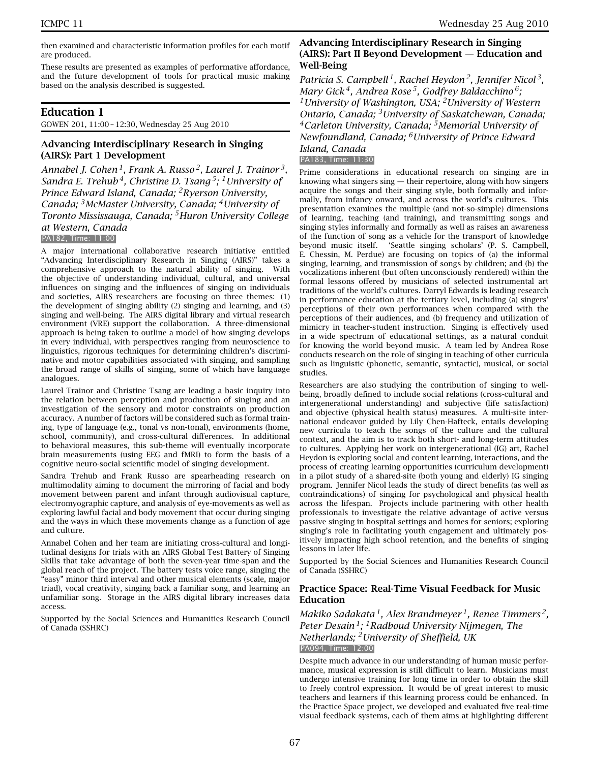then examined and characteristic information profiles for each motif are produced.

These results are presented as examples of performative affordance, and the future development of tools for practical music making based on the analysis described is suggested.

# **Education 1**

GOWEN 201, 11:00 – 12:30, Wednesday 25 Aug 2010

#### **Advancing Interdisciplinary Research in Singing (AIRS): Part 1 Development**

*Annabel J. Cohen 1, Frank A. Russo 2, Laurel J. Trainor 3, Sandra E. Trehub 4, Christine D. Tsang 5; 1University of Prince Edward Island, Canada; 2Ryerson University, Canada; 3McMaster University, Canada; 4University of Toronto Mississauga, Canada; 5Huron University College at Western, Canada* PA182, Time: 11:00

A major international collaborative research initiative entitled "Advancing Interdisciplinary Research in Singing (AIRS)" takes a comprehensive approach to the natural ability of singing. With the objective of understanding individual, cultural, and universal influences on singing and the influences of singing on individuals and societies, AIRS researchers are focusing on three themes: (1) the development of singing ability (2) singing and learning, and (3) singing and well-being. The AIRS digital library and virtual research environment (VRE) support the collaboration. A three-dimensional approach is being taken to outline a model of how singing develops in every individual, with perspectives ranging from neuroscience to linguistics, rigorous techniques for determining children's discriminative and motor capabilities associated with singing, and sampling the broad range of skills of singing, some of which have language analogues.

Laurel Trainor and Christine Tsang are leading a basic inquiry into the relation between perception and production of singing and an investigation of the sensory and motor constraints on production accuracy. A number of factors will be considered such as formal training, type of language (e.g., tonal vs non-tonal), environments (home, school, community), and cross-cultural differences. In additional to behavioral measures, this sub-theme will eventually incorporate brain measurements (using EEG and fMRI) to form the basis of a cognitive neuro-social scientific model of singing development.

Sandra Trehub and Frank Russo are spearheading research on multimodality aiming to document the mirroring of facial and body movement between parent and infant through audiovisual capture, electromyographic capture, and analysis of eye-movements as well as exploring lawful facial and body movement that occur during singing and the ways in which these movements change as a function of age and culture.

Annabel Cohen and her team are initiating cross-cultural and longitudinal designs for trials with an AIRS Global Test Battery of Singing Skills that take advantage of both the seven-year time-span and the global reach of the project. The battery tests voice range, singing the "easy" minor third interval and other musical elements (scale, major triad), vocal creativity, singing back a familiar song, and learning an unfamiliar song. Storage in the AIRS digital library increases data access.

Supported by the Social Sciences and Humanities Research Council of Canada (SSHRC)

#### **Advancing Interdisciplinary Research in Singing (AIRS): Part II Beyond Development — Education and Well-Being**

*Patricia S. Campbell 1, Rachel Heydon 2, Jennifer Nicol 3, Mary Gick 4, Andrea Rose 5, Godfrey Baldacchino 6; 1University of Washington, USA; 2University of Western Ontario, Canada; 3University of Saskatchewan, Canada; 4Carleton University, Canada; 5Memorial University of Newfoundland, Canada; 6University of Prince Edward Island, Canada*

# PA183, Time: 11:30

Prime considerations in educational research on singing are in knowing what singers sing — their repertoire, along with how singers acquire the songs and their singing style, both formally and informally, from infancy onward, and across the world's cultures. This presentation examines the multiple (and not-so-simple) dimensions of learning, teaching (and training), and transmitting songs and singing styles informally and formally as well as raises an awareness of the function of song as a vehicle for the transport of knowledge beyond music itself. 'Seattle singing scholars' (P. S. Campbell, E. Chessin, M. Perdue) are focusing on topics of (a) the informal singing, learning, and transmission of songs by children; and (b) the vocalizations inherent (but often unconsciously rendered) within the formal lessons offered by musicians of selected instrumental art traditions of the world's cultures. Darryl Edwards is leading research in performance education at the tertiary level, including (a) singers' perceptions of their own performances when compared with the perceptions of their audiences, and (b) frequency and utilization of mimicry in teacher-student instruction. Singing is effectively used in a wide spectrum of educational settings, as a natural conduit for knowing the world beyond music. A team led by Andrea Rose conducts research on the role of singing in teaching of other curricula such as linguistic (phonetic, semantic, syntactic), musical, or social studies.

Researchers are also studying the contribution of singing to wellbeing, broadly defined to include social relations (cross-cultural and intergenerational understanding) and subjective (life satisfaction) and objective (physical health status) measures. A multi-site international endeavor guided by Lily Chen-Hafteck, entails developing new curricula to teach the songs of the culture and the cultural context, and the aim is to track both short- and long-term attitudes to cultures. Applying her work on intergenerational (IG) art, Rachel Heydon is exploring social and content learning, interactions, and the process of creating learning opportunities (curriculum development) in a pilot study of a shared-site (both young and elderly) IG singing program. Jennifer Nicol leads the study of direct benefits (as well as contraindications) of singing for psychological and physical health across the lifespan. Projects include partnering with other health professionals to investigate the relative advantage of active versus passive singing in hospital settings and homes for seniors; exploring singing's role in facilitating youth engagement and ultimately positively impacting high school retention, and the benefits of singing lessons in later life.

Supported by the Social Sciences and Humanities Research Council of Canada (SSHRC)

# **Practice Space: Real-Time Visual Feedback for Music Education**

*Makiko Sadakata 1, Alex Brandmeyer 1, Renee Timmers 2, Peter Desain 1; 1Radboud University Nijmegen, The Netherlands; 2University of Sheffield, UK* PA094, Time: 12:00

Despite much advance in our understanding of human music performance, musical expression is still difficult to learn. Musicians must undergo intensive training for long time in order to obtain the skill to freely control expression. It would be of great interest to music teachers and learners if this learning process could be enhanced. In the Practice Space project, we developed and evaluated five real-time visual feedback systems, each of them aims at highlighting different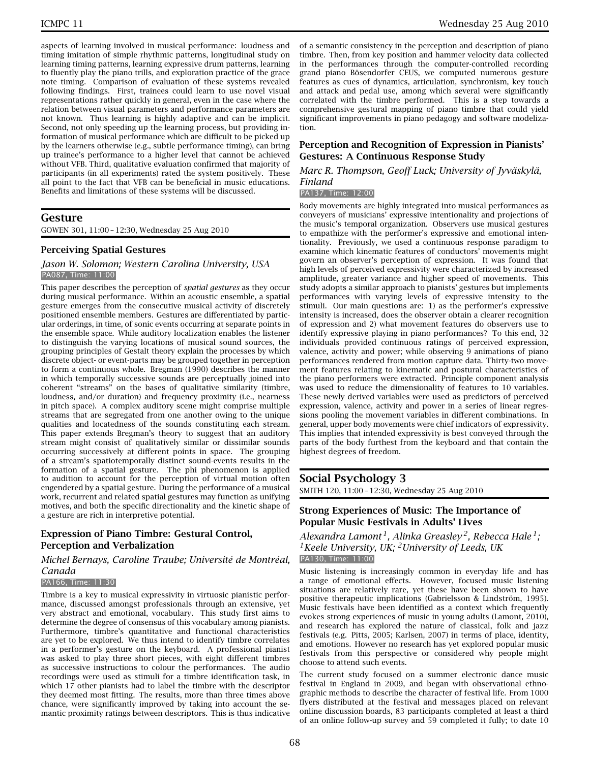aspects of learning involved in musical performance: loudness and timing imitation of simple rhythmic patterns, longitudinal study on learning timing patterns, learning expressive drum patterns, learning to fluently play the piano trills, and exploration practice of the grace note timing. Comparison of evaluation of these systems revealed following findings. First, trainees could learn to use novel visual representations rather quickly in general, even in the case where the relation between visual parameters and performance parameters are not known. Thus learning is highly adaptive and can be implicit. Second, not only speeding up the learning process, but providing information of musical performance which are difficult to be picked up by the learners otherwise (e.g., subtle performance timing), can bring up trainee's performance to a higher level that cannot be achieved without VFB. Third, qualitative evaluation confirmed that majority of participants (in all experiments) rated the system positively. These all point to the fact that VFB can be beneficial in music educations. Benefits and limitations of these systems will be discussed.

# **Gesture**

GOWEN 301, 11:00 – 12:30, Wednesday 25 Aug 2010

#### **Perceiving Spatial Gestures**

*Jason W. Solomon; Western Carolina University, USA* PA087, Time: 11:00

This paper describes the perception of *spatial gestures* as they occur during musical performance. Within an acoustic ensemble, a spatial gesture emerges from the consecutive musical activity of discretely positioned ensemble members. Gestures are differentiated by particular orderings, in time, of sonic events occurring at separate points in the ensemble space. While auditory localization enables the listener to distinguish the varying locations of musical sound sources, the grouping principles of Gestalt theory explain the processes by which discrete object- or event-parts may be grouped together in perception to form a continuous whole. Bregman (1990) describes the manner in which temporally successive sounds are perceptually joined into coherent "streams" on the bases of qualitative similarity (timbre, loudness, and/or duration) and frequency proximity (i.e., nearness in pitch space). A complex auditory scene might comprise multiple streams that are segregated from one another owing to the unique qualities and locatedness of the sounds constituting each stream. This paper extends Bregman's theory to suggest that an auditory stream might consist of qualitatively similar or dissimilar sounds occurring successively at different points in space. The grouping of a stream's spatiotemporally distinct sound-events results in the formation of a spatial gesture. The phi phenomenon is applied to audition to account for the perception of virtual motion often engendered by a spatial gesture. During the performance of a musical work, recurrent and related spatial gestures may function as unifying motives, and both the specific directionality and the kinetic shape of a gesture are rich in interpretive potential.

# **Expression of Piano Timbre: Gestural Control, Perception and Verbalization**

*Michel Bernays, Caroline Traube; Université de Montréal, Canada*

#### PA166, Time: 11:30

Timbre is a key to musical expressivity in virtuosic pianistic performance, discussed amongst professionals through an extensive, yet very abstract and emotional, vocabulary. This study first aims to determine the degree of consensus of this vocabulary among pianists. Furthermore, timbre's quantitative and functional characteristics are yet to be explored. We thus intend to identify timbre correlates in a performer's gesture on the keyboard. A professional pianist was asked to play three short pieces, with eight different timbres as successive instructions to colour the performances. The audio recordings were used as stimuli for a timbre identification task, in which 17 other pianists had to label the timbre with the descriptor they deemed most fitting. The results, more than three times above chance, were significantly improved by taking into account the semantic proximity ratings between descriptors. This is thus indicative

of a semantic consistency in the perception and description of piano timbre. Then, from key position and hammer velocity data collected in the performances through the computer-controlled recording grand piano Bösendorfer CEUS, we computed numerous gesture features as cues of dynamics, articulation, synchronism, key touch and attack and pedal use, among which several were significantly correlated with the timbre performed. This is a step towards a comprehensive gestural mapping of piano timbre that could yield significant improvements in piano pedagogy and software modelization.

#### **Perception and Recognition of Expression in Pianists' Gestures: A Continuous Response Study**

#### *Marc R. Thompson, Geoff Luck; University of Jyväskylä, Finland*

# PA137, Time: 12:00

Body movements are highly integrated into musical performances as conveyers of musicians' expressive intentionality and projections of the music's temporal organization. Observers use musical gestures to empathize with the performer's expressive and emotional intentionality. Previously, we used a continuous response paradigm to examine which kinematic features of conductors' movements might govern an observer's perception of expression. It was found that high levels of perceived expressivity were characterized by increased amplitude, greater variance and higher speed of movements. This study adopts a similar approach to pianists' gestures but implements performances with varying levels of expressive intensity to the stimuli. Our main questions are: 1) as the performer's expressive intensity is increased, does the observer obtain a clearer recognition of expression and 2) what movement features do observers use to identify expressive playing in piano performances? To this end, 32 individuals provided continuous ratings of perceived expression, valence, activity and power; while observing 9 animations of piano performances rendered from motion capture data. Thirty-two movement features relating to kinematic and postural characteristics of the piano performers were extracted. Principle component analysis was used to reduce the dimensionality of features to 10 variables. These newly derived variables were used as predictors of perceived expression, valence, activity and power in a series of linear regressions pooling the movement variables in different combinations. In general, upper body movements were chief indicators of expressivity. This implies that intended expressivity is best conveyed through the parts of the body furthest from the keyboard and that contain the highest degrees of freedom.

#### **Social Psychology 3**

SMITH 120, 11:00 – 12:30, Wednesday 25 Aug 2010

#### **Strong Experiences of Music: The Importance of Popular Music Festivals in Adults' Lives**

*Alexandra Lamont 1, Alinka Greasley 2, Rebecca Hale 1; 1Keele University, UK; 2University of Leeds, UK* PA130, Time: 11:00

Music listening is increasingly common in everyday life and has a range of emotional effects. However, focused music listening situations are relatively rare, yet these have been shown to have positive therapeutic implications (Gabrielsson & Lindström, 1995). Music festivals have been identified as a context which frequently evokes strong experiences of music in young adults (Lamont, 2010), and research has explored the nature of classical, folk and jazz festivals (e.g. Pitts, 2005; Karlsen, 2007) in terms of place, identity, and emotions. However no research has yet explored popular music festivals from this perspective or considered why people might choose to attend such events.

The current study focused on a summer electronic dance music festival in England in 2009, and began with observational ethnographic methods to describe the character of festival life. From 1000 flyers distributed at the festival and messages placed on relevant online discussion boards, 83 participants completed at least a third of an online follow-up survey and 59 completed it fully; to date 10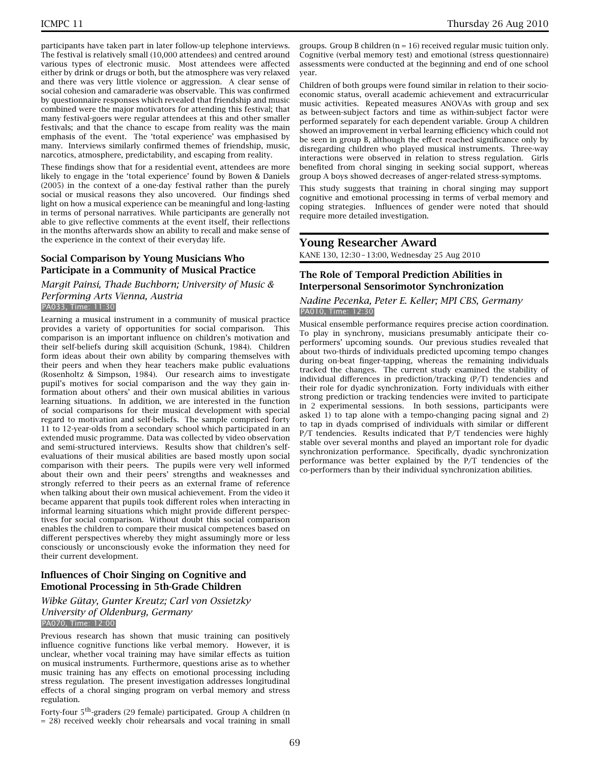participants have taken part in later follow-up telephone interviews. The festival is relatively small (10,000 attendees) and centred around various types of electronic music. Most attendees were affected either by drink or drugs or both, but the atmosphere was very relaxed and there was very little violence or aggression. A clear sense of social cohesion and camaraderie was observable. This was confirmed by questionnaire responses which revealed that friendship and music combined were the major motivators for attending this festival; that many festival-goers were regular attendees at this and other smaller festivals; and that the chance to escape from reality was the main emphasis of the event. The 'total experience' was emphasised by many. Interviews similarly confirmed themes of friendship, music, narcotics, atmosphere, predictability, and escaping from reality.

These findings show that for a residential event, attendees are more likely to engage in the 'total experience' found by Bowen & Daniels (2005) in the context of a one-day festival rather than the purely social or musical reasons they also uncovered. Our findings shed light on how a musical experience can be meaningful and long-lasting in terms of personal narratives. While participants are generally not able to give reflective comments at the event itself, their reflections in the months afterwards show an ability to recall and make sense of the experience in the context of their everyday life.

# **Social Comparison by Young Musicians Who Participate in a Community of Musical Practice**

*Margit Painsi, Thade Buchborn; University of Music & Performing Arts Vienna, Austria* PA033, Time: 11:30

Learning a musical instrument in a community of musical practice provides a variety of opportunities for social comparison. This comparison is an important influence on children's motivation and their self-beliefs during skill acquisition (Schunk, 1984). Children form ideas about their own ability by comparing themselves with their peers and when they hear teachers make public evaluations (Rosenholtz & Simpson, 1984). Our research aims to investigate pupil's motives for social comparison and the way they gain information about others' and their own musical abilities in various learning situations. In addition, we are interested in the function of social comparisons for their musical development with special regard to motivation and self-beliefs. The sample comprised forty 11 to 12-year-olds from a secondary school which participated in an extended music programme. Data was collected by video observation and semi-structured interviews. Results show that children's selfevaluations of their musical abilities are based mostly upon social comparison with their peers. The pupils were very well informed about their own and their peers' strengths and weaknesses and strongly referred to their peers as an external frame of reference when talking about their own musical achievement. From the video it became apparent that pupils took different roles when interacting in informal learning situations which might provide different perspectives for social comparison. Without doubt this social comparison enables the children to compare their musical competences based on different perspectives whereby they might assumingly more or less consciously or unconsciously evoke the information they need for their current development.

# **Influences of Choir Singing on Cognitive and Emotional Processing in 5th-Grade Children**

#### *Wibke Gütay, Gunter Kreutz; Carl von Ossietzky University of Oldenburg, Germany* PA070, Time: 12:00

Previous research has shown that music training can positively influence cognitive functions like verbal memory. However, it is unclear, whether vocal training may have similar effects as tuition on musical instruments. Furthermore, questions arise as to whether music training has any effects on emotional processing including stress regulation. The present investigation addresses longitudinal effects of a choral singing program on verbal memory and stress regulation.

Forty-four 5th-graders (29 female) participated. Group A children (n = 28) received weekly choir rehearsals and vocal training in small

groups. Group B children  $(n = 16)$  received regular music tuition only. Cognitive (verbal memory test) and emotional (stress questionnaire) assessments were conducted at the beginning and end of one school year.

Children of both groups were found similar in relation to their socioeconomic status, overall academic achievement and extracurricular music activities. Repeated measures ANOVAs with group and sex as between-subject factors and time as within-subject factor were performed separately for each dependent variable. Group A children showed an improvement in verbal learning efficiency which could not be seen in group B, although the effect reached significance only by disregarding children who played musical instruments. Three-way interactions were observed in relation to stress regulation. Girls benefited from choral singing in seeking social support, whereas group A boys showed decreases of anger-related stress-symptoms.

This study suggests that training in choral singing may support cognitive and emotional processing in terms of verbal memory and coping strategies. Influences of gender were noted that should require more detailed investigation.

# **Young Researcher Award**

KANE 130, 12:30 – 13:00, Wednesday 25 Aug 2010

# **The Role of Temporal Prediction Abilities in Interpersonal Sensorimotor Synchronization**

#### *Nadine Pecenka, Peter E. Keller; MPI CBS, Germany* PA010, Time: 12:30

Musical ensemble performance requires precise action coordination. To play in synchrony, musicians presumably anticipate their coperformers' upcoming sounds. Our previous studies revealed that about two-thirds of individuals predicted upcoming tempo changes during on-beat finger-tapping, whereas the remaining individuals tracked the changes. The current study examined the stability of individual differences in prediction/tracking (P/T) tendencies and their role for dyadic synchronization. Forty individuals with either strong prediction or tracking tendencies were invited to participate in 2 experimental sessions. In both sessions, participants were asked 1) to tap alone with a tempo-changing pacing signal and 2) to tap in dyads comprised of individuals with similar or different P/T tendencies. Results indicated that P/T tendencies were highly stable over several months and played an important role for dyadic synchronization performance. Specifically, dyadic synchronization performance was better explained by the P/T tendencies of the co-performers than by their individual synchronization abilities.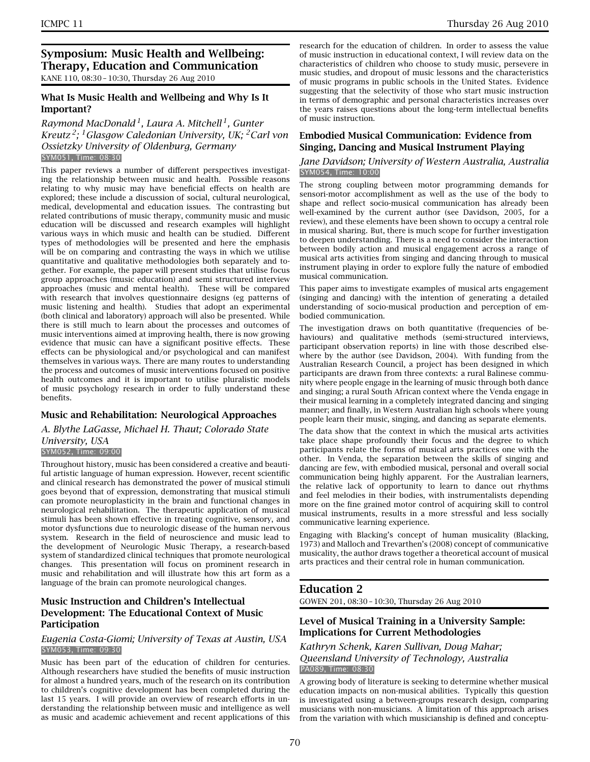# **Symposium: Music Health and Wellbeing: Therapy, Education and Communication** KANE 110, 08:30 – 10:30, Thursday 26 Aug 2010

# **What Is Music Health and Wellbeing and Why Is It Important?**

*Raymond MacDonald 1, Laura A. Mitchell 1, Gunter Kreutz 2; 1Glasgow Caledonian University, UK; 2Carl von Ossietzky University of Oldenburg, Germany* SYM051, Time: 08:30

This paper reviews a number of different perspectives investigating the relationship between music and health. Possible reasons relating to why music may have beneficial effects on health are explored; these include a discussion of social, cultural neurological, medical, developmental and education issues. The contrasting but related contributions of music therapy, community music and music education will be discussed and research examples will highlight various ways in which music and health can be studied. Different types of methodologies will be presented and here the emphasis will be on comparing and contrasting the ways in which we utilise quantitative and qualitative methodologies both separately and together. For example, the paper will present studies that utilise focus group approaches (music education) and semi structured interview approaches (music and mental health). These will be compared with research that involves questionnaire designs (eg patterns of music listening and health). Studies that adopt an experimental (both clinical and laboratory) approach will also be presented. While there is still much to learn about the processes and outcomes of music interventions aimed at improving health, there is now growing evidence that music can have a significant positive effects. These effects can be physiological and/or psychological and can manifest themselves in various ways. There are many routes to understanding the process and outcomes of music interventions focused on positive health outcomes and it is important to utilise pluralistic models of music psychology research in order to fully understand these benefits.

# **Music and Rehabilitation: Neurological Approaches**

# *A. Blythe LaGasse, Michael H. Thaut; Colorado State University, USA*

#### SYM052, Time: 09:00

Throughout history, music has been considered a creative and beautiful artistic language of human expression. However, recent scientific and clinical research has demonstrated the power of musical stimuli goes beyond that of expression, demonstrating that musical stimuli can promote neuroplasticity in the brain and functional changes in neurological rehabilitation. The therapeutic application of musical stimuli has been shown effective in treating cognitive, sensory, and motor dysfunctions due to neurologic disease of the human nervous system. Research in the field of neuroscience and music lead to the development of Neurologic Music Therapy, a research-based system of standardized clinical techniques that promote neurological changes. This presentation will focus on prominent research in music and rehabilitation and will illustrate how this art form as a language of the brain can promote neurological changes.

# **Music Instruction and Children's Intellectual Development: The Educational Context of Music Participation**

#### *Eugenia Costa-Giomi; University of Texas at Austin, USA* SYM053, Time: 09:30

Music has been part of the education of children for centuries. Although researchers have studied the benefits of music instruction for almost a hundred years, much of the research on its contribution to children's cognitive development has been completed during the last 15 years. I will provide an overview of research efforts in understanding the relationship between music and intelligence as well as music and academic achievement and recent applications of this research for the education of children. In order to assess the value of music instruction in educational context, I will review data on the characteristics of children who choose to study music, persevere in music studies, and dropout of music lessons and the characteristics of music programs in public schools in the United States. Evidence suggesting that the selectivity of those who start music instruction in terms of demographic and personal characteristics increases over the years raises questions about the long-term intellectual benefits of music instruction.

# **Embodied Musical Communication: Evidence from Singing, Dancing and Musical Instrument Playing**

#### *Jane Davidson; University of Western Australia, Australia* SYM054, Time: 10:00

The strong coupling between motor programming demands for sensori-motor accomplishment as well as the use of the body to shape and reflect socio-musical communication has already been well-examined by the current author (see Davidson, 2005, for a review), and these elements have been shown to occupy a central role in musical sharing. But, there is much scope for further investigation to deepen understanding. There is a need to consider the interaction between bodily action and musical engagement across a range of musical arts activities from singing and dancing through to musical instrument playing in order to explore fully the nature of embodied musical communication.

This paper aims to investigate examples of musical arts engagement (singing and dancing) with the intention of generating a detailed understanding of socio-musical production and perception of embodied communication.

The investigation draws on both quantitative (frequencies of behaviours) and qualitative methods (semi-structured interviews, participant observation reports) in line with those described elsewhere by the author (see Davidson, 2004). With funding from the Australian Research Council, a project has been designed in which participants are drawn from three contexts: a rural Balinese community where people engage in the learning of music through both dance and singing; a rural South African context where the Venda engage in their musical learning in a completely integrated dancing and singing manner; and finally, in Western Australian high schools where young people learn their music, singing, and dancing as separate elements.

The data show that the context in which the musical arts activities take place shape profoundly their focus and the degree to which participants relate the forms of musical arts practices one with the other. In Venda, the separation between the skills of singing and dancing are few, with embodied musical, personal and overall social communication being highly apparent. For the Australian learners, the relative lack of opportunity to learn to dance out rhythms and feel melodies in their bodies, with instrumentalists depending more on the fine grained motor control of acquiring skill to control musical instruments, results in a more stressful and less socially communicative learning experience.

Engaging with Blacking's concept of human musicality (Blacking, 1973) and Malloch and Trevarthen's (2008) concept of communicative musicality, the author draws together a theoretical account of musical arts practices and their central role in human communication.

# **Education 2**

GOWEN 201, 08:30 – 10:30, Thursday 26 Aug 2010

# **Level of Musical Training in a University Sample: Implications for Current Methodologies**

#### *Kathryn Schenk, Karen Sullivan, Doug Mahar; Queensland University of Technology, Australia* PA089, Time: 08:30

A growing body of literature is seeking to determine whether musical education impacts on non-musical abilities. Typically this question is investigated using a between-groups research design, comparing musicians with non-musicians. A limitation of this approach arises from the variation with which musicianship is defined and conceptu-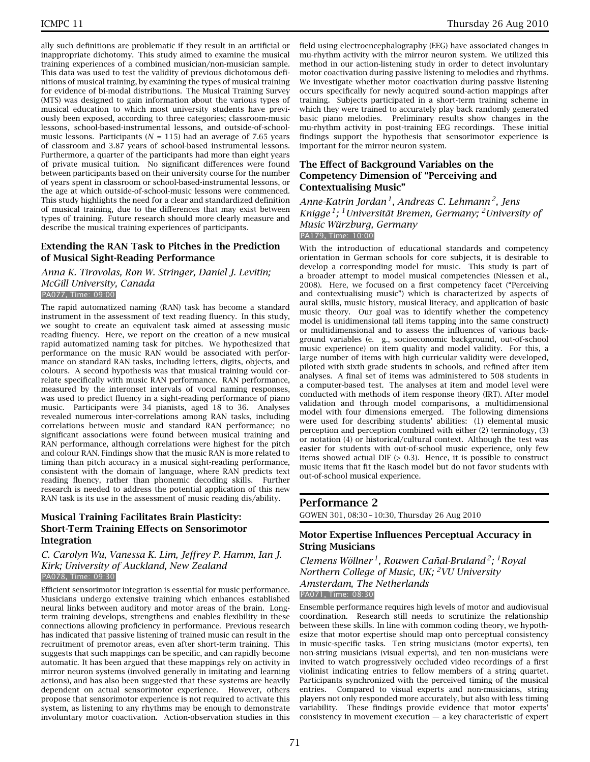ally such definitions are problematic if they result in an artificial or inappropriate dichotomy. This study aimed to examine the musical training experiences of a combined musician/non-musician sample. This data was used to test the validity of previous dichotomous definitions of musical training, by examining the types of musical training for evidence of bi-modal distributions. The Musical Training Survey (MTS) was designed to gain information about the various types of musical education to which most university students have previously been exposed, according to three categories; classroom-music lessons, school-based-instrumental lessons, and outside-of-schoolmusic lessons. Participants ( $N = 115$ ) had an average of 7.65 years of classroom and 3.87 years of school-based instrumental lessons. Furthermore, a quarter of the participants had more than eight years of private musical tuition. No significant differences were found between participants based on their university course for the number of years spent in classroom or school-based-instrumental lessons, or the age at which outside-of-school-music lessons were commenced. This study highlights the need for a clear and standardized definition of musical training, due to the differences that may exist between types of training. Future research should more clearly measure and describe the musical training experiences of participants.

# **Extending the RAN Task to Pitches in the Prediction of Musical Sight-Reading Performance**

#### *Anna K. Tirovolas, Ron W. Stringer, Daniel J. Levitin; McGill University, Canada* PA077, Time: 09:00

The rapid automatized naming (RAN) task has become a standard instrument in the assessment of text reading fluency. In this study, we sought to create an equivalent task aimed at assessing music reading fluency. Here, we report on the creation of a new musical rapid automatized naming task for pitches. We hypothesized that performance on the music RAN would be associated with performance on standard RAN tasks, including letters, digits, objects, and colours. A second hypothesis was that musical training would correlate specifically with music RAN performance. RAN performance, measured by the interonset intervals of vocal naming responses, was used to predict fluency in a sight-reading performance of piano music. Participants were 34 pianists, aged 18 to 36. Analyses revealed numerous inter-correlations among RAN tasks, including correlations between music and standard RAN performance; no significant associations were found between musical training and RAN performance, although correlations were highest for the pitch and colour RAN. Findings show that the music RAN is more related to timing than pitch accuracy in a musical sight-reading performance, consistent with the domain of language, where RAN predicts text reading fluency, rather than phonemic decoding skills. Further research is needed to address the potential application of this new RAN task is its use in the assessment of music reading dis/ability.

# **Musical Training Facilitates Brain Plasticity: Short-Term Training Effects on Sensorimotor Integration**

#### *C. Carolyn Wu, Vanessa K. Lim, Jeffrey P. Hamm, Ian J. Kirk; University of Auckland, New Zealand* PA078, Time: 09:30

Efficient sensorimotor integration is essential for music performance. Musicians undergo extensive training which enhances established neural links between auditory and motor areas of the brain. Longterm training develops, strengthens and enables flexibility in these connections allowing proficiency in performance. Previous research has indicated that passive listening of trained music can result in the recruitment of premotor areas, even after short-term training. This suggests that such mappings can be specific, and can rapidly become automatic. It has been argued that these mappings rely on activity in mirror neuron systems (involved generally in imitating and learning actions), and has also been suggested that these systems are heavily dependent on actual sensorimotor experience. However, others propose that sensorimotor experience is not required to activate this system, as listening to any rhythms may be enough to demonstrate involuntary motor coactivation. Action-observation studies in this

field using electroencephalography (EEG) have associated changes in mu-rhythm activity with the mirror neuron system. We utilized this method in our action-listening study in order to detect involuntary motor coactivation during passive listening to melodies and rhythms. We investigate whether motor coactivation during passive listening occurs specifically for newly acquired sound-action mappings after training. Subjects participated in a short-term training scheme in which they were trained to accurately play back randomly generated basic piano melodies. Preliminary results show changes in the mu-rhythm activity in post-training EEG recordings. These initial findings support the hypothesis that sensorimotor experience is important for the mirror neuron system.

# **The Effect of Background Variables on the Competency Dimension of "Perceiving and Contextualising Music"**

*Anne-Katrin Jordan 1, Andreas C. Lehmann 2, Jens Knigge 1; 1Universität Bremen, Germany; 2University of Music Würzburg, Germany* PA179, Time: 10:00

With the introduction of educational standards and competency orientation in German schools for core subjects, it is desirable to develop a corresponding model for music. This study is part of a broader attempt to model musical competencies (Niessen et al., 2008). Here, we focused on a first competency facet ("Perceiving and contextualising music") which is characterized by aspects of aural skills, music history, musical literacy, and application of basic music theory. Our goal was to identify whether the competency model is unidimensional (all items tapping into the same construct) or multidimensional and to assess the influences of various background variables (e. g., socioeconomic background, out-of-school music experience) on item quality and model validity. For this, a large number of items with high curricular validity were developed, piloted with sixth grade students in schools, and refined after item analyses. A final set of items was administered to 508 students in a computer-based test. The analyses at item and model level were conducted with methods of item response theory (IRT). After model validation and through model comparisons, a multidimensional model with four dimensions emerged. The following dimensions were used for describing students' abilities: (1) elemental music perception and perception combined with either (2) terminology, (3) or notation (4) or historical/cultural context. Although the test was easier for students with out-of-school music experience, only few items showed actual DIF  $(> 0.3)$ . Hence, it is possible to construct music items that fit the Rasch model but do not favor students with out-of-school musical experience.

# **Performance 2**

GOWEN 301, 08:30 – 10:30, Thursday 26 Aug 2010

# **Motor Expertise Influences Perceptual Accuracy in String Musicians**

*Clemens Wöllner 1, Rouwen Cañal-Bruland 2; 1Royal Northern College of Music, UK; 2VU University Amsterdam, The Netherlands* PA071, Time: 08:30

Ensemble performance requires high levels of motor and audiovisual coordination. Research still needs to scrutinize the relationship between these skills. In line with common coding theory, we hypothesize that motor expertise should map onto perceptual consistency in music-specific tasks. Ten string musicians (motor experts), ten non-string musicians (visual experts), and ten non-musicians were invited to watch progressively occluded video recordings of a first violinist indicating entries to fellow members of a string quartet. Participants synchronized with the perceived timing of the musical entries. Compared to visual experts and non-musicians, string players not only responded more accurately, but also with less timing variability. These findings provide evidence that motor experts' consistency in movement execution  $-$  a key characteristic of expert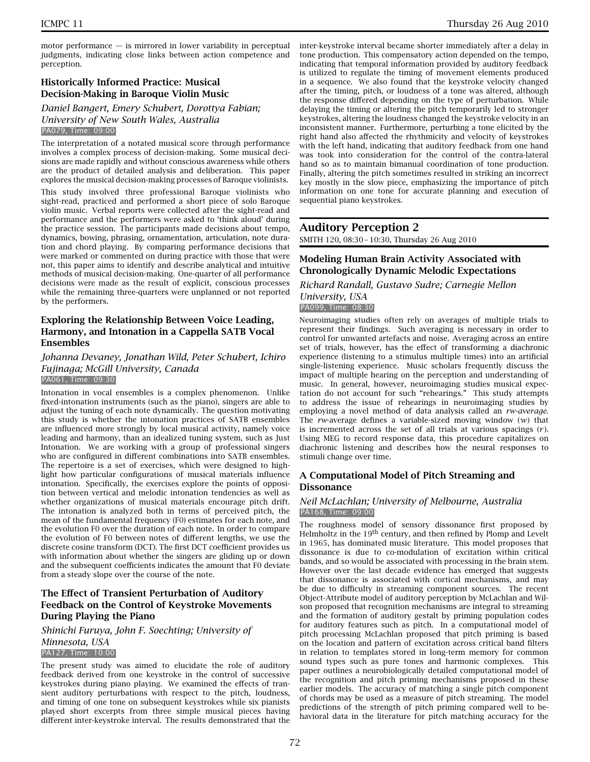motor performance  $-$  is mirrored in lower variability in perceptual judgments, indicating close links between action competence and perception.

# **Historically Informed Practice: Musical Decision-Making in Baroque Violin Music**

#### *Daniel Bangert, Emery Schubert, Dorottya Fabian; University of New South Wales, Australia* PA079, Time: 09:00

The interpretation of a notated musical score through performance involves a complex process of decision-making. Some musical decisions are made rapidly and without conscious awareness while others are the product of detailed analysis and deliberation. This paper explores the musical decision-making processes of Baroque violinists.

This study involved three professional Baroque violinists who sight-read, practiced and performed a short piece of solo Baroque violin music. Verbal reports were collected after the sight-read and performance and the performers were asked to 'think aloud' during the practice session. The participants made decisions about tempo, dynamics, bowing, phrasing, ornamentation, articulation, note duration and chord playing. By comparing performance decisions that were marked or commented on during practice with those that were not, this paper aims to identify and describe analytical and intuitive methods of musical decision-making. One-quarter of all performance decisions were made as the result of explicit, conscious processes while the remaining three-quarters were unplanned or not reported by the performers.

# **Exploring the Relationship Between Voice Leading, Harmony, and Intonation in a Cappella SATB Vocal Ensembles**

#### *Johanna Devaney, Jonathan Wild, Peter Schubert, Ichiro Fujinaga; McGill University, Canada* PA061, Time: 09:30

Intonation in vocal ensembles is a complex phenomenon. Unlike fixed-intonation instruments (such as the piano), singers are able to adjust the tuning of each note dynamically. The question motivating this study is whether the intonation practices of SATB ensembles are influenced more strongly by local musical activity, namely voice leading and harmony, than an idealized tuning system, such as Just Intonation. We are working with a group of professional singers who are configured in different combinations into SATB ensembles. The repertoire is a set of exercises, which were designed to highlight how particular configurations of musical materials influence intonation. Specifically, the exercises explore the points of opposition between vertical and melodic intonation tendencies as well as whether organizations of musical materials encourage pitch drift. The intonation is analyzed both in terms of perceived pitch, the mean of the fundamental frequency (F0) estimates for each note, and the evolution F0 over the duration of each note. In order to compare the evolution of F0 between notes of different lengths, we use the discrete cosine transform (DCT). The first DCT coefficient provides us with information about whether the singers are gliding up or down and the subsequent coefficients indicates the amount that F0 deviate from a steady slope over the course of the note.

# **The Effect of Transient Perturbation of Auditory Feedback on the Control of Keystroke Movements During Playing the Piano**

# *Shinichi Furuya, John F. Soechting; University of Minnesota, USA*

# PA127, Time: 10:00

The present study was aimed to elucidate the role of auditory feedback derived from one keystroke in the control of successive keystrokes during piano playing. We examined the effects of transient auditory perturbations with respect to the pitch, loudness, and timing of one tone on subsequent keystrokes while six pianists played short excerpts from three simple musical pieces having different inter-keystroke interval. The results demonstrated that the

inter-keystroke interval became shorter immediately after a delay in tone production. This compensatory action depended on the tempo, indicating that temporal information provided by auditory feedback is utilized to regulate the timing of movement elements produced in a sequence. We also found that the keystroke velocity changed after the timing, pitch, or loudness of a tone was altered, although the response differed depending on the type of perturbation. While delaying the timing or altering the pitch temporarily led to stronger keystrokes, altering the loudness changed the keystroke velocity in an inconsistent manner. Furthermore, perturbing a tone elicited by the right hand also affected the rhythmicity and velocity of keystrokes with the left hand, indicating that auditory feedback from one hand was took into consideration for the control of the contra-lateral hand so as to maintain bimanual coordination of tone production. Finally, altering the pitch sometimes resulted in striking an incorrect key mostly in the slow piece, emphasizing the importance of pitch information on one tone for accurate planning and execution of sequential piano keystrokes.

# **Auditory Perception 2**

SMITH 120, 08:30 – 10:30, Thursday 26 Aug 2010

# **Modeling Human Brain Activity Associated with Chronologically Dynamic Melodic Expectations**

# *Richard Randall, Gustavo Sudre; Carnegie Mellon University, USA*

PA099, Time: 08:30

Neuroimaging studies often rely on averages of multiple trials to represent their findings. Such averaging is necessary in order to control for unwanted artefacts and noise. Averaging across an entire set of trials, however, has the effect of transforming a diachronic experience (listening to a stimulus multiple times) into an artificial single-listening experience. Music scholars frequently discuss the impact of multiple hearing on the perception and understanding of music. In general, however, neuroimaging studies musical expectation do not account for such "rehearings." This study attempts to address the issue of rehearings in neuroimaging studies by employing a novel method of data analysis called an *rw-average*. The *rw*-average defines a variable-sized moving window (*w*) that is incremented across the set of all trials at various spacings (*r* ). Using MEG to record response data, this procedure capitalizes on diachronic listening and describes how the neural responses to stimuli change over time.

# **A Computational Model of Pitch Streaming and Dissonance**

#### *Neil McLachlan; University of Melbourne, Australia* PA168, Time: 09:00

The roughness model of sensory dissonance first proposed by Helmholtz in the  $19<sup>th</sup>$  century, and then refined by Plomp and Levelt in 1965, has dominated music literature. This model proposes that dissonance is due to co-modulation of excitation within critical bands, and so would be associated with processing in the brain stem. However over the last decade evidence has emerged that suggests that dissonance is associated with cortical mechanisms, and may be due to difficulty in streaming component sources. The recent Object-Attribute model of auditory perception by McLachlan and Wilson proposed that recognition mechanisms are integral to streaming and the formation of auditory gestalt by priming population codes for auditory features such as pitch. In a computational model of pitch processing McLachlan proposed that pitch priming is based on the location and pattern of excitation across critical band filters in relation to templates stored in long-term memory for common sound types such as pure tones and harmonic complexes. This paper outlines a neurobiologically detailed computational model of the recognition and pitch priming mechanisms proposed in these earlier models. The accuracy of matching a single pitch component of chords may be used as a measure of pitch streaming. The model predictions of the strength of pitch priming compared well to behavioral data in the literature for pitch matching accuracy for the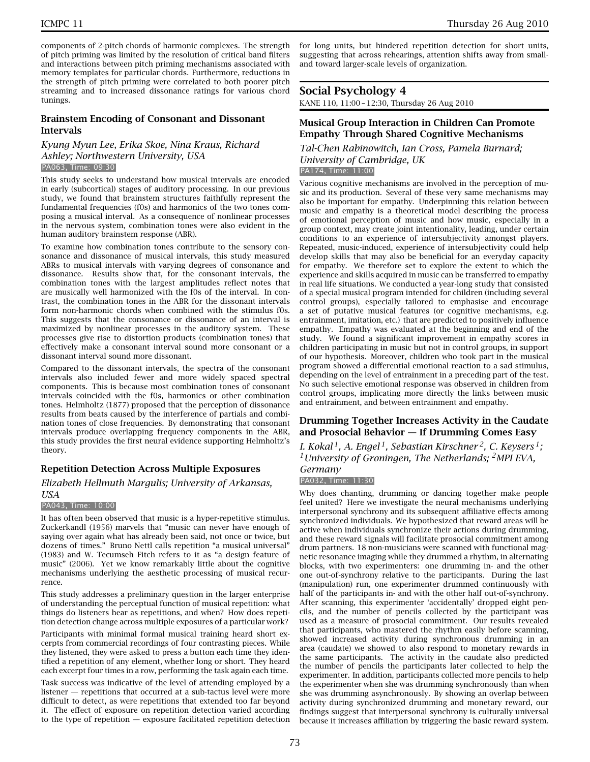components of 2-pitch chords of harmonic complexes. The strength of pitch priming was limited by the resolution of critical band filters and interactions between pitch priming mechanisms associated with memory templates for particular chords. Furthermore, reductions in the strength of pitch priming were correlated to both poorer pitch streaming and to increased dissonance ratings for various chord tunings.

# **Brainstem Encoding of Consonant and Dissonant Intervals**

#### *Kyung Myun Lee, Erika Skoe, Nina Kraus, Richard Ashley; Northwestern University, USA* PA063, Time: 09:30

This study seeks to understand how musical intervals are encoded in early (subcortical) stages of auditory processing. In our previous study, we found that brainstem structures faithfully represent the fundamental frequencies (f0s) and harmonics of the two tones composing a musical interval. As a consequence of nonlinear processes in the nervous system, combination tones were also evident in the human auditory brainstem response (ABR).

To examine how combination tones contribute to the sensory consonance and dissonance of musical intervals, this study measured ABRs to musical intervals with varying degrees of consonance and dissonance. Results show that, for the consonant intervals, the combination tones with the largest amplitudes reflect notes that are musically well harmonized with the f0s of the interval. In contrast, the combination tones in the ABR for the dissonant intervals form non-harmonic chords when combined with the stimulus f0s. This suggests that the consonance or dissonance of an interval is maximized by nonlinear processes in the auditory system. These processes give rise to distortion products (combination tones) that effectively make a consonant interval sound more consonant or a dissonant interval sound more dissonant.

Compared to the dissonant intervals, the spectra of the consonant intervals also included fewer and more widely spaced spectral components. This is because most combination tones of consonant intervals coincided with the f0s, harmonics or other combination tones. Helmholtz (1877) proposed that the perception of dissonance results from beats caused by the interference of partials and combination tones of close frequencies. By demonstrating that consonant intervals produce overlapping frequency components in the ABR, this study provides the first neural evidence supporting Helmholtz's theory.

# **Repetition Detection Across Multiple Exposures**

*Elizabeth Hellmuth Margulis; University of Arkansas,*

#### *USA*

#### PA043, Time: 10:00

It has often been observed that music is a hyper-repetitive stimulus. Zuckerkandl (1956) marvels that "music can never have enough of saying over again what has already been said, not once or twice, but dozens of times." Bruno Nettl calls repetition "a musical universal" (1983) and W. Tecumseh Fitch refers to it as "a design feature of music" (2006). Yet we know remarkably little about the cognitive mechanisms underlying the aesthetic processing of musical recurrence.

This study addresses a preliminary question in the larger enterprise of understanding the perceptual function of musical repetition: what things do listeners hear as repetitions, and when? How does repetition detection change across multiple exposures of a particular work?

Participants with minimal formal musical training heard short excerpts from commercial recordings of four contrasting pieces. While they listened, they were asked to press a button each time they identified a repetition of any element, whether long or short. They heard each excerpt four times in a row, performing the task again each time.

Task success was indicative of the level of attending employed by a listener — repetitions that occurred at a sub-tactus level were more difficult to detect, as were repetitions that extended too far beyond it. The effect of exposure on repetition detection varied according to the type of repetition — exposure facilitated repetition detection

for long units, but hindered repetition detection for short units, suggesting that across rehearings, attention shifts away from smalland toward larger-scale levels of organization.

# **Social Psychology 4**

KANE 110, 11:00 – 12:30, Thursday 26 Aug 2010

# **Musical Group Interaction in Children Can Promote Empathy Through Shared Cognitive Mechanisms**

*Tal-Chen Rabinowitch, Ian Cross, Pamela Burnard; University of Cambridge, UK* PA174, Time: 11:00

Various cognitive mechanisms are involved in the perception of music and its production. Several of these very same mechanisms may also be important for empathy. Underpinning this relation between music and empathy is a theoretical model describing the process of emotional perception of music and how music, especially in a group context, may create joint intentionality, leading, under certain conditions to an experience of intersubjectivity amongst players. Repeated, music-induced, experience of intersubjectivity could help develop skills that may also be beneficial for an everyday capacity for empathy. We therefore set to explore the extent to which the experience and skills acquired in music can be transferred to empathy in real life situations. We conducted a year-long study that consisted of a special musical program intended for children (including several control groups), especially tailored to emphasise and encourage a set of putative musical features (or cognitive mechanisms, e.g. entrainment, imitation, etc.) that are predicted to positively influence empathy. Empathy was evaluated at the beginning and end of the study. We found a significant improvement in empathy scores in children participating in music but not in control groups, in support of our hypothesis. Moreover, children who took part in the musical program showed a differential emotional reaction to a sad stimulus, depending on the level of entrainment in a preceding part of the test. No such selective emotional response was observed in children from control groups, implicating more directly the links between music and entrainment, and between entrainment and empathy.

# **Drumming Together Increases Activity in the Caudate and Prosocial Behavior — If Drumming Comes Easy**

*I. Kokal 1, A. Engel 1, Sebastian Kirschner 2, C. Keysers 1; 1University of Groningen, The Netherlands; 2MPI EVA, Germany*

#### PA032, Time: 11:30

Why does chanting, drumming or dancing together make people feel united? Here we investigate the neural mechanisms underlying interpersonal synchrony and its subsequent affiliative effects among synchronized individuals. We hypothesized that reward areas will be active when individuals synchronize their actions during drumming, and these reward signals will facilitate prosocial commitment among drum partners. 18 non-musicians were scanned with functional magnetic resonance imaging while they drummed a rhythm, in alternating blocks, with two experimenters: one drumming in- and the other one out-of-synchrony relative to the participants. During the last (manipulation) run, one experimenter drummed continuously with half of the participants in- and with the other half out-of-synchrony. After scanning, this experimenter 'accidentally' dropped eight pencils, and the number of pencils collected by the participant was used as a measure of prosocial commitment. Our results revealed that participants, who mastered the rhythm easily before scanning, showed increased activity during synchronous drumming in an area (caudate) we showed to also respond to monetary rewards in the same participants. The activity in the caudate also predicted the number of pencils the participants later collected to help the experimenter. In addition, participants collected more pencils to help the experimenter when she was drumming synchronously than when she was drumming asynchronously. By showing an overlap between activity during synchronized drumming and monetary reward, our findings suggest that interpersonal synchrony is culturally universal because it increases affiliation by triggering the basic reward system.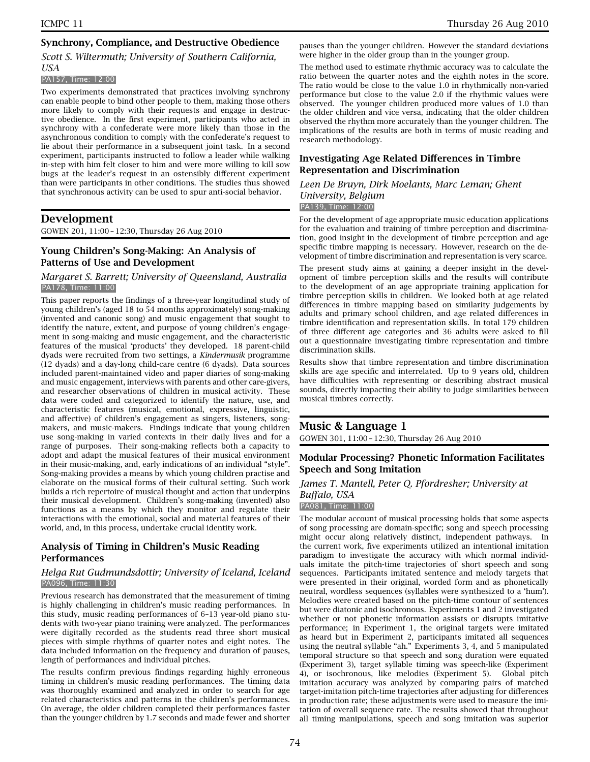# **Synchrony, Compliance, and Destructive Obedience**

# *Scott S. Wiltermuth; University of Southern California, USA*

#### PA157, Time: 12:00

Two experiments demonstrated that practices involving synchrony can enable people to bind other people to them, making those others more likely to comply with their requests and engage in destructive obedience. In the first experiment, participants who acted in synchrony with a confederate were more likely than those in the asynchronous condition to comply with the confederate's request to lie about their performance in a subsequent joint task. In a second experiment, participants instructed to follow a leader while walking in-step with him felt closer to him and were more willing to kill sow bugs at the leader's request in an ostensibly different experiment than were participants in other conditions. The studies thus showed that synchronous activity can be used to spur anti-social behavior.

# **Development**

GOWEN 201, 11:00 – 12:30, Thursday 26 Aug 2010

# **Young Children's Song-Making: An Analysis of Patterns of Use and Development**

#### *Margaret S. Barrett; University of Queensland, Australia* PA178, Time: 11:00

This paper reports the findings of a three-year longitudinal study of young children's (aged 18 to 54 months approximately) song-making (invented and canonic song) and music engagement that sought to identify the nature, extent, and purpose of young children's engagement in song-making and music engagement, and the characteristic features of the musical 'products' they developed. 18 parent-child dyads were recruited from two settings, a *Kindermusik* programme (12 dyads) and a day-long child-care centre (6 dyads). Data sources included parent-maintained video and paper diaries of song-making and music engagement, interviews with parents and other care-givers, and researcher observations of children in musical activity. These data were coded and categorized to identify the nature, use, and characteristic features (musical, emotional, expressive, linguistic, and affective) of children's engagement as singers, listeners, songmakers, and music-makers. Findings indicate that young children use song-making in varied contexts in their daily lives and for a range of purposes. Their song-making reflects both a capacity to adopt and adapt the musical features of their musical environment in their music-making, and, early indications of an individual "style". Song-making provides a means by which young children practise and elaborate on the musical forms of their cultural setting. Such work builds a rich repertoire of musical thought and action that underpins their musical development. Children's song-making (invented) also functions as a means by which they monitor and regulate their interactions with the emotional, social and material features of their world, and, in this process, undertake crucial identity work.

# **Analysis of Timing in Children's Music Reading Performances**

#### *Helga Rut Gudmundsdottir; University of Iceland, Iceland* PA096, Time: 11:30

Previous research has demonstrated that the measurement of timing is highly challenging in children's music reading performances. In this study, music reading performances of 6–13 year-old piano students with two-year piano training were analyzed. The performances were digitally recorded as the students read three short musical pieces with simple rhythms of quarter notes and eight notes. The data included information on the frequency and duration of pauses, length of performances and individual pitches.

The results confirm previous findings regarding highly erroneous timing in children's music reading performances. The timing data was thoroughly examined and analyzed in order to search for age related characteristics and patterns in the children's performances. On average, the older children completed their performances faster than the younger children by 1.7 seconds and made fewer and shorter

pauses than the younger children. However the standard deviations were higher in the older group than in the younger group.

The method used to estimate rhythmic accuracy was to calculate the ratio between the quarter notes and the eighth notes in the score. The ratio would be close to the value 1.0 in rhythmically non-varied performance but close to the value 2.0 if the rhythmic values were observed. The younger children produced more values of 1.0 than the older children and vice versa, indicating that the older children observed the rhythm more accurately than the younger children. The implications of the results are both in terms of music reading and research methodology.

# **Investigating Age Related Differences in Timbre Representation and Discrimination**

#### *Leen De Bruyn, Dirk Moelants, Marc Leman; Ghent University, Belgium* PA139, Time: 12:00

For the development of age appropriate music education applications for the evaluation and training of timbre perception and discrimination, good insight in the development of timbre perception and age specific timbre mapping is necessary. However, research on the development of timbre discrimination and representation is very scarce.

The present study aims at gaining a deeper insight in the development of timbre perception skills and the results will contribute to the development of an age appropriate training application for timbre perception skills in children. We looked both at age related differences in timbre mapping based on similarity judgements by adults and primary school children, and age related differences in timbre identification and representation skills. In total 179 children of three different age categories and 36 adults were asked to fill out a questionnaire investigating timbre representation and timbre discrimination skills.

Results show that timbre representation and timbre discrimination skills are age specific and interrelated. Up to 9 years old, children have difficulties with representing or describing abstract musical sounds, directly impacting their ability to judge similarities between musical timbres correctly.

# **Music & Language 1**

GOWEN 301, 11:00 – 12:30, Thursday 26 Aug 2010

# **Modular Processing? Phonetic Information Facilitates Speech and Song Imitation**

#### *James T. Mantell, Peter Q. Pfordresher; University at Buffalo, USA* PA081, Time: 11:00

The modular account of musical processing holds that some aspects of song processing are domain-specific; song and speech processing might occur along relatively distinct, independent pathways. In the current work, five experiments utilized an intentional imitation paradigm to investigate the accuracy with which normal individuals imitate the pitch-time trajectories of short speech and song sequences. Participants imitated sentence and melody targets that were presented in their original, worded form and as phonetically neutral, wordless sequences (syllables were synthesized to a 'hum'). Melodies were created based on the pitch-time contour of sentences but were diatonic and isochronous. Experiments 1 and 2 investigated whether or not phonetic information assists or disrupts imitative performance; in Experiment 1, the original targets were imitated as heard but in Experiment 2, participants imitated all sequences using the neutral syllable "ah." Experiments 3, 4, and 5 manipulated temporal structure so that speech and song duration were equated (Experiment 3), target syllable timing was speech-like (Experiment 4), or isochronous, like melodies (Experiment 5). Global pitch imitation accuracy was analyzed by comparing pairs of matched target-imitation pitch-time trajectories after adjusting for differences in production rate; these adjustments were used to measure the imitation of overall sequence rate. The results showed that throughout all timing manipulations, speech and song imitation was superior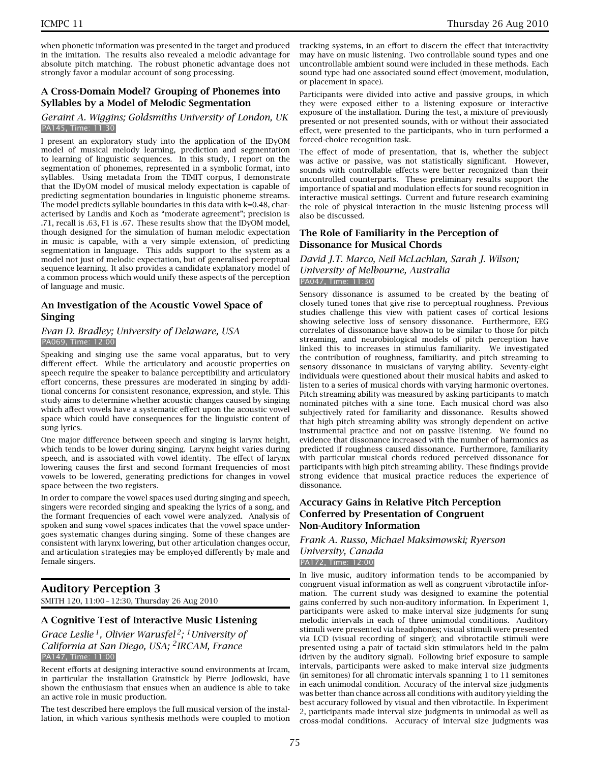when phonetic information was presented in the target and produced in the imitation. The results also revealed a melodic advantage for absolute pitch matching. The robust phonetic advantage does not strongly favor a modular account of song processing.

### **A Cross-Domain Model? Grouping of Phonemes into Syllables by a Model of Melodic Segmentation**

#### *Geraint A. Wiggins; Goldsmiths University of London, UK* PA145, Time: 11:30

I present an exploratory study into the application of the IDyOM model of musical melody learning, prediction and segmentation to learning of linguistic sequences. In this study, I report on the segmentation of phonemes, represented in a symbolic format, into syllables. Using metadata from the TIMIT corpus, I demonstrate that the IDyOM model of musical melody expectation is capable of predicting segmentation boundaries in linguistic phoneme streams. The model predicts syllable boundaries in this data with k=0.48, characterised by Landis and Koch as "moderate agreement"; precision is .71, recall is .63, F1 is .67. These results show that the IDyOM model, though designed for the simulation of human melodic expectation in music is capable, with a very simple extension, of predicting segmentation in language. This adds support to the system as a model not just of melodic expectation, but of generalised perceptual sequence learning. It also provides a candidate explanatory model of a common process which would unify these aspects of the perception of language and music.

### **An Investigation of the Acoustic Vowel Space of Singing**

#### *Evan D. Bradley; University of Delaware, USA* PA069, Time: 12:00

Speaking and singing use the same vocal apparatus, but to very different effect. While the articulatory and acoustic properties on speech require the speaker to balance perceptibility and articulatory effort concerns, these pressures are moderated in singing by additional concerns for consistent resonance, expression, and style. This study aims to determine whether acoustic changes caused by singing which affect vowels have a systematic effect upon the acoustic vowel space which could have consequences for the linguistic content of sung lyrics.

One major difference between speech and singing is larynx height, which tends to be lower during singing. Larynx height varies during speech, and is associated with vowel identity. The effect of larynx lowering causes the first and second formant frequencies of most vowels to be lowered, generating predictions for changes in vowel space between the two registers.

In order to compare the vowel spaces used during singing and speech, singers were recorded singing and speaking the lyrics of a song, and the formant frequencies of each vowel were analyzed. Analysis of spoken and sung vowel spaces indicates that the vowel space undergoes systematic changes during singing. Some of these changes are consistent with larynx lowering, but other articulation changes occur, and articulation strategies may be employed differently by male and female singers.

# **Auditory Perception 3**

SMITH 120, 11:00 – 12:30, Thursday 26 Aug 2010

### **A Cognitive Test of Interactive Music Listening**

*Grace Leslie 1, Olivier Warusfel 2; 1University of California at San Diego, USA; 2IRCAM, France* PA147, Time: 11:00

Recent efforts at designing interactive sound environments at Ircam, in particular the installation Grainstick by Pierre Jodlowski, have shown the enthusiasm that ensues when an audience is able to take an active role in music production.

The test described here employs the full musical version of the installation, in which various synthesis methods were coupled to motion tracking systems, in an effort to discern the effect that interactivity may have on music listening. Two controllable sound types and one uncontrollable ambient sound were included in these methods. Each sound type had one associated sound effect (movement, modulation, or placement in space).

Participants were divided into active and passive groups, in which they were exposed either to a listening exposure or interactive exposure of the installation. During the test, a mixture of previously presented or not presented sounds, with or without their associated effect, were presented to the participants, who in turn performed a forced-choice recognition task.

The effect of mode of presentation, that is, whether the subject was active or passive, was not statistically significant. However, sounds with controllable effects were better recognized than their uncontrolled counterparts. These preliminary results support the importance of spatial and modulation effects for sound recognition in interactive musical settings. Current and future research examining the role of physical interaction in the music listening process will also be discussed.

### **The Role of Familiarity in the Perception of Dissonance for Musical Chords**

### *David J.T. Marco, Neil McLachlan, Sarah J. Wilson; University of Melbourne, Australia* PA047, Time: 11:30

Sensory dissonance is assumed to be created by the beating of closely tuned tones that give rise to perceptual roughness. Previous studies challenge this view with patient cases of cortical lesions showing selective loss of sensory dissonance. Furthermore, EEG correlates of dissonance have shown to be similar to those for pitch streaming, and neurobiological models of pitch perception have linked this to increases in stimulus familiarity. We investigated the contribution of roughness, familiarity, and pitch streaming to sensory dissonance in musicians of varying ability. Seventy-eight individuals were questioned about their musical habits and asked to listen to a series of musical chords with varying harmonic overtones. Pitch streaming ability was measured by asking participants to match nominated pitches with a sine tone. Each musical chord was also subjectively rated for familiarity and dissonance. Results showed that high pitch streaming ability was strongly dependent on active instrumental practice and not on passive listening. We found no evidence that dissonance increased with the number of harmonics as predicted if roughness caused dissonance. Furthermore, familiarity with particular musical chords reduced perceived dissonance for participants with high pitch streaming ability. These findings provide strong evidence that musical practice reduces the experience of dissonance.

### **Accuracy Gains in Relative Pitch Perception Conferred by Presentation of Congruent Non-Auditory Information**

#### *Frank A. Russo, Michael Maksimowski; Ryerson University, Canada* PA172, Time: 12:00

In live music, auditory information tends to be accompanied by congruent visual information as well as congruent vibrotactile information. The current study was designed to examine the potential gains conferred by such non-auditory information. In Experiment 1, participants were asked to make interval size judgments for sung melodic intervals in each of three unimodal conditions. Auditory stimuli were presented via headphones; visual stimuli were presented via LCD (visual recording of singer); and vibrotactile stimuli were presented using a pair of tactaid skin stimulators held in the palm (driven by the auditory signal). Following brief exposure to sample intervals, participants were asked to make interval size judgments (in semitones) for all chromatic intervals spanning 1 to 11 semitones in each unimodal condition. Accuracy of the interval size judgments was better than chance across all conditions with auditory yielding the best accuracy followed by visual and then vibrotactile. In Experiment 2, participants made interval size judgments in unimodal as well as cross-modal conditions. Accuracy of interval size judgments was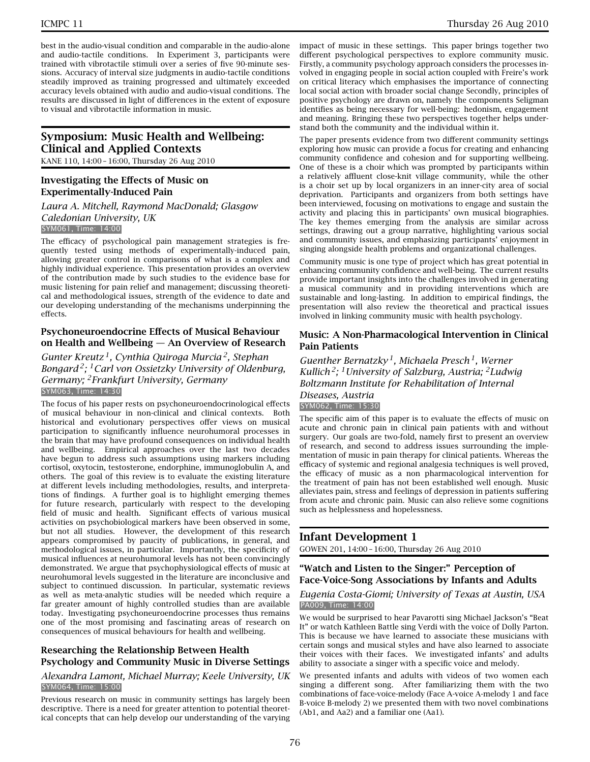best in the audio-visual condition and comparable in the audio-alone and audio-tactile conditions. In Experiment 3, participants were trained with vibrotactile stimuli over a series of five 90-minute sessions. Accuracy of interval size judgments in audio-tactile conditions steadily improved as training progressed and ultimately exceeded accuracy levels obtained with audio and audio-visual conditions. The results are discussed in light of differences in the extent of exposure to visual and vibrotactile information in music.

# **Symposium: Music Health and Wellbeing: Clinical and Applied Contexts**

KANE 110, 14:00 – 16:00, Thursday 26 Aug 2010

### **Investigating the Effects of Music on Experimentally-Induced Pain**

# *Laura A. Mitchell, Raymond MacDonald; Glasgow Caledonian University, UK*

#### SYM061, Time: 14:00

The efficacy of psychological pain management strategies is frequently tested using methods of experimentally-induced pain, allowing greater control in comparisons of what is a complex and highly individual experience. This presentation provides an overview of the contribution made by such studies to the evidence base for music listening for pain relief and management; discussing theoretical and methodological issues, strength of the evidence to date and our developing understanding of the mechanisms underpinning the effects.

### **Psychoneuroendocrine Effects of Musical Behaviour on Health and Wellbeing — An Overview of Research**

*Gunter Kreutz 1, Cynthia Quiroga Murcia 2, Stephan Bongard 2; 1Carl von Ossietzky University of Oldenburg, Germany; 2Frankfurt University, Germany* SYM063, Time: 14:30

The focus of his paper rests on psychoneuroendocrinological effects of musical behaviour in non-clinical and clinical contexts. Both historical and evolutionary perspectives offer views on musical participation to significantly influence neurohumoral processes in the brain that may have profound consequences on individual health and wellbeing. Empirical approaches over the last two decades have begun to address such assumptions using markers including cortisol, oxytocin, testosterone, endorphine, immunoglobulin A, and others. The goal of this review is to evaluate the existing literature at different levels including methodologies, results, and interpretations of findings. A further goal is to highlight emerging themes for future research, particularly with respect to the developing field of music and health. Significant effects of various musical activities on psychobiological markers have been observed in some, but not all studies. However, the development of this research appears compromised by paucity of publications, in general, and methodological issues, in particular. Importantly, the specificity of musical influences at neurohumoral levels has not been convincingly demonstrated. We argue that psychophysiological effects of music at neurohumoral levels suggested in the literature are inconclusive and subject to continued discussion. In particular, systematic reviews as well as meta-analytic studies will be needed which require a far greater amount of highly controlled studies than are available today. Investigating psychoneuroendocrine processes thus remains one of the most promising and fascinating areas of research on consequences of musical behaviours for health and wellbeing.

### **Researching the Relationship Between Health Psychology and Community Music in Diverse Settings**

### *Alexandra Lamont, Michael Murray; Keele University, UK* SYM064, Time: 15:00

Previous research on music in community settings has largely been descriptive. There is a need for greater attention to potential theoretical concepts that can help develop our understanding of the varying

impact of music in these settings. This paper brings together two different psychological perspectives to explore community music. Firstly, a community psychology approach considers the processes involved in engaging people in social action coupled with Freire's work on critical literacy which emphasises the importance of connecting local social action with broader social change Secondly, principles of positive psychology are drawn on, namely the components Seligman identifies as being necessary for well-being: hedonism, engagement and meaning. Bringing these two perspectives together helps understand both the community and the individual within it.

The paper presents evidence from two different community settings exploring how music can provide a focus for creating and enhancing community confidence and cohesion and for supporting wellbeing. One of these is a choir which was prompted by participants within a relatively affluent close-knit village community, while the other is a choir set up by local organizers in an inner-city area of social deprivation. Participants and organizers from both settings have been interviewed, focusing on motivations to engage and sustain the activity and placing this in participants' own musical biographies. The key themes emerging from the analysis are similar across settings, drawing out a group narrative, highlighting various social and community issues, and emphasizing participants' enjoyment in singing alongside health problems and organizational challenges.

Community music is one type of project which has great potential in enhancing community confidence and well-being. The current results provide important insights into the challenges involved in generating a musical community and in providing interventions which are sustainable and long-lasting. In addition to empirical findings, the presentation will also review the theoretical and practical issues involved in linking community music with health psychology.

#### **Music: A Non-Pharmacological Intervention in Clinical Pain Patients**

*Guenther Bernatzky 1, Michaela Presch 1, Werner Kullich 2; 1University of Salzburg, Austria; 2Ludwig Boltzmann Institute for Rehabilitation of Internal Diseases, Austria* SYM062, Time: 15:30

The specific aim of this paper is to evaluate the effects of music on acute and chronic pain in clinical pain patients with and without surgery. Our goals are two-fold, namely first to present an overview of research, and second to address issues surrounding the implementation of music in pain therapy for clinical patients. Whereas the efficacy of systemic and regional analgesia techniques is well proved, the efficacy of music as a non pharmacological intervention for the treatment of pain has not been established well enough. Music alleviates pain, stress and feelings of depression in patients suffering from acute and chronic pain. Music can also relieve some cognitions such as helplessness and hopelessness.

# **Infant Development 1**

GOWEN 201, 14:00 – 16:00, Thursday 26 Aug 2010

### **"Watch and Listen to the Singer:" Perception of Face-Voice-Song Associations by Infants and Adults**

### *Eugenia Costa-Giomi; University of Texas at Austin, USA* PA009, Time: 14:00

We would be surprised to hear Pavarotti sing Michael Jackson's "Beat It" or watch Kathleen Battle sing Verdi with the voice of Dolly Parton. This is because we have learned to associate these musicians with certain songs and musical styles and have also learned to associate their voices with their faces. We investigated infants' and adults ability to associate a singer with a specific voice and melody.

We presented infants and adults with videos of two women each singing a different song. After familiarizing them with the two combinations of face-voice-melody (Face A-voice A-melody 1 and face B-voice B-melody 2) we presented them with two novel combinations (Ab1, and Aa2) and a familiar one (Aa1).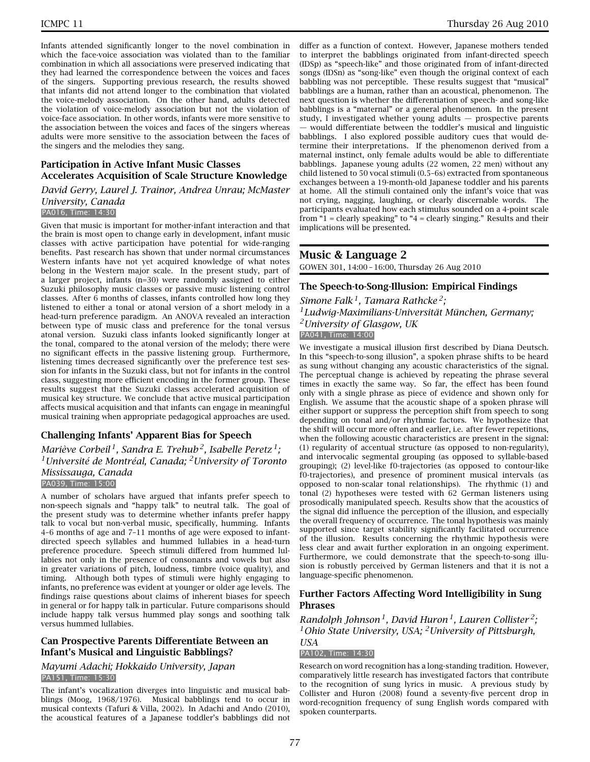Infants attended significantly longer to the novel combination in which the face-voice association was violated than to the familiar combination in which all associations were preserved indicating that they had learned the correspondence between the voices and faces of the singers. Supporting previous research, the results showed that infants did not attend longer to the combination that violated the voice-melody association. On the other hand, adults detected the violation of voice-melody association but not the violation of voice-face association. In other words, infants were more sensitive to the association between the voices and faces of the singers whereas adults were more sensitive to the association between the faces of the singers and the melodies they sang.

#### **Participation in Active Infant Music Classes Accelerates Acquisition of Scale Structure Knowledge**

#### *David Gerry, Laurel J. Trainor, Andrea Unrau; McMaster University, Canada* PA016, Time: 14:30

Given that music is important for mother-infant interaction and that the brain is most open to change early in development, infant music classes with active participation have potential for wide-ranging benefits. Past research has shown that under normal circumstances Western infants have not yet acquired knowledge of what notes belong in the Western major scale. In the present study, part of a larger project, infants (n=30) were randomly assigned to either Suzuki philosophy music classes or passive music listening control classes. After 6 months of classes, infants controlled how long they listened to either a tonal or atonal version of a short melody in a head-turn preference paradigm. An ANOVA revealed an interaction between type of music class and preference for the tonal versus atonal version. Suzuki class infants looked significantly longer at the tonal, compared to the atonal version of the melody; there were no significant effects in the passive listening group. Furthermore, listening times decreased significantly over the preference test session for infants in the Suzuki class, but not for infants in the control class, suggesting more efficient encoding in the former group. These results suggest that the Suzuki classes accelerated acquisition of musical key structure. We conclude that active musical participation affects musical acquisition and that infants can engage in meaningful musical training when appropriate pedagogical approaches are used.

### **Challenging Infants' Apparent Bias for Speech**

*Mariève Corbeil 1, Sandra E. Trehub 2, Isabelle Peretz 1; 1Université de Montréal, Canada; 2University of Toronto Mississauga, Canada* PA039, Time: 15:00

A number of scholars have argued that infants prefer speech to non-speech signals and "happy talk" to neutral talk. The goal of the present study was to determine whether infants prefer happy talk to vocal but non-verbal music, specifically, humming. Infants 4–6 months of age and 7–11 months of age were exposed to infantdirected speech syllables and hummed lullabies in a head-turn preference procedure. Speech stimuli differed from hummed lullabies not only in the presence of consonants and vowels but also in greater variations of pitch, loudness, timbre (voice quality), and timing. Although both types of stimuli were highly engaging to infants, no preference was evident at younger or older age levels. The findings raise questions about claims of inherent biases for speech in general or for happy talk in particular. Future comparisons should include happy talk versus hummed play songs and soothing talk versus hummed lullabies.

### **Can Prospective Parents Differentiate Between an Infant's Musical and Linguistic Babblings?**

#### *Mayumi Adachi; Hokkaido University, Japan* PA151, Time: 15:30

The infant's vocalization diverges into linguistic and musical babblings (Moog, 1968/1976). Musical babblings tend to occur in musical contexts (Tafuri & Villa, 2002). In Adachi and Ando (2010), the acoustical features of a Japanese toddler's babblings did not

differ as a function of context. However, Japanese mothers tended to interpret the babblings originated from infant-directed speech (IDSp) as "speech-like" and those originated from of infant-directed songs (IDSn) as "song-like" even though the original context of each babbling was not perceptible. These results suggest that "musical" babblings are a human, rather than an acoustical, phenomenon. The next question is whether the differentiation of speech- and song-like babblings is a "maternal" or a general phenomenon. In the present study, I investigated whether young adults — prospective parents — would differentiate between the toddler's musical and linguistic babblings. I also explored possible auditory cues that would determine their interpretations. If the phenomenon derived from a maternal instinct, only female adults would be able to differentiate babblings. Japanese young adults (22 women, 22 men) without any child listened to 50 vocal stimuli (0.5–6s) extracted from spontaneous exchanges between a 19-month-old Japanese toddler and his parents at home. All the stimuli contained only the infant's voice that was not crying, nagging, laughing, or clearly discernable words. The participants evaluated how each stimulus sounded on a 4-point scale from " $1$  = clearly speaking" to " $4$  = clearly singing." Results and their implications will be presented.

### **Music & Language 2**

GOWEN 301, 14:00 – 16:00, Thursday 26 Aug 2010

### **The Speech-to-Song-Illusion: Empirical Findings**

*Simone Falk 1, Tamara Rathcke 2; 1Ludwig-Maximilians-Universität München, Germany; 2University of Glasgow, UK* PA041, Time: 14:00

We investigate a musical illusion first described by Diana Deutsch. In this "speech-to-song illusion", a spoken phrase shifts to be heard as sung without changing any acoustic characteristics of the signal. The perceptual change is achieved by repeating the phrase several times in exactly the same way. So far, the effect has been found only with a single phrase as piece of evidence and shown only for English. We assume that the acoustic shape of a spoken phrase will either support or suppress the perception shift from speech to song depending on tonal and/or rhythmic factors. We hypothesize that the shift will occur more often and earlier, i.e. after fewer repetitions, when the following acoustic characteristics are present in the signal: (1) regularity of accentual structure (as opposed to non-regularity), and intervocalic segmental grouping (as opposed to syllable-based grouping); (2) level-like f0-trajectories (as opposed to contour-like f0-trajectories), and presence of prominent musical intervals (as opposed to non-scalar tonal relationships). The rhythmic (1) and tonal (2) hypotheses were tested with 62 German listeners using prosodically manipulated speech. Results show that the acoustics of the signal did influence the perception of the illusion, and especially the overall frequency of occurrence. The tonal hypothesis was mainly supported since target stability significantly facilitated occurrence of the illusion. Results concerning the rhythmic hypothesis were less clear and await further exploration in an ongoing experiment. Furthermore, we could demonstrate that the speech-to-song illusion is robustly perceived by German listeners and that it is not a language-specific phenomenon.

### **Further Factors Affecting Word Intelligibility in Sung Phrases**

*Randolph Johnson 1, David Huron 1, Lauren Collister 2; 1Ohio State University, USA; 2University of Pittsburgh, USA*

# PA102, Time: 14:30

Research on word recognition has a long-standing tradition. However, comparatively little research has investigated factors that contribute to the recognition of sung lyrics in music. A previous study by Collister and Huron (2008) found a seventy-five percent drop in word-recognition frequency of sung English words compared with spoken counterparts.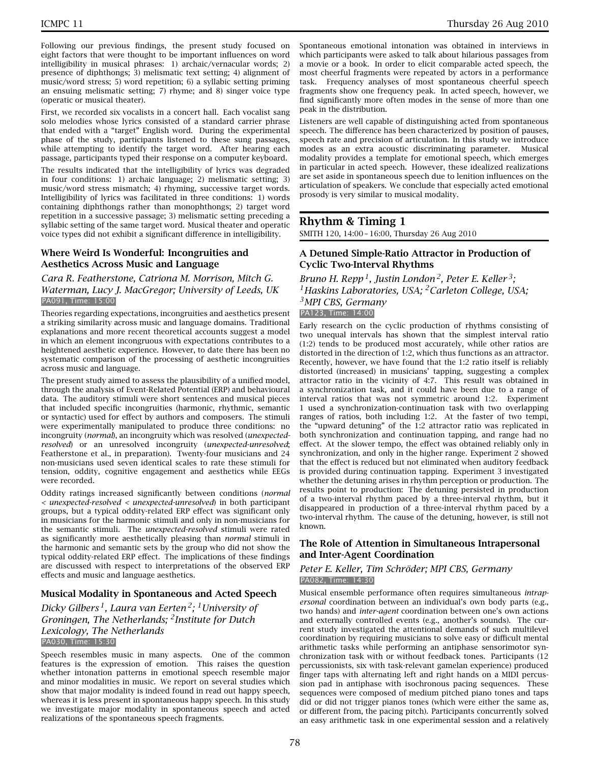Following our previous findings, the present study focused on eight factors that were thought to be important influences on word intelligibility in musical phrases: 1) archaic/vernacular words; 2) presence of diphthongs; 3) melismatic text setting; 4) alignment of music/word stress; 5) word repetition; 6) a syllabic setting priming an ensuing melismatic setting; 7) rhyme; and 8) singer voice type (operatic or musical theater).

First, we recorded six vocalists in a concert hall. Each vocalist sang solo melodies whose lyrics consisted of a standard carrier phrase that ended with a "target" English word. During the experimental phase of the study, participants listened to these sung passages, while attempting to identify the target word. After hearing each passage, participants typed their response on a computer keyboard.

The results indicated that the intelligibility of lyrics was degraded in four conditions: 1) archaic language; 2) melismatic setting; 3) music/word stress mismatch; 4) rhyming, successive target words. Intelligibility of lyrics was facilitated in three conditions: 1) words containing diphthongs rather than monophthongs; 2) target word repetition in a successive passage; 3) melismatic setting preceding a syllabic setting of the same target word. Musical theater and operatic voice types did not exhibit a significant difference in intelligibility.

#### **Where Weird Is Wonderful: Incongruities and Aesthetics Across Music and Language**

#### *Cara R. Featherstone, Catriona M. Morrison, Mitch G. Waterman, Lucy J. MacGregor; University of Leeds, UK* PA091, Time: 15:00

Theories regarding expectations, incongruities and aesthetics present a striking similarity across music and language domains. Traditional explanations and more recent theoretical accounts suggest a model in which an element incongruous with expectations contributes to a heightened aesthetic experience. However, to date there has been no systematic comparison of the processing of aesthetic incongruities across music and language.

The present study aimed to assess the plausibility of a unified model, through the analysis of Event-Related Potential (ERP) and behavioural data. The auditory stimuli were short sentences and musical pieces that included specific incongruities (harmonic, rhythmic, semantic or syntactic) used for effect by authors and composers. The stimuli were experimentally manipulated to produce three conditions: no incongruity (*normal*), an incongruity which was resolved (*unexpectedresolved*) or an unresolved incongruity (*unexpected-unresolved*; Featherstone et al., in preparation). Twenty-four musicians and 24 non-musicians used seven identical scales to rate these stimuli for tension, oddity, cognitive engagement and aesthetics while EEGs were recorded.

Oddity ratings increased significantly between conditions (*normal < unexpected-resolved < unexpected-unresolved*) in both participant groups, but a typical oddity-related ERP effect was significant only in musicians for the harmonic stimuli and only in non-musicians for the semantic stimuli. The *unexpected-resolved* stimuli were rated as significantly more aesthetically pleasing than *normal* stimuli in the harmonic and semantic sets by the group who did not show the typical oddity-related ERP effect. The implications of these findings are discussed with respect to interpretations of the observed ERP effects and music and language aesthetics.

### **Musical Modality in Spontaneous and Acted Speech**

*Dicky Gilbers 1, Laura van Eerten 2; 1University of Groningen, The Netherlands; 2Institute for Dutch Lexicology, The Netherlands* PA030, Time: 15:30

Speech resembles music in many aspects. One of the common features is the expression of emotion. This raises the question whether intonation patterns in emotional speech resemble major and minor modalities in music. We report on several studies which show that major modality is indeed found in read out happy speech, whereas it is less present in spontaneous happy speech. In this study we investigate major modality in spontaneous speech and acted realizations of the spontaneous speech fragments.

Spontaneous emotional intonation was obtained in interviews in which participants were asked to talk about hilarious passages from a movie or a book. In order to elicit comparable acted speech, the most cheerful fragments were repeated by actors in a performance task. Frequency analyses of most spontaneous cheerful speech fragments show one frequency peak. In acted speech, however, we find significantly more often modes in the sense of more than one peak in the distribution.

Listeners are well capable of distinguishing acted from spontaneous speech. The difference has been characterized by position of pauses, speech rate and precision of articulation. In this study we introduce modes as an extra acoustic discriminating parameter. Musical modality provides a template for emotional speech, which emerges in particular in acted speech. However, these idealized realizations are set aside in spontaneous speech due to lenition influences on the articulation of speakers. We conclude that especially acted emotional prosody is very similar to musical modality.

# **Rhythm & Timing 1**

SMITH 120, 14:00 – 16:00, Thursday 26 Aug 2010

### **A Detuned Simple-Ratio Attractor in Production of Cyclic Two-Interval Rhythms**

*Bruno H. Repp 1, Justin London 2, Peter E. Keller 3; 1Haskins Laboratories, USA; 2Carleton College, USA; 3MPI CBS, Germany* PA123, Time: 14:00

Early research on the cyclic production of rhythms consisting of two unequal intervals has shown that the simplest interval ratio (1:2) tends to be produced most accurately, while other ratios are distorted in the direction of 1:2, which thus functions as an attractor. Recently, however, we have found that the 1:2 ratio itself is reliably distorted (increased) in musicians' tapping, suggesting a complex attractor ratio in the vicinity of 4:7. This result was obtained in a synchronization task, and it could have been due to a range of interval ratios that was not symmetric around 1:2. Experiment 1 used a synchronization-continuation task with two overlapping ranges of ratios, both including 1:2. At the faster of two tempi, the "upward detuning" of the 1:2 attractor ratio was replicated in both synchronization and continuation tapping, and range had no effect. At the slower tempo, the effect was obtained reliably only in synchronization, and only in the higher range. Experiment 2 showed that the effect is reduced but not eliminated when auditory feedback is provided during continuation tapping. Experiment 3 investigated whether the detuning arises in rhythm perception or production. The results point to production: The detuning persisted in production of a two-interval rhythm paced by a three-interval rhythm, but it disappeared in production of a three-interval rhythm paced by a two-interval rhythm. The cause of the detuning, however, is still not known.

### **The Role of Attention in Simultaneous Intrapersonal and Inter-Agent Coordination**

#### *Peter E. Keller, Tim Schröder; MPI CBS, Germany* PA082, Time: 14:30

Musical ensemble performance often requires simultaneous *intrapersonal* coordination between an individual's own body parts (e.g., two hands) and *inter-agent* coordination between one's own actions and externally controlled events (e.g., another's sounds). The current study investigated the attentional demands of such multilevel coordination by requiring musicians to solve easy or difficult mental arithmetic tasks while performing an antiphase sensorimotor synchronization task with or without feedback tones. Participants (12 percussionists, six with task-relevant gamelan experience) produced finger taps with alternating left and right hands on a MIDI percussion pad in antiphase with isochronous pacing sequences. These sequences were composed of medium pitched piano tones and taps did or did not trigger pianos tones (which were either the same as, or different from, the pacing pitch). Participants concurrently solved an easy arithmetic task in one experimental session and a relatively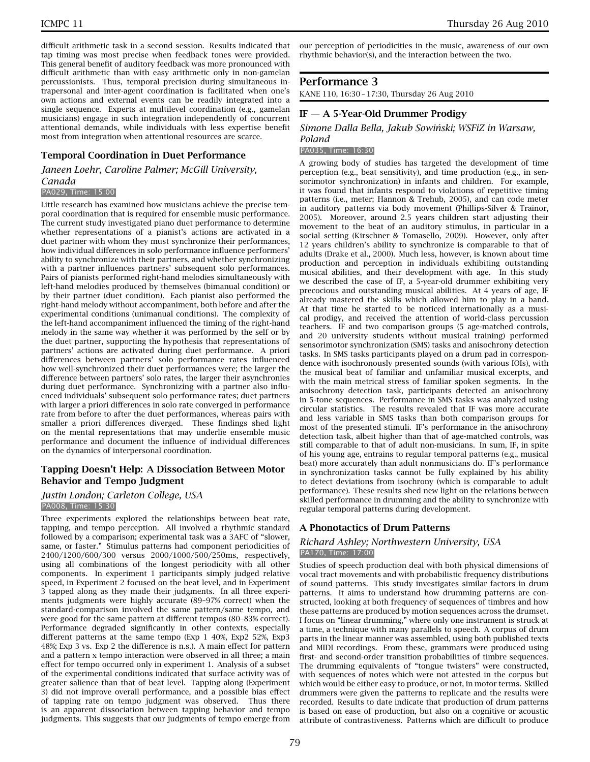difficult arithmetic task in a second session. Results indicated that tap timing was most precise when feedback tones were provided. This general benefit of auditory feedback was more pronounced with difficult arithmetic than with easy arithmetic only in non-gamelan percussionists. Thus, temporal precision during simultaneous intrapersonal and inter-agent coordination is facilitated when one's own actions and external events can be readily integrated into a single sequence. Experts at multilevel coordination (e.g., gamelan musicians) engage in such integration independently of concurrent attentional demands, while individuals with less expertise benefit most from integration when attentional resources are scarce.

#### **Temporal Coordination in Duet Performance**

*Janeen Loehr, Caroline Palmer; McGill University, Canada*

#### PA029, Time: 15:00

Little research has examined how musicians achieve the precise temporal coordination that is required for ensemble music performance. The current study investigated piano duet performance to determine whether representations of a pianist's actions are activated in a duet partner with whom they must synchronize their performances, how individual differences in solo performance influence performers' ability to synchronize with their partners, and whether synchronizing with a partner influences partners' subsequent solo performances. Pairs of pianists performed right-hand melodies simultaneously with left-hand melodies produced by themselves (bimanual condition) or by their partner (duet condition). Each pianist also performed the right-hand melody without accompaniment, both before and after the experimental conditions (unimanual conditions). The complexity of the left-hand accompaniment influenced the timing of the right-hand melody in the same way whether it was performed by the self or by the duet partner, supporting the hypothesis that representations of partners' actions are activated during duet performance. A priori differences between partners' solo performance rates influenced how well-synchronized their duet performances were; the larger the difference between partners' solo rates, the larger their asynchronies during duet performance. Synchronizing with a partner also influenced individuals' subsequent solo performance rates; duet partners with larger a priori differences in solo rate converged in performance rate from before to after the duet performances, whereas pairs with smaller a priori differences diverged. These findings shed light on the mental representations that may underlie ensemble music performance and document the influence of individual differences on the dynamics of interpersonal coordination.

### **Tapping Doesn't Help: A Dissociation Between Motor Behavior and Tempo Judgment**

#### *Justin London; Carleton College, USA* PA008, Time: 15:30

Three experiments explored the relationships between beat rate, tapping, and tempo perception. All involved a rhythmic standard followed by a comparison; experimental task was a 3AFC of "slower, same, or faster." Stimulus patterns had component periodicities of 2400/1200/600/300 versus 2000/1000/500/250ms, respectively, using all combinations of the longest periodicity with all other components. In experiment 1 participants simply judged relative speed, in Experiment 2 focused on the beat level, and in Experiment 3 tapped along as they made their judgments. In all three experiments judgments were highly accurate (89–97% correct) when the standard-comparison involved the same pattern/same tempo, and were good for the same pattern at different tempos (80–83% correct). Performance degraded significantly in other contexts, especially different patterns at the same tempo (Exp 1 40%, Exp2 52%, Exp3 48%; Exp 3 vs. Exp 2 the difference is n.s.). A main effect for pattern and a pattern x tempo interaction were observed in all three; a main effect for tempo occurred only in experiment 1. Analysis of a subset of the experimental conditions indicated that surface activity was of greater salience than that of beat level. Tapping along (Experiment 3) did not improve overall performance, and a possible bias effect of tapping rate on tempo judgment was observed. Thus there is an apparent dissociation between tapping behavior and tempo judgments. This suggests that our judgments of tempo emerge from

our perception of periodicities in the music, awareness of our own rhythmic behavior(s), and the interaction between the two.

### **Performance 3**

KANE 110, 16:30 – 17:30, Thursday 26 Aug 2010

### **IF — A 5-Year-Old Drummer Prodigy**

### *Simone Dalla Bella, Jakub Sowi´nski; WSFiZ in Warsaw, Poland*

PA035, Time: 16:30

A growing body of studies has targeted the development of time perception (e.g., beat sensitivity), and time production (e.g., in sensorimotor synchronization) in infants and children. For example, it was found that infants respond to violations of repetitive timing patterns (i.e., meter; Hannon & Trehub, 2005), and can code meter in auditory patterns via body movement (Phillips-Silver & Trainor, 2005). Moreover, around 2.5 years children start adjusting their movement to the beat of an auditory stimulus, in particular in a social setting (Kirschner & Tomasello, 2009). However, only after 12 years children's ability to synchronize is comparable to that of adults (Drake et al., 2000). Much less, however, is known about time production and perception in individuals exhibiting outstanding musical abilities, and their development with age. In this study we described the case of IF, a 5-year-old drummer exhibiting very precocious and outstanding musical abilities. At 4 years of age, IF already mastered the skills which allowed him to play in a band. At that time he started to be noticed internationally as a musical prodigy, and received the attention of world-class percussion teachers. IF and two comparison groups (5 age-matched controls, and 20 university students without musical training) performed sensorimotor synchronization (SMS) tasks and anisochrony detection tasks. In SMS tasks participants played on a drum pad in correspondence with isochronously presented sounds (with various IOIs), with the musical beat of familiar and unfamiliar musical excerpts, and with the main metrical stress of familiar spoken segments. In the anisochrony detection task, participants detected an anisochrony in 5-tone sequences. Performance in SMS tasks was analyzed using circular statistics. The results revealed that IF was more accurate and less variable in SMS tasks than both comparison groups for most of the presented stimuli. IF's performance in the anisochrony detection task, albeit higher than that of age-matched controls, was still comparable to that of adult non-musicians. In sum, IF, in spite of his young age, entrains to regular temporal patterns (e.g., musical beat) more accurately than adult nonmusicians do. IF's performance in synchronization tasks cannot be fully explained by his ability to detect deviations from isochrony (which is comparable to adult performance). These results shed new light on the relations between skilled performance in drumming and the ability to synchronize with regular temporal patterns during development.

#### **A Phonotactics of Drum Patterns**

#### *Richard Ashley; Northwestern University, USA* PA170, Time: 17:00

Studies of speech production deal with both physical dimensions of vocal tract movements and with probabilistic frequency distributions of sound patterns. This study investigates similar factors in drum patterns. It aims to understand how drumming patterns are constructed, looking at both frequency of sequences of timbres and how these patterns are produced by motion sequences across the drumset. I focus on "linear drumming," where only one instrument is struck at a time, a technique with many parallels to speech. A corpus of drum parts in the linear manner was assembled, using both published texts and MIDI recordings. From these, grammars were produced using first- and second-order transition probabilities of timbre sequences. The drumming equivalents of "tongue twisters" were constructed, with sequences of notes which were not attested in the corpus but which would be either easy to produce, or not, in motor terms. Skilled drummers were given the patterns to replicate and the results were recorded. Results to date indicate that production of drum patterns is based on ease of production, but also on a cognitive or acoustic attribute of contrastiveness. Patterns which are difficult to produce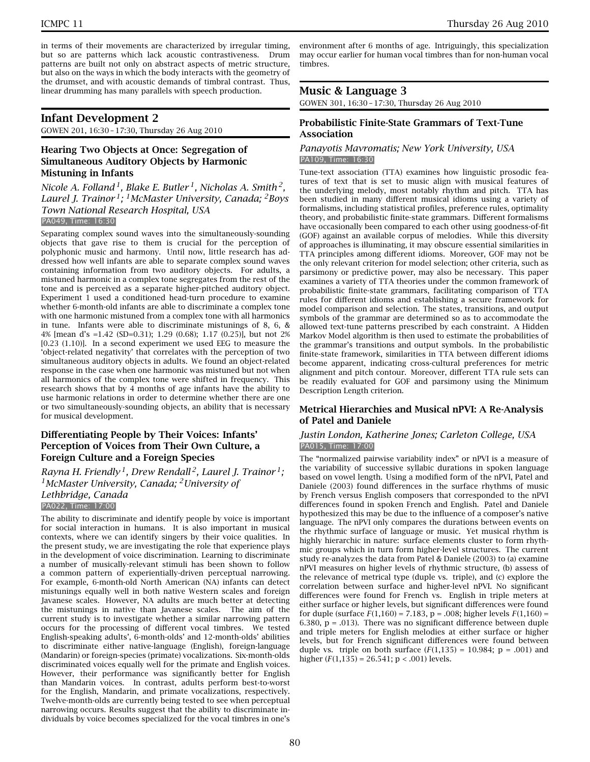in terms of their movements are characterized by irregular timing, but so are patterns which lack acoustic contrastiveness. Drum patterns are built not only on abstract aspects of metric structure, but also on the ways in which the body interacts with the geometry of the drumset, and with acoustic demands of timbral contrast. Thus, linear drumming has many parallels with speech production.

# **Infant Development 2**

GOWEN 201, 16:30 – 17:30, Thursday 26 Aug 2010

### **Hearing Two Objects at Once: Segregation of Simultaneous Auditory Objects by Harmonic Mistuning in Infants**

*Nicole A. Folland 1, Blake E. Butler 1, Nicholas A. Smith 2, Laurel J. Trainor 1; 1McMaster University, Canada; 2Boys Town National Research Hospital, USA* PA049, Time: 16:30

Separating complex sound waves into the simultaneously-sounding objects that gave rise to them is crucial for the perception of polyphonic music and harmony. Until now, little research has addressed how well infants are able to separate complex sound waves containing information from two auditory objects. For adults, a mistuned harmonic in a complex tone segregates from the rest of the tone and is perceived as a separate higher-pitched auditory object. Experiment 1 used a conditioned head-turn procedure to examine whether 6-month-old infants are able to discriminate a complex tone with one harmonic mistuned from a complex tone with all harmonics in tune. Infants were able to discriminate mistunings of 8, 6, & 4% [mean d's =1.42 (SD=0.31); 1.29 (0.68); 1.17 (0.25)], but not 2% [0.23 (1.10)]. In a second experiment we used EEG to measure the 'object-related negativity' that correlates with the perception of two simultaneous auditory objects in adults. We found an object-related response in the case when one harmonic was mistuned but not when all harmonics of the complex tone were shifted in frequency. This research shows that by 4 months of age infants have the ability to use harmonic relations in order to determine whether there are one or two simultaneously-sounding objects, an ability that is necessary for musical development.

### **Differentiating People by Their Voices: Infants' Perception of Voices from Their Own Culture, a Foreign Culture and a Foreign Species**

*Rayna H. Friendly 1, Drew Rendall 2, Laurel J. Trainor 1; 1McMaster University, Canada; 2University of Lethbridge, Canada*

PA022, Time: 17:00

The ability to discriminate and identify people by voice is important for social interaction in humans. It is also important in musical contexts, where we can identify singers by their voice qualities. In the present study, we are investigating the role that experience plays in the development of voice discrimination. Learning to discriminate a number of musically-relevant stimuli has been shown to follow a common pattern of experientially-driven perceptual narrowing. For example, 6-month-old North American (NA) infants can detect mistunings equally well in both native Western scales and foreign Javanese scales. However, NA adults are much better at detecting the mistunings in native than Javanese scales. The aim of the current study is to investigate whether a similar narrowing pattern occurs for the processing of different vocal timbres. We tested English-speaking adults', 6-month-olds' and 12-month-olds' abilities to discriminate either native-language (English), foreign-language (Mandarin) or foreign-species (primate) vocalizations. Six-month-olds discriminated voices equally well for the primate and English voices. However, their performance was significantly better for English than Mandarin voices. In contrast, adults perform best-to-worst for the English, Mandarin, and primate vocalizations, respectively. Twelve-month-olds are currently being tested to see when perceptual narrowing occurs. Results suggest that the ability to discriminate individuals by voice becomes specialized for the vocal timbres in one's

environment after 6 months of age. Intriguingly, this specialization may occur earlier for human vocal timbres than for non-human vocal timbres.

# **Music & Language 3**

GOWEN 301, 16:30 – 17:30, Thursday 26 Aug 2010

### **Probabilistic Finite-State Grammars of Text-Tune Association**

#### *Panayotis Mavromatis; New York University, USA* PA109, Time: 16:30

Tune-text association (TTA) examines how linguistic prosodic features of text that is set to music align with musical features of the underlying melody, most notably rhythm and pitch. TTA has been studied in many different musical idioms using a variety of formalisms, including statistical profiles, preference rules, optimality theory, and probabilistic finite-state grammars. Different formalisms have occasionally been compared to each other using goodness-of-fit (GOF) against an available corpus of melodies. While this diversity of approaches is illuminating, it may obscure essential similarities in TTA principles among different idioms. Moreover, GOF may not be the only relevant criterion for model selection; other criteria, such as parsimony or predictive power, may also be necessary. This paper examines a variety of TTA theories under the common framework of probabilistic finite-state grammars, facilitating comparison of TTA rules for different idioms and establishing a secure framework for model comparison and selection. The states, transitions, and output symbols of the grammar are determined so as to accommodate the allowed text-tune patterns prescribed by each constraint. A Hidden Markov Model algorithm is then used to estimate the probabilities of the grammar's transitions and output symbols. In the probabilistic finite-state framework, similarities in TTA between different idioms become apparent, indicating cross-cultural preferences for metric alignment and pitch contour. Moreover, different TTA rule sets can be readily evaluated for GOF and parsimony using the Minimum Description Length criterion.

### **Metrical Hierarchies and Musical nPVI: A Re-Analysis of Patel and Daniele**

#### *Justin London, Katherine Jones; Carleton College, USA* PA015, Time: 17:00

The "normalized pairwise variability index" or nPVI is a measure of the variability of successive syllabic durations in spoken language based on vowel length. Using a modified form of the nPVI, Patel and Daniele (2003) found differences in the surface rhythms of music by French versus English composers that corresponded to the nPVI differences found in spoken French and English. Patel and Daniele hypothesized this may be due to the influence of a composer's native language. The nPVI only compares the durations between events on the rhythmic surface of language or music. Yet musical rhythm is highly hierarchic in nature: surface elements cluster to form rhythmic groups which in turn form higher-level structures. The current study re-analyzes the data from Patel & Daniele (2003) to (a) examine nPVI measures on higher levels of rhythmic structure, (b) assess of the relevance of metrical type (duple vs. triple), and (c) explore the correlation between surface and higher-level nPVI. No significant differences were found for French vs. English in triple meters at either surface or higher levels, but significant differences were found for duple (surface  $F(1,160) = 7.183$ ,  $p = .008$ ; higher levels  $F(1,160) =$ 6.380,  $p = .013$ ). There was no significant difference between duple and triple meters for English melodies at either surface or higher levels, but for French significant differences were found between duple vs. triple on both surface  $(F(1,135) = 10.984; p = .001)$  and higher  $(F(1,135) = 26.541; p < .001)$  levels.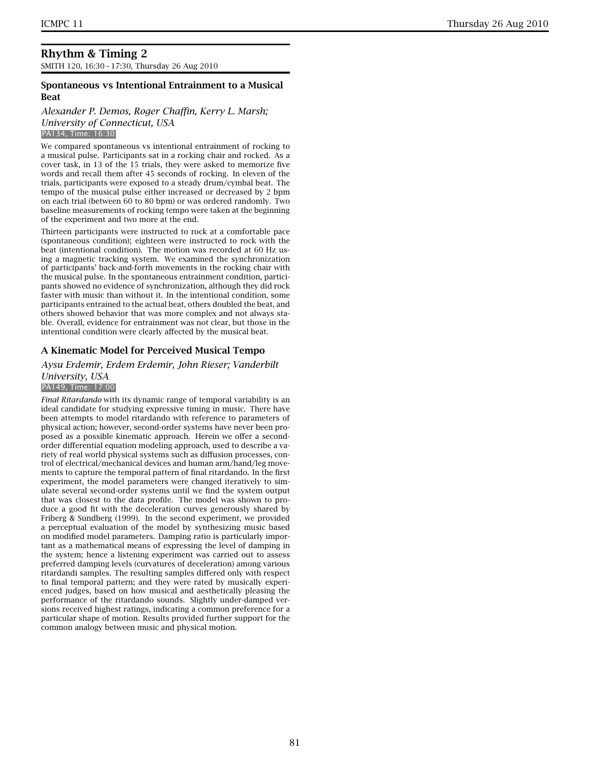SMITH 120, 16:30 – 17:30, Thursday 26 Aug 2010

### **Spontaneous vs Intentional Entrainment to a Musical Beat**

#### *Alexander P. Demos, Roger Chaffin, Kerry L. Marsh; University of Connecticut, USA* PA134, Time: 16:30

We compared spontaneous vs intentional entrainment of rocking to a musical pulse. Participants sat in a rocking chair and rocked. As a cover task, in 13 of the 15 trials, they were asked to memorize five words and recall them after 45 seconds of rocking. In eleven of the trials, participants were exposed to a steady drum/cymbal beat. The tempo of the musical pulse either increased or decreased by 2 bpm on each trial (between 60 to 80 bpm) or was ordered randomly. Two baseline measurements of rocking tempo were taken at the beginning of the experiment and two more at the end.

Thirteen participants were instructed to rock at a comfortable pace (spontaneous condition); eighteen were instructed to rock with the beat (intentional condition). The motion was recorded at 60 Hz using a magnetic tracking system. We examined the synchronization of participants' back-and-forth movements in the rocking chair with the musical pulse. In the spontaneous entrainment condition, participants showed no evidence of synchronization, although they did rock faster with music than without it. In the intentional condition, some participants entrained to the actual beat, others doubled the beat, and others showed behavior that was more complex and not always stable. Overall, evidence for entrainment was not clear, but those in the intentional condition were clearly affected by the musical beat.

### **A Kinematic Model for Perceived Musical Tempo**

# *Aysu Erdemir, Erdem Erdemir, John Rieser; Vanderbilt University, USA*

#### PA149, Time: 17:00

*Final Ritardando* with its dynamic range of temporal variability is an ideal candidate for studying expressive timing in music. There have been attempts to model ritardando with reference to parameters of physical action; however, second-order systems have never been proposed as a possible kinematic approach. Herein we offer a secondorder differential equation modeling approach, used to describe a variety of real world physical systems such as diffusion processes, control of electrical/mechanical devices and human arm/hand/leg movements to capture the temporal pattern of final ritardando. In the first experiment, the model parameters were changed iteratively to simulate several second-order systems until we find the system output that was closest to the data profile. The model was shown to produce a good fit with the deceleration curves generously shared by Friberg & Sundberg (1999). In the second experiment, we provided a perceptual evaluation of the model by synthesizing music based on modified model parameters. Damping ratio is particularly important as a mathematical means of expressing the level of damping in the system; hence a listening experiment was carried out to assess preferred damping levels (curvatures of deceleration) among various ritardandi samples. The resulting samples differed only with respect to final temporal pattern; and they were rated by musically experienced judges, based on how musical and aesthetically pleasing the performance of the ritardando sounds. Slightly under-damped versions received highest ratings, indicating a common preference for a particular shape of motion. Results provided further support for the common analogy between music and physical motion.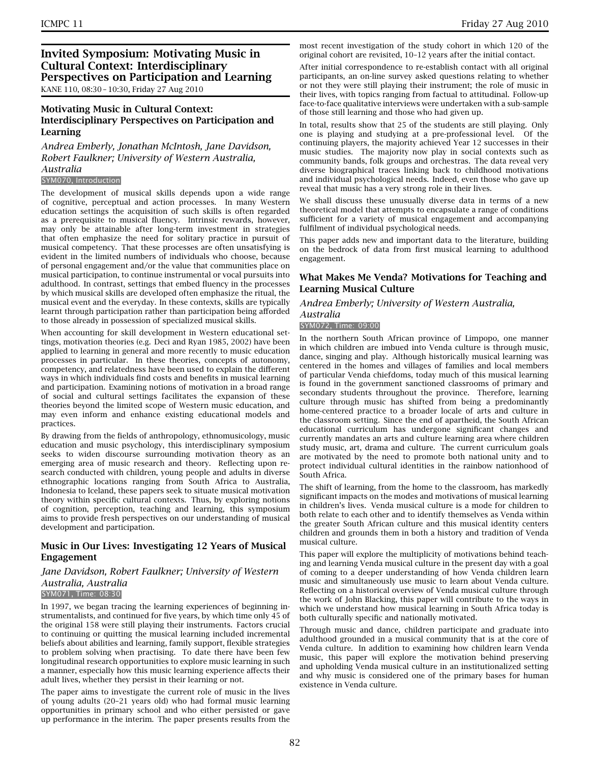### **Invited Symposium: Motivating Music in Cultural Context: Interdisciplinary Perspectives on Participation and Learning** KANE 110, 08:30 – 10:30, Friday 27 Aug 2010

# **Motivating Music in Cultural Context: Interdisciplinary Perspectives on Participation and Learning**

*Andrea Emberly, Jonathan McIntosh, Jane Davidson, Robert Faulkner; University of Western Australia, Australia*

#### SYM070, Introduction

The development of musical skills depends upon a wide range of cognitive, perceptual and action processes. In many Western education settings the acquisition of such skills is often regarded as a prerequisite to musical fluency. Intrinsic rewards, however, may only be attainable after long-term investment in strategies that often emphasize the need for solitary practice in pursuit of musical competency. That these processes are often unsatisfying is evident in the limited numbers of individuals who choose, because of personal engagement and/or the value that communities place on musical participation, to continue instrumental or vocal pursuits into adulthood. In contrast, settings that embed fluency in the processes by which musical skills are developed often emphasize the ritual, the musical event and the everyday. In these contexts, skills are typically learnt through participation rather than participation being afforded to those already in possession of specialized musical skills.

When accounting for skill development in Western educational settings, motivation theories (e.g. Deci and Ryan 1985, 2002) have been applied to learning in general and more recently to music education processes in particular. In these theories, concepts of autonomy, competency, and relatedness have been used to explain the different ways in which individuals find costs and benefits in musical learning and participation. Examining notions of motivation in a broad range of social and cultural settings facilitates the expansion of these theories beyond the limited scope of Western music education, and may even inform and enhance existing educational models and practices.

By drawing from the fields of anthropology, ethnomusicology, music education and music psychology, this interdisciplinary symposium seeks to widen discourse surrounding motivation theory as an emerging area of music research and theory. Reflecting upon research conducted with children, young people and adults in diverse ethnographic locations ranging from South Africa to Australia, Indonesia to Iceland, these papers seek to situate musical motivation theory within specific cultural contexts. Thus, by exploring notions of cognition, perception, teaching and learning, this symposium aims to provide fresh perspectives on our understanding of musical development and participation.

#### **Music in Our Lives: Investigating 12 Years of Musical Engagement**

#### *Jane Davidson, Robert Faulkner; University of Western Australia, Australia* SYM071, Time: 08:30

In 1997, we began tracing the learning experiences of beginning instrumentalists, and continued for five years, by which time only 45 of the original 158 were still playing their instruments. Factors crucial to continuing or quitting the musical learning included incremental beliefs about abilities and learning, family support, flexible strategies to problem solving when practising. To date there have been few longitudinal research opportunities to explore music learning in such a manner, especially how this music learning experience affects their adult lives, whether they persist in their learning or not.

The paper aims to investigate the current role of music in the lives of young adults (20–21 years old) who had formal music learning opportunities in primary school and who either persisted or gave up performance in the interim. The paper presents results from the

most recent investigation of the study cohort in which 120 of the original cohort are revisited, 10–12 years after the initial contact.

After initial correspondence to re-establish contact with all original participants, an on-line survey asked questions relating to whether or not they were still playing their instrument; the role of music in their lives, with topics ranging from factual to attitudinal. Follow-up face-to-face qualitative interviews were undertaken with a sub-sample of those still learning and those who had given up.

In total, results show that 25 of the students are still playing. Only one is playing and studying at a pre-professional level. Of the continuing players, the majority achieved Year 12 successes in their music studies. The majority now play in social contexts such as community bands, folk groups and orchestras. The data reveal very diverse biographical traces linking back to childhood motivations and individual psychological needs. Indeed, even those who gave up reveal that music has a very strong role in their lives.

We shall discuss these unusually diverse data in terms of a new theoretical model that attempts to encapsulate a range of conditions sufficient for a variety of musical engagement and accompanying fulfilment of individual psychological needs.

This paper adds new and important data to the literature, building on the bedrock of data from first musical learning to adulthood engagement.

### **What Makes Me Venda? Motivations for Teaching and Learning Musical Culture**

#### *Andrea Emberly; University of Western Australia, Australia*

SYM072, Time: 09:00

In the northern South African province of Limpopo, one manner in which children are imbued into Venda culture is through music, dance, singing and play. Although historically musical learning was centered in the homes and villages of families and local members of particular Venda chiefdoms, today much of this musical learning is found in the government sanctioned classrooms of primary and secondary students throughout the province. Therefore, learning culture through music has shifted from being a predominantly home-centered practice to a broader locale of arts and culture in the classroom setting. Since the end of apartheid, the South African educational curriculum has undergone significant changes and currently mandates an arts and culture learning area where children study music, art, drama and culture. The current curriculum goals are motivated by the need to promote both national unity and to protect individual cultural identities in the rainbow nationhood of South Africa.

The shift of learning, from the home to the classroom, has markedly significant impacts on the modes and motivations of musical learning in children's lives. Venda musical culture is a mode for children to both relate to each other and to identify themselves as Venda within the greater South African culture and this musical identity centers children and grounds them in both a history and tradition of Venda musical culture.

This paper will explore the multiplicity of motivations behind teaching and learning Venda musical culture in the present day with a goal of coming to a deeper understanding of how Venda children learn music and simultaneously use music to learn about Venda culture. Reflecting on a historical overview of Venda musical culture through the work of John Blacking, this paper will contribute to the ways in which we understand how musical learning in South Africa today is both culturally specific and nationally motivated.

Through music and dance, children participate and graduate into adulthood grounded in a musical community that is at the core of Venda culture. In addition to examining how children learn Venda music, this paper will explore the motivation behind preserving and upholding Venda musical culture in an institutionalized setting and why music is considered one of the primary bases for human existence in Venda culture.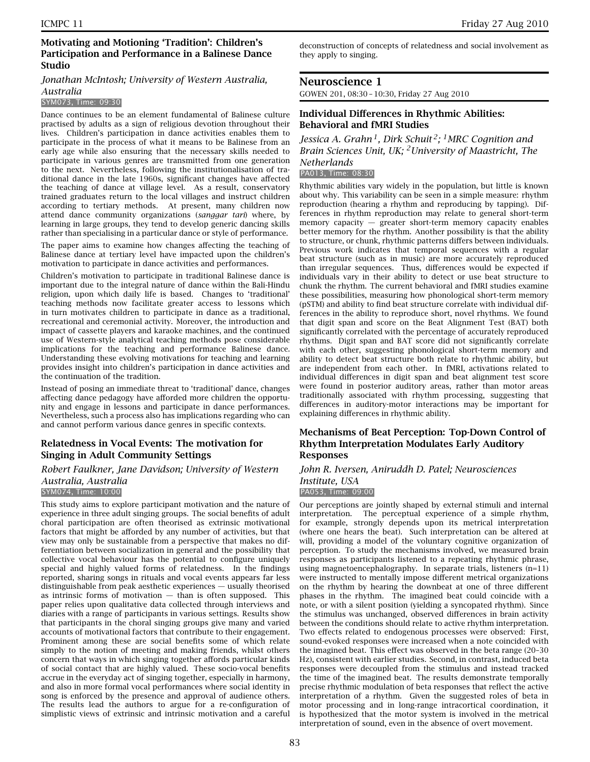### *Jonathan McIntosh; University of Western Australia, Australia*

#### SYM073, Time: 09:30

Dance continues to be an element fundamental of Balinese culture practised by adults as a sign of religious devotion throughout their lives. Children's participation in dance activities enables them to participate in the process of what it means to be Balinese from an early age while also ensuring that the necessary skills needed to participate in various genres are transmitted from one generation to the next. Nevertheless, following the institutionalisation of traditional dance in the late 1960s, significant changes have affected the teaching of dance at village level. As a result, conservatory trained graduates return to the local villages and instruct children according to tertiary methods. At present, many children now attend dance community organizations (*sanggar tari*) where, by learning in large groups, they tend to develop generic dancing skills rather than specialising in a particular dance or style of performance.

The paper aims to examine how changes affecting the teaching of Balinese dance at tertiary level have impacted upon the children's motivation to participate in dance activities and performances.

Children's motivation to participate in traditional Balinese dance is important due to the integral nature of dance within the Bali-Hindu religion, upon which daily life is based. Changes to 'traditional' teaching methods now facilitate greater access to lessons which in turn motivates children to participate in dance as a traditional, recreational and ceremonial activity. Moreover, the introduction and impact of cassette players and karaoke machines, and the continued use of Western-style analytical teaching methods pose considerable implications for the teaching and performance Balinese dance. Understanding these evolving motivations for teaching and learning provides insight into children's participation in dance activities and the continuation of the tradition.

Instead of posing an immediate threat to 'traditional' dance, changes affecting dance pedagogy have afforded more children the opportunity and engage in lessons and participate in dance performances. Nevertheless, such a process also has implications regarding who can and cannot perform various dance genres in specific contexts.

### **Relatedness in Vocal Events: The motivation for Singing in Adult Community Settings**

#### *Robert Faulkner, Jane Davidson; University of Western Australia, Australia* SYM074, Time: 10:00

This study aims to explore participant motivation and the nature of experience in three adult singing groups. The social benefits of adult choral participation are often theorised as extrinsic motivational factors that might be afforded by any number of activities, but that view may only be sustainable from a perspective that makes no differentiation between socialization in general and the possibility that collective vocal behaviour has the potential to configure uniquely special and highly valued forms of relatedness. In the findings reported, sharing songs in rituals and vocal events appears far less distinguishable from peak aesthetic experiences — usually theorised as intrinsic forms of motivation  $-$  than is often supposed. This paper relies upon qualitative data collected through interviews and diaries with a range of participants in various settings. Results show that participants in the choral singing groups give many and varied accounts of motivational factors that contribute to their engagement. Prominent among these are social benefits some of which relate simply to the notion of meeting and making friends, whilst others concern that ways in which singing together affords particular kinds of social contact that are highly valued. These socio-vocal benefits accrue in the everyday act of singing together, especially in harmony, and also in more formal vocal performances where social identity in song is enforced by the presence and approval of audience others. The results lead the authors to argue for a re-configuration of simplistic views of extrinsic and intrinsic motivation and a careful

deconstruction of concepts of relatedness and social involvement as they apply to singing.

### **Neuroscience 1**

GOWEN 201, 08:30 – 10:30, Friday 27 Aug 2010

#### **Individual Differences in Rhythmic Abilities: Behavioral and fMRI Studies**

*Jessica A. Grahn 1, Dirk Schuit 2; 1MRC Cognition and Brain Sciences Unit, UK; 2University of Maastricht, The Netherlands*

PA013, Time: 08:30

Rhythmic abilities vary widely in the population, but little is known about why. This variability can be seen in a simple measure: rhythm reproduction (hearing a rhythm and reproducing by tapping). Differences in rhythm reproduction may relate to general short-term memory capacity — greater short-term memory capacity enables better memory for the rhythm. Another possibility is that the ability to structure, or chunk, rhythmic patterns differs between individuals. Previous work indicates that temporal sequences with a regular beat structure (such as in music) are more accurately reproduced than irregular sequences. Thus, differences would be expected if individuals vary in their ability to detect or use beat structure to chunk the rhythm. The current behavioral and fMRI studies examine these possibilities, measuring how phonological short-term memory (pSTM) and ability to find beat structure correlate with individual differences in the ability to reproduce short, novel rhythms. We found that digit span and score on the Beat Alignment Test (BAT) both significantly correlated with the percentage of accurately reproduced rhythms. Digit span and BAT score did not significantly correlate with each other, suggesting phonological short-term memory and ability to detect beat structure both relate to rhythmic ability, but are independent from each other. In fMRI, activations related to individual differences in digit span and beat alignment test score were found in posterior auditory areas, rather than motor areas traditionally associated with rhythm processing, suggesting that differences in auditory-motor interactions may be important for explaining differences in rhythmic ability.

### **Mechanisms of Beat Perception: Top-Down Control of Rhythm Interpretation Modulates Early Auditory Responses**

### *John R. Iversen, Aniruddh D. Patel; Neurosciences Institute, USA* PA053, Time: 09:00

Our perceptions are jointly shaped by external stimuli and internal interpretation. The perceptual experience of a simple rhythm, for example, strongly depends upon its metrical interpretation (where one hears the beat). Such interpretation can be altered at will, providing a model of the voluntary cognitive organization of perception. To study the mechanisms involved, we measured brain responses as participants listened to a repeating rhythmic phrase, using magnetoencephalography. In separate trials, listeners (n=11) were instructed to mentally impose different metrical organizations on the rhythm by hearing the downbeat at one of three different phases in the rhythm. The imagined beat could coincide with a note, or with a silent position (yielding a syncopated rhythm). Since the stimulus was unchanged, observed differences in brain activity between the conditions should relate to active rhythm interpretation. Two effects related to endogenous processes were observed: First, sound-evoked responses were increased when a note coincided with the imagined beat. This effect was observed in the beta range (20–30 Hz), consistent with earlier studies. Second, in contrast, induced beta responses were decoupled from the stimulus and instead tracked the time of the imagined beat. The results demonstrate temporally precise rhythmic modulation of beta responses that reflect the active interpretation of a rhythm. Given the suggested roles of beta in motor processing and in long-range intracortical coordination, it is hypothesized that the motor system is involved in the metrical interpretation of sound, even in the absence of overt movement.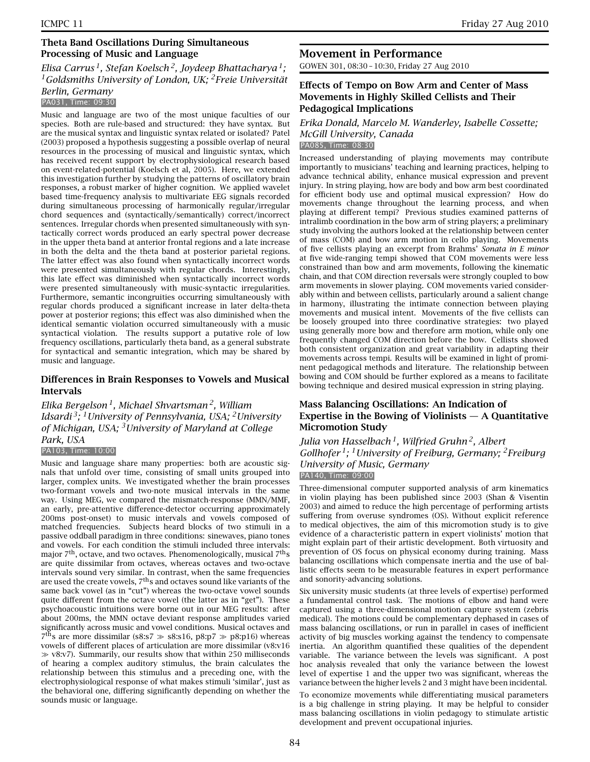### **Theta Band Oscillations During Simultaneous Processing of Music and Language**

# *Elisa Carrus 1, Stefan Koelsch 2, Joydeep Bhattacharya 1; 1Goldsmiths University of London, UK; 2Freie Universität Berlin, Germany*

### PA031, Time: 09:30

Music and language are two of the most unique faculties of our species. Both are rule-based and structured: they have syntax. But are the musical syntax and linguistic syntax related or isolated? Patel (2003) proposed a hypothesis suggesting a possible overlap of neural resources in the processing of musical and linguistic syntax, which has received recent support by electrophysiological research based on event-related-potential (Koelsch et al, 2005). Here, we extended this investigation further by studying the patterns of oscillatory brain responses, a robust marker of higher cognition. We applied wavelet based time-frequency analysis to multivariate EEG signals recorded during simultaneous processing of harmonically regular/irregular chord sequences and (syntactically/semantically) correct/incorrect sentences. Irregular chords when presented simultaneously with syntactically correct words produced an early spectral power decrease in the upper theta band at anterior frontal regions and a late increase in both the delta and the theta band at posterior parietal regions. The latter effect was also found when syntactically incorrect words were presented simultaneously with regular chords. Interestingly, this late effect was diminished when syntactically incorrect words were presented simultaneously with music-syntactic irregularities. Furthermore, semantic incongruities occurring simultaneously with regular chords produced a significant increase in later delta-theta power at posterior regions; this effect was also diminished when the identical semantic violation occurred simultaneously with a music syntactical violation. The results support a putative role of low frequency oscillations, particularly theta band, as a general substrate for syntactical and semantic integration, which may be shared by music and language.

### **Differences in Brain Responses to Vowels and Musical Intervals**

*Elika Bergelson 1, Michael Shvartsman 2, William Idsardi 3; 1University of Pennsylvania, USA; 2University of Michigan, USA; 3University of Maryland at College Park, USA* PA103, Time: 10:00

Music and language share many properties: both are acoustic signals that unfold over time, consisting of small units grouped into larger, complex units. We investigated whether the brain processes two-formant vowels and two-note musical intervals in the same way. Using MEG, we compared the mismatch-response (MMN/MMF, an early, pre-attentive difference-detector occurring approximately 200ms post-onset) to music intervals and vowels composed of matched frequencies. Subjects heard blocks of two stimuli in a passive oddball paradigm in three conditions: sinewaves, piano tones and vowels. For each condition the stimuli included three intervals: major  $7<sup>th</sup>$ , octave, and two octaves. Phenomenologically, musical  $7<sup>th</sup>$ s are quite dissimilar from octaves, whereas octaves and two-octave intervals sound very similar. In contrast, when the same frequencies are used the create vowels,  $7<sup>th</sup>$ s and octaves sound like variants of the same back vowel (as in "cut") whereas the two-octave vowel sounds quite different from the octave vowel (the latter as in "get"). These psychoacoustic intuitions were borne out in our MEG results: after about 200ms, the MMN octave deviant response amplitudes varied significantly across music and vowel conditions. Musical octaves and  $7<sup>th</sup>s$  are more dissimilar (s8:s7  $\gg$  s8:s16, p8:p7  $\gg$  p8:p16) whereas vowels of different places of articulation are more dissimilar (v8:v16  $\gg$  v8:v7). Summarily, our results show that within 250 milliseconds of hearing a complex auditory stimulus, the brain calculates the relationship between this stimulus and a preceding one, with the electrophysiological response of what makes stimuli 'similar', just as the behavioral one, differing significantly depending on whether the sounds music or language.

# **Movement in Performance**

GOWEN 301, 08:30 – 10:30, Friday 27 Aug 2010

### **Effects of Tempo on Bow Arm and Center of Mass Movements in Highly Skilled Cellists and Their Pedagogical Implications**

# *Erika Donald, Marcelo M. Wanderley, Isabelle Cossette; McGill University, Canada*

PA085, Time: 08:30

Increased understanding of playing movements may contribute importantly to musicians' teaching and learning practices, helping to advance technical ability, enhance musical expression and prevent injury. In string playing, how are body and bow arm best coordinated for efficient body use and optimal musical expression? How do movements change throughout the learning process, and when playing at different tempi? Previous studies examined patterns of intralimb coordination in the bow arm of string players; a preliminary study involving the authors looked at the relationship between center of mass (COM) and bow arm motion in cello playing. Movements of five cellists playing an excerpt from Brahms' *Sonata in E minor* at five wide-ranging tempi showed that COM movements were less constrained than bow and arm movements, following the kinematic chain, and that COM direction reversals were strongly coupled to bow arm movements in slower playing. COM movements varied considerably within and between cellists, particularly around a salient change in harmony, illustrating the intimate connection between playing movements and musical intent. Movements of the five cellists can be loosely grouped into three coordinative strategies: two played using generally more bow and therefore arm motion, while only one frequently changed COM direction before the bow. Cellists showed both consistent organization and great variability in adapting their movements across tempi. Results will be examined in light of prominent pedagogical methods and literature. The relationship between bowing and COM should be further explored as a means to facilitate bowing technique and desired musical expression in string playing.

### **Mass Balancing Oscillations: An Indication of Expertise in the Bowing of Violinists — A Quantitative Micromotion Study**

*Julia von Hasselbach 1, Wilfried Gruhn 2, Albert Gollhofer 1; 1University of Freiburg, Germany; 2Freiburg University of Music, Germany* PA140, Time: 09:00

Three-dimensional computer supported analysis of arm kinematics in violin playing has been published since 2003 (Shan & Visentin 2003) and aimed to reduce the high percentage of performing artists suffering from overuse syndromes (OS). Without explicit reference to medical objectives, the aim of this micromotion study is to give evidence of a characteristic pattern in expert violinists' motion that might explain part of their artistic development. Both virtuosity and prevention of OS focus on physical economy during training. Mass balancing oscillations which compensate inertia and the use of ballistic effects seem to be measurable features in expert performance and sonority-advancing solutions.

Six university music students (at three levels of expertise) performed a fundamental control task. The motions of elbow and hand were captured using a three-dimensional motion capture system (zebris medical). The motions could be complementary dephased in cases of mass balancing oscillations, or run in parallel in cases of inefficient activity of big muscles working against the tendency to compensate inertia. An algorithm quantified these qualities of the dependent variable. The variance between the levels was significant. A post hoc analysis revealed that only the variance between the lowest level of expertise 1 and the upper two was significant, whereas the variance between the higher levels 2 and 3 might have been incidental.

To economize movements while differentiating musical parameters is a big challenge in string playing. It may be helpful to consider mass balancing oscillations in violin pedagogy to stimulate artistic development and prevent occupational injuries.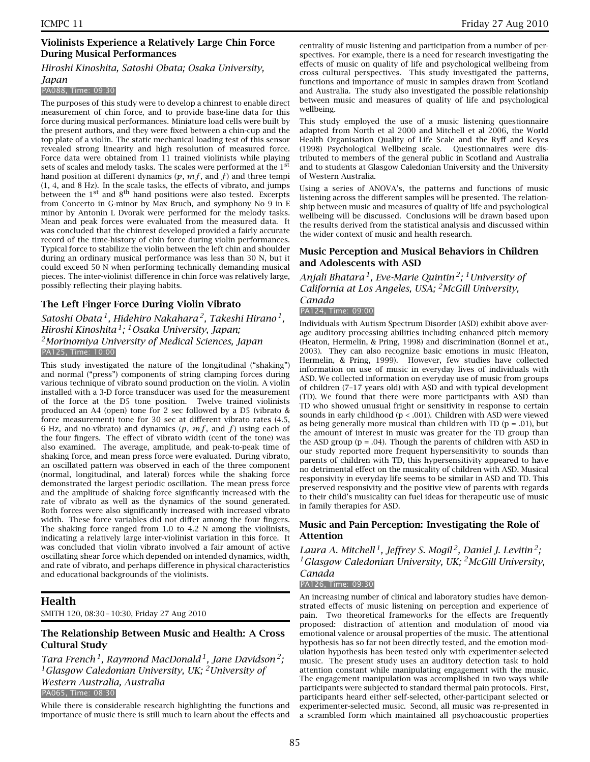### **Violinists Experience a Relatively Large Chin Force During Musical Performances**

#### *Hiroshi Kinoshita, Satoshi Obata; Osaka University,*

#### *Japan*

#### PA088, Time: 09:30

The purposes of this study were to develop a chinrest to enable direct measurement of chin force, and to provide base-line data for this force during musical performances. Miniature load cells were built by the present authors, and they were fixed between a chin-cup and the top plate of a violin. The static mechanical loading test of this sensor revealed strong linearity and high resolution of measured force. Force data were obtained from 11 trained violinists while playing sets of scales and melody tasks. The scales were performed at the 1<sup>st</sup> hand position at different dynamics  $(p, mf,$  and  $f$ ) and three tempi (1, 4, and 8 Hz). In the scale tasks, the effects of vibrato, and jumps between the  $1<sup>st</sup>$  and  $8<sup>th</sup>$  hand positions were also tested. Excerpts from Concerto in G-minor by Max Bruch, and symphony No 9 in E minor by Antonin L Dvorak were performed for the melody tasks. Mean and peak forces were evaluated from the measured data. It was concluded that the chinrest developed provided a fairly accurate record of the time-history of chin force during violin performances. Typical force to stabilize the violin between the left chin and shoulder during an ordinary musical performance was less than 30 N, but it could exceed 50 N when performing technically demanding musical pieces. The inter-violinist difference in chin force was relatively large, possibly reflecting their playing habits.

### **The Left Finger Force During Violin Vibrato**

# *Satoshi Obata 1, Hidehiro Nakahara 2, Takeshi Hirano 1, Hiroshi Kinoshita 1; 1Osaka University, Japan; 2Morinomiya University of Medical Sciences, Japan* PA125, Time: 10:00

This study investigated the nature of the longitudinal ("shaking") and normal ("press") components of string clamping forces during various technique of vibrato sound production on the violin. A violin installed with a 3-D force transducer was used for the measurement of the force at the D5 tone position. Twelve trained violinists produced an A4 (open) tone for 2 sec followed by a D5 (vibrato & force measurement) tone for 30 sec at different vibrato rates (4.5, 6 Hz, and no-vibrato) and dynamics  $(p, mf,$  and  $f)$  using each of the four fingers. The effect of vibrato width (cent of the tone) was also examined. The average, amplitude, and peak-to-peak time of shaking force, and mean press force were evaluated. During vibrato, an oscillated pattern was observed in each of the three component (normal, longitudinal, and lateral) forces while the shaking force demonstrated the largest periodic oscillation. The mean press force and the amplitude of shaking force significantly increased with the rate of vibrato as well as the dynamics of the sound generated. Both forces were also significantly increased with increased vibrato width. These force variables did not differ among the four fingers. The shaking force ranged from 1.0 to 4.2 N among the violinists, indicating a relatively large inter-violinist variation in this force. It was concluded that violin vibrato involved a fair amount of active oscillating shear force which depended on intended dynamics, width, and rate of vibrato, and perhaps difference in physical characteristics and educational backgrounds of the violinists.

# **Health**

SMITH 120, 08:30 – 10:30, Friday 27 Aug 2010

### **The Relationship Between Music and Health: A Cross Cultural Study**

*Tara French 1, Raymond MacDonald 1, Jane Davidson 2; 1Glasgow Caledonian University, UK; 2University of Western Australia, Australia* PA065, Time: 08:30

While there is considerable research highlighting the functions and importance of music there is still much to learn about the effects and centrality of music listening and participation from a number of perspectives. For example, there is a need for research investigating the effects of music on quality of life and psychological wellbeing from cross cultural perspectives. This study investigated the patterns, functions and importance of music in samples drawn from Scotland and Australia. The study also investigated the possible relationship between music and measures of quality of life and psychological wellbeing.

This study employed the use of a music listening questionnaire adapted from North et al 2000 and Mitchell et al 2006, the World Health Organisation Quality of Life Scale and the Ryff and Keyes (1998) Psychological Wellbeing scale. Questionnaires were distributed to members of the general public in Scotland and Australia and to students at Glasgow Caledonian University and the University of Western Australia.

Using a series of ANOVA's, the patterns and functions of music listening across the different samples will be presented. The relationship between music and measures of quality of life and psychological wellbeing will be discussed. Conclusions will be drawn based upon the results derived from the statistical analysis and discussed within the wider context of music and health research.

### **Music Perception and Musical Behaviors in Children and Adolescents with ASD**

*Anjali Bhatara 1, Eve-Marie Quintin 2; 1University of California at Los Angeles, USA; 2McGill University, Canada*

PA124, Time: 09:00

Individuals with Autism Spectrum Disorder (ASD) exhibit above average auditory processing abilities including enhanced pitch memory (Heaton, Hermelin, & Pring, 1998) and discrimination (Bonnel et at., 2003). They can also recognize basic emotions in music (Heaton, Hermelin, & Pring, 1999). However, few studies have collected information on use of music in everyday lives of individuals with ASD. We collected information on everyday use of music from groups of children (7–17 years old) with ASD and with typical development (TD). We found that there were more participants with ASD than TD who showed unusual fright or sensitivity in response to certain sounds in early childhood (p < .001). Children with ASD were viewed as being generally more musical than children with TD ( $p = .01$ ), but the amount of interest in music was greater for the TD group than the ASD group  $(p = .04)$ . Though the parents of children with ASD in our study reported more frequent hypersensitivity to sounds than parents of children with TD, this hypersensitivity appeared to have no detrimental effect on the musicality of children with ASD. Musical responsivity in everyday life seems to be similar in ASD and TD. This preserved responsivity and the positive view of parents with regards to their child's musicality can fuel ideas for therapeutic use of music in family therapies for ASD.

### **Music and Pain Perception: Investigating the Role of Attention**

*Laura A. Mitchell 1, Jeffrey S. Mogil 2, Daniel J. Levitin 2; 1Glasgow Caledonian University, UK; 2McGill University, Canada*

PA126, Time: 09:30

An increasing number of clinical and laboratory studies have demonstrated effects of music listening on perception and experience of pain. Two theoretical frameworks for the effects are frequently proposed: distraction of attention and modulation of mood via emotional valence or arousal properties of the music. The attentional hypothesis has so far not been directly tested, and the emotion modulation hypothesis has been tested only with experimenter-selected music. The present study uses an auditory detection task to hold attention constant while manipulating engagement with the music. The engagement manipulation was accomplished in two ways while participants were subjected to standard thermal pain protocols. First, participants heard either self-selected, other-participant selected or experimenter-selected music. Second, all music was re-presented in a scrambled form which maintained all psychoacoustic properties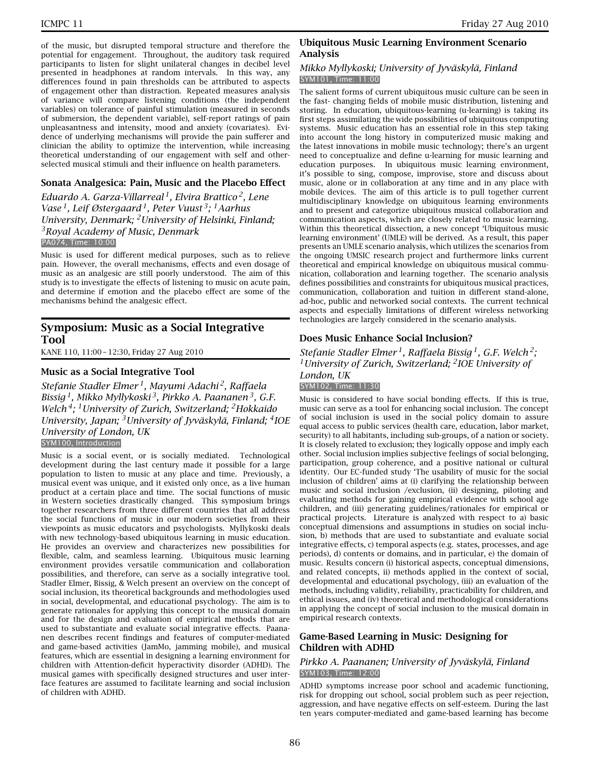of the music, but disrupted temporal structure and therefore the potential for engagement. Throughout, the auditory task required participants to listen for slight unilateral changes in decibel level presented in headphones at random intervals. In this way, any differences found in pain thresholds can be attributed to aspects of engagement other than distraction. Repeated measures analysis of variance will compare listening conditions (the independent variables) on tolerance of painful stimulation (measured in seconds of submersion, the dependent variable), self-report ratings of pain unpleasantness and intensity, mood and anxiety (covariates). Evidence of underlying mechanisms will provide the pain sufferer and clinician the ability to optimize the intervention, while increasing theoretical understanding of our engagement with self and otherselected musical stimuli and their influence on health parameters.

### **Sonata Analgesica: Pain, Music and the Placebo Effect**

*Eduardo A. Garza-Villarreal 1, Elvira Brattico 2, Lene Vase 1, Leif Østergaard 1, Peter Vuust 3; 1Aarhus University, Denmark; 2University of Helsinki, Finland; 3Royal Academy of Music, Denmark* PA074, Time: 10:00

Music is used for different medical purposes, such as to relieve pain. However, the overall mechanisms, effects and even dosage of music as an analgesic are still poorly understood. The aim of this study is to investigate the effects of listening to music on acute pain, and determine if emotion and the placebo effect are some of the mechanisms behind the analgesic effect.

### **Symposium: Music as a Social Integrative Tool**

KANE 110, 11:00 – 12:30, Friday 27 Aug 2010

### **Music as a Social Integrative Tool**

*Stefanie Stadler Elmer 1, Mayumi Adachi 2, Raffaela Bissig 1, Mikko Myllykoski 3, Pirkko A. Paananen 3, G.F. Welch 4; 1University of Zurich, Switzerland; 2Hokkaido University, Japan; 3University of Jyväskylä, Finland; 4IOE University of London, UK* SYM100, Introduction

Music is a social event, or is socially mediated. Technological development during the last century made it possible for a large population to listen to music at any place and time. Previously, a musical event was unique, and it existed only once, as a live human product at a certain place and time. The social functions of music in Western societies drastically changed. This symposium brings together researchers from three different countries that all address the social functions of music in our modern societies from their viewpoints as music educators and psychologists. Myllykoski deals with new technology-based ubiquitous learning in music education. He provides an overview and characterizes new possibilities for flexible, calm, and seamless learning. Ubiquitous music learning environment provides versatile communication and collaboration possibilities, and therefore, can serve as a socially integrative tool. Stadler Elmer, Bissig, & Welch present an overview on the concept of social inclusion, its theoretical backgrounds and methodologies used in social, developmental, and educational psychology. The aim is to generate rationales for applying this concept to the musical domain and for the design and evaluation of empirical methods that are used to substantiate and evaluate social integrative effects. Paananen describes recent findings and features of computer-mediated and game-based activities (JamMo, jamming mobile), and musical features, which are essential in designing a learning environment for children with Attention-deficit hyperactivity disorder (ADHD). The musical games with specifically designed structures and user interface features are assumed to facilitate learning and social inclusion of children with ADHD.

### **Ubiquitous Music Learning Environment Scenario Analysis**

#### *Mikko Myllykoski; University of Jyväskylä, Finland* SYM101, Time: 11:00

The salient forms of current ubiquitous music culture can be seen in the fast- changing fields of mobile music distribution, listening and storing. In education, ubiquitous-learning (u-learning) is taking its first steps assimilating the wide possibilities of ubiquitous computing systems. Music education has an essential role in this step taking into account the long history in computerized music making and the latest innovations in mobile music technology; there's an urgent need to conceptualize and define u-learning for music learning and education purposes. In ubiquitous music learning environment, it's possible to sing, compose, improvise, store and discuss about music, alone or in collaboration at any time and in any place with mobile devices. The aim of this article is to pull together current multidisciplinary knowledge on ubiquitous learning environments and to present and categorize ubiquitous musical collaboration and communication aspects, which are closely related to music learning. Within this theoretical dissection, a new concept 'Ubiquitous music learning environment' (UMLE) will be derived. As a result, this paper presents an UMLE scenario analysis, which utilizes the scenarios from the ongoing UMSIC research project and furthermore links current theoretical and empirical knowledge on ubiquitous musical communication, collaboration and learning together. The scenario analysis defines possibilities and constraints for ubiquitous musical practices, communication, collaboration and tuition in different stand-alone, ad-hoc, public and networked social contexts. The current technical aspects and especially limitations of different wireless networking technologies are largely considered in the scenario analysis.

### **Does Music Enhance Social Inclusion?**

*Stefanie Stadler Elmer 1, Raffaela Bissig 1, G.F. Welch 2; 1University of Zurich, Switzerland; 2IOE University of London, UK* SYM102, Time: 11:30

Music is considered to have social bonding effects. If this is true, music can serve as a tool for enhancing social inclusion. The concept of social inclusion is used in the social policy domain to assure equal access to public services (health care, education, labor market, security) to all habitants, including sub-groups, of a nation or society. It is closely related to exclusion; they logically oppose and imply each other. Social inclusion implies subjective feelings of social belonging, participation, group coherence, and a positive national or cultural identity. Our EC-funded study 'The usability of music for the social inclusion of children' aims at (i) clarifying the relationship between music and social inclusion /exclusion, (ii) designing, piloting and evaluating methods for gaining empirical evidence with school age children, and (iii) generating guidelines/rationales for empirical or practical projects. Literature is analyzed with respect to a) basic conceptual dimensions and assumptions in studies on social inclusion, b) methods that are used to substantiate and evaluate social integrative effects, c) temporal aspects (e.g. states, processes, and age periods), d) contents or domains, and in particular, e) the domain of music. Results concern (i) historical aspects, conceptual dimensions, and related concepts, ii) methods applied in the context of social, developmental and educational psychology, (iii) an evaluation of the methods, including validity, reliability, practicability for children, and ethical issues, and (iv) theoretical and methodological considerations in applying the concept of social inclusion to the musical domain in empirical research contexts.

#### **Game-Based Learning in Music: Designing for Children with ADHD**

#### *Pirkko A. Paananen; University of Jyväskylä, Finland* SYM103, Time: 12:00

ADHD symptoms increase poor school and academic functioning, risk for dropping out school, social problem such as peer rejection, aggression, and have negative effects on self-esteem. During the last ten years computer-mediated and game-based learning has become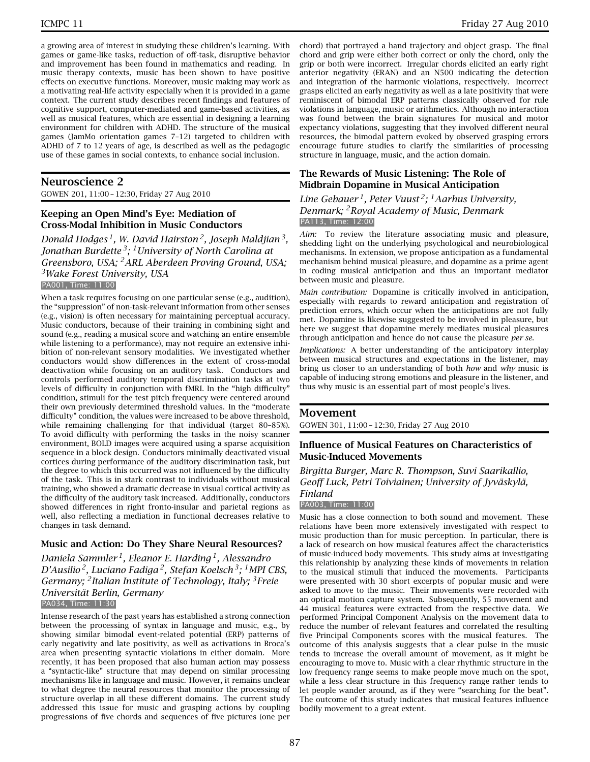a growing area of interest in studying these children's learning. With games or game-like tasks, reduction of off-task, disruptive behavior and improvement has been found in mathematics and reading. In music therapy contexts, music has been shown to have positive effects on executive functions. Moreover, music making may work as a motivating real-life activity especially when it is provided in a game context. The current study describes recent findings and features of cognitive support, computer-mediated and game-based activities, as well as musical features, which are essential in designing a learning environment for children with ADHD. The structure of the musical games (JamMo orientation games 7–12) targeted to children with ADHD of 7 to 12 years of age, is described as well as the pedagogic use of these games in social contexts, to enhance social inclusion.

### **Neuroscience 2**

GOWEN 201, 11:00 – 12:30, Friday 27 Aug 2010

### **Keeping an Open Mind's Eye: Mediation of Cross-Modal Inhibition in Music Conductors**

*Donald Hodges 1, W. David Hairston 2, Joseph Maldjian 3, Jonathan Burdette 3; 1University of North Carolina at Greensboro, USA; 2ARL Aberdeen Proving Ground, USA; 3Wake Forest University, USA* PA001, Time: 11:00

When a task requires focusing on one particular sense (e.g., audition), the "suppression" of non-task-relevant information from other senses (e.g., vision) is often necessary for maintaining perceptual accuracy. Music conductors, because of their training in combining sight and sound (e.g., reading a musical score and watching an entire ensemble while listening to a performance), may not require an extensive inhibition of non-relevant sensory modalities. We investigated whether conductors would show differences in the extent of cross-modal deactivation while focusing on an auditory task. Conductors and controls performed auditory temporal discrimination tasks at two levels of difficulty in conjunction with fMRI. In the "high difficulty" condition, stimuli for the test pitch frequency were centered around their own previously determined threshold values. In the "moderate difficulty" condition, the values were increased to be above threshold, while remaining challenging for that individual (target 80–85%). To avoid difficulty with performing the tasks in the noisy scanner environment, BOLD images were acquired using a sparse acquisition sequence in a block design. Conductors minimally deactivated visual cortices during performance of the auditory discrimination task, but the degree to which this occurred was not influenced by the difficulty of the task. This is in stark contrast to individuals without musical training, who showed a dramatic decrease in visual cortical activity as the difficulty of the auditory task increased. Additionally, conductors showed differences in right fronto-insular and parietal regions as well, also reflecting a mediation in functional decreases relative to changes in task demand.

#### **Music and Action: Do They Share Neural Resources?**

*Daniela Sammler 1, Eleanor E. Harding 1, Alessandro D'Ausilio 2, Luciano Fadiga 2, Stefan Koelsch 3; 1MPI CBS, Germany; 2Italian Institute of Technology, Italy; 3Freie Universität Berlin, Germany* PA034, Time: 11:30

Intense research of the past years has established a strong connection between the processing of syntax in language and music, e.g., by showing similar bimodal event-related potential (ERP) patterns of early negativity and late positivity, as well as activations in Broca's area when presenting syntactic violations in either domain. More recently, it has been proposed that also human action may possess a "syntactic-like" structure that may depend on similar processing mechanisms like in language and music. However, it remains unclear to what degree the neural resources that monitor the processing of structure overlap in all these different domains. The current study addressed this issue for music and grasping actions by coupling progressions of five chords and sequences of five pictures (one per

chord) that portrayed a hand trajectory and object grasp. The final chord and grip were either both correct or only the chord, only the grip or both were incorrect. Irregular chords elicited an early right anterior negativity (ERAN) and an N500 indicating the detection and integration of the harmonic violations, respectively. Incorrect grasps elicited an early negativity as well as a late positivity that were reminiscent of bimodal ERP patterns classically observed for rule violations in language, music or arithmetics. Although no interaction was found between the brain signatures for musical and motor expectancy violations, suggesting that they involved different neural resources, the bimodal pattern evoked by observed grasping errors encourage future studies to clarify the similarities of processing structure in language, music, and the action domain.

### **The Rewards of Music Listening: The Role of Midbrain Dopamine in Musical Anticipation**

*Line Gebauer 1, Peter Vuust 2; 1Aarhus University, Denmark; 2Royal Academy of Music, Denmark* PA113, Time: 12:00

*Aim:* To review the literature associating music and pleasure, shedding light on the underlying psychological and neurobiological mechanisms. In extension, we propose anticipation as a fundamental mechanism behind musical pleasure, and dopamine as a prime agent in coding musical anticipation and thus an important mediator between music and pleasure.

*Main contribution:* Dopamine is critically involved in anticipation, especially with regards to reward anticipation and registration of prediction errors, which occur when the anticipations are not fully met. Dopamine is likewise suggested to be involved in pleasure, but here we suggest that dopamine merely mediates musical pleasures through anticipation and hence do not cause the pleasure *per se*.

*Implications:* A better understanding of the anticipatory interplay between musical structures and expectations in the listener, may bring us closer to an understanding of both *how* and *why* music is capable of inducing strong emotions and pleasure in the listener, and thus why music is an essential part of most people's lives.

#### **Movement**

GOWEN 301, 11:00 – 12:30, Friday 27 Aug 2010

### **Influence of Musical Features on Characteristics of Music-Induced Movements**

*Birgitta Burger, Marc R. Thompson, Suvi Saarikallio, Geoff Luck, Petri Toiviainen; University of Jyväskylä, Finland*

#### PA003, Time: 11:00

Music has a close connection to both sound and movement. These relations have been more extensively investigated with respect to music production than for music perception. In particular, there is a lack of research on how musical features affect the characteristics of music-induced body movements. This study aims at investigating this relationship by analyzing these kinds of movements in relation to the musical stimuli that induced the movements. Participants were presented with 30 short excerpts of popular music and were asked to move to the music. Their movements were recorded with an optical motion capture system. Subsequently, 55 movement and 44 musical features were extracted from the respective data. We performed Principal Component Analysis on the movement data to reduce the number of relevant features and correlated the resulting five Principal Components scores with the musical features. The outcome of this analysis suggests that a clear pulse in the music tends to increase the overall amount of movement, as it might be encouraging to move to. Music with a clear rhythmic structure in the low frequency range seems to make people move much on the spot, while a less clear structure in this frequency range rather tends to let people wander around, as if they were "searching for the beat". The outcome of this study indicates that musical features influence bodily movement to a great extent.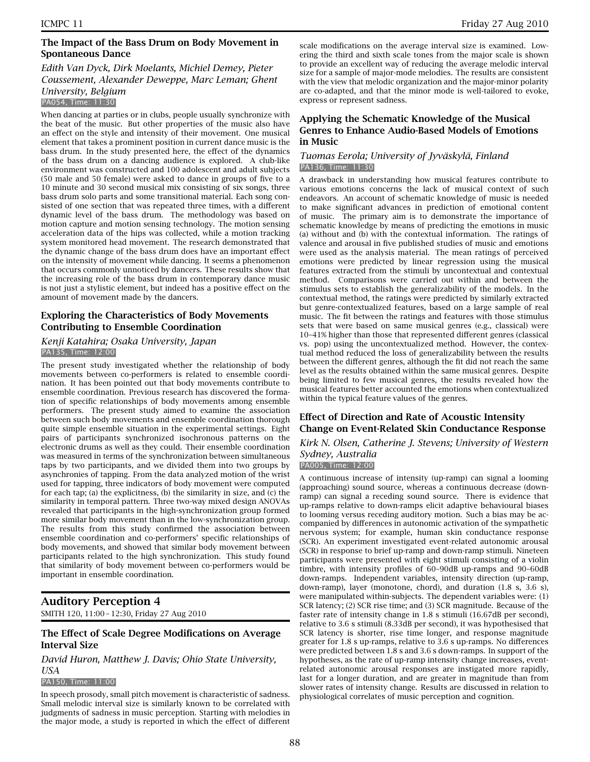### **The Impact of the Bass Drum on Body Movement in Spontaneous Dance**

#### *Edith Van Dyck, Dirk Moelants, Michiel Demey, Pieter Coussement, Alexander Deweppe, Marc Leman; Ghent University, Belgium* PA054, Time: 11:30

When dancing at parties or in clubs, people usually synchronize with the beat of the music. But other properties of the music also have an effect on the style and intensity of their movement. One musical element that takes a prominent position in current dance music is the bass drum. In the study presented here, the effect of the dynamics of the bass drum on a dancing audience is explored. A club-like environment was constructed and 100 adolescent and adult subjects (50 male and 50 female) were asked to dance in groups of five to a 10 minute and 30 second musical mix consisting of six songs, three bass drum solo parts and some transitional material. Each song consisted of one section that was repeated three times, with a different dynamic level of the bass drum. The methodology was based on motion capture and motion sensing technology. The motion sensing acceleration data of the hips was collected, while a motion tracking system monitored head movement. The research demonstrated that the dynamic change of the bass drum does have an important effect on the intensity of movement while dancing. It seems a phenomenon that occurs commonly unnoticed by dancers. These results show that the increasing role of the bass drum in contemporary dance music is not just a stylistic element, but indeed has a positive effect on the amount of movement made by the dancers.

### **Exploring the Characteristics of Body Movements Contributing to Ensemble Coordination**

#### *Kenji Katahira; Osaka University, Japan* PA135, Time: 12:00

The present study investigated whether the relationship of body movements between co-performers is related to ensemble coordination. It has been pointed out that body movements contribute to ensemble coordination. Previous research has discovered the formation of specific relationships of body movements among ensemble performers. The present study aimed to examine the association between such body movements and ensemble coordination thorough quite simple ensemble situation in the experimental settings. Eight pairs of participants synchronized isochronous patterns on the electronic drums as well as they could. Their ensemble coordination was measured in terms of the synchronization between simultaneous taps by two participants, and we divided them into two groups by asynchronies of tapping. From the data analyzed motion of the wrist used for tapping, three indicators of body movement were computed for each tap; (a) the explicitness, (b) the similarity in size, and (c) the similarity in temporal pattern. Three two-way mixed design ANOVAs revealed that participants in the high-synchronization group formed more similar body movement than in the low-synchronization group. The results from this study confirmed the association between ensemble coordination and co-performers' specific relationships of body movements, and showed that similar body movement between participants related to the high synchronization. This study found that similarity of body movement between co-performers would be important in ensemble coordination.

# **Auditory Perception 4**

SMITH 120, 11:00 – 12:30, Friday 27 Aug 2010

### **The Effect of Scale Degree Modifications on Average Interval Size**

### *David Huron, Matthew J. Davis; Ohio State University, USA*

#### PA150, Time: 11:00

In speech prosody, small pitch movement is characteristic of sadness. Small melodic interval size is similarly known to be correlated with judgments of sadness in music perception. Starting with melodies in the major mode, a study is reported in which the effect of different

scale modifications on the average interval size is examined. Lowering the third and sixth scale tones from the major scale is shown to provide an excellent way of reducing the average melodic interval size for a sample of major-mode melodies. The results are consistent with the view that melodic organization and the major-minor polarity are co-adapted, and that the minor mode is well-tailored to evoke, express or represent sadness.

### **Applying the Schematic Knowledge of the Musical Genres to Enhance Audio-Based Models of Emotions in Music**

#### *Tuomas Eerola; University of Jyväskylä, Finland* PA136, Time: 11:30

A drawback in understanding how musical features contribute to various emotions concerns the lack of musical context of such endeavors. An account of schematic knowledge of music is needed to make significant advances in prediction of emotional content of music. The primary aim is to demonstrate the importance of schematic knowledge by means of predicting the emotions in music (a) without and (b) with the contextual information. The ratings of valence and arousal in five published studies of music and emotions were used as the analysis material. The mean ratings of perceived emotions were predicted by linear regression using the musical features extracted from the stimuli by uncontextual and contextual method. Comparisons were carried out within and between the stimulus sets to establish the generalizability of the models. In the contextual method, the ratings were predicted by similarly extracted but genre-contextualized features, based on a large sample of real music. The fit between the ratings and features with those stimulus sets that were based on same musical genres (e.g., classical) were 10–41% higher than those that represented different genres (classical vs. pop) using the uncontextualized method. However, the contextual method reduced the loss of generalizability between the results between the different genres, although the fit did not reach the same level as the results obtained within the same musical genres. Despite being limited to few musical genres, the results revealed how the musical features better accounted the emotions when contextualized within the typical feature values of the genres.

### **Effect of Direction and Rate of Acoustic Intensity Change on Event-Related Skin Conductance Response**

# *Kirk N. Olsen, Catherine J. Stevens; University of Western Sydney, Australia*

PA005, Time: 12:00

A continuous increase of intensity (up-ramp) can signal a looming (approaching) sound source, whereas a continuous decrease (downramp) can signal a receding sound source. There is evidence that up-ramps relative to down-ramps elicit adaptive behavioural biases to looming versus receding auditory motion. Such a bias may be accompanied by differences in autonomic activation of the sympathetic nervous system; for example, human skin conductance response (SCR). An experiment investigated event-related autonomic arousal (SCR) in response to brief up-ramp and down-ramp stimuli. Nineteen participants were presented with eight stimuli consisting of a violin timbre, with intensity profiles of 60–90dB up-ramps and 90–60dB down-ramps. Independent variables, intensity direction (up-ramp, down-ramp), layer (monotone, chord), and duration (1.8 s, 3.6 s), were manipulated within-subjects. The dependent variables were: (1) SCR latency; (2) SCR rise time; and (3) SCR magnitude. Because of the faster rate of intensity change in 1.8 s stimuli (16.67dB per second), relative to 3.6 s stimuli (8.33dB per second), it was hypothesised that SCR latency is shorter, rise time longer, and response magnitude greater for 1.8 s up-ramps, relative to 3.6 s up-ramps. No differences were predicted between 1.8 s and 3.6 s down-ramps. In support of the hypotheses, as the rate of up-ramp intensity change increases, eventrelated autonomic arousal responses are instigated more rapidly, last for a longer duration, and are greater in magnitude than from slower rates of intensity change. Results are discussed in relation to physiological correlates of music perception and cognition.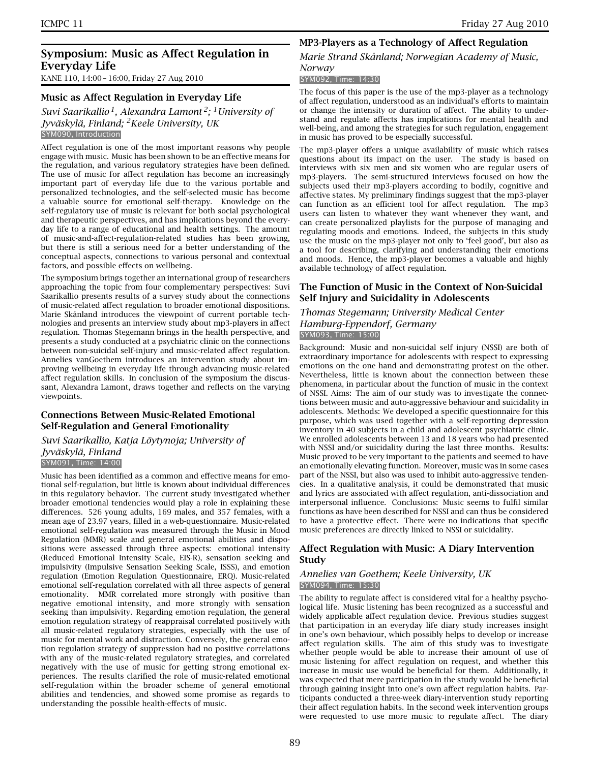# **Symposium: Music as Affect Regulation in Everyday Life**

KANE 110, 14:00 – 16:00, Friday 27 Aug 2010

### **Music as Affect Regulation in Everyday Life**

*Suvi Saarikallio 1, Alexandra Lamont 2; 1University of Jyväskylä, Finland; 2Keele University, UK* SYM090, Introduction

Affect regulation is one of the most important reasons why people engage with music. Music has been shown to be an effective means for the regulation, and various regulatory strategies have been defined. The use of music for affect regulation has become an increasingly important part of everyday life due to the various portable and personalized technologies, and the self-selected music has become a valuable source for emotional self-therapy. Knowledge on the self-regulatory use of music is relevant for both social psychological and therapeutic perspectives, and has implications beyond the everyday life to a range of educational and health settings. The amount of music-and-affect-regulation-related studies has been growing, but there is still a serious need for a better understanding of the conceptual aspects, connections to various personal and contextual factors, and possible effects on wellbeing.

The symposium brings together an international group of researchers approaching the topic from four complementary perspectives: Suvi Saarikallio presents results of a survey study about the connections of music-related affect regulation to broader emotional dispositions. Marie Skånland introduces the viewpoint of current portable technologies and presents an interview study about mp3-players in affect regulation. Thomas Stegemann brings in the health perspective, and presents a study conducted at a psychiatric clinic on the connections between non-suicidal self-injury and music-related affect regulation. Annelies vanGoethem introduces an intervention study about improving wellbeing in everyday life through advancing music-related affect regulation skills. In conclusion of the symposium the discussant, Alexandra Lamont, draws together and reflects on the varying viewpoints.

### **Connections Between Music-Related Emotional Self-Regulation and General Emotionality**

*Suvi Saarikallio, Katja Löytynoja; University of Jyväskylä, Finland* SYM091, Time: 14:00

Music has been identified as a common and effective means for emotional self-regulation, but little is known about individual differences in this regulatory behavior. The current study investigated whether broader emotional tendencies would play a role in explaining these differences. 526 young adults, 169 males, and 357 females, with a mean age of 23.97 years, filled in a web-questionnaire. Music-related emotional self-regulation was measured through the Music in Mood Regulation (MMR) scale and general emotional abilities and dispositions were assessed through three aspects: emotional intensity (Reduced Emotional Intensity Scale, EIS-R), sensation seeking and impulsivity (Impulsive Sensation Seeking Scale, ISSS), and emotion regulation (Emotion Regulation Questionnaire, ERQ). Music-related emotional self-regulation correlated with all three aspects of general emotionality. MMR correlated more strongly with positive than negative emotional intensity, and more strongly with sensation seeking than impulsivity. Regarding emotion regulation, the general emotion regulation strategy of reappraisal correlated positively with all music-related regulatory strategies, especially with the use of music for mental work and distraction. Conversely, the general emotion regulation strategy of suppression had no positive correlations with any of the music-related regulatory strategies, and correlated negatively with the use of music for getting strong emotional experiences. The results clarified the role of music-related emotional self-regulation within the broader scheme of general emotional abilities and tendencies, and showed some promise as regards to understanding the possible health-effects of music.

# **MP3-Players as a Technology of Affect Regulation**

# *Marie Strand Skånland; Norwegian Academy of Music,*

#### *Norway* SYM092, Time: 14:30

The focus of this paper is the use of the mp3-player as a technology of affect regulation, understood as an individual's efforts to maintain or change the intensity or duration of affect. The ability to understand and regulate affects has implications for mental health and well-being, and among the strategies for such regulation, engagement in music has proved to be especially successful.

The mp3-player offers a unique availability of music which raises questions about its impact on the user. The study is based on interviews with six men and six women who are regular users of mp3-players. The semi-structured interviews focused on how the subjects used their mp3-players according to bodily, cognitive and affective states. My preliminary findings suggest that the mp3-player can function as an efficient tool for affect regulation. The mp3 users can listen to whatever they want whenever they want, and can create personalized playlists for the purpose of managing and regulating moods and emotions. Indeed, the subjects in this study use the music on the mp3-player not only to 'feel good', but also as a tool for describing, clarifying and understanding their emotions and moods. Hence, the mp3-player becomes a valuable and highly available technology of affect regulation.

### **The Function of Music in the Context of Non-Suicidal Self Injury and Suicidality in Adolescents**

#### *Thomas Stegemann; University Medical Center Hamburg-Eppendorf, Germany* SYM093, Time: 15:00

Background: Music and non-suicidal self injury (NSSI) are both of extraordinary importance for adolescents with respect to expressing emotions on the one hand and demonstrating protest on the other. Nevertheless, little is known about the connection between these phenomena, in particular about the function of music in the context of NSSI. Aims: The aim of our study was to investigate the connections between music and auto-aggressive behaviour and suicidality in adolescents. Methods: We developed a specific questionnaire for this purpose, which was used together with a self-reporting depression inventory in 40 subjects in a child and adolescent psychiatric clinic. We enrolled adolescents between 13 and 18 years who had presented with NSSI and/or suicidality during the last three months. Results: Music proved to be very important to the patients and seemed to have an emotionally elevating function. Moreover, music was in some cases part of the NSSI, but also was used to inhibit auto-aggressive tendencies. In a qualitative analysis, it could be demonstrated that music and lyrics are associated with affect regulation, anti-dissociation and interpersonal influence. Conclusions: Music seems to fulfil similar functions as have been described for NSSI and can thus be considered to have a protective effect. There were no indications that specific music preferences are directly linked to NSSI or suicidality.

### **Affect Regulation with Music: A Diary Intervention Study**

#### *Annelies van Goethem; Keele University, UK* SYM094, Time: 15:30

The ability to regulate affect is considered vital for a healthy psychological life. Music listening has been recognized as a successful and widely applicable affect regulation device. Previous studies suggest that participation in an everyday life diary study increases insight in one's own behaviour, which possibly helps to develop or increase affect regulation skills. The aim of this study was to investigate whether people would be able to increase their amount of use of music listening for affect regulation on request, and whether this increase in music use would be beneficial for them. Additionally, it was expected that mere participation in the study would be beneficial through gaining insight into one's own affect regulation habits. Participants conducted a three-week diary-intervention study reporting their affect regulation habits. In the second week intervention groups were requested to use more music to regulate affect. The diary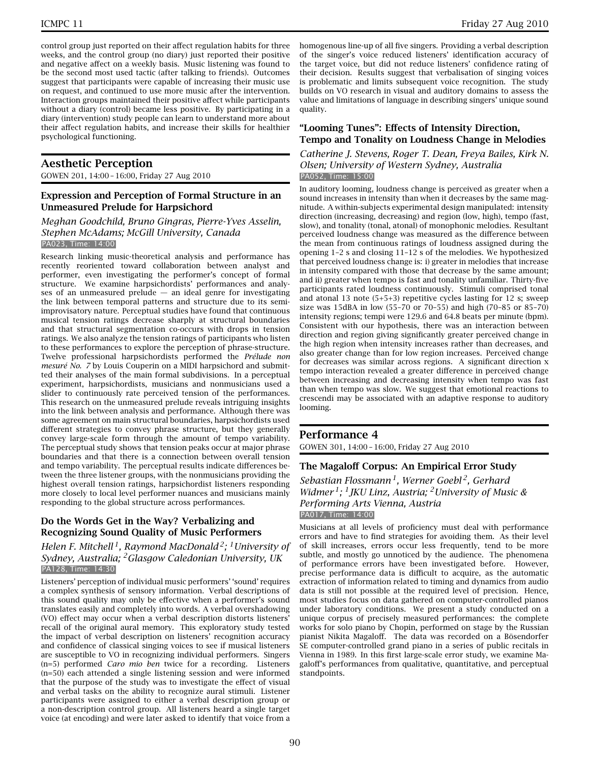control group just reported on their affect regulation habits for three weeks, and the control group (no diary) just reported their positive and negative affect on a weekly basis. Music listening was found to be the second most used tactic (after talking to friends). Outcomes suggest that participants were capable of increasing their music use on request, and continued to use more music after the intervention. Interaction groups maintained their positive affect while participants without a diary (control) became less positive. By participating in a diary (intervention) study people can learn to understand more about their affect regulation habits, and increase their skills for healthier psychological functioning.

# **Aesthetic Perception**

GOWEN 201, 14:00 – 16:00, Friday 27 Aug 2010

### **Expression and Perception of Formal Structure in an Unmeasured Prelude for Harpsichord**

*Meghan Goodchild, Bruno Gingras, Pierre-Yves Asselin, Stephen McAdams; McGill University, Canada* PA023, Time: 14:00

Research linking music-theoretical analysis and performance has recently reoriented toward collaboration between analyst and performer, even investigating the performer's concept of formal structure. We examine harpsichordists' performances and analyses of an unmeasured prelude  $-$  an ideal genre for investigating the link between temporal patterns and structure due to its semiimprovisatory nature. Perceptual studies have found that continuous musical tension ratings decrease sharply at structural boundaries and that structural segmentation co-occurs with drops in tension ratings. We also analyze the tension ratings of participants who listen to these performances to explore the perception of phrase-structure. Twelve professional harpsichordists performed the *Prélude non mesuré No. 7* by Louis Couperin on a MIDI harpsichord and submitted their analyses of the main formal subdivisions. In a perceptual experiment, harpsichordists, musicians and nonmusicians used a slider to continuously rate perceived tension of the performances. This research on the unmeasured prelude reveals intriguing insights into the link between analysis and performance. Although there was some agreement on main structural boundaries, harpsichordists used different strategies to convey phrase structure, but they generally convey large-scale form through the amount of tempo variability. The perceptual study shows that tension peaks occur at major phrase boundaries and that there is a connection between overall tension and tempo variability. The perceptual results indicate differences between the three listener groups, with the nonmusicians providing the highest overall tension ratings, harpsichordist listeners responding more closely to local level performer nuances and musicians mainly responding to the global structure across performances.

### **Do the Words Get in the Way? Verbalizing and Recognizing Sound Quality of Music Performers**

*Helen F. Mitchell 1, Raymond MacDonald 2; 1University of Sydney, Australia; 2Glasgow Caledonian University, UK* PA128, Time: 14:30

Listeners' perception of individual music performers' 'sound' requires a complex synthesis of sensory information. Verbal descriptions of this sound quality may only be effective when a performer's sound translates easily and completely into words. A verbal overshadowing (VO) effect may occur when a verbal description distorts listeners' recall of the original aural memory. This exploratory study tested the impact of verbal description on listeners' recognition accuracy and confidence of classical singing voices to see if musical listeners are susceptible to VO in recognizing individual performers. Singers (n=5) performed *Caro mio ben* twice for a recording. Listeners (n=50) each attended a single listening session and were informed that the purpose of the study was to investigate the effect of visual and verbal tasks on the ability to recognize aural stimuli. Listener participants were assigned to either a verbal description group or a non-description control group. All listeners heard a single target voice (at encoding) and were later asked to identify that voice from a

homogenous line-up of all five singers. Providing a verbal description of the singer's voice reduced listeners' identification accuracy of the target voice, but did not reduce listeners' confidence rating of their decision. Results suggest that verbalisation of singing voices is problematic and limits subsequent voice recognition. The study builds on VO research in visual and auditory domains to assess the value and limitations of language in describing singers' unique sound quality.

### **"Looming Tunes": Effects of Intensity Direction, Tempo and Tonality on Loudness Change in Melodies**

*Catherine J. Stevens, Roger T. Dean, Freya Bailes, Kirk N. Olsen; University of Western Sydney, Australia* PA052, Time: 15:00

In auditory looming, loudness change is perceived as greater when a sound increases in intensity than when it decreases by the same magnitude. A within-subjects experimental design manipulated: intensity direction (increasing, decreasing) and region (low, high), tempo (fast, slow), and tonality (tonal, atonal) of monophonic melodies. Resultant perceived loudness change was measured as the difference between the mean from continuous ratings of loudness assigned during the opening 1–2 s and closing 11–12 s of the melodies. We hypothesized that perceived loudness change is: i) greater in melodies that increase in intensity compared with those that decrease by the same amount; and ii) greater when tempo is fast and tonality unfamiliar. Thirty-five participants rated loudness continuously. Stimuli comprised tonal and atonal 13 note (5+5+3) repetitive cycles lasting for 12 s; sweep size was 15dBA in low (55–70 or 70–55) and high (70–85 or 85–70) intensity regions; tempi were 129.6 and 64.8 beats per minute (bpm). Consistent with our hypothesis, there was an interaction between direction and region giving significantly greater perceived change in the high region when intensity increases rather than decreases, and also greater change than for low region increases. Perceived change for decreases was similar across regions. A significant direction x tempo interaction revealed a greater difference in perceived change between increasing and decreasing intensity when tempo was fast than when tempo was slow. We suggest that emotional reactions to crescendi may be associated with an adaptive response to auditory looming.

# **Performance 4**

GOWEN 301, 14:00 – 16:00, Friday 27 Aug 2010

### **The Magaloff Corpus: An Empirical Error Study**

*Sebastian Flossmann 1, Werner Goebl 2, Gerhard Widmer 1; 1JKU Linz, Austria; 2University of Music & Performing Arts Vienna, Austria* PA017, Time: 14:00

Musicians at all levels of proficiency must deal with performance errors and have to find strategies for avoiding them. As their level of skill increases, errors occur less frequently, tend to be more subtle, and mostly go unnoticed by the audience. The phenomena of performance errors have been investigated before. However, precise performance data is difficult to acquire, as the automatic extraction of information related to timing and dynamics from audio data is still not possible at the required level of precision. Hence, most studies focus on data gathered on computer-controlled pianos under laboratory conditions. We present a study conducted on a unique corpus of precisely measured performances: the complete works for solo piano by Chopin, performed on stage by the Russian pianist Nikita Magaloff. The data was recorded on a Bösendorfer SE computer-controlled grand piano in a series of public recitals in Vienna in 1989. In this first large-scale error study, we examine Magaloff's performances from qualitative, quantitative, and perceptual standpoints.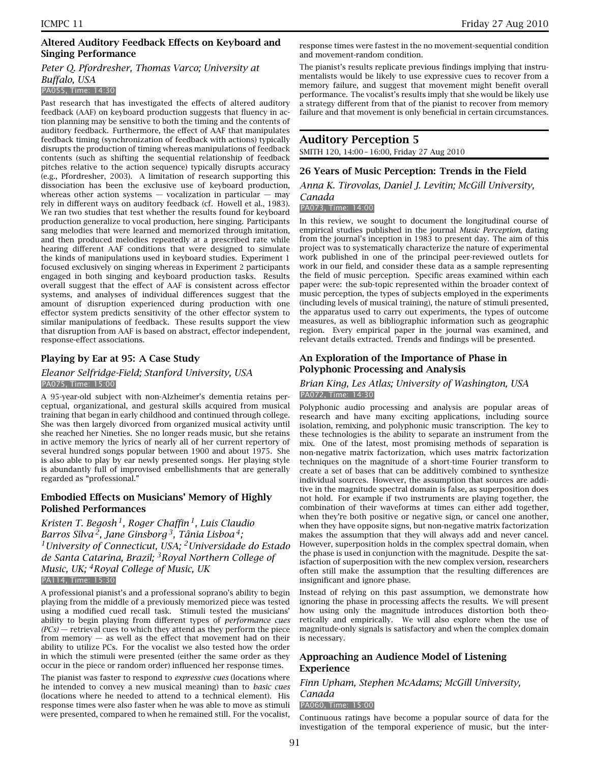### **Altered Auditory Feedback Effects on Keyboard and Singing Performance**

# *Peter Q. Pfordresher, Thomas Varco; University at Buffalo, USA*

#### PA055, Time: 14:30

Past research that has investigated the effects of altered auditory feedback (AAF) on keyboard production suggests that fluency in action planning may be sensitive to both the timing and the contents of auditory feedback. Furthermore, the effect of AAF that manipulates feedback timing (synchronization of feedback with actions) typically disrupts the production of timing whereas manipulations of feedback contents (such as shifting the sequential relationship of feedback pitches relative to the action sequence) typically disrupts accuracy (e.g., Pfordresher, 2003). A limitation of research supporting this dissociation has been the exclusive use of keyboard production, whereas other action systems  $-$  vocalization in particular  $-$  may rely in different ways on auditory feedback (cf. Howell et al., 1983). We ran two studies that test whether the results found for keyboard production generalize to vocal production, here singing. Participants sang melodies that were learned and memorized through imitation, and then produced melodies repeatedly at a prescribed rate while hearing different AAF conditions that were designed to simulate the kinds of manipulations used in keyboard studies. Experiment 1 focused exclusively on singing whereas in Experiment 2 participants engaged in both singing and keyboard production tasks. Results overall suggest that the effect of AAF is consistent across effector systems, and analyses of individual differences suggest that the amount of disruption experienced during production with one effector system predicts sensitivity of the other effector system to similar manipulations of feedback. These results support the view that disruption from AAF is based on abstract, effector independent, response-effect associations.

### **Playing by Ear at 95: A Case Study**

#### *Eleanor Selfridge-Field; Stanford University, USA* PA075, Time: 15:00

A 95-year-old subject with non-Alzheimer's dementia retains perceptual, organizational, and gestural skills acquired from musical training that began in early childhood and continued through college. She was then largely divorced from organized musical activity until she reached her Nineties. She no longer reads music, but she retains in active memory the lyrics of nearly all of her current repertory of several hundred songs popular between 1900 and about 1975. She is also able to play by ear newly presented songs. Her playing style is abundantly full of improvised embellishments that are generally regarded as "professional."

### **Embodied Effects on Musicians' Memory of Highly Polished Performances**

*Kristen T. Begosh 1, Roger Chaffin 1, Luis Claudio Barros Silva 2, Jane Ginsborg 3, Tânia Lisboa 4; 1University of Connecticut, USA; 2Universidade do Estado de Santa Catarina, Brazil; 3Royal Northern College of Music, UK; 4Royal College of Music, UK* PA114, Time: 15:30

A professional pianist's and a professional soprano's ability to begin playing from the middle of a previously memorized piece was tested using a modified cued recall task. Stimuli tested the musicians' ability to begin playing from different types of *performance cues (PCs)* — retrieval cues to which they attend as they perform the piece from memory  $-$  as well as the effect that movement had on their ability to utilize PCs. For the vocalist we also tested how the order in which the stimuli were presented (either the same order as they occur in the piece or random order) influenced her response times.

The pianist was faster to respond to *expressive cues* (locations where he intended to convey a new musical meaning) than to *basic cues* (locations where he needed to attend to a technical element). His response times were also faster when he was able to move as stimuli were presented, compared to when he remained still. For the vocalist,

response times were fastest in the no movement-sequential condition and movement-random condition.

The pianist's results replicate previous findings implying that instrumentalists would be likely to use expressive cues to recover from a memory failure, and suggest that movement might benefit overall performance. The vocalist's results imply that she would be likely use a strategy different from that of the pianist to recover from memory failure and that movement is only beneficial in certain circumstances.

# **Auditory Perception 5**

SMITH 120, 14:00 – 16:00, Friday 27 Aug 2010

### **26 Years of Music Perception: Trends in the Field**

*Anna K. Tirovolas, Daniel J. Levitin; McGill University,*

# *Canada*

PA073, Time: 14:00

In this review, we sought to document the longitudinal course of empirical studies published in the journal *Music Perception*, dating from the journal's inception in 1983 to present day. The aim of this project was to systematically characterize the nature of experimental work published in one of the principal peer-reviewed outlets for work in our field, and consider these data as a sample representing the field of music perception. Specific areas examined within each paper were: the sub-topic represented within the broader context of music perception, the types of subjects employed in the experiments (including levels of musical training), the nature of stimuli presented, the apparatus used to carry out experiments, the types of outcome measures, as well as bibliographic information such as geographic region. Every empirical paper in the journal was examined, and relevant details extracted. Trends and findings will be presented.

### **An Exploration of the Importance of Phase in Polyphonic Processing and Analysis**

### *Brian King, Les Atlas; University of Washington, USA* PA072, Time: 14:30

Polyphonic audio processing and analysis are popular areas of research and have many exciting applications, including source isolation, remixing, and polyphonic music transcription. The key to these technologies is the ability to separate an instrument from the mix. One of the latest, most promising methods of separation is non-negative matrix factorization, which uses matrix factorization techniques on the magnitude of a short-time Fourier transform to create a set of bases that can be additively combined to synthesize individual sources. However, the assumption that sources are additive in the magnitude spectral domain is false, as superposition does not hold. For example if two instruments are playing together, the combination of their waveforms at times can either add together, when they're both positive or negative sign, or cancel one another, when they have opposite signs, but non-negative matrix factorization makes the assumption that they will always add and never cancel. However, superposition holds in the complex spectral domain, when the phase is used in conjunction with the magnitude. Despite the satisfaction of superposition with the new complex version, researchers often still make the assumption that the resulting differences are insignificant and ignore phase.

Instead of relying on this past assumption, we demonstrate how ignoring the phase in processing affects the results. We will present how using only the magnitude introduces distortion both theoretically and empirically. We will also explore when the use of magnitude-only signals is satisfactory and when the complex domain is necessary.

### **Approaching an Audience Model of Listening Experience**

#### *Finn Upham, Stephen McAdams; McGill University, Canada*

#### PA060, Time: 15:00

Continuous ratings have become a popular source of data for the investigation of the temporal experience of music, but the inter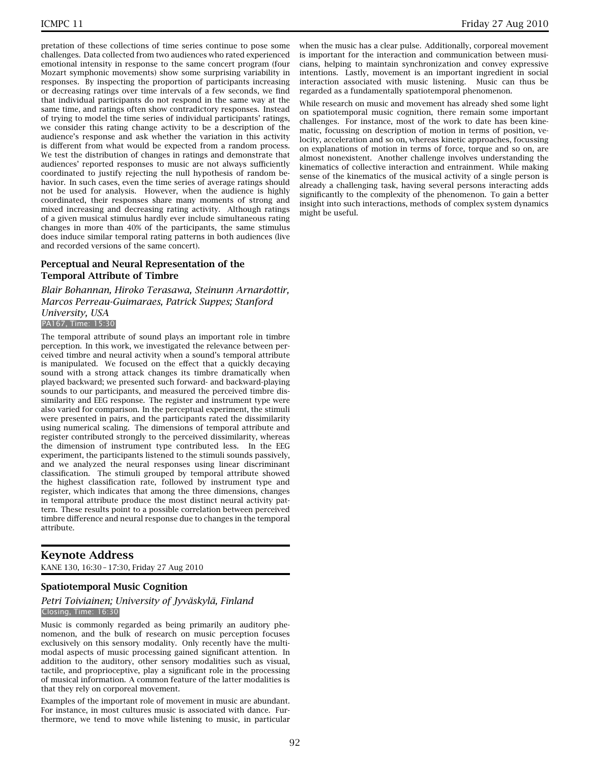pretation of these collections of time series continue to pose some challenges. Data collected from two audiences who rated experienced emotional intensity in response to the same concert program (four Mozart symphonic movements) show some surprising variability in responses. By inspecting the proportion of participants increasing or decreasing ratings over time intervals of a few seconds, we find that individual participants do not respond in the same way at the same time, and ratings often show contradictory responses. Instead of trying to model the time series of individual participants' ratings, we consider this rating change activity to be a description of the audience's response and ask whether the variation in this activity is different from what would be expected from a random process. We test the distribution of changes in ratings and demonstrate that audiences' reported responses to music are not always sufficiently coordinated to justify rejecting the null hypothesis of random behavior. In such cases, even the time series of average ratings should not be used for analysis. However, when the audience is highly coordinated, their responses share many moments of strong and mixed increasing and decreasing rating activity. Although ratings of a given musical stimulus hardly ever include simultaneous rating changes in more than 40% of the participants, the same stimulus does induce similar temporal rating patterns in both audiences (live and recorded versions of the same concert).

### **Perceptual and Neural Representation of the Temporal Attribute of Timbre**

*Blair Bohannan, Hiroko Terasawa, Steinunn Arnardottir, Marcos Perreau-Guimaraes, Patrick Suppes; Stanford University, USA* PA167, Time: 15:30

The temporal attribute of sound plays an important role in timbre perception. In this work, we investigated the relevance between perceived timbre and neural activity when a sound's temporal attribute is manipulated. We focused on the effect that a quickly decaying sound with a strong attack changes its timbre dramatically when played backward; we presented such forward- and backward-playing sounds to our participants, and measured the perceived timbre dissimilarity and EEG response. The register and instrument type were also varied for comparison. In the perceptual experiment, the stimuli were presented in pairs, and the participants rated the dissimilarity using numerical scaling. The dimensions of temporal attribute and register contributed strongly to the perceived dissimilarity, whereas the dimension of instrument type contributed less. In the EEG experiment, the participants listened to the stimuli sounds passively, and we analyzed the neural responses using linear discriminant classification. The stimuli grouped by temporal attribute showed the highest classification rate, followed by instrument type and register, which indicates that among the three dimensions, changes in temporal attribute produce the most distinct neural activity pattern. These results point to a possible correlation between perceived timbre difference and neural response due to changes in the temporal attribute.

### **Keynote Address**

KANE 130, 16:30 – 17:30, Friday 27 Aug 2010

#### **Spatiotemporal Music Cognition**

#### *Petri Toiviainen; University of Jyväskylä, Finland* Closing, Time: 16:30

Music is commonly regarded as being primarily an auditory phenomenon, and the bulk of research on music perception focuses exclusively on this sensory modality. Only recently have the multimodal aspects of music processing gained significant attention. In addition to the auditory, other sensory modalities such as visual, tactile, and proprioceptive, play a significant role in the processing of musical information. A common feature of the latter modalities is that they rely on corporeal movement.

Examples of the important role of movement in music are abundant. For instance, in most cultures music is associated with dance. Furthermore, we tend to move while listening to music, in particular

when the music has a clear pulse. Additionally, corporeal movement is important for the interaction and communication between musicians, helping to maintain synchronization and convey expressive intentions. Lastly, movement is an important ingredient in social interaction associated with music listening. Music can thus be regarded as a fundamentally spatiotemporal phenomenon.

While research on music and movement has already shed some light on spatiotemporal music cognition, there remain some important challenges. For instance, most of the work to date has been kinematic, focussing on description of motion in terms of position, velocity, acceleration and so on, whereas kinetic approaches, focussing on explanations of motion in terms of force, torque and so on, are almost nonexistent. Another challenge involves understanding the kinematics of collective interaction and entrainment. While making sense of the kinematics of the musical activity of a single person is already a challenging task, having several persons interacting adds significantly to the complexity of the phenomenon. To gain a better insight into such interactions, methods of complex system dynamics might be useful.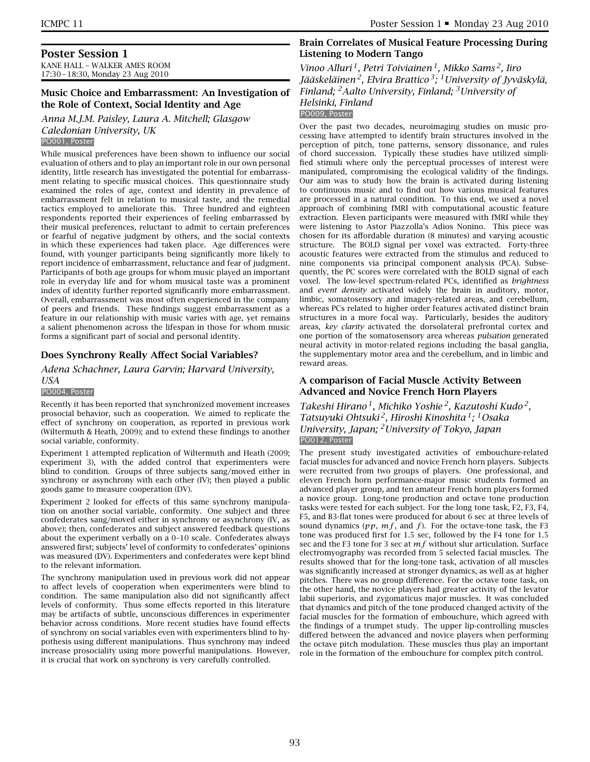### **Poster Session 1**

KANE HALL – WALKER AMES ROOM 17:30 – 18:30, Monday 23 Aug 2010

### **Music Choice and Embarrassment: An Investigation of the Role of Context, Social Identity and Age**

*Anna M.J.M. Paisley, Laura A. Mitchell; Glasgow Caledonian University, UK*

#### PO001, Poster

While musical preferences have been shown to influence our social evaluation of others and to play an important role in our own personal identity, little research has investigated the potential for embarrassment relating to specific musical choices. This questionnaire study examined the roles of age, context and identity in prevalence of embarrassment felt in relation to musical taste, and the remedial tactics employed to ameliorate this. Three hundred and eighteen respondents reported their experiences of feeling embarrassed by their musical preferences, reluctant to admit to certain preferences or fearful of negative judgment by others, and the social contexts in which these experiences had taken place. Age differences were found, with younger participants being significantly more likely to report incidence of embarrassment, reluctance and fear of judgment. Participants of both age groups for whom music played an important role in everyday life and for whom musical taste was a prominent index of identity further reported significantly more embarrassment. Overall, embarrassment was most often experienced in the company of peers and friends. These findings suggest embarrassment as a feature in our relationship with music varies with age, yet remains a salient phenomenon across the lifespan in those for whom music forms a significant part of social and personal identity.

### **Does Synchrony Really Affect Social Variables?**

*Adena Schachner, Laura Garvin; Harvard University, USA*

#### PO004, Poster

Recently it has been reported that synchronized movement increases prosocial behavior, such as cooperation. We aimed to replicate the effect of synchrony on cooperation, as reported in previous work (Wiltermuth & Heath, 2009); and to extend these findings to another social variable, conformity.

Experiment 1 attempted replication of Wiltermuth and Heath (2009; experiment 3), with the added control that experimenters were blind to condition. Groups of three subjects sang/moved either in synchrony or asynchrony with each other (IV); then played a public goods game to measure cooperation (DV).

Experiment 2 looked for effects of this same synchrony manipulation on another social variable, conformity. One subject and three confederates sang/moved either in synchrony or asynchrony (IV, as above); then, confederates and subject answered feedback questions about the experiment verbally on a 0–10 scale. Confederates always answered first; subjects' level of conformity to confederates' opinions was measured (DV). Experimenters and confederates were kept blind to the relevant information.

The synchrony manipulation used in previous work did not appear to affect levels of cooperation when experimenters were blind to condition. The same manipulation also did not significantly affect levels of conformity. Thus some effects reported in this literature may be artifacts of subtle, unconscious differences in experimenter behavior across conditions. More recent studies have found effects of synchrony on social variables even with experimenters blind to hypothesis using different manipulations. Thus synchrony may indeed increase prosociality using more powerful manipulations. However, it is crucial that work on synchrony is very carefully controlled.

### **Brain Correlates of Musical Feature Processing During Listening to Modern Tango**

*Vinoo Alluri 1, Petri Toiviainen 1, Mikko Sams 2, Iiro Jääskeläinen 2, Elvira Brattico 3; 1University of Jyväskylä, Finland; 2Aalto University, Finland; 3University of Helsinki, Finland*

PO009, Poster

Over the past two decades, neuroimaging studies on music processing have attempted to identify brain structures involved in the perception of pitch, tone patterns, sensory dissonance, and rules of chord succession. Typically these studies have utilized simplified stimuli where only the perceptual processes of interest were manipulated, compromising the ecological validity of the findings. Our aim was to study how the brain is activated during listening to continuous music and to find out how various musical features are processed in a natural condition. To this end, we used a novel approach of combining fMRI with computational acoustic feature extraction. Eleven participants were measured with fMRI while they were listening to Astor Piazzolla's Adios Nonino. This piece was chosen for its affordable duration (8 minutes) and varying acoustic structure. The BOLD signal per voxel was extracted. Forty-three acoustic features were extracted from the stimulus and reduced to nine components via principal component analysis (PCA). Subsequently, the PC scores were correlated with the BOLD signal of each voxel. The low-level spectrum-related PCs, identified as *brightness* and *event density* activated widely the brain in auditory, motor, limbic, somatosensory and imagery-related areas, and cerebellum, whereas PCs related to higher order features activated distinct brain structures in a more focal way. Particularly, besides the auditory areas, *key clarity* activated the dorsolateral prefrontal cortex and one portion of the somatosensory area whereas *pulsation* generated neural activity in motor-related regions including the basal ganglia, the supplementary motor area and the cerebellum, and in limbic and reward areas.

### **A comparison of Facial Muscle Activity Between Advanced and Novice French Horn Players**

*Takeshi Hirano 1, Michiko Yoshie 2, Kazutoshi Kudo 2, Tatsuyuki Ohtsuki 2, Hiroshi Kinoshita 1; 1Osaka University, Japan; 2University of Tokyo, Japan* PO012, Poster

The present study investigated activities of embouchure-related facial muscles for advanced and novice French horn players. Subjects were recruited from two groups of players. One professional, and eleven French horn performance-major music students formed an advanced player group, and ten amateur French horn players formed a novice group. Long-tone production and octave tone production tasks were tested for each subject. For the long tone task, F2, F3, F4, F5, and B3-flat tones were produced for about 6 sec at three levels of sound dynamics  $(pp, mf, and f)$ . For the octave-tone task, the F3 tone was produced first for 1.5 sec, followed by the F4 tone for 1.5 sec and the F3 tone for 3 sec at *mf* without slur articulation. Surface electromyography was recorded from 5 selected facial muscles. The results showed that for the long-tone task, activation of all muscles was significantly increased at stronger dynamics, as well as at higher pitches. There was no group difference. For the octave tone task, on the other hand, the novice players had greater activity of the levator labii superioris, and zygomaticus major muscles. It was concluded that dynamics and pitch of the tone produced changed activity of the facial muscles for the formation of embouchure, which agreed with the findings of a trumpet study. The upper lip-controlling muscles differed between the advanced and novice players when performing the octave pitch modulation. These muscles thus play an important role in the formation of the embouchure for complex pitch control.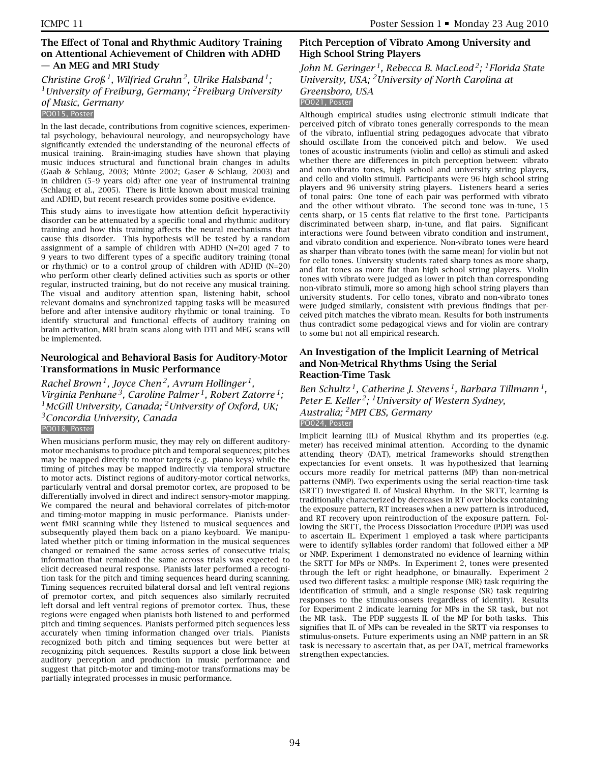### **The Effect of Tonal and Rhythmic Auditory Training on Attentional Achievement of Children with ADHD — An MEG and MRI Study**

*Christine Groß 1, Wilfried Gruhn 2, Ulrike Halsband 1; 1University of Freiburg, Germany; 2Freiburg University of Music, Germany*

#### PO015, Poster

In the last decade, contributions from cognitive sciences, experimental psychology, behavioural neurology, and neuropsychology have significantly extended the understanding of the neuronal effects of musical training. Brain-imaging studies have shown that playing music induces structural and functional brain changes in adults (Gaab & Schlaug, 2003; Münte 2002; Gaser & Schlaug, 2003) and in children (5–9 years old) after one year of instrumental training (Schlaug et al., 2005). There is little known about musical training and ADHD, but recent research provides some positive evidence.

This study aims to investigate how attention deficit hyperactivity disorder can be attenuated by a specific tonal and rhythmic auditory training and how this training affects the neural mechanisms that cause this disorder. This hypothesis will be tested by a random assignment of a sample of children with ADHD (N=20) aged 7 to 9 years to two different types of a specific auditory training (tonal or rhythmic) or to a control group of children with ADHD (N=20) who perform other clearly defined activities such as sports or other regular, instructed training, but do not receive any musical training. The visual and auditory attention span, listening habit, school relevant domains and synchronized tapping tasks will be measured before and after intensive auditory rhythmic or tonal training. To identify structural and functional effects of auditory training on brain activation, MRI brain scans along with DTI and MEG scans will be implemented.

### **Neurological and Behavioral Basis for Auditory-Motor Transformations in Music Performance**

*Rachel Brown 1, Joyce Chen 2, Avrum Hollinger 1, Virginia Penhune 3, Caroline Palmer 1, Robert Zatorre 1; 1McGill University, Canada; 2University of Oxford, UK; 3Concordia University, Canada* PO018, Poster

When musicians perform music, they may rely on different auditorymotor mechanisms to produce pitch and temporal sequences; pitches may be mapped directly to motor targets (e.g. piano keys) while the timing of pitches may be mapped indirectly via temporal structure to motor acts. Distinct regions of auditory-motor cortical networks, particularly ventral and dorsal premotor cortex, are proposed to be differentially involved in direct and indirect sensory-motor mapping. We compared the neural and behavioral correlates of pitch-motor and timing-motor mapping in music performance. Pianists underwent fMRI scanning while they listened to musical sequences and subsequently played them back on a piano keyboard. We manipulated whether pitch or timing information in the musical sequences changed or remained the same across series of consecutive trials; information that remained the same across trials was expected to elicit decreased neural response. Pianists later performed a recognition task for the pitch and timing sequences heard during scanning. Timing sequences recruited bilateral dorsal and left ventral regions of premotor cortex, and pitch sequences also similarly recruited left dorsal and left ventral regions of premotor cortex. Thus, these regions were engaged when pianists both listened to and performed pitch and timing sequences. Pianists performed pitch sequences less accurately when timing information changed over trials. Pianists recognized both pitch and timing sequences but were better at recognizing pitch sequences. Results support a close link between auditory perception and production in music performance and suggest that pitch-motor and timing-motor transformations may be partially integrated processes in music performance.

### **Pitch Perception of Vibrato Among University and High School String Players**

*John M. Geringer 1, Rebecca B. MacLeod 2; 1Florida State University, USA; 2University of North Carolina at Greensboro, USA*

### PO021, Poster

Although empirical studies using electronic stimuli indicate that perceived pitch of vibrato tones generally corresponds to the mean of the vibrato, influential string pedagogues advocate that vibrato should oscillate from the conceived pitch and below. We used tones of acoustic instruments (violin and cello) as stimuli and asked whether there are differences in pitch perception between: vibrato and non-vibrato tones, high school and university string players, and cello and violin stimuli. Participants were 96 high school string players and 96 university string players. Listeners heard a series of tonal pairs: One tone of each pair was performed with vibrato and the other without vibrato. The second tone was in-tune, 15 cents sharp, or 15 cents flat relative to the first tone. Participants discriminated between sharp, in-tune, and flat pairs. Significant interactions were found between vibrato condition and instrument, and vibrato condition and experience. Non-vibrato tones were heard as sharper than vibrato tones (with the same mean) for violin but not for cello tones. University students rated sharp tones as more sharp, and flat tones as more flat than high school string players. Violin tones with vibrato were judged as lower in pitch than corresponding non-vibrato stimuli, more so among high school string players than university students. For cello tones, vibrato and non-vibrato tones were judged similarly, consistent with previous findings that perceived pitch matches the vibrato mean. Results for both instruments thus contradict some pedagogical views and for violin are contrary to some but not all empirical research.

### **An Investigation of the Implicit Learning of Metrical and Non-Metrical Rhythms Using the Serial Reaction-Time Task**

*Ben Schultz 1, Catherine J. Stevens 1, Barbara Tillmann 1, Peter E. Keller 2; 1University of Western Sydney, Australia; 2MPI CBS, Germany* PO024, Poster

Implicit learning (IL) of Musical Rhythm and its properties (e.g. meter) has received minimal attention. According to the dynamic attending theory (DAT), metrical frameworks should strengthen expectancies for event onsets. It was hypothesized that learning occurs more readily for metrical patterns (MP) than non-metrical patterns (NMP). Two experiments using the serial reaction-time task (SRTT) investigated IL of Musical Rhythm. In the SRTT, learning is traditionally characterized by decreases in RT over blocks containing the exposure pattern, RT increases when a new pattern is introduced, and RT recovery upon reintroduction of the exposure pattern. Following the SRTT, the Process Dissociation Procedure (PDP) was used to ascertain IL. Experiment 1 employed a task where participants were to identify syllables (order random) that followed either a MP or NMP. Experiment 1 demonstrated no evidence of learning within the SRTT for MPs or NMPs. In Experiment 2, tones were presented through the left or right headphone, or binaurally. Experiment 2 used two different tasks: a multiple response (MR) task requiring the identification of stimuli, and a single response (SR) task requiring responses to the stimulus-onsets (regardless of identity). Results for Experiment 2 indicate learning for MPs in the SR task, but not the MR task. The PDP suggests IL of the MP for both tasks. This signifies that IL of MPs can be revealed in the SRTT via responses to stimulus-onsets. Future experiments using an NMP pattern in an SR task is necessary to ascertain that, as per DAT, metrical frameworks strengthen expectancies.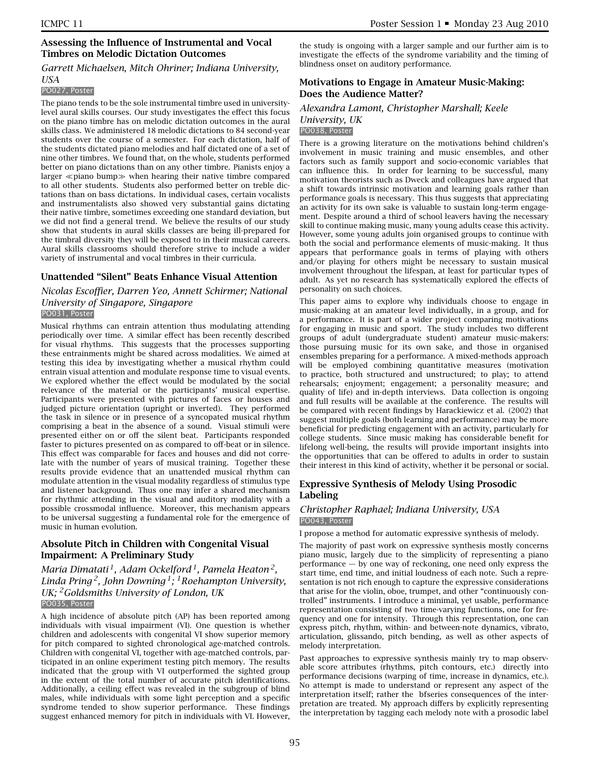### **Assessing the Influence of Instrumental and Vocal Timbres on Melodic Dictation Outcomes**

#### *Garrett Michaelsen, Mitch Ohriner; Indiana University, USA*

#### PO027, Poster

The piano tends to be the sole instrumental timbre used in universitylevel aural skills courses. Our study investigates the effect this focus on the piano timbre has on melodic dictation outcomes in the aural skills class. We administered 18 melodic dictations to 84 second-year students over the course of a semester. For each dictation, half of the students dictated piano melodies and half dictated one of a set of nine other timbres. We found that, on the whole, students performed better on piano dictations than on any other timbre. Pianists enjoy a larger  $\ll$ piano bump $\gg$  when hearing their native timbre compared to all other students. Students also performed better on treble dictations than on bass dictations. In individual cases, certain vocalists and instrumentalists also showed very substantial gains dictating their native timbre, sometimes exceeding one standard deviation, but we did not find a general trend. We believe the results of our study show that students in aural skills classes are being ill-prepared for the timbral diversity they will be exposed to in their musical careers. Aural skills classrooms should therefore strive to include a wider variety of instrumental and vocal timbres in their curricula.

### **Unattended "Silent" Beats Enhance Visual Attention**

### *Nicolas Escoffier, Darren Yeo, Annett Schirmer; National University of Singapore, Singapore* PO031, Poster

Musical rhythms can entrain attention thus modulating attending periodically over time. A similar effect has been recently described for visual rhythms. This suggests that the processes supporting these entrainments might be shared across modalities. We aimed at testing this idea by investigating whether a musical rhythm could entrain visual attention and modulate response time to visual events. We explored whether the effect would be modulated by the social relevance of the material or the participants' musical expertise. Participants were presented with pictures of faces or houses and judged picture orientation (upright or inverted). They performed the task in silence or in presence of a syncopated musical rhythm comprising a beat in the absence of a sound. Visual stimuli were presented either on or off the silent beat. Participants responded faster to pictures presented on as compared to off-beat or in silence. This effect was comparable for faces and houses and did not correlate with the number of years of musical training. Together these results provide evidence that an unattended musical rhythm can modulate attention in the visual modality regardless of stimulus type and listener background. Thus one may infer a shared mechanism for rhythmic attending in the visual and auditory modality with a possible crossmodal influence. Moreover, this mechanism appears to be universal suggesting a fundamental role for the emergence of music in human evolution.

### **Absolute Pitch in Children with Congenital Visual Impairment: A Preliminary Study**

### *Maria Dimatati 1, Adam Ockelford 1, Pamela Heaton 2, Linda Pring 2, John Downing 1; 1Roehampton University, UK; 2Goldsmiths University of London, UK* PO035, Poster

A high incidence of absolute pitch (AP) has been reported among individuals with visual impairment (VI). One question is whether children and adolescents with congenital VI show superior memory for pitch compared to sighted chronological age-matched controls. Children with congenital VI, together with age-matched controls, participated in an online experiment testing pitch memory. The results indicated that the group with VI outperformed the sighted group in the extent of the total number of accurate pitch identifications. Additionally, a ceiling effect was revealed in the subgroup of blind males, while individuals with some light perception and a specific syndrome tended to show superior performance. These findings suggest enhanced memory for pitch in individuals with VI. However,

the study is ongoing with a larger sample and our further aim is to investigate the effects of the syndrome variability and the timing of blindness onset on auditory performance.

### **Motivations to Engage in Amateur Music-Making: Does the Audience Matter?**

#### *Alexandra Lamont, Christopher Marshall; Keele University, UK* PO038, Poster

There is a growing literature on the motivations behind children's involvement in music training and music ensembles, and other factors such as family support and socio-economic variables that can influence this. In order for learning to be successful, many motivation theorists such as Dweck and colleagues have argued that a shift towards intrinsic motivation and learning goals rather than performance goals is necessary. This thus suggests that appreciating an activity for its own sake is valuable to sustain long-term engagement. Despite around a third of school leavers having the necessary skill to continue making music, many young adults cease this activity. However, some young adults join organised groups to continue with both the social and performance elements of music-making. It thus appears that performance goals in terms of playing with others and/or playing for others might be necessary to sustain musical involvement throughout the lifespan, at least for particular types of adult. As yet no research has systematically explored the effects of personality on such choices.

This paper aims to explore why individuals choose to engage in music-making at an amateur level individually, in a group, and for a performance. It is part of a wider project comparing motivations for engaging in music and sport. The study includes two different groups of adult (undergraduate student) amateur music-makers: those pursuing music for its own sake, and those in organised ensembles preparing for a performance. A mixed-methods approach will be employed combining quantitative measures (motivation to practice, both structured and unstructured; to play; to attend rehearsals; enjoyment; engagement; a personality measure; and quality of life) and in-depth interviews. Data collection is ongoing and full results will be available at the conference. The results will be compared with recent findings by Harackiewicz et al. (2002) that suggest multiple goals (both learning and performance) may be more beneficial for predicting engagement with an activity, particularly for college students. Since music making has considerable benefit for lifelong well-being, the results will provide important insights into the opportunities that can be offered to adults in order to sustain their interest in this kind of activity, whether it be personal or social.

### **Expressive Synthesis of Melody Using Prosodic Labeling**

#### *Christopher Raphael; Indiana University, USA* PO043, Poster

I propose a method for automatic expressive synthesis of melody.

The majority of past work on expressive synthesis mostly concerns piano music, largely due to the simplicity of representing a piano performance — by one way of reckoning, one need only express the start time, end time, and initial loudness of each note. Such a representation is not rich enough to capture the expressive considerations that arise for the violin, oboe, trumpet, and other "continuously controlled" instruments. I introduce a minimal, yet usable, performance representation consisting of two time-varying functions, one for frequency and one for intensity. Through this representation, one can express pitch, rhythm, within- and between-note dynamics, vibrato, articulation, glissando, pitch bending, as well as other aspects of melody interpretation.

Past approaches to expressive synthesis mainly try to map observable score attributes (rhythms, pitch contours, etc.) directly into performance decisions (warping of time, increase in dynamics, etc.). No attempt is made to understand or represent any aspect of the interpretation itself; rather the bfseries consequences of the interpretation are treated. My approach differs by explicitly representing the interpretation by tagging each melody note with a prosodic label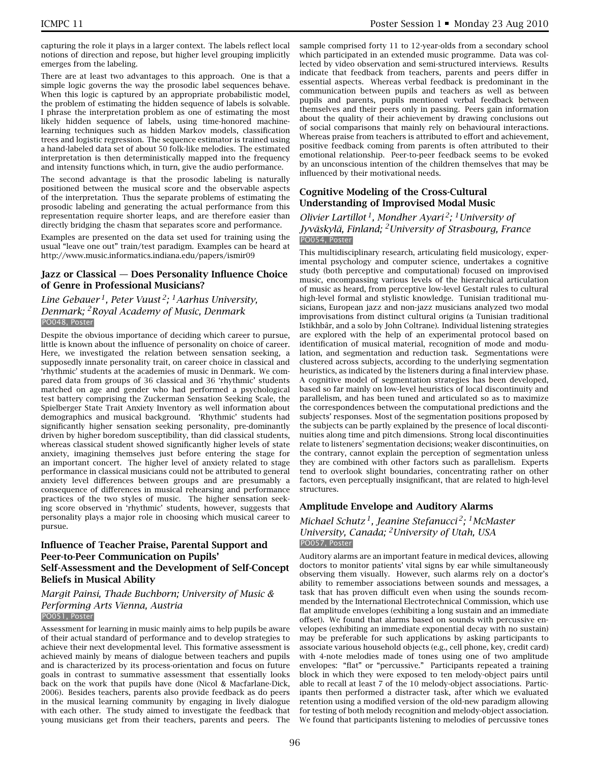capturing the role it plays in a larger context. The labels reflect local notions of direction and repose, but higher level grouping implicitly emerges from the labeling.

There are at least two advantages to this approach. One is that a simple logic governs the way the prosodic label sequences behave. When this logic is captured by an appropriate probabilistic model, the problem of estimating the hidden sequence of labels is solvable. I phrase the interpretation problem as one of estimating the most likely hidden sequence of labels, using time-honored machinelearning techniques such as hidden Markov models, classification trees and logistic regression. The sequence estimator is trained using a hand-labeled data set of about 50 folk-like melodies. The estimated interpretation is then deterministically mapped into the frequency and intensity functions which, in turn, give the audio performance.

The second advantage is that the prosodic labeling is naturally positioned between the musical score and the observable aspects of the interpretation. Thus the separate problems of estimating the prosodic labeling and generating the actual performance from this representation require shorter leaps, and are therefore easier than directly bridging the chasm that separates score and performance.

Examples are presented on the data set used for training using the usual "leave one out" train/test paradigm. Examples can be heard at http://www.music.informatics.indiana.edu/papers/ismir09

#### **Jazz or Classical — Does Personality Influence Choice of Genre in Professional Musicians?**

### *Line Gebauer 1, Peter Vuust 2; 1Aarhus University, Denmark; 2Royal Academy of Music, Denmark* PO048, Poster

Despite the obvious importance of deciding which career to pursue, little is known about the influence of personality on choice of career. Here, we investigated the relation between sensation seeking, a supposedly innate personality trait, on career choice in classical and 'rhythmic' students at the academies of music in Denmark. We compared data from groups of 36 classical and 36 'rhythmic' students matched on age and gender who had performed a psychological test battery comprising the Zuckerman Sensation Seeking Scale, the Spielberger State Trait Anxiety Inventory as well information about demographics and musical background. 'Rhythmic' students had significantly higher sensation seeking personality, pre-dominantly driven by higher boredom susceptibility, than did classical students, whereas classical student showed significantly higher levels of state anxiety, imagining themselves just before entering the stage for an important concert. The higher level of anxiety related to stage performance in classical musicians could not be attributed to general anxiety level differences between groups and are presumably a consequence of differences in musical rehearsing and performance practices of the two styles of music. The higher sensation seeking score observed in 'rhythmic' students, however, suggests that personality plays a major role in choosing which musical career to pursue.

### **Influence of Teacher Praise, Parental Support and Peer-to-Peer Communication on Pupils' Self-Assessment and the Development of Self-Concept Beliefs in Musical Ability**

*Margit Painsi, Thade Buchborn; University of Music & Performing Arts Vienna, Austria* PO051, Poster

#### Assessment for learning in music mainly aims to help pupils be aware of their actual standard of performance and to develop strategies to achieve their next developmental level. This formative assessment is achieved mainly by means of dialogue between teachers and pupils and is characterized by its process-orientation and focus on future goals in contrast to summative assessment that essentially looks back on the work that pupils have done (Nicol & Macfarlane-Dick, 2006). Besides teachers, parents also provide feedback as do peers in the musical learning community by engaging in lively dialogue with each other. The study aimed to investigate the feedback that young musicians get from their teachers, parents and peers. The

sample comprised forty 11 to 12-year-olds from a secondary school which participated in an extended music programme. Data was collected by video observation and semi-structured interviews. Results indicate that feedback from teachers, parents and peers differ in essential aspects. Whereas verbal feedback is predominant in the communication between pupils and teachers as well as between pupils and parents, pupils mentioned verbal feedback between themselves and their peers only in passing. Peers gain information about the quality of their achievement by drawing conclusions out of social comparisons that mainly rely on behavioural interactions. Whereas praise from teachers is attributed to effort and achievement, positive feedback coming from parents is often attributed to their emotional relationship. Peer-to-peer feedback seems to be evoked by an unconscious intention of the children themselves that may be influenced by their motivational needs.

### **Cognitive Modeling of the Cross-Cultural Understanding of Improvised Modal Music**

### *Olivier Lartillot 1, Mondher Ayari 2; 1University of Jyväskylä, Finland; 2University of Strasbourg, France* PO054, Poster

This multidisciplinary research, articulating field musicology, experimental psychology and computer science, undertakes a cognitive study (both perceptive and computational) focused on improvised music, encompassing various levels of the hierarchical articulation of music as heard, from perceptive low-level Gestalt rules to cultural high-level formal and stylistic knowledge. Tunisian traditional musicians, European jazz and non-jazz musicians analyzed two modal improvisations from distinct cultural origins (a Tunisian traditional Istikhbâr, and a solo by John Coltrane). Individual listening strategies are explored with the help of an experimental protocol based on identification of musical material, recognition of mode and modulation, and segmentation and reduction task. Segmentations were clustered across subjects, according to the underlying segmentation heuristics, as indicated by the listeners during a final interview phase. A cognitive model of segmentation strategies has been developed, based so far mainly on low-level heuristics of local discontinuity and parallelism, and has been tuned and articulated so as to maximize the correspondences between the computational predictions and the subjects' responses. Most of the segmentation positions proposed by the subjects can be partly explained by the presence of local discontinuities along time and pitch dimensions. Strong local discontinuities relate to listeners' segmentation decisions; weaker discontinuities, on the contrary, cannot explain the perception of segmentation unless they are combined with other factors such as parallelism. Experts tend to overlook slight boundaries, concentrating rather on other factors, even perceptually insignificant, that are related to high-level structures.

# **Amplitude Envelope and Auditory Alarms**

### *Michael Schutz 1, Jeanine Stefanucci 2; 1McMaster University, Canada; 2University of Utah, USA* PO057, Poster

Auditory alarms are an important feature in medical devices, allowing doctors to monitor patients' vital signs by ear while simultaneously observing them visually. However, such alarms rely on a doctor's ability to remember associations between sounds and messages, a task that has proven difficult even when using the sounds recommended by the International Electrotechnical Commission, which use flat amplitude envelopes (exhibiting a long sustain and an immediate offset). We found that alarms based on sounds with percussive envelopes (exhibiting an immediate exponential decay with no sustain) may be preferable for such applications by asking participants to associate various household objects (e.g., cell phone, key, credit card) with 4-note melodies made of tones using one of two amplitude envelopes: "flat" or "percussive." Participants repeated a training block in which they were exposed to ten melody-object pairs until able to recall at least 7 of the 10 melody-object associations. Participants then performed a distracter task, after which we evaluated retention using a modified version of the old-new paradigm allowing for testing of both melody recognition and melody-object association. We found that participants listening to melodies of percussive tones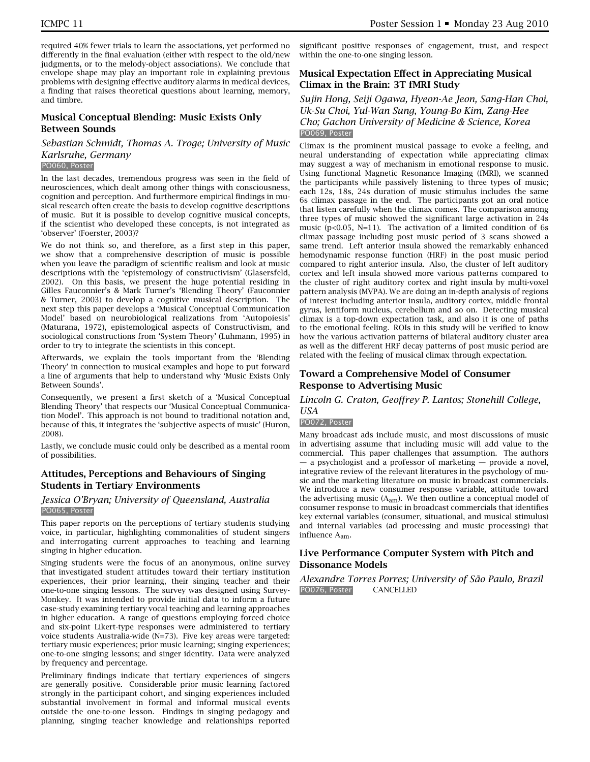required 40% fewer trials to learn the associations, yet performed no differently in the final evaluation (either with respect to the old/new judgments, or to the melody-object associations). We conclude that envelope shape may play an important role in explaining previous problems with designing effective auditory alarms in medical devices, a finding that raises theoretical questions about learning, memory, and timbre.

### **Musical Conceptual Blending: Music Exists Only Between Sounds**

### *Sebastian Schmidt, Thomas A. Troge; University of Music Karlsruhe, Germany*

#### PO060, Poster

In the last decades, tremendous progress was seen in the field of neurosciences, which dealt among other things with consciousness, cognition and perception. And furthermore empirical findings in musical research often create the basis to develop cognitive descriptions of music. But it is possible to develop cognitive musical concepts, if the scientist who developed these concepts, is not integrated as 'observer' (Foerster, 2003)?

We do not think so, and therefore, as a first step in this paper, we show that a comprehensive description of music is possible when you leave the paradigm of scientific realism and look at music descriptions with the 'epistemology of constructivism' (Glasersfeld, 2002). On this basis, we present the huge potential residing in Gilles Fauconnier's & Mark Turner's 'Blending Theory' (Fauconnier & Turner, 2003) to develop a cognitive musical description. The next step this paper develops a 'Musical Conceptual Communication Model' based on neurobiological realizations from 'Autopoiesis' (Maturana, 1972), epistemological aspects of Constructivism, and sociological constructions from 'System Theory' (Luhmann, 1995) in order to try to integrate the scientists in this concept.

Afterwards, we explain the tools important from the 'Blending Theory' in connection to musical examples and hope to put forward a line of arguments that help to understand why 'Music Exists Only Between Sounds'.

Consequently, we present a first sketch of a 'Musical Conceptual Blending Theory' that respects our 'Musical Conceptual Communication Model'. This approach is not bound to traditional notation and, because of this, it integrates the 'subjective aspects of music' (Huron, 2008).

Lastly, we conclude music could only be described as a mental room of possibilities.

### **Attitudes, Perceptions and Behaviours of Singing Students in Tertiary Environments**

#### *Jessica O'Bryan; University of Queensland, Australia* PO065, Poster

This paper reports on the perceptions of tertiary students studying voice, in particular, highlighting commonalities of student singers and interrogating current approaches to teaching and learning singing in higher education.

Singing students were the focus of an anonymous, online survey that investigated student attitudes toward their tertiary institution experiences, their prior learning, their singing teacher and their one-to-one singing lessons. The survey was designed using Survey-Monkey. It was intended to provide initial data to inform a future case-study examining tertiary vocal teaching and learning approaches in higher education. A range of questions employing forced choice and six-point Likert-type responses were administered to tertiary voice students Australia-wide (N=73). Five key areas were targeted: tertiary music experiences; prior music learning; singing experiences; one-to-one singing lessons; and singer identity. Data were analyzed by frequency and percentage.

Preliminary findings indicate that tertiary experiences of singers are generally positive. Considerable prior music learning factored strongly in the participant cohort, and singing experiences included substantial involvement in formal and informal musical events outside the one-to-one lesson. Findings in singing pedagogy and planning, singing teacher knowledge and relationships reported

significant positive responses of engagement, trust, and respect within the one-to-one singing lesson.

### **Musical Expectation Effect in Appreciating Musical Climax in the Brain: 3T fMRI Study**

### *Sujin Hong, Seiji Ogawa, Hyeon-Ae Jeon, Sang-Han Choi, Uk-Su Choi, Yul-Wan Sung, Young-Bo Kim, Zang-Hee Cho; Gachon University of Medicine & Science, Korea* PO069, Poster

Climax is the prominent musical passage to evoke a feeling, and neural understanding of expectation while appreciating climax may suggest a way of mechanism in emotional response to music. Using functional Magnetic Resonance Imaging (fMRI), we scanned the participants while passively listening to three types of music; each 12s, 18s, 24s duration of music stimulus includes the same 6s climax passage in the end. The participants got an oral notice that listen carefully when the climax comes. The comparison among three types of music showed the significant large activation in 24s music ( $p<0.05$ , N=11). The activation of a limited condition of 6s climax passage including post music period of 3 scans showed a same trend. Left anterior insula showed the remarkably enhanced hemodynamic response function (HRF) in the post music period compared to right anterior insula. Also, the cluster of left auditory cortex and left insula showed more various patterns compared to the cluster of right auditory cortex and right insula by multi-voxel pattern analysis (MVPA). We are doing an in-depth analysis of regions of interest including anterior insula, auditory cortex, middle frontal gyrus, lentiform nucleus, cerebellum and so on. Detecting musical climax is a top-down expectation task, and also it is one of paths to the emotional feeling. ROIs in this study will be verified to know how the various activation patterns of bilateral auditory cluster area as well as the different HRF decay patterns of post music period are related with the feeling of musical climax through expectation.

### **Toward a Comprehensive Model of Consumer Response to Advertising Music**

#### *Lincoln G. Craton, Geoffrey P. Lantos; Stonehill College, USA*

#### PO072, Poster

Many broadcast ads include music, and most discussions of music in advertising assume that including music will add value to the commercial. This paper challenges that assumption. The authors — a psychologist and a professor of marketing — provide a novel, integrative review of the relevant literatures in the psychology of music and the marketing literature on music in broadcast commercials. We introduce a new consumer response variable, attitude toward the advertising music  $(A_{am})$ . We then outline a conceptual model of consumer response to music in broadcast commercials that identifies key external variables (consumer, situational, and musical stimulus) and internal variables (ad processing and music processing) that influence Aam.

### **Live Performance Computer System with Pitch and Dissonance Models**

*Alexandre Torres Porres; University of São Paulo, Brazil* PO076, Poster CANCELLED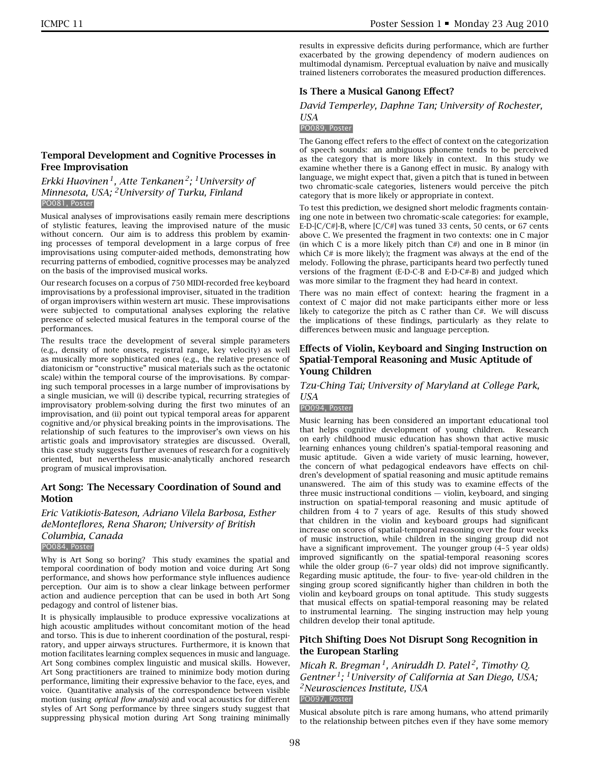results in expressive deficits during performance, which are further exacerbated by the growing dependency of modern audiences on multimodal dynamism. Perceptual evaluation by naïve and musically trained listeners corroborates the measured production differences.

### **Is There a Musical Ganong Effect?**

#### *David Temperley, Daphne Tan; University of Rochester, USA*

#### PO089, Poster

The Ganong effect refers to the effect of context on the categorization of speech sounds: an ambiguous phoneme tends to be perceived as the category that is more likely in context. In this study we examine whether there is a Ganong effect in music. By analogy with language, we might expect that, given a pitch that is tuned in between two chromatic-scale categories, listeners would perceive the pitch category that is more likely or appropriate in context.

To test this prediction, we designed short melodic fragments containing one note in between two chromatic-scale categories: for example, E-D-[C/C#]-B, where  $[C/C\#]$  was tuned 33 cents, 50 cents, or 67 cents above C. We presented the fragment in two contexts: one in C major (in which  $C$  is a more likely pitch than  $C#$ ) and one in B minor (in which C# is more likely); the fragment was always at the end of the melody. Following the phrase, participants heard two perfectly tuned versions of the fragment (E-D-C-B and E-D-C#-B) and judged which was more similar to the fragment they had heard in context.

There was no main effect of context: hearing the fragment in a context of C major did not make participants either more or less likely to categorize the pitch as C rather than C#. We will discuss the implications of these findings, particularly as they relate to differences between music and language perception.

### **Effects of Violin, Keyboard and Singing Instruction on Spatial-Temporal Reasoning and Music Aptitude of Young Children**

*Tzu-Ching Tai; University of Maryland at College Park, USA*

#### PO094, Poster

Music learning has been considered an important educational tool that helps cognitive development of young children. Research on early childhood music education has shown that active music learning enhances young children's spatial-temporal reasoning and music aptitude. Given a wide variety of music learning, however, the concern of what pedagogical endeavors have effects on children's development of spatial reasoning and music aptitude remains unanswered. The aim of this study was to examine effects of the three music instructional conditions — violin, keyboard, and singing instruction on spatial-temporal reasoning and music aptitude of children from 4 to 7 years of age. Results of this study showed that children in the violin and keyboard groups had significant increase on scores of spatial-temporal reasoning over the four weeks of music instruction, while children in the singing group did not have a significant improvement. The younger group (4–5 year olds) improved significantly on the spatial-temporal reasoning scores while the older group (6–7 year olds) did not improve significantly. Regarding music aptitude, the four- to five- year-old children in the singing group scored significantly higher than children in both the violin and keyboard groups on tonal aptitude. This study suggests that musical effects on spatial-temporal reasoning may be related to instrumental learning. The singing instruction may help young children develop their tonal aptitude.

### **Pitch Shifting Does Not Disrupt Song Recognition in the European Starling**

*Micah R. Bregman 1, Aniruddh D. Patel 2, Timothy Q. Gentner 1; 1University of California at San Diego, USA; 2Neurosciences Institute, USA* PO097, Poster

Musical absolute pitch is rare among humans, who attend primarily to the relationship between pitches even if they have some memory

### **Temporal Development and Cognitive Processes in Free Improvisation**

*Erkki Huovinen 1, Atte Tenkanen 2; 1University of Minnesota, USA; 2University of Turku, Finland* PO081, Poster

Musical analyses of improvisations easily remain mere descriptions of stylistic features, leaving the improvised nature of the music without concern. Our aim is to address this problem by examining processes of temporal development in a large corpus of free improvisations using computer-aided methods, demonstrating how recurring patterns of embodied, cognitive processes may be analyzed on the basis of the improvised musical works.

Our research focuses on a corpus of 750 MIDI-recorded free keyboard improvisations by a professional improviser, situated in the tradition of organ improvisers within western art music. These improvisations were subjected to computational analyses exploring the relative presence of selected musical features in the temporal course of the performances.

The results trace the development of several simple parameters (e.g., density of note onsets, registral range, key velocity) as well as musically more sophisticated ones (e.g., the relative presence of diatonicism or "constructive" musical materials such as the octatonic scale) within the temporal course of the improvisations. By comparing such temporal processes in a large number of improvisations by a single musician, we will (i) describe typical, recurring strategies of improvisatory problem-solving during the first two minutes of an improvisation, and (ii) point out typical temporal areas for apparent cognitive and/or physical breaking points in the improvisations. The relationship of such features to the improviser's own views on his artistic goals and improvisatory strategies are discussed. Overall, this case study suggests further avenues of research for a cognitively oriented, but nevertheless music-analytically anchored research program of musical improvisation.

### **Art Song: The Necessary Coordination of Sound and Motion**

*Eric Vatikiotis-Bateson, Adriano Vilela Barbosa, Esther deMonteflores, Rena Sharon; University of British Columbia, Canada* PO084, Poster

Why is Art Song so boring? This study examines the spatial and temporal coordination of body motion and voice during Art Song performance, and shows how performance style influences audience perception. Our aim is to show a clear linkage between performer action and audience perception that can be used in both Art Song pedagogy and control of listener bias.

It is physically implausible to produce expressive vocalizations at high acoustic amplitudes without concomitant motion of the head and torso. This is due to inherent coordination of the postural, respiratory, and upper airways structures. Furthermore, it is known that motion facilitates learning complex sequences in music and language. Art Song combines complex linguistic and musical skills. However, Art Song practitioners are trained to minimize body motion during performance, limiting their expressive behavior to the face, eyes, and voice. Quantitative analysis of the correspondence between visible motion (using *optical flow analysis*) and vocal acoustics for different styles of Art Song performance by three singers study suggest that suppressing physical motion during Art Song training minimally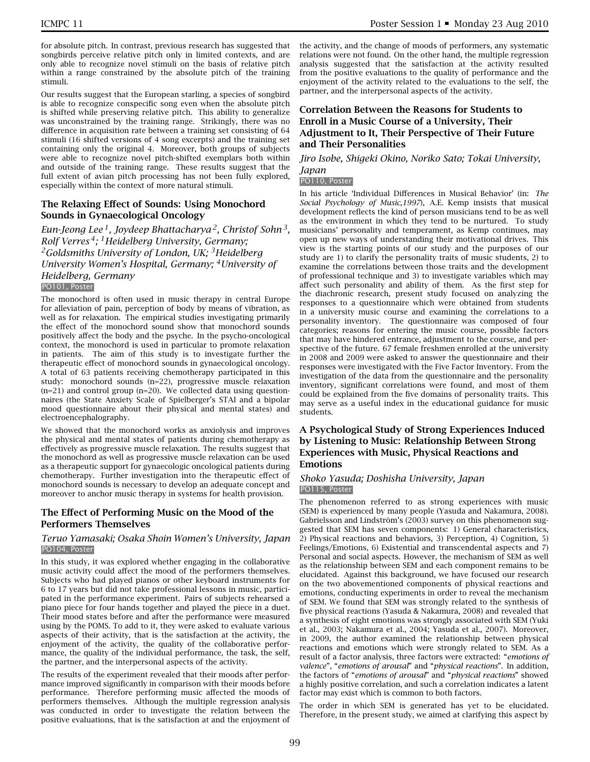for absolute pitch. In contrast, previous research has suggested that songbirds perceive relative pitch only in limited contexts, and are only able to recognize novel stimuli on the basis of relative pitch within a range constrained by the absolute pitch of the training stimuli.

Our results suggest that the European starling, a species of songbird is able to recognize conspecific song even when the absolute pitch is shifted while preserving relative pitch. This ability to generalize was unconstrained by the training range. Strikingly, there was no difference in acquisition rate between a training set consisting of 64 stimuli (16 shifted versions of 4 song excerpts) and the training set containing only the original 4. Moreover, both groups of subjects were able to recognize novel pitch-shifted exemplars both within and outside of the training range. These results suggest that the full extent of avian pitch processing has not been fully explored, especially within the context of more natural stimuli.

### **The Relaxing Effect of Sounds: Using Monochord Sounds in Gynaecological Oncology**

*Eun-Jeong Lee 1, Joydeep Bhattacharya 2, Christof Sohn 3, Rolf Verres 4; 1Heidelberg University, Germany; 2Goldsmiths University of London, UK; 3Heidelberg University Women's Hospital, Germany; 4University of Heidelberg, Germany* PO101, Poster

The monochord is often used in music therapy in central Europe for alleviation of pain, perception of body by means of vibration, as well as for relaxation. The empirical studies investigating primarily the effect of the monochord sound show that monochord sounds positively affect the body and the psyche. In the psycho-oncological context, the monochord is used in particular to promote relaxation in patients. The aim of this study is to investigate further the therapeutic effect of monochord sounds in gynaecological oncology. A total of 63 patients receiving chemotherapy participated in this study: monochord sounds (n=22), progressive muscle relaxation (n=21) and control group (n=20). We collected data using questionnaires (the State Anxiety Scale of Spielberger's STAI and a bipolar mood questionnaire about their physical and mental states) and electroencephalography.

We showed that the monochord works as anxiolysis and improves the physical and mental states of patients during chemotherapy as effectively as progressive muscle relaxation. The results suggest that the monochord as well as progressive muscle relaxation can be used as a therapeutic support for gynaecologic oncological patients during chemotherapy. Further investigation into the therapeutic effect of monochord sounds is necessary to develop an adequate concept and moreover to anchor music therapy in systems for health provision.

### **The Effect of Performing Music on the Mood of the Performers Themselves**

#### *Teruo Yamasaki; Osaka Shoin Women's University, Japan* PO104, Poster

In this study, it was explored whether engaging in the collaborative music activity could affect the mood of the performers themselves. Subjects who had played pianos or other keyboard instruments for 6 to 17 years but did not take professional lessons in music, participated in the performance experiment. Pairs of subjects rehearsed a piano piece for four hands together and played the piece in a duet. Their mood states before and after the performance were measured using by the POMS. To add to it, they were asked to evaluate various aspects of their activity, that is the satisfaction at the activity, the enjoyment of the activity, the quality of the collaborative performance, the quality of the individual performance, the task, the self. the partner, and the interpersonal aspects of the activity.

The results of the experiment revealed that their moods after performance improved significantly in comparison with their moods before performance. Therefore performing music affected the moods of performers themselves. Although the multiple regression analysis was conducted in order to investigate the relation between the positive evaluations, that is the satisfaction at and the enjoyment of

the activity, and the change of moods of performers, any systematic relations were not found. On the other hand, the multiple regression analysis suggested that the satisfaction at the activity resulted from the positive evaluations to the quality of performance and the enjoyment of the activity related to the evaluations to the self, the partner, and the interpersonal aspects of the activity.

### **Correlation Between the Reasons for Students to Enroll in a Music Course of a University, Their Adjustment to It, Their Perspective of Their Future and Their Personalities**

#### *Jiro Isobe, Shigeki Okino, Noriko Sato; Tokai University, Japan*

### PO110, Poster

In his article 'Individual Differences in Musical Behavior' (in: *The Social Psychology of Music,1997*), A.E. Kemp insists that musical development reflects the kind of person musicians tend to be as well as the environment in which they tend to be nurtured. To study musicians' personality and temperament, as Kemp continues, may open up new ways of understanding their motivational drives. This view is the starting points of our study and the purposes of our study are 1) to clarify the personality traits of music students, 2) to examine the correlations between those traits and the development of professional technique and 3) to investigate variables which may affect such personality and ability of them. As the first step for the diachronic research, present study focused on analyzing the responses to a questionnaire which were obtained from students in a university music course and examining the correlations to a personality inventory. The questionnaire was composed of four categories; reasons for entering the music course, possible factors that may have hindered entrance, adjustment to the course, and perspective of the future. 67 female freshmen enrolled at the university in 2008 and 2009 were asked to answer the questionnaire and their responses were investigated with the Five Factor Inventory. From the investigation of the data from the questionnaire and the personality inventory, significant correlations were found, and most of them could be explained from the five domains of personality traits. This may serve as a useful index in the educational guidance for music students.

### **A Psychological Study of Strong Experiences Induced by Listening to Music: Relationship Between Strong Experiences with Music, Physical Reactions and Emotions**

#### *Shoko Yasuda; Doshisha University, Japan* PO115, Poster

The phenomenon referred to as strong experiences with music (SEM) is experienced by many people (Yasuda and Nakamura, 2008). Gabrielsson and Lindström's (2003) survey on this phenomenon suggested that SEM has seven components: 1) General characteristics, 2) Physical reactions and behaviors, 3) Perception, 4) Cognition, 5) Feelings/Emotions, 6) Existential and transcendental aspects and 7) Personal and social aspects. However, the mechanism of SEM as well as the relationship between SEM and each component remains to be elucidated. Against this background, we have focused our research on the two abovementioned components of physical reactions and emotions, conducting experiments in order to reveal the mechanism of SEM. We found that SEM was strongly related to the synthesis of five physical reactions (Yasuda & Nakamura, 2008) and revealed that a synthesis of eight emotions was strongly associated with SEM (Yuki et al., 2003; Nakamura et al., 2004; Yasuda et al., 2007). Moreover, in 2009, the author examined the relationship between physical reactions and emotions which were strongly related to SEM. As a result of a factor analysis, three factors were extracted: "*emotions of valence*", "*emotions of arousal*" and "*physical reactions*". In addition, the factors of "*emotions of arousal*" and "*physical reactions*" showed a highly positive correlation, and such a correlation indicates a latent factor may exist which is common to both factors.

The order in which SEM is generated has yet to be elucidated. Therefore, in the present study, we aimed at clarifying this aspect by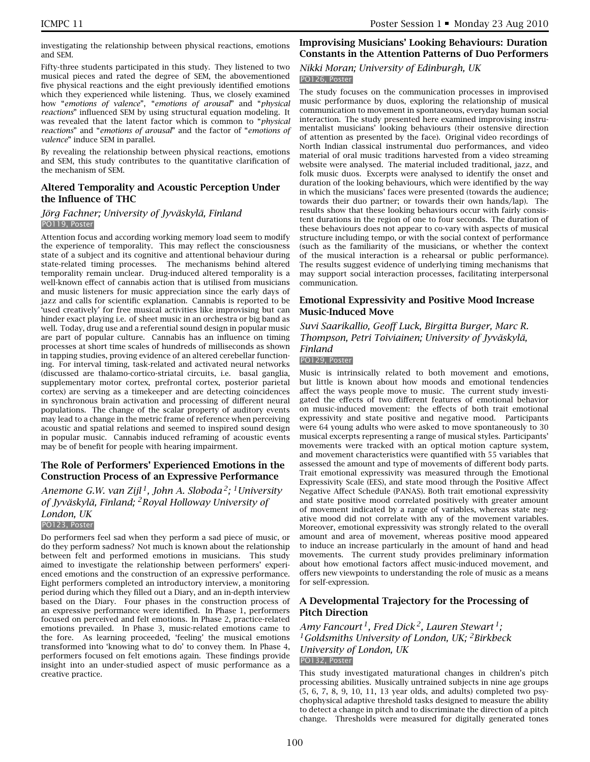investigating the relationship between physical reactions, emotions and SEM.

Fifty-three students participated in this study. They listened to two musical pieces and rated the degree of SEM, the abovementioned five physical reactions and the eight previously identified emotions which they experienced while listening. Thus, we closely examined how "*emotions of valence*", "*emotions of arousal*" and "*physical reactions*" influenced SEM by using structural equation modeling. It was revealed that the latent factor which is common to "*physical reactions*" and "*emotions of arousal*" and the factor of "*emotions of valence*" induce SEM in parallel.

By revealing the relationship between physical reactions, emotions and SEM, this study contributes to the quantitative clarification of the mechanism of SEM.

### **Altered Temporality and Acoustic Perception Under the Influence of THC**

#### *Jörg Fachner; University of Jyväskylä, Finland* PO119, Poster

Attention focus and according working memory load seem to modify the experience of temporality. This may reflect the consciousness state of a subject and its cognitive and attentional behaviour during state-related timing processes. The mechanisms behind altered temporality remain unclear. Drug-induced altered temporality is a well-known effect of cannabis action that is utilised from musicians and music listeners for music appreciation since the early days of jazz and calls for scientific explanation. Cannabis is reported to be 'used creatively' for free musical activities like improvising but can hinder exact playing i.e. of sheet music in an orchestra or big band as well. Today, drug use and a referential sound design in popular music are part of popular culture. Cannabis has an influence on timing processes at short time scales of hundreds of milliseconds as shown in tapping studies, proving evidence of an altered cerebellar functioning. For interval timing, task-related and activated neural networks (discussed are thalamo-cortico-striatal circuits, i.e. basal ganglia, supplementary motor cortex, prefrontal cortex, posterior parietal cortex) are serving as a timekeeper and are detecting coincidences in synchronous brain activation and processing of different neural populations. The change of the scalar property of auditory events may lead to a change in the metric frame of reference when perceiving acoustic and spatial relations and seemed to inspired sound design in popular music. Cannabis induced reframing of acoustic events may be of benefit for people with hearing impairment.

### **The Role of Performers' Experienced Emotions in the Construction Process of an Expressive Performance**

*Anemone G.W. van Zijl 1, John A. Sloboda 2; 1University of Jyväskylä, Finland; 2Royal Holloway University of London, UK* PO123, Poster

Do performers feel sad when they perform a sad piece of music, or do they perform sadness? Not much is known about the relationship between felt and performed emotions in musicians. This study aimed to investigate the relationship between performers' experienced emotions and the construction of an expressive performance. Eight performers completed an introductory interview, a monitoring period during which they filled out a Diary, and an in-depth interview based on the Diary. Four phases in the construction process of an expressive performance were identified. In Phase 1, performers focused on perceived and felt emotions. In Phase 2, practice-related emotions prevailed. In Phase 3, music-related emotions came to the fore. As learning proceeded, 'feeling' the musical emotions transformed into 'knowing what to do' to convey them. In Phase 4, performers focused on felt emotions again. These findings provide insight into an under-studied aspect of music performance as a creative practice.

# **Improvising Musicians' Looking Behaviours: Duration Constants in the Attention Patterns of Duo Performers**

### *Nikki Moran; University of Edinburgh, UK* PO126, Poster

The study focuses on the communication processes in improvised music performance by duos, exploring the relationship of musical communication to movement in spontaneous, everyday human social interaction. The study presented here examined improvising instrumentalist musicians' looking behaviours (their ostensive direction of attention as presented by the face). Original video recordings of North Indian classical instrumental duo performances, and video material of oral music traditions harvested from a video streaming website were analysed. The material included traditional, jazz, and folk music duos. Excerpts were analysed to identify the onset and duration of the looking behaviours, which were identified by the way in which the musicians' faces were presented (towards the audience; towards their duo partner; or towards their own hands/lap). The results show that these looking behaviours occur with fairly consistent durations in the region of one to four seconds. The duration of these behaviours does not appear to co-vary with aspects of musical structure including tempo, or with the social context of performance (such as the familiarity of the musicians, or whether the context of the musical interaction is a rehearsal or public performance). The results suggest evidence of underlying timing mechanisms that may support social interaction processes, facilitating interpersonal communication.

### **Emotional Expressivity and Positive Mood Increase Music-Induced Move**

#### *Suvi Saarikallio, Geoff Luck, Birgitta Burger, Marc R. Thompson, Petri Toiviainen; University of Jyväskylä, Finland*

### PO129, Poster

Music is intrinsically related to both movement and emotions, but little is known about how moods and emotional tendencies affect the ways people move to music. The current study investigated the effects of two different features of emotional behavior on music-induced movement: the effects of both trait emotional expressivity and state positive and negative mood. Participants were 64 young adults who were asked to move spontaneously to 30 musical excerpts representing a range of musical styles. Participants' movements were tracked with an optical motion capture system, and movement characteristics were quantified with 55 variables that assessed the amount and type of movements of different body parts. Trait emotional expressivity was measured through the Emotional Expressivity Scale (EES), and state mood through the Positive Affect Negative Affect Schedule (PANAS). Both trait emotional expressivity and state positive mood correlated positively with greater amount of movement indicated by a range of variables, whereas state negative mood did not correlate with any of the movement variables. Moreover, emotional expressivity was strongly related to the overall amount and area of movement, whereas positive mood appeared to induce an increase particularly in the amount of hand and head movements. The current study provides preliminary information about how emotional factors affect music-induced movement, and offers new viewpoints to understanding the role of music as a means for self-expression.

### **A Developmental Trajectory for the Processing of Pitch Direction**

*Amy Fancourt 1, Fred Dick 2, Lauren Stewart 1; 1Goldsmiths University of London, UK; 2Birkbeck University of London, UK* PO132, Poster

This study investigated maturational changes in children's pitch processing abilities. Musically untrained subjects in nine age groups (5, 6, 7, 8, 9, 10, 11, 13 year olds, and adults) completed two psychophysical adaptive threshold tasks designed to measure the ability to detect a change in pitch and to discriminate the direction of a pitch change. Thresholds were measured for digitally generated tones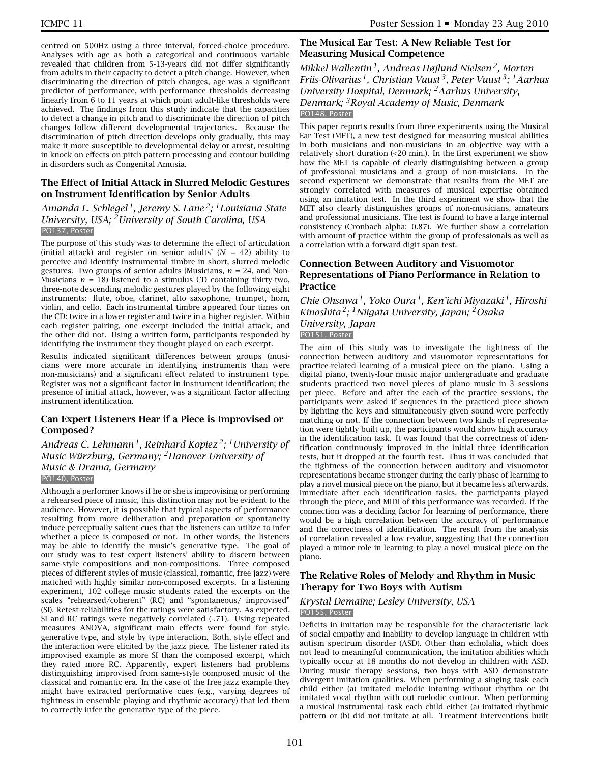centred on 500Hz using a three interval, forced-choice procedure. Analyses with age as both a categorical and continuous variable revealed that children from 5-13-years did not differ significantly from adults in their capacity to detect a pitch change. However, when discriminating the direction of pitch changes, age was a significant predictor of performance, with performance thresholds decreasing linearly from 6 to 11 years at which point adult-like thresholds were achieved. The findings from this study indicate that the capacities to detect a change in pitch and to discriminate the direction of pitch changes follow different developmental trajectories. Because the discrimination of pitch direction develops only gradually, this may make it more susceptible to developmental delay or arrest, resulting in knock on effects on pitch pattern processing and contour building in disorders such as Congenital Amusia.

### **The Effect of Initial Attack in Slurred Melodic Gestures on Instrument Identification by Senior Adults**

### *Amanda L. Schlegel 1, Jeremy S. Lane 2; 1Louisiana State University, USA; 2University of South Carolina, USA* PO137, Poster

The purpose of this study was to determine the effect of articulation (initial attack) and register on senior adults' (*N* = 42) ability to perceive and identify instrumental timbre in short, slurred melodic gestures. Two groups of senior adults (Musicians, *n* = 24, and Non-Musicians  $n = 18$ ) listened to a stimulus CD containing thirty-two, three-note descending melodic gestures played by the following eight instruments: flute, oboe, clarinet, alto saxophone, trumpet, horn, violin, and cello. Each instrumental timbre appeared four times on the CD: twice in a lower register and twice in a higher register. Within each register pairing, one excerpt included the initial attack, and the other did not. Using a written form, participants responded by identifying the instrument they thought played on each excerpt.

Results indicated significant differences between groups (musicians were more accurate in identifying instruments than were non-musicians) and a significant effect related to instrument type. Register was not a significant factor in instrument identification; the presence of initial attack, however, was a significant factor affecting instrument identification.

### **Can Expert Listeners Hear if a Piece is Improvised or Composed?**

# *Andreas C. Lehmann 1, Reinhard Kopiez 2; 1University of Music Würzburg, Germany; 2Hanover University of Music & Drama, Germany*

PO140, Poster

Although a performer knows if he or she is improvising or performing a rehearsed piece of music, this distinction may not be evident to the audience. However, it is possible that typical aspects of performance resulting from more deliberation and preparation or spontaneity induce perceptually salient cues that the listeners can utilize to infer whether a piece is composed or not. In other words, the listeners may be able to identify the music's generative type. The goal of our study was to test expert listeners' ability to discern between same-style compositions and non-compositions. Three composed pieces of different styles of music (classical, romantic, free jazz) were matched with highly similar non-composed excerpts. In a listening experiment, 102 college music students rated the excerpts on the scales "rehearsed/coherent" (RC) and "spontaneous/ improvised" (SI). Retest-reliabilities for the ratings were satisfactory. As expected, SI and RC ratings were negatively correlated (-.71). Using repeated measures ANOVA, significant main effects were found for style, generative type, and style by type interaction. Both, style effect and the interaction were elicited by the jazz piece. The listener rated its improvised example as more SI than the composed excerpt, which they rated more RC. Apparently, expert listeners had problems distinguishing improvised from same-style composed music of the classical and romantic era. In the case of the free jazz example they might have extracted performative cues (e.g., varying degrees of tightness in ensemble playing and rhythmic accuracy) that led them to correctly infer the generative type of the piece.

### **The Musical Ear Test: A New Reliable Test for Measuring Musical Competence**

*Mikkel Wallentin 1, Andreas Højlund Nielsen 2, Morten Friis-Olivarius 1, Christian Vuust 3, Peter Vuust 3; 1Aarhus University Hospital, Denmark; 2Aarhus University, Denmark; 3Royal Academy of Music, Denmark* PO148, Poster

This paper reports results from three experiments using the Musical Ear Test (MET), a new test designed for measuring musical abilities in both musicians and non-musicians in an objective way with a relatively short duration (<20 min.). In the first experiment we show how the MET is capable of clearly distinguishing between a group of professional musicians and a group of non-musicians. In the second experiment we demonstrate that results from the MET are strongly correlated with measures of musical expertise obtained using an imitation test. In the third experiment we show that the MET also clearly distinguishes groups of non-musicians, amateurs and professional musicians. The test is found to have a large internal consistency (Cronbach alpha: 0.87). We further show a correlation with amount of practice within the group of professionals as well as a correlation with a forward digit span test.

### **Connection Between Auditory and Visuomotor Representations of Piano Performance in Relation to Practice**

*Chie Ohsawa 1, Yoko Oura 1, Ken'ichi Miyazaki 1, Hiroshi Kinoshita 2; 1Niigata University, Japan; 2Osaka University, Japan* PO151, Poster

The aim of this study was to investigate the tightness of the connection between auditory and visuomotor representations for practice-related learning of a musical piece on the piano. Using a digital piano, twenty-four music major undergraduate and graduate students practiced two novel pieces of piano music in 3 sessions per piece. Before and after the each of the practice sessions, the participants were asked if sequences in the practiced piece shown by lighting the keys and simultaneously given sound were perfectly matching or not. If the connection between two kinds of representation were tightly built up, the participants would show high accuracy in the identification task. It was found that the correctness of identification continuously improved in the initial three identification tests, but it dropped at the fourth test. Thus it was concluded that the tightness of the connection between auditory and visuomotor representations became stronger during the early phase of learning to play a novel musical piece on the piano, but it became less afterwards. Immediate after each identification tasks, the participants played through the piece, and MIDI of this performance was recorded. If the connection was a deciding factor for learning of performance, there would be a high correlation between the accuracy of performance and the correctness of identification. The result from the analysis of correlation revealed a low r-value, suggesting that the connection played a minor role in learning to play a novel musical piece on the piano.

### **The Relative Roles of Melody and Rhythm in Music Therapy for Two Boys with Autism**

#### *Krystal Demaine; Lesley University, USA* PO155, Poster

Deficits in imitation may be responsible for the characteristic lack of social empathy and inability to develop language in children with autism spectrum disorder (ASD). Other than echolalia, which does not lead to meaningful communication, the imitation abilities which typically occur at 18 months do not develop in children with ASD. During music therapy sessions, two boys with ASD demonstrate divergent imitation qualities. When performing a singing task each child either (a) imitated melodic intoning without rhythm or (b) imitated vocal rhythm with out melodic contour. When performing a musical instrumental task each child either (a) imitated rhythmic pattern or (b) did not imitate at all. Treatment interventions built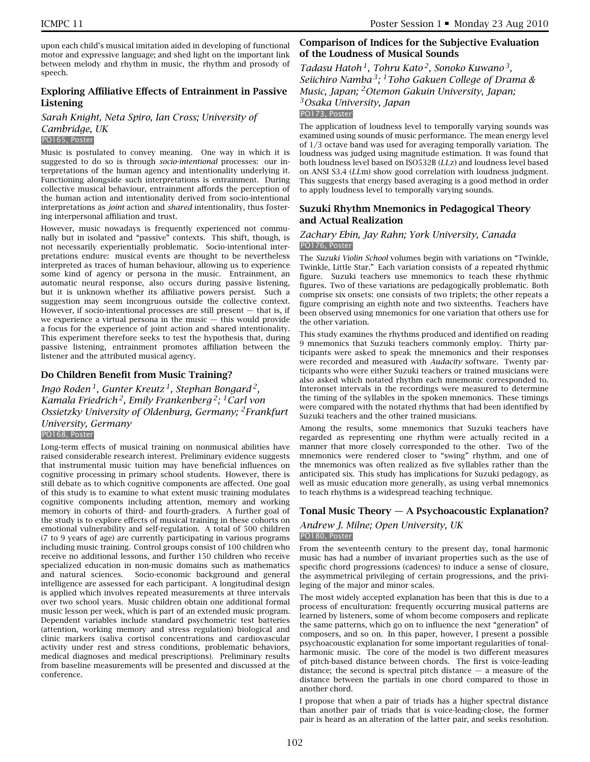upon each child's musical imitation aided in developing of functional motor and expressive language; and shed light on the important link between melody and rhythm in music, the rhythm and prosody of speech.

# **Exploring Affiliative Effects of Entrainment in Passive Listening**

*Sarah Knight, Neta Spiro, Ian Cross; University of Cambridge, UK* PO165, Poster

Music is postulated to convey meaning. One way in which it is suggested to do so is through *socio-intentional* processes: our interpretations of the human agency and intentionality underlying it. Functioning alongside such interpretations is entrainment. During collective musical behaviour, entrainment affords the perception of the human action and intentionality derived from socio-intentional interpretations as *joint* action and *shared* intentionality, thus fostering interpersonal affiliation and trust.

However, music nowadays is frequently experienced not communally but in isolated and "passive" contexts. This shift, though, is not necessarily experientially problematic. Socio-intentional interpretations endure: musical events are thought to be nevertheless interpreted as traces of human behaviour, allowing us to experience some kind of agency or persona in the music. Entrainment, an automatic neural response, also occurs during passive listening, but it is unknown whether its affiliative powers persist. Such a suggestion may seem incongruous outside the collective context. However, if socio-intentional processes are still present — that is, if we experience a virtual persona in the music — this would provide a focus for the experience of joint action and shared intentionality. This experiment therefore seeks to test the hypothesis that, during passive listening, entrainment promotes affiliation between the listener and the attributed musical agency.

### **Do Children Benefit from Music Training?**

*Ingo Roden 1, Gunter Kreutz 1, Stephan Bongard 2, Kamala Friedrich 2, Emily Frankenberg 2; 1Carl von Ossietzky University of Oldenburg, Germany; 2Frankfurt University, Germany*

### PO168, Poster

Long-term effects of musical training on nonmusical abilities have raised considerable research interest. Preliminary evidence suggests that instrumental music tuition may have beneficial influences on cognitive processing in primary school students. However, there is still debate as to which cognitive components are affected. One goal of this study is to examine to what extent music training modulates cognitive components including attention, memory and working memory in cohorts of third- and fourth-graders. A further goal of the study is to explore effects of musical training in these cohorts on emotional vulnerability and self-regulation. A total of 500 children (7 to 9 years of age) are currently participating in various programs including music training. Control groups consist of 100 children who receive no additional lessons, and further 150 children who receive specialized education in non-music domains such as mathematics and natural sciences. Socio-economic background and general intelligence are assessed for each participant. A longitudinal design is applied which involves repeated measurements at three intervals over two school years. Music children obtain one additional formal music lesson per week, which is part of an extended music program. Dependent variables include standard psychometric test batteries (attention, working memory and stress regulation) biological and clinic markers (saliva cortisol concentrations and cardiovascular activity under rest and stress conditions, problematic behaviors, medical diagnoses and medical prescriptions). Preliminary results from baseline measurements will be presented and discussed at the conference.

### **Comparison of Indices for the Subjective Evaluation of the Loudness of Musical Sounds**

*Tadasu Hatoh 1, Tohru Kato 2, Sonoko Kuwano 3, Seiichiro Namba 3; 1Toho Gakuen College of Drama & Music, Japan; 2Otemon Gakuin University, Japan; 3Osaka University, Japan*

PO173, Poster

The application of loudness level to temporally varying sounds was examined using sounds of music performance. The mean energy level of 1/3 octave band was used for averaging temporally variation. The loudness was judged using magnitude estimation. It was found that both loudness level based on ISO532B (*LL*z) and loudness level based on ANSI S3.4 (*LL*m) show good correlation with loudness judgment. This suggests that energy based averaging is a good method in order to apply loudness level to temporally varying sounds.

### **Suzuki Rhythm Mnemonics in Pedagogical Theory and Actual Realization**

#### *Zachary Ebin, Jay Rahn; York University, Canada* PO176, Poster

The *Suzuki Violin School* volumes begin with variations on "Twinkle, Twinkle, Little Star." Each variation consists of a repeated rhythmic figure. Suzuki teachers use mnemonics to teach these rhythmic figures. Two of these variations are pedagogically problematic. Both comprise six onsets: one consists of two triplets; the other repeats a figure comprising an eighth note and two sixteenths. Teachers have been observed using mnemonics for one variation that others use for the other variation.

This study examines the rhythms produced and identified on reading 9 mnemonics that Suzuki teachers commonly employ. Thirty participants were asked to speak the mnemonics and their responses were recorded and measured with *Audacity* software. Twenty participants who were either Suzuki teachers or trained musicians were also asked which notated rhythm each mnemonic corresponded to. Interonset intervals in the recordings were measured to determine the timing of the syllables in the spoken mnemonics. These timings were compared with the notated rhythms that had been identified by Suzuki teachers and the other trained musicians.

Among the results, some mnemonics that Suzuki teachers have regarded as representing one rhythm were actually recited in a manner that more closely corresponded to the other. Two of the mnemonics were rendered closer to "swing" rhythm, and one of the mnemonics was often realized as five syllables rather than the anticipated six. This study has implications for Suzuki pedagogy, as well as music education more generally, as using verbal mnemonics to teach rhythms is a widespread teaching technique.

# **Tonal Music Theory — A Psychoacoustic Explanation?**

### *Andrew J. Milne; Open University, UK* PO180, Poster

From the seventeenth century to the present day, tonal harmonic music has had a number of invariant properties such as the use of specific chord progressions (cadences) to induce a sense of closure, the asymmetrical privileging of certain progressions, and the privileging of the major and minor scales.

The most widely accepted explanation has been that this is due to a process of enculturation: frequently occurring musical patterns are learned by listeners, some of whom become composers and replicate the same patterns, which go on to influence the next "generation" of composers, and so on. In this paper, however, I present a possible psychoacoustic explanation for some important regularities of tonalharmonic music. The core of the model is two different measures of pitch-based distance between chords. The first is voice-leading distance; the second is spectral pitch distance  $-$  a measure of the distance between the partials in one chord compared to those in another chord.

I propose that when a pair of triads has a higher spectral distance than another pair of triads that is voice-leading-close, the former pair is heard as an alteration of the latter pair, and seeks resolution.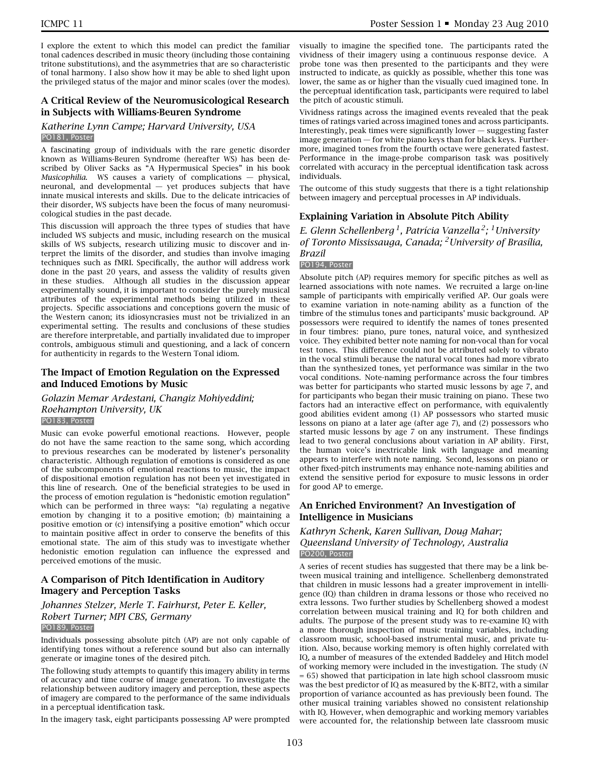I explore the extent to which this model can predict the familiar tonal cadences described in music theory (including those containing tritone substitutions), and the asymmetries that are so characteristic of tonal harmony. I also show how it may be able to shed light upon the privileged status of the major and minor scales (over the modes).

### **A Critical Review of the Neuromusicological Research in Subjects with Williams-Beuren Syndrome**

#### *Katherine Lynn Campe; Harvard University, USA* PO181, Poster

A fascinating group of individuals with the rare genetic disorder known as Williams-Beuren Syndrome (hereafter WS) has been described by Oliver Sacks as "A Hypermusical Species" in his book *Musicophilia*. WS causes a variety of complications — physical, neuronal, and developmental — yet produces subjects that have innate musical interests and skills. Due to the delicate intricacies of their disorder, WS subjects have been the focus of many neuromusicological studies in the past decade.

This discussion will approach the three types of studies that have included WS subjects and music, including research on the musical skills of WS subjects, research utilizing music to discover and interpret the limits of the disorder, and studies than involve imaging techniques such as fMRI. Specifically, the author will address work done in the past 20 years, and assess the validity of results given in these studies. Although all studies in the discussion appear experimentally sound, it is important to consider the purely musical attributes of the experimental methods being utilized in these projects. Specific associations and conceptions govern the music of the Western canon; its idiosyncrasies must not be trivialized in an experimental setting. The results and conclusions of these studies are therefore interpretable, and partially invalidated due to improper controls, ambiguous stimuli and questioning, and a lack of concern for authenticity in regards to the Western Tonal idiom.

### **The Impact of Emotion Regulation on the Expressed and Induced Emotions by Music**

# *Golazin Memar Ardestani, Changiz Mohiyeddini; Roehampton University, UK*

#### PO183, Poster

Music can evoke powerful emotional reactions. However, people do not have the same reaction to the same song, which according to previous researches can be moderated by listener's personality characteristic. Although regulation of emotions is considered as one of the subcomponents of emotional reactions to music, the impact of dispositional emotion regulation has not been yet investigated in this line of research. One of the beneficial strategies to be used in the process of emotion regulation is "hedonistic emotion regulation" which can be performed in three ways: "(a) regulating a negative emotion by changing it to a positive emotion; (b) maintaining a positive emotion or (c) intensifying a positive emotion" which occur to maintain positive affect in order to conserve the benefits of this emotional state. The aim of this study was to investigate whether hedonistic emotion regulation can influence the expressed and perceived emotions of the music.

### **A Comparison of Pitch Identification in Auditory Imagery and Perception Tasks**

### *Johannes Stelzer, Merle T. Fairhurst, Peter E. Keller, Robert Turner; MPI CBS, Germany* PO189, Poster

Individuals possessing absolute pitch (AP) are not only capable of identifying tones without a reference sound but also can internally generate or imagine tones of the desired pitch.

The following study attempts to quantify this imagery ability in terms of accuracy and time course of image generation. To investigate the relationship between auditory imagery and perception, these aspects of imagery are compared to the performance of the same individuals in a perceptual identification task.

In the imagery task, eight participants possessing AP were prompted

visually to imagine the specified tone. The participants rated the vividness of their imagery using a continuous response device. A probe tone was then presented to the participants and they were instructed to indicate, as quickly as possible, whether this tone was lower, the same as or higher than the visually cued imagined tone. In the perceptual identification task, participants were required to label the pitch of acoustic stimuli.

Vividness ratings across the imagined events revealed that the peak times of ratings varied across imagined tones and across participants. Interestingly, peak times were significantly lower — suggesting faster image generation — for white piano keys than for black keys. Furthermore, imagined tones from the fourth octave were generated fastest. Performance in the image-probe comparison task was positively correlated with accuracy in the perceptual identification task across individuals.

The outcome of this study suggests that there is a tight relationship between imagery and perceptual processes in AP individuals.

### **Explaining Variation in Absolute Pitch Ability**

*E. Glenn Schellenberg 1, Patrícia Vanzella 2; 1University of Toronto Mississauga, Canada; 2University of Brasília, Brazil*

### PO194, Poster

Absolute pitch (AP) requires memory for specific pitches as well as learned associations with note names. We recruited a large on-line sample of participants with empirically verified AP. Our goals were to examine variation in note-naming ability as a function of the timbre of the stimulus tones and participants' music background. AP possessors were required to identify the names of tones presented in four timbres: piano, pure tones, natural voice, and synthesized voice. They exhibited better note naming for non-vocal than for vocal test tones. This difference could not be attributed solely to vibrato in the vocal stimuli because the natural vocal tones had more vibrato than the synthesized tones, yet performance was similar in the two vocal conditions. Note-naming performance across the four timbres was better for participants who started music lessons by age 7, and for participants who began their music training on piano. These two factors had an interactive effect on performance, with equivalently good abilities evident among (1) AP possessors who started music lessons on piano at a later age (after age 7), and (2) possessors who started music lessons by age 7 on any instrument. These findings lead to two general conclusions about variation in AP ability. First, the human voice's inextricable link with language and meaning appears to interfere with note naming. Second, lessons on piano or other fixed-pitch instruments may enhance note-naming abilities and extend the sensitive period for exposure to music lessons in order for good AP to emerge.

### **An Enriched Environment? An Investigation of Intelligence in Musicians**

#### *Kathryn Schenk, Karen Sullivan, Doug Mahar; Queensland University of Technology, Australia* PO200, Poster

A series of recent studies has suggested that there may be a link between musical training and intelligence. Schellenberg demonstrated that children in music lessons had a greater improvement in intelligence (IQ) than children in drama lessons or those who received no extra lessons. Two further studies by Schellenberg showed a modest correlation between musical training and IQ for both children and adults. The purpose of the present study was to re-examine IQ with a more thorough inspection of music training variables, including classroom music, school-based instrumental music, and private tuition. Also, because working memory is often highly correlated with IQ, a number of measures of the extended Baddeley and Hitch model of working memory were included in the investigation. The study (*N* = 65) showed that participation in late high school classroom music was the best predictor of IQ as measured by the K-BIT2, with a similar proportion of variance accounted as has previously been found. The other musical training variables showed no consistent relationship with IQ. However, when demographic and working memory variables were accounted for, the relationship between late classroom music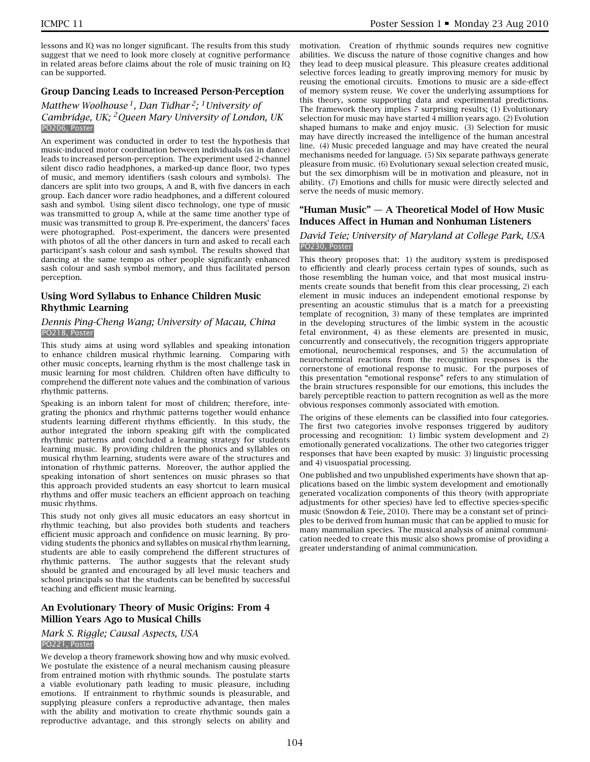lessons and IQ was no longer significant. The results from this study suggest that we need to look more closely at cognitive performance in related areas before claims about the role of music training on IQ can be supported.

### **Group Dancing Leads to Increased Person-Perception**

### *Matthew Woolhouse 1, Dan Tidhar 2; 1University of Cambridge, UK; 2Queen Mary University of London, UK* PO206, Poster

An experiment was conducted in order to test the hypothesis that music-induced motor coordination between individuals (as in dance) leads to increased person-perception. The experiment used 2-channel silent disco radio headphones, a marked-up dance floor, two types of music, and memory identifiers (sash colours and symbols). The dancers are split into two groups, A and B, with five dancers in each group. Each dancer wore radio headphones, and a different coloured sash and symbol. Using silent disco technology, one type of music was transmitted to group A, while at the same time another type of music was transmitted to group B. Pre-experiment, the dancers' faces were photographed. Post-experiment, the dancers were presented with photos of all the other dancers in turn and asked to recall each participant's sash colour and sash symbol. The results showed that dancing at the same tempo as other people significantly enhanced sash colour and sash symbol memory, and thus facilitated person perception.

### **Using Word Syllabus to Enhance Children Music Rhythmic Learning**

#### *Dennis Ping-Cheng Wang; University of Macau, China* PO218, Poster

This study aims at using word syllables and speaking intonation to enhance children musical rhythmic learning. Comparing with other music concepts, learning rhythm is the most challenge task in music learning for most children. Children often have difficulty to comprehend the different note values and the combination of various rhythmic patterns.

Speaking is an inborn talent for most of children; therefore, integrating the phonics and rhythmic patterns together would enhance students learning different rhythms efficiently. In this study, the author integrated the inborn speaking gift with the complicated rhythmic patterns and concluded a learning strategy for students learning music. By providing children the phonics and syllables on musical rhythm learning, students were aware of the structures and intonation of rhythmic patterns. Moreover, the author applied the speaking intonation of short sentences on music phrases so that this approach provided students an easy shortcut to learn musical rhythms and offer music teachers an efficient approach on teaching music rhythms.

This study not only gives all music educators an easy shortcut in rhythmic teaching, but also provides both students and teachers efficient music approach and confidence on music learning. By providing students the phonics and syllables on musical rhythm learning, students are able to easily comprehend the different structures of rhythmic patterns. The author suggests that the relevant study should be granted and encouraged by all level music teachers and school principals so that the students can be benefited by successful teaching and efficient music learning.

### **An Evolutionary Theory of Music Origins: From 4 Million Years Ago to Musical Chills**

### *Mark S. Riggle; Causal Aspects, USA* PO221, Poster

We develop a theory framework showing how and why music evolved. We postulate the existence of a neural mechanism causing pleasure from entrained motion with rhythmic sounds. The postulate starts a viable evolutionary path leading to music pleasure, including emotions. If entrainment to rhythmic sounds is pleasurable, and supplying pleasure confers a reproductive advantage, then males with the ability and motivation to create rhythmic sounds gain a reproductive advantage, and this strongly selects on ability and

motivation. Creation of rhythmic sounds requires new cognitive abilities. We discuss the nature of those cognitive changes and how they lead to deep musical pleasure. This pleasure creates additional selective forces leading to greatly improving memory for music by reusing the emotional circuits. Emotions to music are a side-effect of memory system reuse. We cover the underlying assumptions for this theory, some supporting data and experimental predictions. The framework theory implies 7 surprising results; (1) Evolutionary selection for music may have started 4 million years ago. (2) Evolution shaped humans to make and enjoy music. (3) Selection for music may have directly increased the intelligence of the human ancestral line. (4) Music preceded language and may have created the neural mechanisms needed for language. (5) Six separate pathways generate pleasure from music. (6) Evolutionary sexual selection created music, but the sex dimorphism will be in motivation and pleasure, not in ability. (7) Emotions and chills for music were directly selected and serve the needs of music memory.

### **"Human Music" — A Theoretical Model of How Music Induces Affect in Human and Nonhuman Listeners**

#### *David Teie; University of Maryland at College Park, USA* PO230, Poster

This theory proposes that: 1) the auditory system is predisposed to efficiently and clearly process certain types of sounds, such as those resembling the human voice, and that most musical instruments create sounds that benefit from this clear processing, 2) each element in music induces an independent emotional response by presenting an acoustic stimulus that is a match for a preexisting template of recognition, 3) many of these templates are imprinted in the developing structures of the limbic system in the acoustic fetal environment, 4) as these elements are presented in music, concurrently and consecutively, the recognition triggers appropriate emotional, neurochemical responses, and 5) the accumulation of neurochemical reactions from the recognition responses is the cornerstone of emotional response to music. For the purposes of this presentation "emotional response" refers to any stimulation of the brain structures responsible for our emotions, this includes the barely perceptible reaction to pattern recognition as well as the more obvious responses commonly associated with emotion.

The origins of these elements can be classified into four categories. The first two categories involve responses triggered by auditory processing and recognition: 1) limbic system development and 2) emotionally generated vocalizations. The other two categories trigger responses that have been exapted by music: 3) linguistic processing and 4) visuospatial processing.

One published and two unpublished experiments have shown that applications based on the limbic system development and emotionally generated vocalization components of this theory (with appropriate adjustments for other species) have led to effective species-specific music (Snowdon & Teie, 2010). There may be a constant set of principles to be derived from human music that can be applied to music for many mammalian species. The musical analysis of animal communication needed to create this music also shows promise of providing a greater understanding of animal communication.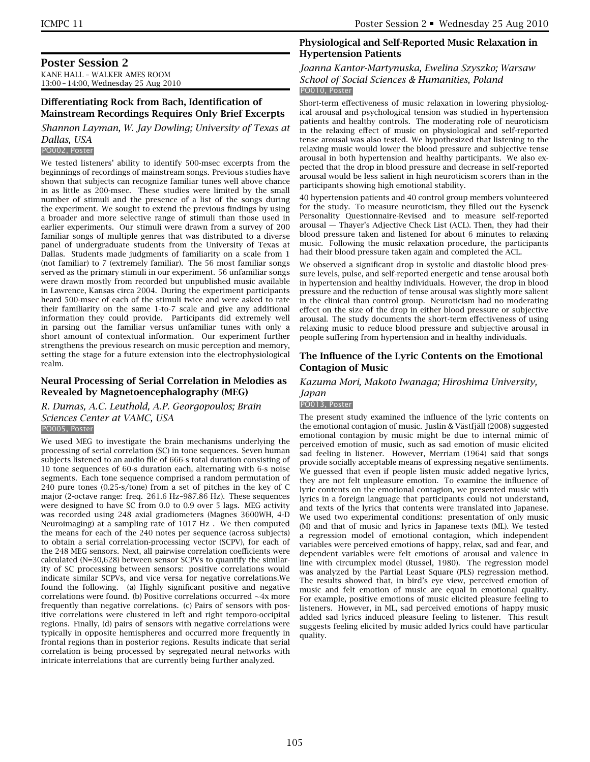### **Poster Session 2**

KANE HALL – WALKER AMES ROOM 13:00 – 14:00, Wednesday 25 Aug 2010

### **Differentiating Rock from Bach, Identification of Mainstream Recordings Requires Only Brief Excerpts**

*Shannon Layman, W. Jay Dowling; University of Texas at Dallas, USA*

### PO002, Poster

We tested listeners' ability to identify 500-msec excerpts from the beginnings of recordings of mainstream songs. Previous studies have shown that subjects can recognize familiar tunes well above chance in as little as 200-msec. These studies were limited by the small number of stimuli and the presence of a list of the songs during the experiment. We sought to extend the previous findings by using a broader and more selective range of stimuli than those used in earlier experiments. Our stimuli were drawn from a survey of 200 familiar songs of multiple genres that was distributed to a diverse panel of undergraduate students from the University of Texas at Dallas. Students made judgments of familiarity on a scale from 1 (not familiar) to 7 (extremely familiar). The 56 most familiar songs served as the primary stimuli in our experiment. 56 unfamiliar songs were drawn mostly from recorded but unpublished music available in Lawrence, Kansas circa 2004. During the experiment participants heard 500-msec of each of the stimuli twice and were asked to rate their familiarity on the same 1-to-7 scale and give any additional information they could provide. Participants did extremely well in parsing out the familiar versus unfamiliar tunes with only a short amount of contextual information. Our experiment further strengthens the previous research on music perception and memory, setting the stage for a future extension into the electrophysiological realm.

### **Neural Processing of Serial Correlation in Melodies as Revealed by Magnetoencephalography (MEG)**

*R. Dumas, A.C. Leuthold, A.P. Georgopoulos; Brain Sciences Center at VAMC, USA* PO005, Poster

We used MEG to investigate the brain mechanisms underlying the processing of serial correlation (SC) in tone sequences. Seven human subjects listened to an audio file of 666-s total duration consisting of 10 tone sequences of 60-s duration each, alternating with 6-s noise segments. Each tone sequence comprised a random permutation of 240 pure tones (0.25-s/tone) from a set of pitches in the key of C major (2-octave range: freq. 261.6 Hz–987.86 Hz). These sequences were designed to have SC from 0.0 to 0.9 over 5 lags. MEG activity was recorded using 248 axial gradiometers (Magnes 3600WH, 4-D Neuroimaging) at a sampling rate of 1017 Hz . We then computed the means for each of the 240 notes per sequence (across subjects) to obtain a serial correlation-processing vector (SCPV), for each of the 248 MEG sensors. Next, all pairwise correlation coefficients were calculated (N=30,628) between sensor SCPVs to quantify the similarity of SC processing between sensors: positive correlations would indicate similar SCPVs, and vice versa for negative correlations.We found the following. (a) Highly significant positive and negative correlations were found. (b) Positive correlations occurred ∼4x more frequently than negative correlations. (c) Pairs of sensors with positive correlations were clustered in left and right temporo-occipital regions. Finally, (d) pairs of sensors with negative correlations were typically in opposite hemispheres and occurred more frequently in frontal regions than in posterior regions. Results indicate that serial correlation is being processed by segregated neural networks with intricate interrelations that are currently being further analyzed.

### **Physiological and Self-Reported Music Relaxation in Hypertension Patients**

#### *Joanna Kantor-Martynuska, Ewelina Szyszko; Warsaw School of Social Sciences & Humanities, Poland* PO010, Poster

Short-term effectiveness of music relaxation in lowering physiological arousal and psychological tension was studied in hypertension patients and healthy controls. The moderating role of neuroticism in the relaxing effect of music on physiological and self-reported tense arousal was also tested. We hypothesized that listening to the relaxing music would lower the blood pressure and subjective tense arousal in both hypertension and healthy participants. We also expected that the drop in blood pressure and decrease in self-reported arousal would be less salient in high neuroticism scorers than in the participants showing high emotional stability.

40 hypertension patients and 40 control group members volunteered for the study. To measure neuroticism, they filled out the Eysenck Personality Questionnaire-Revised and to measure self-reported arousal — Thayer's Adjective Check List (ACL). Then, they had their blood pressure taken and listened for about 6 minutes to relaxing music. Following the music relaxation procedure, the participants had their blood pressure taken again and completed the ACL.

We observed a significant drop in systolic and diastolic blood pressure levels, pulse, and self-reported energetic and tense arousal both in hypertension and healthy individuals. However, the drop in blood pressure and the reduction of tense arousal was slightly more salient in the clinical than control group. Neuroticism had no moderating effect on the size of the drop in either blood pressure or subjective arousal. The study documents the short-term effectiveness of using relaxing music to reduce blood pressure and subjective arousal in people suffering from hypertension and in healthy individuals.

### **The Influence of the Lyric Contents on the Emotional Contagion of Music**

#### *Kazuma Mori, Makoto Iwanaga; Hiroshima University, Japan*

#### PO013, Poster

The present study examined the influence of the lyric contents on the emotional contagion of music. Juslin & Västfjäll (2008) suggested emotional contagion by music might be due to internal mimic of perceived emotion of music, such as sad emotion of music elicited sad feeling in listener. However, Merriam (1964) said that songs provide socially acceptable means of expressing negative sentiments. We guessed that even if people listen music added negative lyrics, they are not felt unpleasure emotion. To examine the influence of lyric contents on the emotional contagion, we presented music with lyrics in a foreign language that participants could not understand, and texts of the lyrics that contents were translated into Japanese. We used two experimental conditions: presentation of only music (M) and that of music and lyrics in Japanese texts (ML). We tested a regression model of emotional contagion, which independent variables were perceived emotions of happy, relax, sad and fear, and dependent variables were felt emotions of arousal and valence in line with circumplex model (Russel, 1980). The regression model was analyzed by the Partial Least Square (PLS) regression method. The results showed that, in bird's eye view, perceived emotion of music and felt emotion of music are equal in emotional quality. For example, positive emotions of music elicited pleasure feeling to listeners. However, in ML, sad perceived emotions of happy music added sad lyrics induced pleasure feeling to listener. This result suggests feeling elicited by music added lyrics could have particular quality.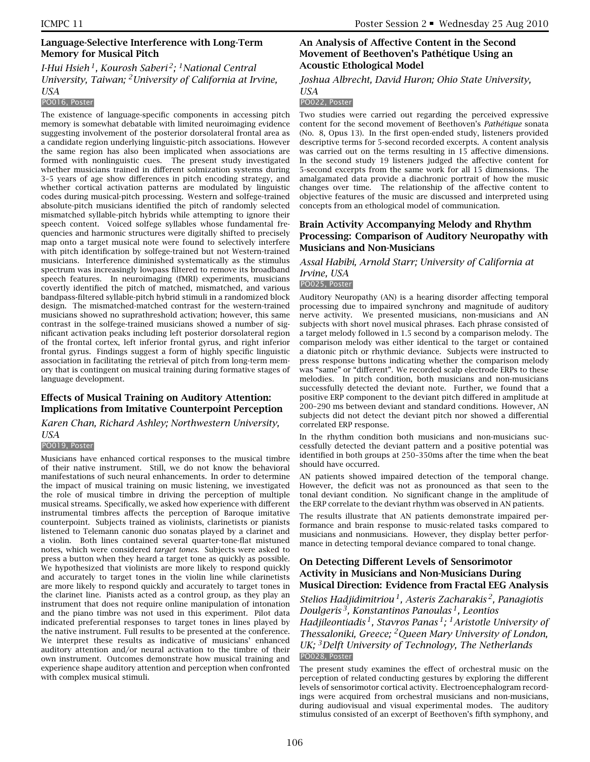### **Language-Selective Interference with Long-Term Memory for Musical Pitch**

### *I-Hui Hsieh 1, Kourosh Saberi 2; 1National Central University, Taiwan; 2University of California at Irvine, USA*

#### PO016, Poster

The existence of language-specific components in accessing pitch memory is somewhat debatable with limited neuroimaging evidence suggesting involvement of the posterior dorsolateral frontal area as a candidate region underlying linguistic-pitch associations. However the same region has also been implicated when associations are formed with nonlinguistic cues. The present study investigated whether musicians trained in different solmization systems during 3–5 years of age show differences in pitch encoding strategy, and whether cortical activation patterns are modulated by linguistic codes during musical-pitch processing. Western and solfege-trained absolute-pitch musicians identified the pitch of randomly selected mismatched syllable-pitch hybrids while attempting to ignore their speech content. Voiced solfege syllables whose fundamental frequencies and harmonic structures were digitally shifted to precisely map onto a target musical note were found to selectively interfere with pitch identification by solfege-trained but not Western-trained musicians. Interference diminished systematically as the stimulus spectrum was increasingly lowpass filtered to remove its broadband speech features. In neuroimaging (fMRI) experiments, musicians covertly identified the pitch of matched, mismatched, and various bandpass-filtered syllable-pitch hybrid stimuli in a randomized block design. The mismatched-matched contrast for the western-trained musicians showed no suprathreshold activation; however, this same contrast in the solfege-trained musicians showed a number of significant activation peaks including left posterior dorsolateral region of the frontal cortex, left inferior frontal gyrus, and right inferior frontal gyrus. Findings suggest a form of highly specific linguistic association in facilitating the retrieval of pitch from long-term memory that is contingent on musical training during formative stages of language development.

#### **Effects of Musical Training on Auditory Attention: Implications from Imitative Counterpoint Perception**

*Karen Chan, Richard Ashley; Northwestern University, USA*

#### PO019, Poster

Musicians have enhanced cortical responses to the musical timbre of their native instrument. Still, we do not know the behavioral manifestations of such neural enhancements. In order to determine the impact of musical training on music listening, we investigated the role of musical timbre in driving the perception of multiple musical streams. Specifically, we asked how experience with different instrumental timbres affects the perception of Baroque imitative counterpoint. Subjects trained as violinists, clarinetists or pianists listened to Telemann canonic duo sonatas played by a clarinet and a violin. Both lines contained several quarter-tone-flat mistuned notes, which were considered *target tones*. Subjects were asked to press a button when they heard a target tone as quickly as possible. We hypothesized that violinists are more likely to respond quickly and accurately to target tones in the violin line while clarinetists are more likely to respond quickly and accurately to target tones in the clarinet line. Pianists acted as a control group, as they play an instrument that does not require online manipulation of intonation and the piano timbre was not used in this experiment. Pilot data indicated preferential responses to target tones in lines played by the native instrument. Full results to be presented at the conference. We interpret these results as indicative of musicians' enhanced auditory attention and/or neural activation to the timbre of their own instrument. Outcomes demonstrate how musical training and experience shape auditory attention and perception when confronted with complex musical stimuli.

### **An Analysis of Affective Content in the Second Movement of Beethoven's Pathétique Using an Acoustic Ethological Model**

#### *Joshua Albrecht, David Huron; Ohio State University,*

#### *USA* PO022, Poster

Two studies were carried out regarding the perceived expressive content for the second movement of Beethoven's *Pathétique* sonata (No. 8, Opus 13). In the first open-ended study, listeners provided descriptive terms for 5-second recorded excerpts. A content analysis was carried out on the terms resulting in 15 affective dimensions. In the second study 19 listeners judged the affective content for 5-second excerpts from the same work for all 15 dimensions. The amalgamated data provide a diachronic portrait of how the music changes over time. The relationship of the affective content to objective features of the music are discussed and interpreted using concepts from an ethological model of communication.

### **Brain Activity Accompanying Melody and Rhythm Processing: Comparison of Auditory Neuropathy with Musicians and Non-Musicians**

### *Assal Habibi, Arnold Starr; University of California at Irvine, USA*

#### PO025, Poster

Auditory Neuropathy (AN) is a hearing disorder affecting temporal processing due to impaired synchrony and magnitude of auditory nerve activity. We presented musicians, non-musicians and AN subjects with short novel musical phrases. Each phrase consisted of a target melody followed in 1.5 second by a comparison melody. The comparison melody was either identical to the target or contained a diatonic pitch or rhythmic deviance. Subjects were instructed to press response buttons indicating whether the comparison melody was "same" or "different". We recorded scalp electrode ERPs to these melodies. In pitch condition, both musicians and non-musicians successfully detected the deviant note. Further, we found that a positive ERP component to the deviant pitch differed in amplitude at 200–290 ms between deviant and standard conditions. However, AN subjects did not detect the deviant pitch nor showed a differential correlated ERP response.

In the rhythm condition both musicians and non-musicians successfully detected the deviant pattern and a positive potential was identified in both groups at 250–350ms after the time when the beat should have occurred.

AN patients showed impaired detection of the temporal change. However, the deficit was not as pronounced as that seen to the tonal deviant condition. No significant change in the amplitude of the ERP correlate to the deviant rhythm was observed in AN patients.

The results illustrate that AN patients demonstrate impaired performance and brain response to music-related tasks compared to musicians and nonmusicians. However, they display better performance in detecting temporal deviance compared to tonal change.

### **On Detecting Different Levels of Sensorimotor Activity in Musicians and Non-Musicians During Musical Direction: Evidence from Fractal EEG Analysis**

*Stelios Hadjidimitriou 1, Asteris Zacharakis 2, Panagiotis Doulgeris 3, Konstantinos Panoulas 1, Leontios Hadjileontiadis 1, Stavros Panas 1; 1Aristotle University of Thessaloniki, Greece; 2Queen Mary University of London, UK; 3Delft University of Technology, The Netherlands* PO028, Poster

The present study examines the effect of orchestral music on the perception of related conducting gestures by exploring the different levels of sensorimotor cortical activity. Electroencephalogram recordings were acquired from orchestral musicians and non-musicians, during audiovisual and visual experimental modes. The auditory stimulus consisted of an excerpt of Beethoven's fifth symphony, and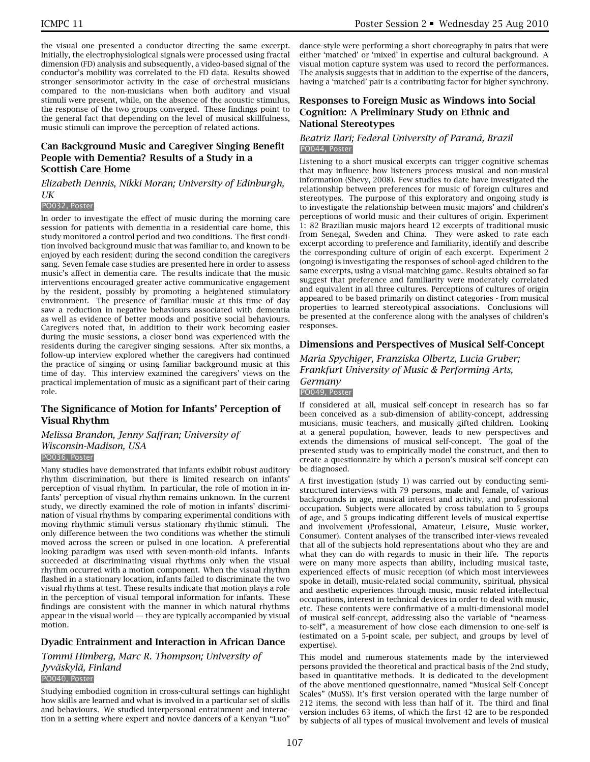the visual one presented a conductor directing the same excerpt. Initially, the electrophysiological signals were processed using fractal dimension (FD) analysis and subsequently, a video-based signal of the conductor's mobility was correlated to the FD data. Results showed stronger sensorimotor activity in the case of orchestral musicians compared to the non-musicians when both auditory and visual stimuli were present, while, on the absence of the acoustic stimulus, the response of the two groups converged. These findings point to the general fact that depending on the level of musical skillfulness, music stimuli can improve the perception of related actions.

### **Can Background Music and Caregiver Singing Benefit People with Dementia? Results of a Study in a Scottish Care Home**

### *Elizabeth Dennis, Nikki Moran; University of Edinburgh, UK*

#### PO032, Poster

In order to investigate the effect of music during the morning care session for patients with dementia in a residential care home, this study monitored a control period and two conditions. The first condition involved background music that was familiar to, and known to be enjoyed by each resident; during the second condition the caregivers sang. Seven female case studies are presented here in order to assess music's affect in dementia care. The results indicate that the music interventions encouraged greater active communicative engagement by the resident, possibly by promoting a heightened stimulatory environment. The presence of familiar music at this time of day saw a reduction in negative behaviours associated with dementia as well as evidence of better moods and positive social behaviours. Caregivers noted that, in addition to their work becoming easier during the music sessions, a closer bond was experienced with the residents during the caregiver singing sessions. After six months, a follow-up interview explored whether the caregivers had continued the practice of singing or using familiar background music at this time of day. This interview examined the caregivers' views on the practical implementation of music as a significant part of their caring role.

### **The Significance of Motion for Infants' Perception of Visual Rhythm**

*Melissa Brandon, Jenny Saffran; University of Wisconsin-Madison, USA* PO036, Poster

Many studies have demonstrated that infants exhibit robust auditory rhythm discrimination, but there is limited research on infants' perception of visual rhythm. In particular, the role of motion in infants' perception of visual rhythm remains unknown. In the current study, we directly examined the role of motion in infants' discrimination of visual rhythms by comparing experimental conditions with moving rhythmic stimuli versus stationary rhythmic stimuli. The only difference between the two conditions was whether the stimuli moved across the screen or pulsed in one location. A preferential looking paradigm was used with seven-month-old infants. Infants succeeded at discriminating visual rhythms only when the visual rhythm occurred with a motion component. When the visual rhythm flashed in a stationary location, infants failed to discriminate the two visual rhythms at test. These results indicate that motion plays a role in the perception of visual temporal information for infants. These findings are consistent with the manner in which natural rhythms appear in the visual world  $-$  they are typically accompanied by visual motion.

### **Dyadic Entrainment and Interaction in African Dance**

*Tommi Himberg, Marc R. Thompson; University of Jyväskylä, Finland* PO040, Poster

Studying embodied cognition in cross-cultural settings can highlight how skills are learned and what is involved in a particular set of skills and behaviours. We studied interpersonal entrainment and interaction in a setting where expert and novice dancers of a Kenyan "Luo"

dance-style were performing a short choreography in pairs that were either 'matched' or 'mixed' in expertise and cultural background. A visual motion capture system was used to record the performances. The analysis suggests that in addition to the expertise of the dancers, having a 'matched' pair is a contributing factor for higher synchrony.

### **Responses to Foreign Music as Windows into Social Cognition: A Preliminary Study on Ethnic and National Stereotypes**

#### *Beatriz Ilari; Federal University of Paraná, Brazil* PO044, Poster

Listening to a short musical excerpts can trigger cognitive schemas that may influence how listeners process musical and non-musical information (Shevy, 2008). Few studies to date have investigated the relationship between preferences for music of foreign cultures and stereotypes. The purpose of this exploratory and ongoing study is to investigate the relationship between music majors' and children's perceptions of world music and their cultures of origin. Experiment 1: 82 Brazilian music majors heard 12 excerpts of traditional music from Senegal, Sweden and China. They were asked to rate each excerpt according to preference and familiarity, identify and describe the corresponding culture of origin of each excerpt. Experiment 2 (ongoing) is investigating the responses of school-aged children to the same excerpts, using a visual-matching game. Results obtained so far suggest that preference and familiarity were moderately correlated and equivalent in all three cultures. Perceptions of cultures of origin appeared to be based primarily on distinct categories - from musical properties to learned stereotypical associations. Conclusions will be presented at the conference along with the analyses of children's responses.

### **Dimensions and Perspectives of Musical Self-Concept**

*Maria Spychiger, Franziska Olbertz, Lucia Gruber; Frankfurt University of Music & Performing Arts, Germany* PO049, Poster

If considered at all, musical self-concept in research has so far been conceived as a sub-dimension of ability-concept, addressing musicians, music teachers, and musically gifted children. Looking at a general population, however, leads to new perspectives and extends the dimensions of musical self-concept. The goal of the presented study was to empirically model the construct, and then to create a questionnaire by which a person's musical self-concept can be diagnosed.

A first investigation (study 1) was carried out by conducting semistructured interviews with 79 persons, male and female, of various backgrounds in age, musical interest and activity, and professional occupation. Subjects were allocated by cross tabulation to 5 groups of age, and 5 groups indicating different levels of musical expertise and involvement (Professional, Amateur, Leisure, Music worker, Consumer). Content analyses of the transcribed inter-views revealed that all of the subjects hold representations about who they are and what they can do with regards to music in their life. The reports were on many more aspects than ability, including musical taste, experienced effects of music reception (of which most interviewees spoke in detail), music-related social community, spiritual, physical and aesthetic experiences through music, music related intellectual occupations, interest in technical devices in order to deal with music, etc. These contents were confirmative of a multi-dimensional model of musical self-concept, addressing also the variable of "nearnessto-self", a measurement of how close each dimension to one-self is (estimated on a 5-point scale, per subject, and groups by level of expertise).

This model and numerous statements made by the interviewed persons provided the theoretical and practical basis of the 2nd study, based in quantitative methods. It is dedicated to the development of the above mentioned questionnaire, named "Musical Self-Concept Scales" (MuSS). It's first version operated with the large number of 212 items, the second with less than half of it. The third and final version includes 63 items, of which the first 42 are to be responded by subjects of all types of musical involvement and levels of musical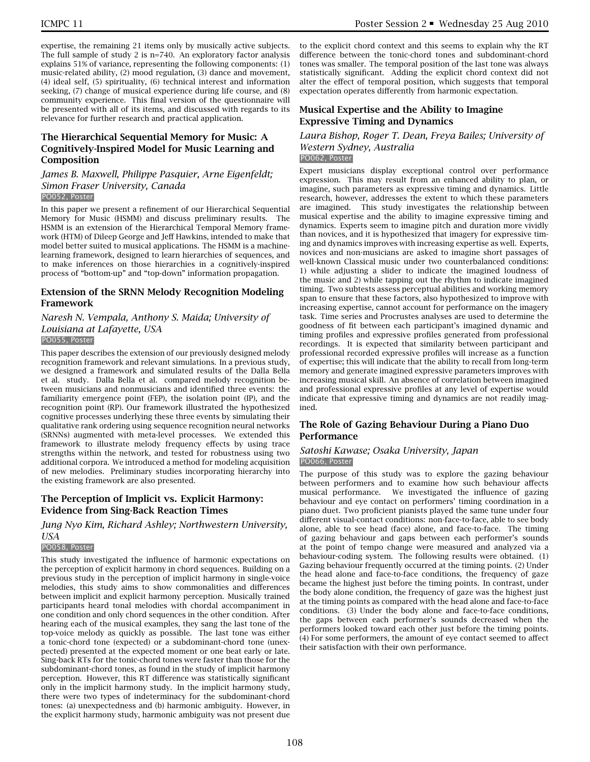expertise, the remaining 21 items only by musically active subjects. The full sample of study 2 is n=740. An exploratory factor analysis explains 51% of variance, representing the following components: (1) music-related ability, (2) mood regulation, (3) dance and movement, (4) ideal self, (5) spirituality, (6) technical interest and information seeking, (7) change of musical experience during life course, and (8) community experience. This final version of the questionnaire will be presented with all of its items, and discussed with regards to its relevance for further research and practical application.

### **The Hierarchical Sequential Memory for Music: A Cognitively-Inspired Model for Music Learning and Composition**

#### *James B. Maxwell, Philippe Pasquier, Arne Eigenfeldt; Simon Fraser University, Canada* PO052, Poster

In this paper we present a refinement of our Hierarchical Sequential Memory for Music (HSMM) and discuss preliminary results. The HSMM is an extension of the Hierarchical Temporal Memory framework (HTM) of Dileep George and Jeff Hawkins, intended to make that model better suited to musical applications. The HSMM is a machinelearning framework, designed to learn hierarchies of sequences, and to make inferences on those hierarchies in a cognitively-inspired process of "bottom-up" and "top-down" information propagation.

### **Extension of the SRNN Melody Recognition Modeling Framework**

#### *Naresh N. Vempala, Anthony S. Maida; University of Louisiana at Lafayette, USA* PO055, Poster

This paper describes the extension of our previously designed melody recognition framework and relevant simulations. In a previous study, we designed a framework and simulated results of the Dalla Bella et al. study. Dalla Bella et al. compared melody recognition between musicians and nonmusicians and identified three events: the familiarity emergence point (FEP), the isolation point (IP), and the recognition point (RP). Our framework illustrated the hypothesized cognitive processes underlying these three events by simulating their qualitative rank ordering using sequence recognition neural networks (SRNNs) augmented with meta-level processes. We extended this framework to illustrate melody frequency effects by using trace strengths within the network, and tested for robustness using two additional corpora. We introduced a method for modeling acquisition of new melodies. Preliminary studies incorporating hierarchy into the existing framework are also presented.

### **The Perception of Implicit vs. Explicit Harmony: Evidence from Sing-Back Reaction Times**

### *Jung Nyo Kim, Richard Ashley; Northwestern University, USA*

#### PO058, Poster

This study investigated the influence of harmonic expectations on the perception of explicit harmony in chord sequences. Building on a previous study in the perception of implicit harmony in single-voice melodies, this study aims to show commonalities and differences between implicit and explicit harmony perception. Musically trained participants heard tonal melodies with chordal accompaniment in one condition and only chord sequences in the other condition. After hearing each of the musical examples, they sang the last tone of the top-voice melody as quickly as possible. The last tone was either a tonic-chord tone (expected) or a subdominant-chord tone (unexpected) presented at the expected moment or one beat early or late. Sing-back RTs for the tonic-chord tones were faster than those for the subdominant-chord tones, as found in the study of implicit harmony perception. However, this RT difference was statistically significant only in the implicit harmony study. In the implicit harmony study, there were two types of indeterminacy for the subdominant-chord tones: (a) unexpectedness and (b) harmonic ambiguity. However, in the explicit harmony study, harmonic ambiguity was not present due

to the explicit chord context and this seems to explain why the RT difference between the tonic-chord tones and subdominant-chord tones was smaller. The temporal position of the last tone was always statistically significant. Adding the explicit chord context did not alter the effect of temporal position, which suggests that temporal expectation operates differently from harmonic expectation.

### **Musical Expertise and the Ability to Imagine Expressive Timing and Dynamics**

*Laura Bishop, Roger T. Dean, Freya Bailes; University of Western Sydney, Australia* PO062, Poster

Expert musicians display exceptional control over performance expression. This may result from an enhanced ability to plan, or imagine, such parameters as expressive timing and dynamics. Little research, however, addresses the extent to which these parameters are imagined. This study investigates the relationship between musical expertise and the ability to imagine expressive timing and dynamics. Experts seem to imagine pitch and duration more vividly than novices, and it is hypothesized that imagery for expressive timing and dynamics improves with increasing expertise as well. Experts, novices and non-musicians are asked to imagine short passages of well-known Classical music under two counterbalanced conditions: 1) while adjusting a slider to indicate the imagined loudness of the music and 2) while tapping out the rhythm to indicate imagined timing. Two subtests assess perceptual abilities and working memory span to ensure that these factors, also hypothesized to improve with increasing expertise, cannot account for performance on the imagery task. Time series and Procrustes analyses are used to determine the goodness of fit between each participant's imagined dynamic and timing profiles and expressive profiles generated from professional recordings. It is expected that similarity between participant and professional recorded expressive profiles will increase as a function of expertise; this will indicate that the ability to recall from long-term memory and generate imagined expressive parameters improves with increasing musical skill. An absence of correlation between imagined and professional expressive profiles at any level of expertise would indicate that expressive timing and dynamics are not readily imagined.

### **The Role of Gazing Behaviour During a Piano Duo Performance**

#### *Satoshi Kawase; Osaka University, Japan* PO066, Poster

The purpose of this study was to explore the gazing behaviour between performers and to examine how such behaviour affects musical performance. We investigated the influence of gazing behaviour and eye contact on performers' timing coordination in a piano duet. Two proficient pianists played the same tune under four different visual-contact conditions: non-face-to-face, able to see body alone, able to see head (face) alone, and face-to-face. The timing of gazing behaviour and gaps between each performer's sounds at the point of tempo change were measured and analyzed via a behaviour-coding system. The following results were obtained. (1) Gazing behaviour frequently occurred at the timing points. (2) Under the head alone and face-to-face conditions, the frequency of gaze became the highest just before the timing points. In contrast, under the body alone condition, the frequency of gaze was the highest just at the timing points as compared with the head alone and face-to-face conditions. (3) Under the body alone and face-to-face conditions, the gaps between each performer's sounds decreased when the performers looked toward each other just before the timing points. (4) For some performers, the amount of eye contact seemed to affect their satisfaction with their own performance.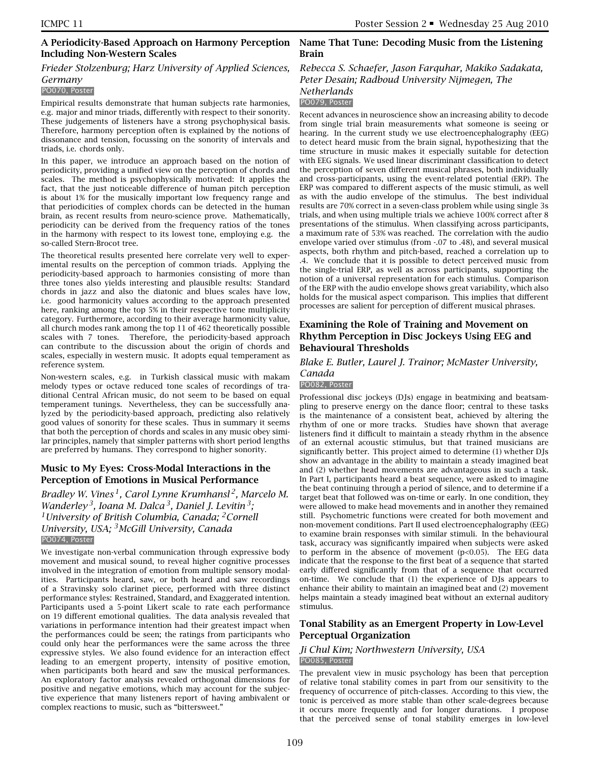### **A Periodicity-Based Approach on Harmony Perception Name That Tune: Decoding Music from the Listening Including Non-Western Scales**

### *Frieder Stolzenburg; Harz University of Applied Sciences, Germany*

#### PO070, Poster

Empirical results demonstrate that human subjects rate harmonies, e.g. major and minor triads, differently with respect to their sonority. These judgements of listeners have a strong psychophysical basis. Therefore, harmony perception often is explained by the notions of dissonance and tension, focussing on the sonority of intervals and triads, i.e. chords only.

In this paper, we introduce an approach based on the notion of periodicity, providing a unified view on the perception of chords and scales. The method is psychophysically motivated: It applies the fact, that the just noticeable difference of human pitch perception is about 1% for the musically important low frequency range and that periodicities of complex chords can be detected in the human brain, as recent results from neuro-science prove. Mathematically, periodicity can be derived from the frequency ratios of the tones in the harmony with respect to its lowest tone, employing e.g. the so-called Stern-Brocot tree.

The theoretical results presented here correlate very well to experimental results on the perception of common triads. Applying the periodicity-based approach to harmonies consisting of more than three tones also yields interesting and plausible results: Standard chords in jazz and also the diatonic and blues scales have low, i.e. good harmonicity values according to the approach presented here, ranking among the top 5% in their respective tone multiplicity category. Furthermore, according to their average harmonicity value, all church modes rank among the top 11 of 462 theoretically possible scales with 7 tones. Therefore, the periodicity-based approach can contribute to the discussion about the origin of chords and scales, especially in western music. It adopts equal temperament as reference system.

Non-western scales, e.g. in Turkish classical music with makam melody types or octave reduced tone scales of recordings of traditional Central African music, do not seem to be based on equal temperament tunings. Nevertheless, they can be successfully analyzed by the periodicity-based approach, predicting also relatively good values of sonority for these scales. Thus in summary it seems that both the perception of chords and scales in any music obey similar principles, namely that simpler patterns with short period lengths are preferred by humans. They correspond to higher sonority.

### **Music to My Eyes: Cross-Modal Interactions in the Perception of Emotions in Musical Performance**

*Bradley W. Vines 1, Carol Lynne Krumhansl 2, Marcelo M. Wanderley 3, Ioana M. Dalca 3, Daniel J. Levitin 3; 1University of British Columbia, Canada; 2Cornell University, USA; 3McGill University, Canada* PO074, Poster

We investigate non-verbal communication through expressive body movement and musical sound, to reveal higher cognitive processes involved in the integration of emotion from multiple sensory modalities. Participants heard, saw, or both heard and saw recordings of a Stravinsky solo clarinet piece, performed with three distinct performance styles: Restrained, Standard, and Exaggerated intention. Participants used a 5-point Likert scale to rate each performance on 19 different emotional qualities. The data analysis revealed that variations in performance intention had their greatest impact when the performances could be seen; the ratings from participants who could only hear the performances were the same across the three expressive styles. We also found evidence for an interaction effect leading to an emergent property, intensity of positive emotion, when participants both heard and saw the musical performances. An exploratory factor analysis revealed orthogonal dimensions for positive and negative emotions, which may account for the subjective experience that many listeners report of having ambivalent or complex reactions to music, such as "bittersweet."

# **Brain**

# *Rebecca S. Schaefer, Jason Farquhar, Makiko Sadakata, Peter Desain; Radboud University Nijmegen, The Netherlands*

### PO079, Poster

Recent advances in neuroscience show an increasing ability to decode from single trial brain measurements what someone is seeing or hearing. In the current study we use electroencephalography (EEG) to detect heard music from the brain signal, hypothesizing that the time structure in music makes it especially suitable for detection with EEG signals. We used linear discriminant classification to detect the perception of seven different musical phrases, both individually and cross-participants, using the event-related potential (ERP). The ERP was compared to different aspects of the music stimuli, as well as with the audio envelope of the stimulus. The best individual results are 70% correct in a seven-class problem while using single 3s trials, and when using multiple trials we achieve 100% correct after 8 presentations of the stimulus. When classifying across participants, a maximum rate of 53% was reached. The correlation with the audio envelope varied over stimulus (from -.07 to .48), and several musical aspects, both rhythm and pitch-based, reached a correlation up to .4. We conclude that it is possible to detect perceived music from the single-trial ERP, as well as across participants, supporting the notion of a universal representation for each stimulus. Comparison of the ERP with the audio envelope shows great variability, which also holds for the musical aspect comparison. This implies that different processes are salient for perception of different musical phrases.

### **Examining the Role of Training and Movement on Rhythm Perception in Disc Jockeys Using EEG and Behavioural Thresholds**

#### *Blake E. Butler, Laurel J. Trainor; McMaster University, Canada*

#### PO082, Poster

Professional disc jockeys (DJs) engage in beatmixing and beatsampling to preserve energy on the dance floor; central to these tasks is the maintenance of a consistent beat, achieved by altering the rhythm of one or more tracks. Studies have shown that average listeners find it difficult to maintain a steady rhythm in the absence of an external acoustic stimulus, but that trained musicians are significantly better. This project aimed to determine (1) whether DJs show an advantage in the ability to maintain a steady imagined beat and (2) whether head movements are advantageous in such a task. In Part I, participants heard a beat sequence, were asked to imagine the beat continuing through a period of silence, and to determine if a target beat that followed was on-time or early. In one condition, they were allowed to make head movements and in another they remained still. Psychometric functions were created for both movement and non-movement conditions. Part II used electroencephalography (EEG) to examine brain responses with similar stimuli. In the behavioural task, accuracy was significantly impaired when subjects were asked to perform in the absence of movement (p<0.05). The EEG data indicate that the response to the first beat of a sequence that started early differed significantly from that of a sequence that occurred on-time. We conclude that (1) the experience of DJs appears to enhance their ability to maintain an imagined beat and (2) movement helps maintain a steady imagined beat without an external auditory stimulus.

### **Tonal Stability as an Emergent Property in Low-Level Perceptual Organization**

#### *Ji Chul Kim; Northwestern University, USA* PO085, Poster

The prevalent view in music psychology has been that perception of relative tonal stability comes in part from our sensitivity to the frequency of occurrence of pitch-classes. According to this view, the tonic is perceived as more stable than other scale-degrees because it occurs more frequently and for longer durations. I propose that the perceived sense of tonal stability emerges in low-level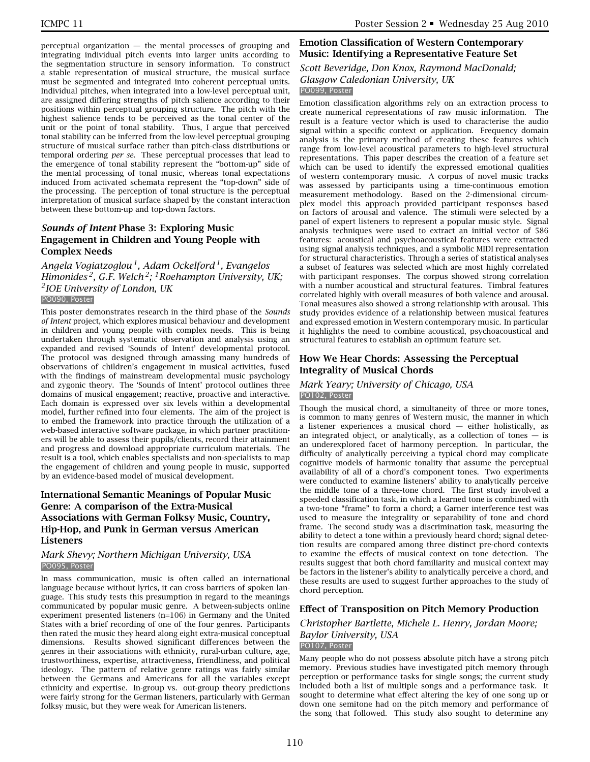perceptual organization  $-$  the mental processes of grouping and integrating individual pitch events into larger units according to the segmentation structure in sensory information. To construct a stable representation of musical structure, the musical surface must be segmented and integrated into coherent perceptual units. Individual pitches, when integrated into a low-level perceptual unit, are assigned differing strengths of pitch salience according to their positions within perceptual grouping structure. The pitch with the highest salience tends to be perceived as the tonal center of the unit or the point of tonal stability. Thus, I argue that perceived tonal stability can be inferred from the low-level perceptual grouping structure of musical surface rather than pitch-class distributions or temporal ordering *per se*. These perceptual processes that lead to the emergence of tonal stability represent the "bottom-up" side of the mental processing of tonal music, whereas tonal expectations induced from activated schemata represent the "top-down" side of the processing. The perception of tonal structure is the perceptual interpretation of musical surface shaped by the constant interaction between these bottom-up and top-down factors.

### *Sounds of Intent* **Phase 3: Exploring Music Engagement in Children and Young People with Complex Needs**

*Angela Vogiatzoglou 1, Adam Ockelford 1, Evangelos Himonides 2, G.F. Welch 2; 1Roehampton University, UK; 2IOE University of London, UK*

#### PO090, Poster

This poster demonstrates research in the third phase of the *Sounds of Intent* project, which explores musical behaviour and development in children and young people with complex needs. This is being undertaken through systematic observation and analysis using an expanded and revised 'Sounds of Intent' developmental protocol. The protocol was designed through amassing many hundreds of observations of children's engagement in musical activities, fused with the findings of mainstream developmental music psychology and zygonic theory. The 'Sounds of Intent' protocol outlines three domains of musical engagement; reactive, proactive and interactive. Each domain is expressed over six levels within a developmental model, further refined into four elements. The aim of the project is to embed the framework into practice through the utilization of a web-based interactive software package, in which partner practitioners will be able to assess their pupils/clients, record their attainment and progress and download appropriate curriculum materials. The result is a tool, which enables specialists and non-specialists to map the engagement of children and young people in music, supported by an evidence-based model of musical development.

### **International Semantic Meanings of Popular Music Genre: A comparison of the Extra-Musical Associations with German Folksy Music, Country, Hip-Hop, and Punk in German versus American Listeners**

#### *Mark Shevy; Northern Michigan University, USA* PO095, Poster

In mass communication, music is often called an international language because without lyrics, it can cross barriers of spoken language. This study tests this presumption in regard to the meanings communicated by popular music genre. A between-subjects online experiment presented listeners (n=106) in Germany and the United States with a brief recording of one of the four genres. Participants then rated the music they heard along eight extra-musical conceptual dimensions. Results showed significant differences between the genres in their associations with ethnicity, rural-urban culture, age, trustworthiness, expertise, attractiveness, friendliness, and political ideology. The pattern of relative genre ratings was fairly similar between the Germans and Americans for all the variables except ethnicity and expertise. In-group vs. out-group theory predictions were fairly strong for the German listeners, particularly with German folksy music, but they were weak for American listeners.

### **Emotion Classification of Western Contemporary Music: Identifying a Representative Feature Set**

#### *Scott Beveridge, Don Knox, Raymond MacDonald; Glasgow Caledonian University, UK* PO099, Poster

Emotion classification algorithms rely on an extraction process to create numerical representations of raw music information. The result is a feature vector which is used to characterise the audio signal within a specific context or application. Frequency domain analysis is the primary method of creating these features which range from low-level acoustical parameters to high-level structural representations. This paper describes the creation of a feature set which can be used to identify the expressed emotional qualities of western contemporary music. A corpus of novel music tracks was assessed by participants using a time-continuous emotion measurement methodology. Based on the 2-dimensional circumplex model this approach provided participant responses based on factors of arousal and valence. The stimuli were selected by a panel of expert listeners to represent a popular music style. Signal analysis techniques were used to extract an initial vector of 586 features: acoustical and psychoacoustical features were extracted using signal analysis techniques, and a symbolic MIDI representation for structural characteristics. Through a series of statistical analyses a subset of features was selected which are most highly correlated with participant responses. The corpus showed strong correlation with a number acoustical and structural features. Timbral features correlated highly with overall measures of both valence and arousal. Tonal measures also showed a strong relationship with arousal. This study provides evidence of a relationship between musical features and expressed emotion in Western contemporary music. In particular it highlights the need to combine acoustical, psychoacoustical and structural features to establish an optimum feature set.

### **How We Hear Chords: Assessing the Perceptual Integrality of Musical Chords**

#### *Mark Yeary; University of Chicago, USA* PO102, Poster

Though the musical chord, a simultaneity of three or more tones, is common to many genres of Western music, the manner in which a listener experiences a musical chord  $-$  either holistically, as an integrated object, or analytically, as a collection of tones  $-$  is an underexplored facet of harmony perception. In particular, the difficulty of analytically perceiving a typical chord may complicate cognitive models of harmonic tonality that assume the perceptual availability of all of a chord's component tones. Two experiments were conducted to examine listeners' ability to analytically perceive the middle tone of a three-tone chord. The first study involved a speeded classification task, in which a learned tone is combined with a two-tone "frame" to form a chord; a Garner interference test was used to measure the integrality or separability of tone and chord frame. The second study was a discrimination task, measuring the ability to detect a tone within a previously heard chord; signal detection results are compared among three distinct pre-chord contexts to examine the effects of musical context on tone detection. The results suggest that both chord familiarity and musical context may be factors in the listener's ability to analytically perceive a chord, and these results are used to suggest further approaches to the study of chord perception.

### **Effect of Transposition on Pitch Memory Production**

# *Christopher Bartlette, Michele L. Henry, Jordan Moore; Baylor University, USA*

#### PO107, Poster

Many people who do not possess absolute pitch have a strong pitch memory. Previous studies have investigated pitch memory through perception or performance tasks for single songs; the current study included both a list of multiple songs and a performance task. It sought to determine what effect altering the key of one song up or down one semitone had on the pitch memory and performance of the song that followed. This study also sought to determine any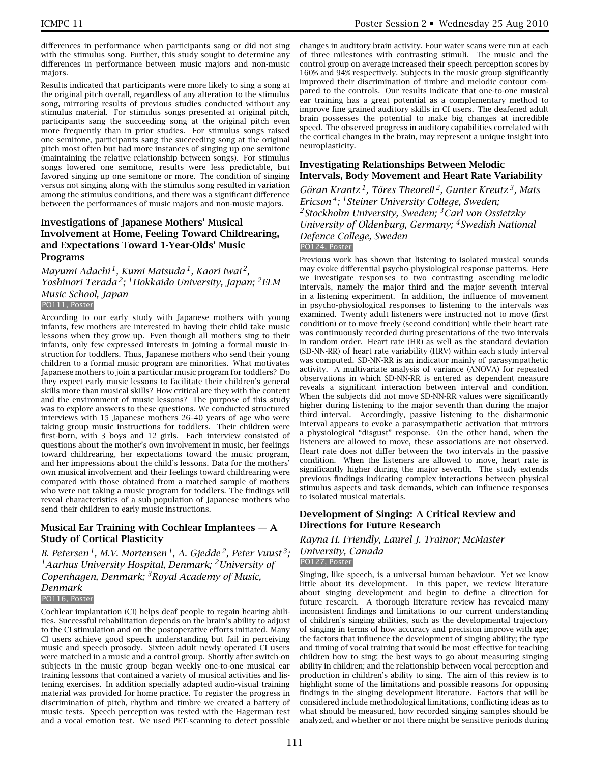differences in performance when participants sang or did not sing with the stimulus song. Further, this study sought to determine any differences in performance between music majors and non-music majors.

Results indicated that participants were more likely to sing a song at the original pitch overall, regardless of any alteration to the stimulus song, mirroring results of previous studies conducted without any stimulus material. For stimulus songs presented at original pitch, participants sang the succeeding song at the original pitch even more frequently than in prior studies. For stimulus songs raised one semitone, participants sang the succeeding song at the original pitch most often but had more instances of singing up one semitone (maintaining the relative relationship between songs). For stimulus songs lowered one semitone, results were less predictable, but favored singing up one semitone or more. The condition of singing versus not singing along with the stimulus song resulted in variation among the stimulus conditions, and there was a significant difference between the performances of music majors and non-music majors.

## **Investigations of Japanese Mothers' Musical Involvement at Home, Feeling Toward Childrearing, and Expectations Toward 1-Year-Olds' Music Programs**

*Mayumi Adachi 1, Kumi Matsuda 1, Kaori Iwai 2, Yoshinori Terada 2; 1Hokkaido University, Japan; 2ELM Music School, Japan* PO111, Poster

According to our early study with Japanese mothers with young infants, few mothers are interested in having their child take music lessons when they grow up. Even though all mothers sing to their infants, only few expressed interests in joining a formal music instruction for toddlers. Thus, Japanese mothers who send their young children to a formal music program are minorities. What motivates Japanese mothers to join a particular music program for toddlers? Do they expect early music lessons to facilitate their children's general skills more than musical skills? How critical are they with the content and the environment of music lessons? The purpose of this study was to explore answers to these questions. We conducted structured interviews with 15 Japanese mothers 26–40 years of age who were taking group music instructions for toddlers. Their children were first-born, with 3 boys and 12 girls. Each interview consisted of questions about the mother's own involvement in music, her feelings toward childrearing, her expectations toward the music program, and her impressions about the child's lessons. Data for the mothers' own musical involvement and their feelings toward childrearing were compared with those obtained from a matched sample of mothers who were not taking a music program for toddlers. The findings will reveal characteristics of a sub-population of Japanese mothers who send their children to early music instructions.

## **Musical Ear Training with Cochlear Implantees — A Study of Cortical Plasticity**

*B. Petersen 1, M.V. Mortensen 1, A. Gjedde 2, Peter Vuust 3; 1Aarhus University Hospital, Denmark; 2University of Copenhagen, Denmark; 3Royal Academy of Music, Denmark*

#### PO116, Poster

Cochlear implantation (CI) helps deaf people to regain hearing abilities. Successful rehabilitation depends on the brain's ability to adjust to the CI stimulation and on the postoperative efforts initiated. Many CI users achieve good speech understanding but fail in perceiving music and speech prosody. Sixteen adult newly operated CI users were matched in a music and a control group. Shortly after switch-on subjects in the music group began weekly one-to-one musical ear training lessons that contained a variety of musical activities and listening exercises. In addition specially adapted audio-visual training material was provided for home practice. To register the progress in discrimination of pitch, rhythm and timbre we created a battery of music tests. Speech perception was tested with the Hagerman test and a vocal emotion test. We used PET-scanning to detect possible

changes in auditory brain activity. Four water scans were run at each of three milestones with contrasting stimuli. The music and the control group on average increased their speech perception scores by 160% and 94% respectively. Subjects in the music group significantly improved their discrimination of timbre and melodic contour compared to the controls. Our results indicate that one-to-one musical ear training has a great potential as a complementary method to improve fine grained auditory skills in CI users. The deafened adult brain possesses the potential to make big changes at incredible speed. The observed progress in auditory capabilities correlated with the cortical changes in the brain, may represent a unique insight into neuroplasticity.

#### **Investigating Relationships Between Melodic Intervals, Body Movement and Heart Rate Variability**

*Göran Krantz 1, Töres Theorell 2, Gunter Kreutz 3, Mats Ericson 4; 1Steiner University College, Sweden; 2Stockholm University, Sweden; 3Carl von Ossietzky University of Oldenburg, Germany; 4Swedish National Defence College, Sweden* PO124, Poster

Previous work has shown that listening to isolated musical sounds may evoke differential psycho-physiological response patterns. Here we investigate responses to two contrasting ascending melodic intervals, namely the major third and the major seventh interval in a listening experiment. In addition, the influence of movement in psycho-physiological responses to listening to the intervals was examined. Twenty adult listeners were instructed not to move (first condition) or to move freely (second condition) while their heart rate was continuously recorded during presentations of the two intervals in random order. Heart rate (HR) as well as the standard deviation (SD-NN-RR) of heart rate variability (HRV) within each study interval was computed. SD-NN-RR is an indicator mainly of parasympathetic activity. A multivariate analysis of variance (ANOVA) for repeated observations in which SD-NN-RR is entered as dependent measure reveals a significant interaction between interval and condition. When the subjects did not move SD-NN-RR values were significantly higher during listening to the major seventh than during the major third interval. Accordingly, passive listening to the disharmonic interval appears to evoke a parasympathetic activation that mirrors a physiological "disgust" response. On the other hand, when the listeners are allowed to move, these associations are not observed. Heart rate does not differ between the two intervals in the passive condition. When the listeners are allowed to move, heart rate is significantly higher during the major seventh. The study extends previous findings indicating complex interactions between physical stimulus aspects and task demands, which can influence responses to isolated musical materials.

## **Development of Singing: A Critical Review and Directions for Future Research**

## *Rayna H. Friendly, Laurel J. Trainor; McMaster University, Canada*

#### PO127, Poster

Singing, like speech, is a universal human behaviour. Yet we know little about its development. In this paper, we review literature about singing development and begin to define a direction for future research. A thorough literature review has revealed many inconsistent findings and limitations to our current understanding of children's singing abilities, such as the developmental trajectory of singing in terms of how accuracy and precision improve with age; the factors that influence the development of singing ability; the type and timing of vocal training that would be most effective for teaching children how to sing; the best ways to go about measuring singing ability in children; and the relationship between vocal perception and production in children's ability to sing. The aim of this review is to highlight some of the limitations and possible reasons for opposing findings in the singing development literature. Factors that will be considered include methodological limitations, conflicting ideas as to what should be measured, how recorded singing samples should be analyzed, and whether or not there might be sensitive periods during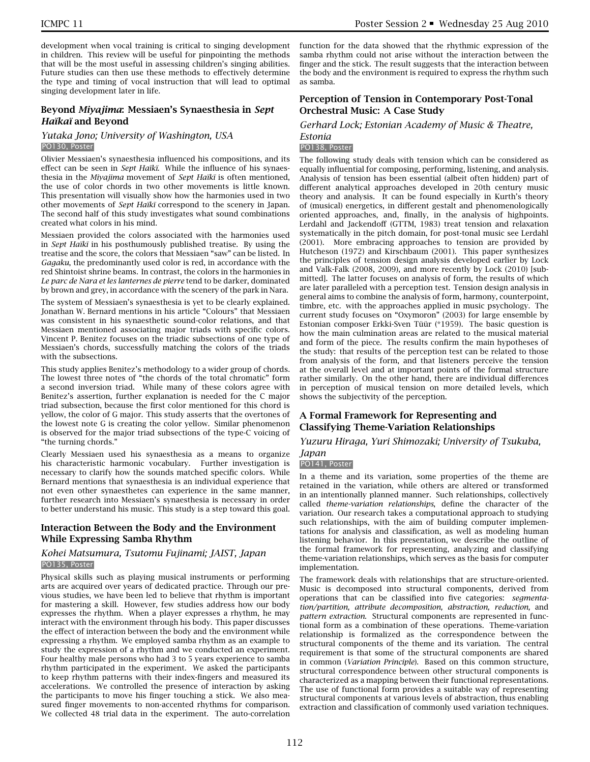development when vocal training is critical to singing development in children. This review will be useful for pinpointing the methods that will be the most useful in assessing children's singing abilities. Future studies can then use these methods to effectively determine the type and timing of vocal instruction that will lead to optimal singing development later in life.

## **Beyond** *Miyajima***: Messiaen's Synaesthesia in** *Sept Haïkaï* **and Beyond**

#### *Yutaka Jono; University of Washington, USA* PO130, Poster

Olivier Messiaen's synaesthesia influenced his compositions, and its effect can be seen in *Sept Haïkï*. While the influence of his synaesthesia in the *Miyajima* movement of *Sept Haïkï* is often mentioned, the use of color chords in two other movements is little known. This presentation will visually show how the harmonies used in two other movements of *Sept Haïkï* correspond to the scenery in Japan. The second half of this study investigates what sound combinations created what colors in his mind.

Messiaen provided the colors associated with the harmonies used in *Sept Haïkï* in his posthumously published treatise. By using the treatise and the score, the colors that Messiaen "saw" can be listed. In *Gagaku*, the predominantly used color is red, in accordance with the red Shintoist shrine beams. In contrast, the colors in the harmonies in *Le parc de Nara et les lanternes de pierre* tend to be darker, dominated by brown and grey, in accordance with the scenery of the park in Nara.

The system of Messiaen's synaesthesia is yet to be clearly explained. Jonathan W. Bernard mentions in his article "Colours" that Messiaen was consistent in his synaesthetic sound-color relations, and that Messiaen mentioned associating major triads with specific colors. Vincent P. Benitez focuses on the triadic subsections of one type of Messiaen's chords, successfully matching the colors of the triads with the subsections.

This study applies Benitez's methodology to a wider group of chords. The lowest three notes of "the chords of the total chromatic" form a second inversion triad. While many of these colors agree with Benitez's assertion, further explanation is needed for the C major triad subsection, because the first color mentioned for this chord is yellow, the color of G major. This study asserts that the overtones of the lowest note G is creating the color yellow. Similar phenomenon is observed for the major triad subsections of the type-C voicing of "the turning chords."

Clearly Messiaen used his synaesthesia as a means to organize his characteristic harmonic vocabulary. Further investigation is necessary to clarify how the sounds matched specific colors. While Bernard mentions that synaesthesia is an individual experience that not even other synaesthetes can experience in the same manner, further research into Messiaen's synaesthesia is necessary in order to better understand his music. This study is a step toward this goal.

## **Interaction Between the Body and the Environment While Expressing Samba Rhythm**

#### *Kohei Matsumura, Tsutomu Fujinami; JAIST, Japan* PO135, Poster

Physical skills such as playing musical instruments or performing arts are acquired over years of dedicated practice. Through our previous studies, we have been led to believe that rhythm is important for mastering a skill. However, few studies address how our body expresses the rhythm. When a player expresses a rhythm, he may interact with the environment through his body. This paper discusses the effect of interaction between the body and the environment while expressing a rhythm. We employed samba rhythm as an example to study the expression of a rhythm and we conducted an experiment. Four healthy male persons who had 3 to 5 years experience to samba rhythm participated in the experiment. We asked the participants to keep rhythm patterns with their index-fingers and measured its accelerations. We controlled the presence of interaction by asking the participants to move his finger touching a stick. We also measured finger movements to non-accented rhythms for comparison. We collected 48 trial data in the experiment. The auto-correlation

function for the data showed that the rhythmic expression of the samba rhythm could not arise without the interaction between the finger and the stick. The result suggests that the interaction between the body and the environment is required to express the rhythm such as samba.

## **Perception of Tension in Contemporary Post-Tonal Orchestral Music: A Case Study**

#### *Gerhard Lock; Estonian Academy of Music & Theatre, Estonia*

#### PO138, Poster

The following study deals with tension which can be considered as equally influential for composing, performing, listening, and analysis. Analysis of tension has been essential (albeit often hidden) part of different analytical approaches developed in 20th century music theory and analysis. It can be found especially in Kurth's theory of (musical) energetics, in different gestalt and phenomenologically oriented approaches, and, finally, in the analysis of highpoints. Lerdahl and Jackendoff (GTTM, 1983) treat tension and relaxation systematically in the pitch domain, for post-tonal music see Lerdahl (2001). More embracing approaches to tension are provided by Hutcheson (1972) and Kirschbaum (2001). This paper synthesizes the principles of tension design analysis developed earlier by Lock and Valk-Falk (2008, 2009), and more recently by Lock (2010) [submitted]. The latter focuses on analysis of form, the results of which are later paralleled with a perception test. Tension design analysis in general aims to combine the analysis of form, harmony, counterpoint, timbre, etc. with the approaches applied in music psychology. The current study focuses on "Oxymoron" (2003) for large ensemble by Estonian composer Erkki-Sven Tüür (\*1959). The basic question is how the main culmination areas are related to the musical material and form of the piece. The results confirm the main hypotheses of the study: that results of the perception test can be related to those from analysis of the form, and that listeners perceive the tension at the overall level and at important points of the formal structure rather similarly. On the other hand, there are individual differences in perception of musical tension on more detailed levels, which shows the subjectivity of the perception.

## **A Formal Framework for Representing and Classifying Theme-Variation Relationships**

## *Yuzuru Hiraga, Yuri Shimozaki; University of Tsukuba, Japan*

## PO141, Poster

In a theme and its variation, some properties of the theme are retained in the variation, while others are altered or transformed in an intentionally planned manner. Such relationships, collectively called *theme-variation relationships*, define the character of the variation. Our research takes a computational approach to studying such relationships, with the aim of building computer implementations for analysis and classification, as well as modeling human listening behavior. In this presentation, we describe the outline of the formal framework for representing, analyzing and classifying theme-variation relationships, which serves as the basis for computer implementation.

The framework deals with relationships that are structure-oriented. Music is decomposed into structural components, derived from operations that can be classified into five categories: *segmentation/partition, attribute decomposition, abstraction, reduction,* and *pattern extraction*. Structural components are represented in functional form as a combination of these operations. Theme-variation relationship is formalized as the correspondence between the structural components of the theme and its variation. The central requirement is that some of the structural components are shared in common (*Variation Principle*). Based on this common structure, structural correspondence between other structural components is characterized as a mapping between their functional representations. The use of functional form provides a suitable way of representing structural components at various levels of abstraction, thus enabling extraction and classification of commonly used variation techniques.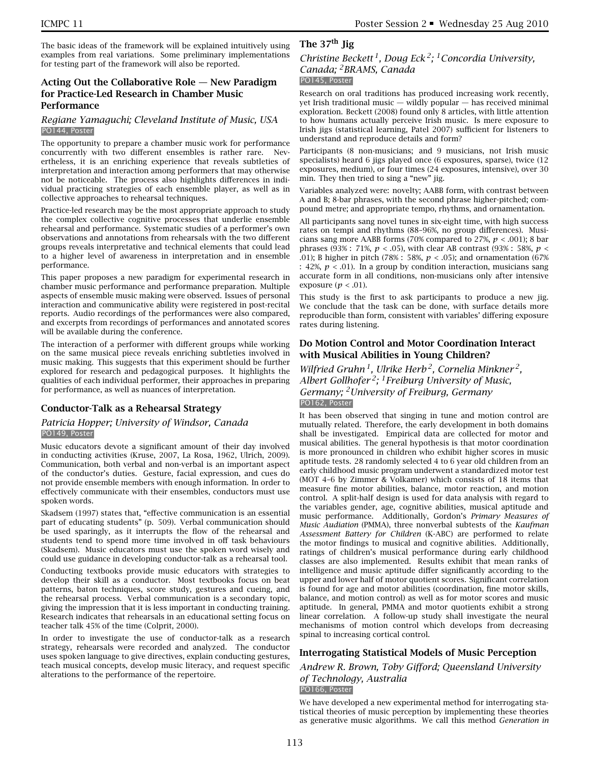The basic ideas of the framework will be explained intuitively using examples from real variations. Some preliminary implementations for testing part of the framework will also be reported.

## **Acting Out the Collaborative Role — New Paradigm for Practice-Led Research in Chamber Music Performance**

#### *Regiane Yamaguchi; Cleveland Institute of Music, USA* PO144, Poster

The opportunity to prepare a chamber music work for performance concurrently with two different ensembles is rather rare. Nevertheless, it is an enriching experience that reveals subtleties of interpretation and interaction among performers that may otherwise not be noticeable. The process also highlights differences in individual practicing strategies of each ensemble player, as well as in collective approaches to rehearsal techniques.

Practice-led research may be the most appropriate approach to study the complex collective cognitive processes that underlie ensemble rehearsal and performance. Systematic studies of a performer's own observations and annotations from rehearsals with the two different groups reveals interpretative and technical elements that could lead to a higher level of awareness in interpretation and in ensemble performance.

This paper proposes a new paradigm for experimental research in chamber music performance and performance preparation. Multiple aspects of ensemble music making were observed. Issues of personal interaction and communicative ability were registered in post-recital reports. Audio recordings of the performances were also compared, and excerpts from recordings of performances and annotated scores will be available during the conference.

The interaction of a performer with different groups while working on the same musical piece reveals enriching subtleties involved in music making. This suggests that this experiment should be further explored for research and pedagogical purposes. It highlights the qualities of each individual performer, their approaches in preparing for performance, as well as nuances of interpretation.

## **Conductor-Talk as a Rehearsal Strategy**

#### *Patricia Hopper; University of Windsor, Canada* PO149, Poster

Music educators devote a significant amount of their day involved in conducting activities (Kruse, 2007, La Rosa, 1962, Ulrich, 2009). Communication, both verbal and non-verbal is an important aspect of the conductor's duties. Gesture, facial expression, and cues do not provide ensemble members with enough information. In order to effectively communicate with their ensembles, conductors must use spoken words.

Skadsem (1997) states that, "effective communication is an essential part of educating students" (p. 509). Verbal communication should be used sparingly, as it interrupts the flow of the rehearsal and students tend to spend more time involved in off task behaviours (Skadsem). Music educators must use the spoken word wisely and could use guidance in developing conductor-talk as a rehearsal tool.

Conducting textbooks provide music educators with strategies to develop their skill as a conductor. Most textbooks focus on beat patterns, baton techniques, score study, gestures and cueing, and the rehearsal process. Verbal communication is a secondary topic, giving the impression that it is less important in conducting training. Research indicates that rehearsals in an educational setting focus on teacher talk 45% of the time (Colprit, 2000).

In order to investigate the use of conductor-talk as a research strategy, rehearsals were recorded and analyzed. The conductor uses spoken language to give directives, explain conducting gestures, teach musical concepts, develop music literacy, and request specific alterations to the performance of the repertoire.

## **The 37th Jig**

## *Christine Beckett 1, Doug Eck 2; 1Concordia University, Canada; 2BRAMS, Canada* PO145, Poster

Research on oral traditions has produced increasing work recently, yet Irish traditional music — wildly popular — has received minimal exploration. Beckett (2008) found only 8 articles, with little attention to how humans actually perceive Irish music. Is mere exposure to Irish jigs (statistical learning, Patel 2007) sufficient for listeners to understand and reproduce details and form?

Participants (8 non-musicians; and 9 musicians, not Irish music specialists) heard 6 jigs played once (6 exposures, sparse), twice (12 exposures, medium), or four times (24 exposures, intensive), over 30 min. They then tried to sing a "new" jig.

Variables analyzed were: novelty; AABB form, with contrast between A and B; 8-bar phrases, with the second phrase higher-pitched; compound metre; and appropriate tempo, rhythms, and ornamentation.

All participants sang novel tunes in six-eight time, with high success rates on tempi and rhythms (88–96%, no group differences). Musicians sang more AABB forms (70% compared to 27%, *p* < .001); 8 bar phrases (93% : 71%, *p* < .05), with clear AB contrast (93% : 58%, *p* < .01); B higher in pitch (78% : 58%, *p* < .05); and ornamentation (67% : 42%,  $p < .01$ ). In a group by condition interaction, musicians sang accurate form in all conditions, non-musicians only after intensive exposure (*p* < .01).

This study is the first to ask participants to produce a new jig. We conclude that the task can be done, with surface details more reproducible than form, consistent with variables' differing exposure rates during listening.

## **Do Motion Control and Motor Coordination Interact with Musical Abilities in Young Children?**

*Wilfried Gruhn 1, Ulrike Herb 2, Cornelia Minkner 2, Albert Gollhofer 2; 1Freiburg University of Music, Germany; 2University of Freiburg, Germany* PO162, Poster

It has been observed that singing in tune and motion control are mutually related. Therefore, the early development in both domains shall be investigated. Empirical data are collected for motor and musical abilities. The general hypothesis is that motor coordination is more pronounced in children who exhibit higher scores in music aptitude tests. 28 randomly selected 4 to 6 year old children from an early childhood music program underwent a standardized motor test (MOT 4–6 by Zimmer & Volkamer) which consists of 18 items that measure fine motor abilities, balance, motor reaction, and motion control. A split-half design is used for data analysis with regard to the variables gender, age, cognitive abilities, musical aptitude and music performance. Additionally, Gordon's *Primary Measures of Music Audiation* (PMMA), three nonverbal subtests of the *Kaufman Assessment Battery for Children* (K-ABC) are performed to relate the motor findings to musical and cognitive abilities. Additionally, ratings of children's musical performance during early childhood classes are also implemented. Results exhibit that mean ranks of intelligence and music aptitude differ significantly according to the upper and lower half of motor quotient scores. Significant correlation is found for age and motor abilities (coordination, fine motor skills, balance, and motion control) as well as for motor scores and music aptitude. In general, PMMA and motor quotients exhibit a strong linear correlation. A follow-up study shall investigate the neural mechanisms of motion control which develops from decreasing spinal to increasing cortical control.

## **Interrogating Statistical Models of Music Perception**

*Andrew R. Brown, Toby Gifford; Queensland University of Technology, Australia*

#### PO166, Poster

We have developed a new experimental method for interrogating statistical theories of music perception by implementing these theories as generative music algorithms. We call this method *Generation in*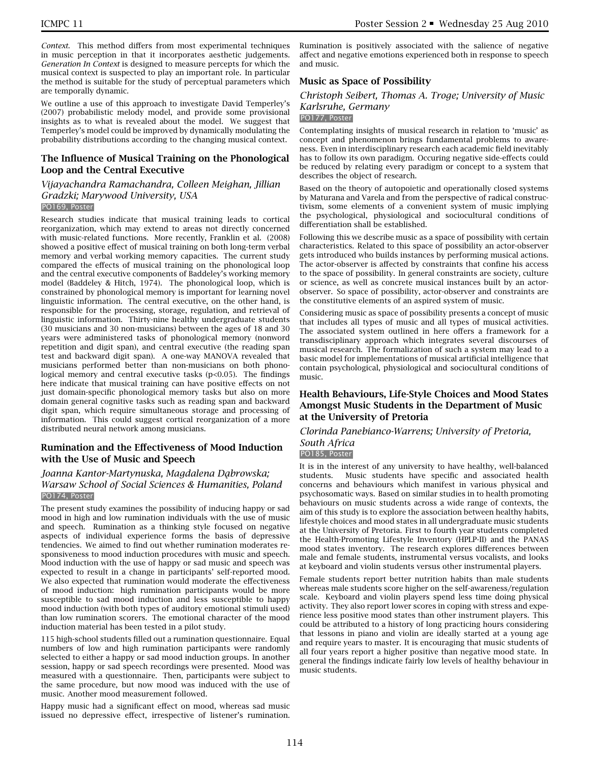*Context*. This method differs from most experimental techniques in music perception in that it incorporates aesthetic judgements. *Generation In Context* is designed to measure percepts for which the musical context is suspected to play an important role. In particular the method is suitable for the study of perceptual parameters which are temporally dynamic.

We outline a use of this approach to investigate David Temperley's (2007) probabilistic melody model, and provide some provisional insights as to what is revealed about the model. We suggest that Temperley's model could be improved by dynamically modulating the probability distributions according to the changing musical context.

#### **The Influence of Musical Training on the Phonological Loop and the Central Executive**

#### *Vijayachandra Ramachandra, Colleen Meighan, Jillian Gradzki; Marywood University, USA* PO169, Poster

Research studies indicate that musical training leads to cortical reorganization, which may extend to areas not directly concerned with music-related functions. More recently, Franklin et al. (2008) showed a positive effect of musical training on both long-term verbal memory and verbal working memory capacities. The current study compared the effects of musical training on the phonological loop and the central executive components of Baddeley's working memory model (Baddeley & Hitch, 1974). The phonological loop, which is constrained by phonological memory is important for learning novel linguistic information. The central executive, on the other hand, is responsible for the processing, storage, regulation, and retrieval of linguistic information. Thirty-nine healthy undergraduate students (30 musicians and 30 non-musicians) between the ages of 18 and 30 years were administered tasks of phonological memory (nonword repetition and digit span), and central executive (the reading span test and backward digit span). A one-way MANOVA revealed that musicians performed better than non-musicians on both phonological memory and central executive tasks  $(p<0.05)$ . The findings here indicate that musical training can have positive effects on not just domain-specific phonological memory tasks but also on more domain general cognitive tasks such as reading span and backward digit span, which require simultaneous storage and processing of information. This could suggest cortical reorganization of a more distributed neural network among musicians.

## **Rumination and the Effectiveness of Mood Induction with the Use of Music and Speech**

## *Joanna Kantor-Martynuska, Magdalena Da*˛*browska; Warsaw School of Social Sciences & Humanities, Poland* PO174, Poster

The present study examines the possibility of inducing happy or sad mood in high and low rumination individuals with the use of music and speech. Rumination as a thinking style focused on negative aspects of individual experience forms the basis of depressive tendencies. We aimed to find out whether rumination moderates responsiveness to mood induction procedures with music and speech. Mood induction with the use of happy or sad music and speech was expected to result in a change in participants' self-reported mood. We also expected that rumination would moderate the effectiveness of mood induction: high rumination participants would be more susceptible to sad mood induction and less susceptible to happy mood induction (with both types of auditory emotional stimuli used) than low rumination scorers. The emotional character of the mood induction material has been tested in a pilot study.

115 high-school students filled out a rumination questionnaire. Equal numbers of low and high rumination participants were randomly selected to either a happy or sad mood induction groups. In another session, happy or sad speech recordings were presented. Mood was measured with a questionnaire. Then, participants were subject to the same procedure, but now mood was induced with the use of music. Another mood measurement followed.

Happy music had a significant effect on mood, whereas sad music issued no depressive effect, irrespective of listener's rumination.

Rumination is positively associated with the salience of negative affect and negative emotions experienced both in response to speech and music.

## **Music as Space of Possibility**

## *Christoph Seibert, Thomas A. Troge; University of Music Karlsruhe, Germany*

#### PO177, Poster

Contemplating insights of musical research in relation to 'music' as concept and phenomenon brings fundamental problems to awareness. Even in interdisciplinary research each academic field inevitably has to follow its own paradigm. Occuring negative side-effects could be reduced by relating every paradigm or concept to a system that describes the object of research.

Based on the theory of autopoietic and operationally closed systems by Maturana and Varela and from the perspective of radical constructivism, some elements of a convenient system of music implying the psychological, physiological and sociocultural conditions of differentiation shall be established.

Following this we describe music as a space of possibility with certain characteristics. Related to this space of possibility an actor-observer gets introduced who builds instances by performing musical actions. The actor-observer is affected by constraints that confine his access to the space of possibility. In general constraints are society, culture or science, as well as concrete musical instances built by an actorobserver. So space of possibility, actor-observer and constraints are the constitutive elements of an aspired system of music.

Considering music as space of possibility presents a concept of music that includes all types of music and all types of musical activities. The associated system outlined in here offers a framework for a transdisciplinary approach which integrates several discourses of musical research. The formalization of such a system may lead to a basic model for implementations of musical artificial intelligence that contain psychological, physiological and sociocultural conditions of music.

## **Health Behaviours, Life-Style Choices and Mood States Amongst Music Students in the Department of Music at the University of Pretoria**

## *Clorinda Panebianco-Warrens; University of Pretoria, South Africa*

#### PO185, Poster

It is in the interest of any university to have healthy, well-balanced students. Music students have specific and associated health concerns and behaviours which manifest in various physical and psychosomatic ways. Based on similar studies in to health promoting behaviours on music students across a wide range of contexts, the aim of this study is to explore the association between healthy habits, lifestyle choices and mood states in all undergraduate music students at the University of Pretoria. First to fourth year students completed the Health-Promoting Lifestyle Inventory (HPLP-II) and the PANAS mood states inventory. The research explores differences between male and female students, instrumental versus vocalists, and looks at keyboard and violin students versus other instrumental players.

Female students report better nutrition habits than male students whereas male students score higher on the self-awareness/regulation scale. Keyboard and violin players spend less time doing physical activity. They also report lower scores in coping with stress and experience less positive mood states than other instrument players. This could be attributed to a history of long practicing hours considering that lessons in piano and violin are ideally started at a young age and require years to master. It is encouraging that music students of all four years report a higher positive than negative mood state. In general the findings indicate fairly low levels of healthy behaviour in music students.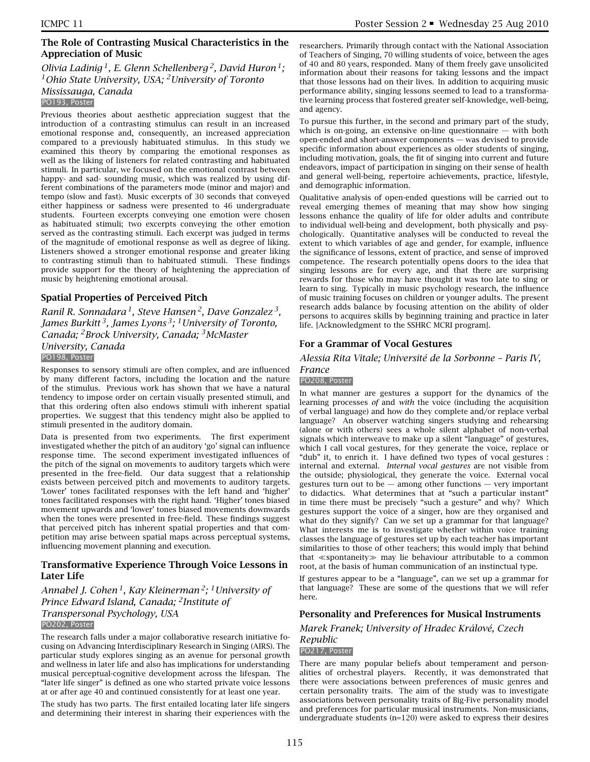## **The Role of Contrasting Musical Characteristics in the Appreciation of Music**

## *Olivia Ladinig 1, E. Glenn Schellenberg 2, David Huron 1; 1Ohio State University, USA; 2University of Toronto Mississauga, Canada*

PO193, Poster

Previous theories about aesthetic appreciation suggest that the introduction of a contrasting stimulus can result in an increased emotional response and, consequently, an increased appreciation compared to a previously habituated stimulus. In this study we examined this theory by comparing the emotional responses as well as the liking of listeners for related contrasting and habituated stimuli. In particular, we focused on the emotional contrast between happy- and sad- sounding music, which was realized by using different combinations of the parameters mode (minor and major) and tempo (slow and fast). Music excerpts of 30 seconds that conveyed either happiness or sadness were presented to 46 undergraduate students. Fourteen excerpts conveying one emotion were chosen as habituated stimuli; two excerpts conveying the other emotion served as the contrasting stimuli. Each excerpt was judged in terms of the magnitude of emotional response as well as degree of liking. Listeners showed a stronger emotional response and greater liking to contrasting stimuli than to habituated stimuli. These findings provide support for the theory of heightening the appreciation of music by heightening emotional arousal.

## **Spatial Properties of Perceived Pitch**

*Ranil R. Sonnadara 1, Steve Hansen 2, Dave Gonzalez 3, James Burkitt 3, James Lyons 3; 1University of Toronto, Canada; 2Brock University, Canada; 3McMaster University, Canada* PO198, Poster

Responses to sensory stimuli are often complex, and are influenced by many different factors, including the location and the nature of the stimulus. Previous work has shown that we have a natural tendency to impose order on certain visually presented stimuli, and that this ordering often also endows stimuli with inherent spatial properties. We suggest that this tendency might also be applied to stimuli presented in the auditory domain.

Data is presented from two experiments. The first experiment investigated whether the pitch of an auditory 'go' signal can influence response time. The second experiment investigated influences of the pitch of the signal on movements to auditory targets which were presented in the free-field. Our data suggest that a relationship exists between perceived pitch and movements to auditory targets. 'Lower' tones facilitated responses with the left hand and 'higher' tones facilitated responses with the right hand. 'Higher' tones biased movement upwards and 'lower' tones biased movements downwards when the tones were presented in free-field. These findings suggest that perceived pitch has inherent spatial properties and that competition may arise between spatial maps across perceptual systems, influencing movement planning and execution.

## **Transformative Experience Through Voice Lessons in Later Life**

*Annabel J. Cohen 1, Kay Kleinerman 2; 1University of Prince Edward Island, Canada; 2Institute of Transpersonal Psychology, USA* PO202, Poster

The research falls under a major collaborative research initiative focusing on Advancing Interdisciplinary Research in Singing (AIRS). The particular study explores singing as an avenue for personal growth and wellness in later life and also has implications for understanding musical perceptual-cognitive development across the lifespan. The "later life singer" is defined as one who started private voice lessons at or after age 40 and continued consistently for at least one year.

The study has two parts. The first entailed locating later life singers and determining their interest in sharing their experiences with the researchers. Primarily through contact with the National Association of Teachers of Singing, 70 willing students of voice, between the ages of 40 and 80 years, responded. Many of them freely gave unsolicited information about their reasons for taking lessons and the impact that those lessons had on their lives. In addition to acquiring music performance ability, singing lessons seemed to lead to a transformative learning process that fostered greater self-knowledge, well-being, and agency.

To pursue this further, in the second and primary part of the study, which is on-going, an extensive on-line questionnaire  $-$  with both open-ended and short-answer components — was devised to provide specific information about experiences as older students of singing, including motivation, goals, the fit of singing into current and future endeavors, impact of participation in singing on their sense of health and general well-being, repertoire achievements, practice, lifestyle, and demographic information.

Qualitative analysis of open-ended questions will be carried out to reveal emerging themes of meaning that may show how singing lessons enhance the quality of life for older adults and contribute to individual well-being and development, both physically and psychologically. Quantitative analyses will be conducted to reveal the extent to which variables of age and gender, for example, influence the significance of lessons, extent of practice, and sense of improved competence. The research potentially opens doors to the idea that singing lessons are for every age, and that there are surprising rewards for those who may have thought it was too late to sing or learn to sing. Typically in music psychology research, the influence of music training focuses on children or younger adults. The present research adds balance by focusing attention on the ability of older persons to acquires skills by beginning training and practice in later life. [Acknowledgment to the SSHRC MCRI program].

## **For a Grammar of Vocal Gestures**

*Alessia Rita Vitale; Université de la Sorbonne – Paris IV,*

#### *France* PO208, Poster

In what manner are gestures a support for the dynamics of the learning processes *of* and *with* the voice (including the acquisition of verbal language) and how do they complete and/or replace verbal language? An observer watching singers studying and rehearsing (alone or with others) sees a whole silent alphabet of non-verbal signals which interweave to make up a silent "language" of gestures, which I call vocal gestures, for they generate the voice, replace or "dub" it, to enrich it. I have defined two types of vocal gestures : internal and external. *Internal vocal gestures* are not visible from the outside; physiological, they generate the voice. External vocal gestures turn out to be  $-$  among other functions  $-$  very important to didactics. What determines that at "such a particular instant" in time there must be precisely "such a gesture" and why? Which gestures support the voice of a singer, how are they organised and what do they signify? Can we set up a grammar for that language? What interests me is to investigate whether within voice training classes the language of gestures set up by each teacher has important similarities to those of other teachers; this would imply that behind that  $\ll$ spontaneity $\gg$  may lie behaviour attributable to a common root, at the basis of human communication of an instinctual type.

If gestures appear to be a "language", can we set up a grammar for that language? These are some of the questions that we will refer here.

## **Personality and Preferences for Musical Instruments**

*Marek Franek; University of Hradec Králové, Czech*

#### *Republic* PO217, Poster

There are many popular beliefs about temperament and personalities of orchestral players. Recently, it was demonstrated that there were associations between preferences of music genres and certain personality traits. The aim of the study was to investigate associations between personality traits of Big-Five personality model and preferences for particular musical instruments. Non-musicians, undergraduate students (n=120) were asked to express their desires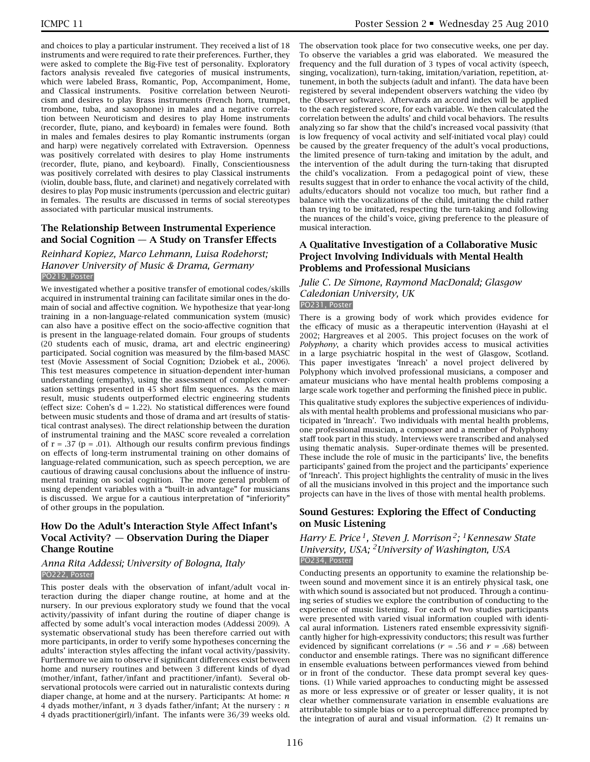and choices to play a particular instrument. They received a list of 18 instruments and were required to rate their preferences. Further, they were asked to complete the Big-Five test of personality. Exploratory factors analysis revealed five categories of musical instruments, which were labeled Brass, Romantic, Pop, Accompaniment, Home, and Classical instruments. Positive correlation between Neuroticism and desires to play Brass instruments (French horn, trumpet, trombone, tuba, and saxophone) in males and a negative correlation between Neuroticism and desires to play Home instruments (recorder, flute, piano, and keyboard) in females were found. Both in males and females desires to play Romantic instruments (organ and harp) were negatively correlated with Extraversion. Openness was positively correlated with desires to play Home instruments (recorder, flute, piano, and keyboard). Finally, Conscientiousness was positively correlated with desires to play Classical instruments (violin, double bass, flute, and clarinet) and negatively correlated with desires to play Pop music instruments (percussion and electric guitar) in females. The results are discussed in terms of social stereotypes associated with particular musical instruments.

#### **The Relationship Between Instrumental Experience and Social Cognition — A Study on Transfer Effects**

#### *Reinhard Kopiez, Marco Lehmann, Luisa Rodehorst; Hanover University of Music & Drama, Germany* PO219, Poster

We investigated whether a positive transfer of emotional codes/skills acquired in instrumental training can facilitate similar ones in the domain of social and affective cognition. We hypothesize that year-long training in a non-language-related communication system (music) can also have a positive effect on the socio-affective cognition that is present in the language-related domain. Four groups of students (20 students each of music, drama, art and electric engineering) participated. Social cognition was measured by the film-based MASC test (Movie Assessment of Social Cognition; Dziobek et al., 2006). This test measures competence in situation-dependent inter-human understanding (empathy), using the assessment of complex conversation settings presented in 45 short film sequences. As the main result, music students outperformed electric engineering students (effect size: Cohen's  $d = 1.22$ ). No statistical differences were found between music students and those of drama and art (results of statistical contrast analyses). The direct relationship between the duration of instrumental training and the MASC score revealed a correlation of  $r = .37$  ( $p = .01$ ). Although our results confirm previous findings on effects of long-term instrumental training on other domains of language-related communication, such as speech perception, we are cautious of drawing causal conclusions about the influence of instrumental training on social cognition. The more general problem of using dependent variables with a "built-in advantage" for musicians is discussed. We argue for a cautious interpretation of "inferiority" of other groups in the population.

## **How Do the Adult's Interaction Style Affect Infant's Vocal Activity? — Observation During the Diaper Change Routine**

#### *Anna Rita Addessi; University of Bologna, Italy* PO222, Poster

This poster deals with the observation of infant/adult vocal interaction during the diaper change routine, at home and at the nursery. In our previous exploratory study we found that the vocal activity/passivity of infant during the routine of diaper change is affected by some adult's vocal interaction modes (Addessi 2009). A systematic observational study has been therefore carried out with more participants, in order to verify some hypotheses concerning the adults' interaction styles affecting the infant vocal activity/passivity. Furthermore we aim to observe if significant differences exist between home and nursery routines and between 3 different kinds of dyad (mother/infant, father/infant and practitioner/infant). Several observational protocols were carried out in naturalistic contexts during diaper change, at home and at the nursery. Participants: At home: *n* 4 dyads mother/infant, *n* 3 dyads father/infant; At the nursery : *n* 4 dyads practitioner(girl)/infant. The infants were 36/39 weeks old.

The observation took place for two consecutive weeks, one per day. To observe the variables a grid was elaborated. We measured the frequency and the full duration of 3 types of vocal activity (speech, singing, vocalization), turn-taking, imitation/variation, repetition, attunement, in both the subjects (adult and infant). The data have been registered by several independent observers watching the video (by the Observer software). Afterwards an accord index will be applied to the each registered score, for each variable. We then calculated the correlation between the adults' and child vocal behaviors. The results analyzing so far show that the child's increased vocal passivity (that is low frequency of vocal activity and self-initiated vocal play) could be caused by the greater frequency of the adult's vocal productions, the limited presence of turn-taking and imitation by the adult, and the intervention of the adult during the turn-taking that disrupted the child's vocalization. From a pedagogical point of view, these results suggest that in order to enhance the vocal activity of the child, adults/educators should not vocalize too much, but rather find a balance with the vocalizations of the child, imitating the child rather than trying to be imitated, respecting the turn-taking and following the nuances of the child's voice, giving preference to the pleasure of musical interaction.

## **A Qualitative Investigation of a Collaborative Music Project Involving Individuals with Mental Health Problems and Professional Musicians**

#### *Julie C. De Simone, Raymond MacDonald; Glasgow Caledonian University, UK* PO231, Poster

There is a growing body of work which provides evidence for the efficacy of music as a therapeutic intervention (Hayashi at el 2002; Hargreaves et al 2005. This project focuses on the work of *Polyphony*, a charity which provides access to musical activities in a large psychiatric hospital in the west of Glasgow, Scotland. This paper investigates 'Inreach' a novel project delivered by Polyphony which involved professional musicians, a composer and amateur musicians who have mental health problems composing a large scale work together and performing the finished piece in public.

This qualitative study explores the subjective experiences of individuals with mental health problems and professional musicians who participated in 'Inreach'. Two individuals with mental health problems, one professional musician, a composer and a member of Polyphony staff took part in this study. Interviews were transcribed and analysed using thematic analysis. Super-ordinate themes will be presented. These include the role of music in the participants' live, the benefits participants' gained from the project and the participants' experience of 'Inreach'. This project highlights the centrality of music in the lives of all the musicians involved in this project and the importance such projects can have in the lives of those with mental health problems.

## **Sound Gestures: Exploring the Effect of Conducting on Music Listening**

*Harry E. Price 1, Steven J. Morrison 2; 1Kennesaw State University, USA; 2University of Washington, USA* PO234, Poster

Conducting presents an opportunity to examine the relationship between sound and movement since it is an entirely physical task, one with which sound is associated but not produced. Through a continuing series of studies we explore the contribution of conducting to the experience of music listening. For each of two studies participants were presented with varied visual information coupled with identical aural information. Listeners rated ensemble expressivity significantly higher for high-expressivity conductors; this result was further evidenced by significant correlations ( $r = .56$  and  $r = .68$ ) between conductor and ensemble ratings. There was no significant difference in ensemble evaluations between performances viewed from behind or in front of the conductor. These data prompt several key questions. (1) While varied approaches to conducting might be assessed as more or less expressive or of greater or lesser quality, it is not clear whether commensurate variation in ensemble evaluations are attributable to simple bias or to a perceptual difference prompted by the integration of aural and visual information. (2) It remains un-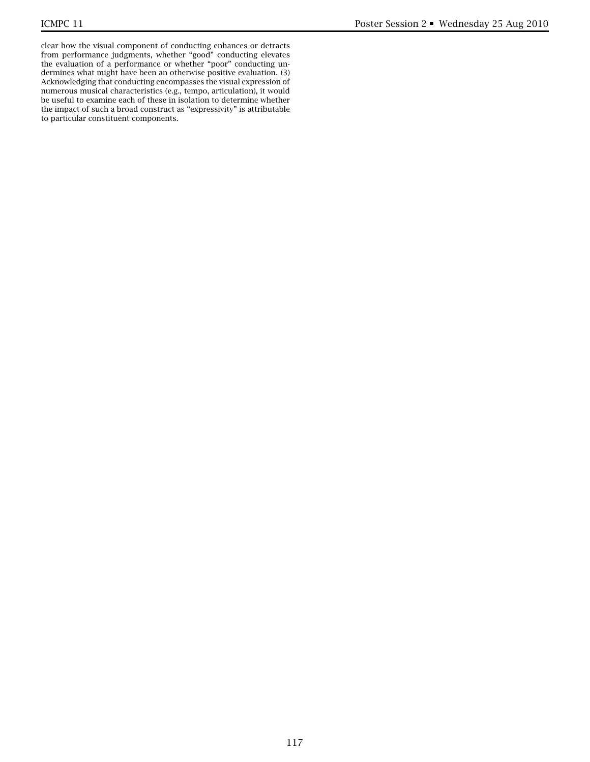clear how the visual component of conducting enhances or detracts from performance judgments, whether "good" conducting elevates the evaluation of a performance or whether "poor" conducting undermines what might have been an otherwise positive evaluation. (3) Acknowledging that conducting encompasses the visual expression of numerous musical characteristics (e.g., tempo, articulation), it would be useful to examine each of these in isolation to determine whether the impact of such a broad construct as "expressivity" is attributable to particular constituent components.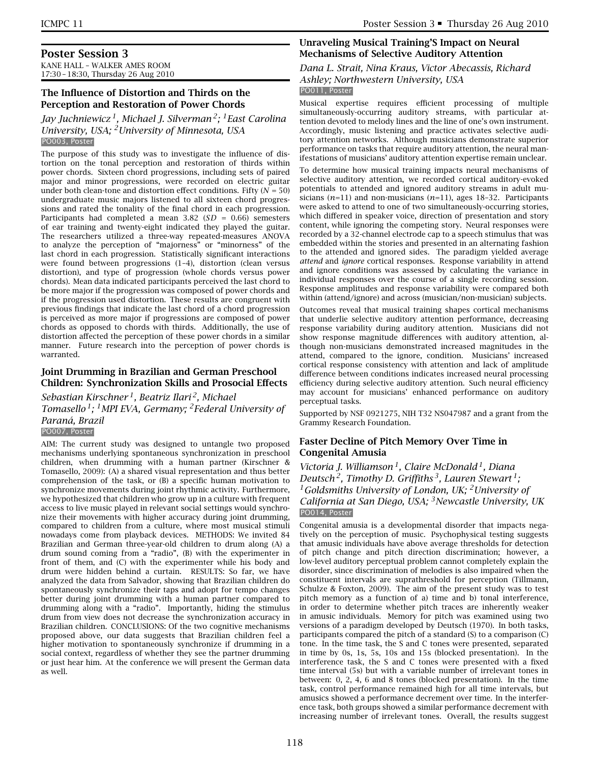## **Poster Session 3**

KANE HALL – WALKER AMES ROOM 17:30 – 18:30, Thursday 26 Aug 2010

## **The Influence of Distortion and Thirds on the Perception and Restoration of Power Chords**

*Jay Juchniewicz 1, Michael J. Silverman 2; 1East Carolina University, USA; 2University of Minnesota, USA* PO003, Poster

The purpose of this study was to investigate the influence of distortion on the tonal perception and restoration of thirds within power chords. Sixteen chord progressions, including sets of paired major and minor progressions, were recorded on electric guitar under both clean-tone and distortion effect conditions. Fifty  $(N = 50)$ undergraduate music majors listened to all sixteen chord progressions and rated the tonality of the final chord in each progression. Participants had completed a mean 3.82 (*SD* = 0.66) semesters of ear training and twenty-eight indicated they played the guitar. The researchers utilized a three-way repeated-measures ANOVA to analyze the perception of "majorness" or "minorness" of the last chord in each progression. Statistically significant interactions were found between progressions (1–4), distortion (clean versus distortion), and type of progression (whole chords versus power chords). Mean data indicated participants perceived the last chord to be more major if the progression was composed of power chords and if the progression used distortion. These results are congruent with previous findings that indicate the last chord of a chord progression is perceived as more major if progressions are composed of power chords as opposed to chords with thirds. Additionally, the use of distortion affected the perception of these power chords in a similar manner. Future research into the perception of power chords is warranted.

## **Joint Drumming in Brazilian and German Preschool Children: Synchronization Skills and Prosocial Effects**

*Sebastian Kirschner 1, Beatriz Ilari 2, Michael*

*Tomasello 1; 1MPI EVA, Germany; 2Federal University of Paraná, Brazil*

PO007, Poster

AIM: The current study was designed to untangle two proposed mechanisms underlying spontaneous synchronization in preschool children, when drumming with a human partner (Kirschner & Tomasello, 2009): (A) a shared visual representation and thus better comprehension of the task, or (B) a specific human motivation to synchronize movements during joint rhythmic activity. Furthermore, we hypothesized that children who grow up in a culture with frequent access to live music played in relevant social settings would synchronize their movements with higher accuracy during joint drumming, compared to children from a culture, where most musical stimuli nowadays come from playback devices. METHODS: We invited 84 Brazilian and German three-year-old children to drum along (A) a drum sound coming from a "radio", (B) with the experimenter in front of them, and (C) with the experimenter while his body and drum were hidden behind a curtain. RESULTS: So far, we have analyzed the data from Salvador, showing that Brazilian children do spontaneously synchronize their taps and adopt for tempo changes better during joint drumming with a human partner compared to drumming along with a "radio". Importantly, hiding the stimulus drum from view does not decrease the synchronization accuracy in Brazilian children. CONCLUSIONS: Of the two cognitive mechanisms proposed above, our data suggests that Brazilian children feel a higher motivation to spontaneously synchronize if drumming in a social context, regardless of whether they see the partner drumming or just hear him. At the conference we will present the German data as well.

## **Unraveling Musical Training'S Impact on Neural Mechanisms of Selective Auditory Attention**

*Dana L. Strait, Nina Kraus, Victor Abecassis, Richard Ashley; Northwestern University, USA*

PO011, Poster

Musical expertise requires efficient processing of multiple simultaneously-occurring auditory streams, with particular attention devoted to melody lines and the line of one's own instrument. Accordingly, music listening and practice activates selective auditory attention networks. Although musicians demonstrate superior performance on tasks that require auditory attention, the neural manifestations of musicians' auditory attention expertise remain unclear.

To determine how musical training impacts neural mechanisms of selective auditory attention, we recorded cortical auditory-evoked potentials to attended and ignored auditory streams in adult musicians (*n*=11) and non-musicians (*n*=11), ages 18–32. Participants were asked to attend to one of two simultaneously-occurring stories, which differed in speaker voice, direction of presentation and story content, while ignoring the competing story. Neural responses were recorded by a 32-channel electrode cap to a speech stimulus that was embedded within the stories and presented in an alternating fashion to the attended and ignored sides. The paradigm yielded average *attend* and *ignore* cortical responses. Response variability in attend and ignore conditions was assessed by calculating the variance in individual responses over the course of a single recording session. Response amplitudes and response variability were compared both within (attend/ignore) and across (musician/non-musician) subjects.

Outcomes reveal that musical training shapes cortical mechanisms that underlie selective auditory attention performance, decreasing response variability during auditory attention. Musicians did not show response magnitude differences with auditory attention, although non-musicians demonstrated increased magnitudes in the attend, compared to the ignore, condition. Musicians' increased cortical response consistency with attention and lack of amplitude difference between conditions indicates increased neural processing efficiency during selective auditory attention. Such neural efficiency may account for musicians' enhanced performance on auditory perceptual tasks.

Supported by NSF 0921275, NIH T32 NS047987 and a grant from the Grammy Research Foundation.

## **Faster Decline of Pitch Memory Over Time in Congenital Amusia**

*Victoria J. Williamson 1, Claire McDonald 1, Diana Deutsch 2, Timothy D. Griffiths 3, Lauren Stewart 1; 1Goldsmiths University of London, UK; 2University of California at San Diego, USA; 3Newcastle University, UK* PO014, Poster

Congenital amusia is a developmental disorder that impacts negatively on the perception of music. Psychophysical testing suggests that amusic individuals have above average thresholds for detection of pitch change and pitch direction discrimination; however, a low-level auditory perceptual problem cannot completely explain the disorder, since discrimination of melodies is also impaired when the constituent intervals are suprathreshold for perception (Tillmann, Schulze & Foxton, 2009). The aim of the present study was to test pitch memory as a function of a) time and b) tonal interference, in order to determine whether pitch traces are inherently weaker in amusic individuals. Memory for pitch was examined using two versions of a paradigm developed by Deutsch (1970). In both tasks, participants compared the pitch of a standard (S) to a comparison (C) tone. In the time task, the S and C tones were presented, separated in time by 0s, 1s, 5s, 10s and 15s (blocked presentation). In the interference task, the S and C tones were presented with a fixed time interval (5s) but with a variable number of irrelevant tones in between: 0, 2, 4, 6 and 8 tones (blocked presentation). In the time task, control performance remained high for all time intervals, but amusics showed a performance decrement over time. In the interference task, both groups showed a similar performance decrement with increasing number of irrelevant tones. Overall, the results suggest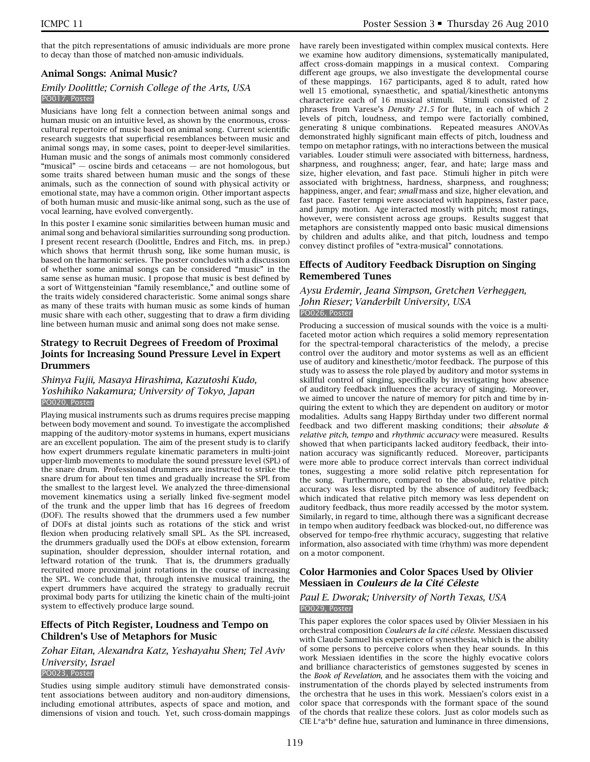that the pitch representations of amusic individuals are more prone to decay than those of matched non-amusic individuals.

#### **Animal Songs: Animal Music?**

#### *Emily Doolittle; Cornish College of the Arts, USA* PO017, Poster

Musicians have long felt a connection between animal songs and human music on an intuitive level, as shown by the enormous, crosscultural repertoire of music based on animal song. Current scientific research suggests that superficial resemblances between music and animal songs may, in some cases, point to deeper-level similarities. Human music and the songs of animals most commonly considered "musical" — oscine birds and cetaceans — are not homologous, but some traits shared between human music and the songs of these animals, such as the connection of sound with physical activity or emotional state, may have a common origin. Other important aspects of both human music and music-like animal song, such as the use of vocal learning, have evolved convergently.

In this poster I examine sonic similarities between human music and animal song and behavioral similarities surrounding song production. I present recent research (Doolittle, Endres and Fitch, ms. in prep.) which shows that hermit thrush song, like some human music, is based on the harmonic series. The poster concludes with a discussion of whether some animal songs can be considered "music" in the same sense as human music. I propose that music is best defined by a sort of Wittgensteinian "family resemblance," and outline some of the traits widely considered characteristic. Some animal songs share as many of these traits with human music as some kinds of human music share with each other, suggesting that to draw a firm dividing line between human music and animal song does not make sense.

## **Strategy to Recruit Degrees of Freedom of Proximal Joints for Increasing Sound Pressure Level in Expert Drummers**

### *Shinya Fujii, Masaya Hirashima, Kazutoshi Kudo, Yoshihiko Nakamura; University of Tokyo, Japan* PO020, Poster

Playing musical instruments such as drums requires precise mapping between body movement and sound. To investigate the accomplished mapping of the auditory-motor systems in humans, expert musicians are an excellent population. The aim of the present study is to clarify how expert drummers regulate kinematic parameters in multi-joint upper-limb movements to modulate the sound pressure level (SPL) of the snare drum. Professional drummers are instructed to strike the snare drum for about ten times and gradually increase the SPL from the smallest to the largest level. We analyzed the three-dimensional movement kinematics using a serially linked five-segment model of the trunk and the upper limb that has 16 degrees of freedom (DOF). The results showed that the drummers used a few number of DOFs at distal joints such as rotations of the stick and wrist flexion when producing relatively small SPL. As the SPL increased, the drummers gradually used the DOFs at elbow extension, forearm supination, shoulder depression, shoulder internal rotation, and leftward rotation of the trunk. That is, the drummers gradually recruited more proximal joint rotations in the course of increasing the SPL. We conclude that, through intensive musical training, the expert drummers have acquired the strategy to gradually recruit proximal body parts for utilizing the kinetic chain of the multi-joint system to effectively produce large sound.

## **Effects of Pitch Register, Loudness and Tempo on Children's Use of Metaphors for Music**

## *Zohar Eitan, Alexandra Katz, Yeshayahu Shen; Tel Aviv University, Israel*

#### PO023, Poster

Studies using simple auditory stimuli have demonstrated consistent associations between auditory and non-auditory dimensions, including emotional attributes, aspects of space and motion, and dimensions of vision and touch. Yet, such cross-domain mappings have rarely been investigated within complex musical contexts. Here we examine how auditory dimensions, systematically manipulated, affect cross-domain mappings in a musical context. Comparing different age groups, we also investigate the developmental course of these mappings. 167 participants, aged 8 to adult, rated how well 15 emotional, synaesthetic, and spatial/kinesthetic antonyms characterize each of 16 musical stimuli. Stimuli consisted of 2 phrases from Varese's *Density 21.5* for flute, in each of which 2 levels of pitch, loudness, and tempo were factorially combined, generating 8 unique combinations. Repeated measures ANOVAs demonstrated highly significant main effects of pitch, loudness and tempo on metaphor ratings, with no interactions between the musical variables. Louder stimuli were associated with bitterness, hardness, sharpness, and roughness; anger, fear, and hate; large mass and size, higher elevation, and fast pace. Stimuli higher in pitch were associated with brightness, hardness, sharpness, and roughness; happiness, anger, and fear; *small* mass and size, higher elevation, and fast pace. Faster tempi were associated with happiness, faster pace, and jumpy motion. Age interacted mostly with pitch; most ratings, however, were consistent across age groups. Results suggest that metaphors are consistently mapped onto basic musical dimensions by children and adults alike, and that pitch, loudness and tempo convey distinct profiles of "extra-musical" connotations.

## **Effects of Auditory Feedback Disruption on Singing Remembered Tunes**

#### *Aysu Erdemir, Jeana Simpson, Gretchen Verheggen, John Rieser; Vanderbilt University, USA* PO026, Poster

Producing a succession of musical sounds with the voice is a multifaceted motor action which requires a solid memory representation for the spectral-temporal characteristics of the melody, a precise control over the auditory and motor systems as well as an efficient use of auditory and kinesthetic/motor feedback. The purpose of this study was to assess the role played by auditory and motor systems in skillful control of singing, specifically by investigating how absence of auditory feedback influences the accuracy of singing. Moreover, we aimed to uncover the nature of memory for pitch and time by inquiring the extent to which they are dependent on auditory or motor modalities. Adults sang Happy Birthday under two different normal feedback and two different masking conditions; their *absolute & relative pitch, tempo* and *rhythmic accuracy* were measured. Results showed that when participants lacked auditory feedback, their intonation accuracy was significantly reduced. Moreover, participants were more able to produce correct intervals than correct individual tones, suggesting a more solid relative pitch representation for the song. Furthermore, compared to the absolute, relative pitch accuracy was less disrupted by the absence of auditory feedback; which indicated that relative pitch memory was less dependent on auditory feedback, thus more readily accessed by the motor system. Similarly, in regard to time, although there was a significant decrease in tempo when auditory feedback was blocked-out, no difference was observed for tempo-free rhythmic accuracy, suggesting that relative information, also associated with time (rhythm) was more dependent on a motor component.

#### **Color Harmonies and Color Spaces Used by Olivier Messiaen in** *Couleurs de la Cité Céleste*

#### *Paul E. Dworak; University of North Texas, USA* PO029, Poster

This paper explores the color spaces used by Olivier Messiaen in his orchestral composition *Couleurs de la cité céleste*. Messiaen discussed with Claude Samuel his experience of synesthesia, which is the ability of some persons to perceive colors when they hear sounds. In this work Messiaen identifies in the score the highly evocative colors and brilliance characteristics of gemstones suggested by scenes in the *Book of Revelation*, and he associates them with the voicing and instrumentation of the chords played by selected instruments from the orchestra that he uses in this work. Messiaen's colors exist in a color space that corresponds with the formant space of the sound of the chords that realize these colors. Just as color models such as CIE L\*a\*b\* define hue, saturation and luminance in three dimensions,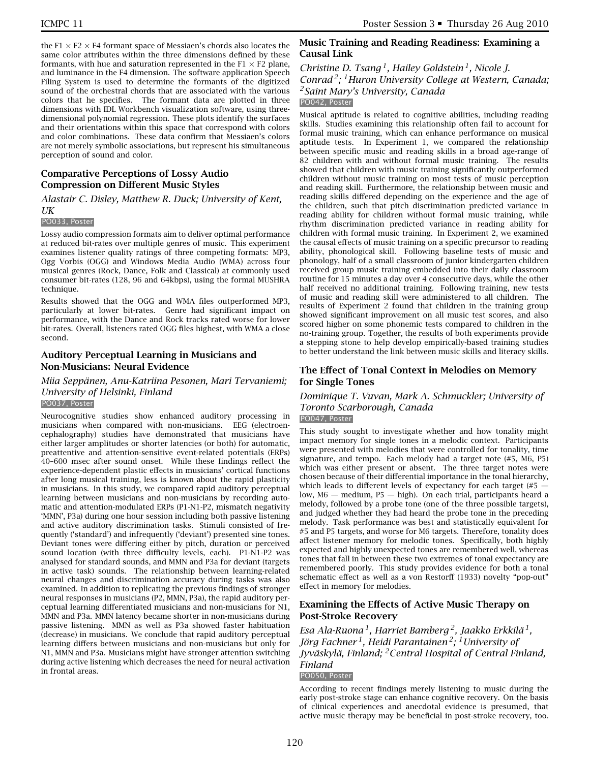the F1  $\times$  F2  $\times$  F4 formant space of Messiaen's chords also locates the same color attributes within the three dimensions defined by these formants, with hue and saturation represented in the  $F1 \times F2$  plane, and luminance in the F4 dimension. The software application Speech Filing System is used to determine the formants of the digitized sound of the orchestral chords that are associated with the various colors that he specifies. The formant data are plotted in three dimensions with IDL Workbench visualization software, using threedimensional polynomial regression. These plots identify the surfaces and their orientations within this space that correspond with colors and color combinations. These data confirm that Messiaen's colors are not merely symbolic associations, but represent his simultaneous perception of sound and color.

## **Comparative Perceptions of Lossy Audio Compression on Different Music Styles**

*Alastair C. Disley, Matthew R. Duck; University of Kent, UK*

#### PO033, Poster

Lossy audio compression formats aim to deliver optimal performance at reduced bit-rates over multiple genres of music. This experiment examines listener quality ratings of three competing formats: MP3, Ogg Vorbis (OGG) and Windows Media Audio (WMA) across four musical genres (Rock, Dance, Folk and Classical) at commonly used consumer bit-rates (128, 96 and 64kbps), using the formal MUSHRA technique.

Results showed that the OGG and WMA files outperformed MP3, particularly at lower bit-rates. Genre had significant impact on performance, with the Dance and Rock tracks rated worse for lower bit-rates. Overall, listeners rated OGG files highest, with WMA a close second.

## **Auditory Perceptual Learning in Musicians and Non-Musicians: Neural Evidence**

#### *Miia Seppänen, Anu-Katriina Pesonen, Mari Tervaniemi; University of Helsinki, Finland* PO037, Poster

Neurocognitive studies show enhanced auditory processing in musicians when compared with non-musicians. EEG (electroencephalography) studies have demonstrated that musicians have either larger amplitudes or shorter latencies (or both) for automatic, preattentive and attention-sensitive event-related potentials (ERPs) 40–600 msec after sound onset. While these findings reflect the experience-dependent plastic effects in musicians' cortical functions after long musical training, less is known about the rapid plasticity in musicians. In this study, we compared rapid auditory perceptual learning between musicians and non-musicians by recording automatic and attention-modulated ERPs (P1-N1-P2, mismatch negativity 'MMN', P3a) during one hour session including both passive listening and active auditory discrimination tasks. Stimuli consisted of frequently ('standard') and infrequently ('deviant') presented sine tones. Deviant tones were differing either by pitch, duration or perceived sound location (with three difficulty levels, each). P1-N1-P2 was analysed for standard sounds, and MMN and P3a for deviant (targets in active task) sounds. The relationship between learning-related neural changes and discrimination accuracy during tasks was also examined. In addition to replicating the previous findings of stronger neural responses in musicians (P2, MMN, P3a), the rapid auditory perceptual learning differentiated musicians and non-musicians for N1, MMN and P3a. MMN latency became shorter in non-musicians during passive listening. MMN as well as P3a showed faster habituation (decrease) in musicians. We conclude that rapid auditory perceptual learning differs between musicians and non-musicians but only for N1, MMN and P3a. Musicians might have stronger attention switching during active listening which decreases the need for neural activation in frontal areas.

## **Music Training and Reading Readiness: Examining a Causal Link**

## *Christine D. Tsang 1, Hailey Goldstein 1, Nicole J. Conrad 2; 1Huron University College at Western, Canada; 2Saint Mary's University, Canada*

## PO042, Poster

Musical aptitude is related to cognitive abilities, including reading skills. Studies examining this relationship often fail to account for formal music training, which can enhance performance on musical aptitude tests. In Experiment 1, we compared the relationship between specific music and reading skills in a broad age-range of 82 children with and without formal music training. The results showed that children with music training significantly outperformed children without music training on most tests of music perception and reading skill. Furthermore, the relationship between music and reading skills differed depending on the experience and the age of the children, such that pitch discrimination predicted variance in reading ability for children without formal music training, while rhythm discrimination predicted variance in reading ability for children with formal music training. In Experiment 2, we examined the causal effects of music training on a specific precursor to reading ability, phonological skill. Following baseline tests of music and phonology, half of a small classroom of junior kindergarten children received group music training embedded into their daily classroom routine for 15 minutes a day over 4 consecutive days, while the other half received no additional training. Following training, new tests of music and reading skill were administered to all children. The results of Experiment 2 found that children in the training group showed significant improvement on all music test scores, and also scored higher on some phonemic tests compared to children in the no-training group. Together, the results of both experiments provide a stepping stone to help develop empirically-based training studies to better understand the link between music skills and literacy skills.

## **The Effect of Tonal Context in Melodies on Memory for Single Tones**

## *Dominique T. Vuvan, Mark A. Schmuckler; University of Toronto Scarborough, Canada*

## PO047, Poster

This study sought to investigate whether and how tonality might impact memory for single tones in a melodic context. Participants were presented with melodies that were controlled for tonality, time signature, and tempo. Each melody had a target note (#5, M6, P5) which was either present or absent. The three target notes were chosen because of their differential importance in the tonal hierarchy, which leads to different levels of expectancy for each target  $(\#5 \#3)$ low,  $M6$  — medium,  $P5$  — high). On each trial, participants heard a melody, followed by a probe tone (one of the three possible targets), and judged whether they had heard the probe tone in the preceding melody. Task performance was best and statistically equivalent for #5 and P5 targets, and worse for M6 targets. Therefore, tonality does affect listener memory for melodic tones. Specifically, both highly expected and highly unexpected tones are remembered well, whereas tones that fall in between these two extremes of tonal expectancy are remembered poorly. This study provides evidence for both a tonal schematic effect as well as a von Restorff (1933) novelty "pop-out" effect in memory for melodies.

## **Examining the Effects of Active Music Therapy on Post-Stroke Recovery**

*Esa Ala-Ruona 1, Harriet Bamberg 2, Jaakko Erkkilä 1, Jörg Fachner 1, Heidi Parantainen 2; 1University of Jyväskylä, Finland; 2Central Hospital of Central Finland, Finland*

## PO050, Poster

According to recent findings merely listening to music during the early post-stroke stage can enhance cognitive recovery. On the basis of clinical experiences and anecdotal evidence is presumed, that active music therapy may be beneficial in post-stroke recovery, too.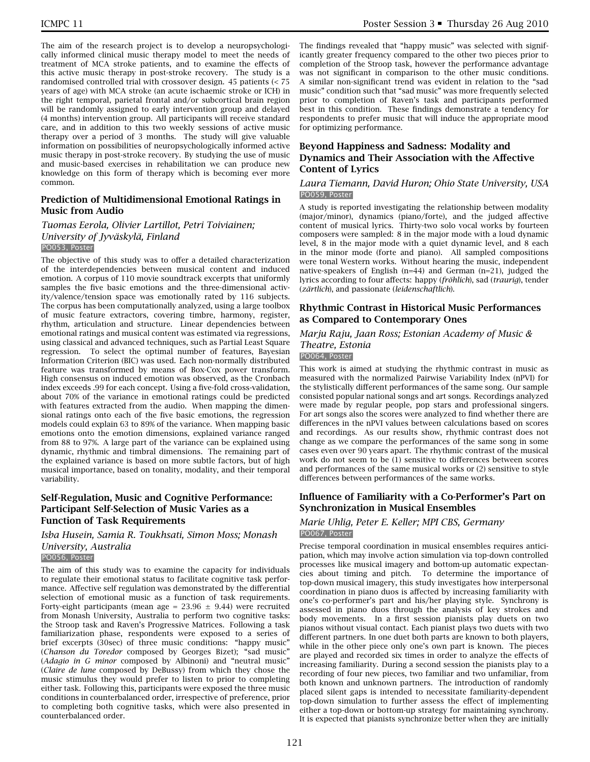The aim of the research project is to develop a neuropsychologically informed clinical music therapy model to meet the needs of treatment of MCA stroke patients, and to examine the effects of this active music therapy in post-stroke recovery. The study is a randomised controlled trial with crossover design. 45 patients (< 75 years of age) with MCA stroke (an acute ischaemic stroke or ICH) in the right temporal, parietal frontal and/or subcortical brain region will be randomly assigned to early intervention group and delayed (4 months) intervention group. All participants will receive standard care, and in addition to this two weekly sessions of active music therapy over a period of 3 months. The study will give valuable information on possibilities of neuropsychologically informed active music therapy in post-stroke recovery. By studying the use of music and music-based exercises in rehabilitation we can produce new knowledge on this form of therapy which is becoming ever more common.

## **Prediction of Multidimensional Emotional Ratings in Music from Audio**

#### *Tuomas Eerola, Olivier Lartillot, Petri Toiviainen; University of Jyväskylä, Finland* PO053, Poster

The objective of this study was to offer a detailed characterization of the interdependencies between musical content and induced emotion. A corpus of 110 movie soundtrack excerpts that uniformly samples the five basic emotions and the three-dimensional activity/valence/tension space was emotionally rated by 116 subjects. The corpus has been computationally analyzed, using a large toolbox of music feature extractors, covering timbre, harmony, register, rhythm, articulation and structure. Linear dependencies between emotional ratings and musical content was estimated via regressions, using classical and advanced techniques, such as Partial Least Square regression. To select the optimal number of features, Bayesian Information Criterion (BIC) was used. Each non-normally distributed feature was transformed by means of Box-Cox power transform. High consensus on induced emotion was observed, as the Cronbach index exceeds .99 for each concept. Using a five-fold cross-validation, about 70% of the variance in emotional ratings could be predicted with features extracted from the audio. When mapping the dimensional ratings onto each of the five basic emotions, the regression models could explain 63 to 89% of the variance. When mapping basic emotions onto the emotion dimensions, explained variance ranged from 88 to 97%. A large part of the variance can be explained using dynamic, rhythmic and timbral dimensions. The remaining part of the explained variance is based on more subtle factors, but of high musical importance, based on tonality, modality, and their temporal variability.

## **Self-Regulation, Music and Cognitive Performance: Participant Self-Selection of Music Varies as a Function of Task Requirements**

## *Isba Husein, Samia R. Toukhsati, Simon Moss; Monash University, Australia*

PO056, Poster

The aim of this study was to examine the capacity for individuals to regulate their emotional status to facilitate cognitive task performance. Affective self regulation was demonstrated by the differential selection of emotional music as a function of task requirements. Forty-eight participants (mean age =  $23.96 \pm 9.44$ ) were recruited from Monash University, Australia to perform two cognitive tasks: the Stroop task and Raven's Progressive Matrices. Following a task familiarization phase, respondents were exposed to a series of brief excerpts (30sec) of three music conditions: "happy music" (*Chanson du Toredor* composed by Georges Bizet); "sad music" (*Adagio in G minor* composed by Albinoni) and "neutral music" (*Claire de lune* composed by DeBussy) from which they chose the music stimulus they would prefer to listen to prior to completing either task. Following this, participants were exposed the three music conditions in counterbalanced order, irrespective of preference, prior to completing both cognitive tasks, which were also presented in counterbalanced order.

The findings revealed that "happy music" was selected with significantly greater frequency compared to the other two pieces prior to completion of the Stroop task, however the performance advantage was not significant in comparison to the other music conditions. A similar non-significant trend was evident in relation to the "sad music" condition such that "sad music" was more frequently selected prior to completion of Raven's task and participants performed best in this condition. These findings demonstrate a tendency for respondents to prefer music that will induce the appropriate mood for optimizing performance.

## **Beyond Happiness and Sadness: Modality and Dynamics and Their Association with the Affective Content of Lyrics**

#### *Laura Tiemann, David Huron; Ohio State University, USA* PO059, Poster

A study is reported investigating the relationship between modality (major/minor), dynamics (piano/forte), and the judged affective content of musical lyrics. Thirty-two solo vocal works by fourteen composers were sampled: 8 in the major mode with a loud dynamic level, 8 in the major mode with a quiet dynamic level, and 8 each in the minor mode (forte and piano). All sampled compositions were tonal Western works. Without hearing the music, independent native-speakers of English (n=44) and German (n=21), judged the lyrics according to four affects: happy (*fröhlich*), sad (*traurig*), tender (*zärtlich*), and passionate (*leidenschaftlich*).

## **Rhythmic Contrast in Historical Music Performances as Compared to Contemporary Ones**

## *Marju Raju, Jaan Ross; Estonian Academy of Music & Theatre, Estonia*

## PO064, Poster

This work is aimed at studying the rhythmic contrast in music as measured with the normalized Pairwise Variability Index (nPVI) for the stylistically different performances of the same song. Our sample consisted popular national songs and art songs. Recordings analyzed were made by regular people, pop stars and professional singers. For art songs also the scores were analyzed to find whether there are differences in the nPVI values between calculations based on scores and recordings. As our results show, rhythmic contrast does not change as we compare the performances of the same song in some cases even over 90 years apart. The rhythmic contrast of the musical work do not seem to be (1) sensitive to differences between scores and performances of the same musical works or (2) sensitive to style differences between performances of the same works.

## **Influence of Familiarity with a Co-Performer's Part on Synchronization in Musical Ensembles**

#### *Marie Uhlig, Peter E. Keller; MPI CBS, Germany* PO067, Poster

Precise temporal coordination in musical ensembles requires anticipation, which may involve action simulation via top-down controlled processes like musical imagery and bottom-up automatic expectancies about timing and pitch. To determine the importance of top-down musical imagery, this study investigates how interpersonal coordination in piano duos is affected by increasing familiarity with one's co-performer's part and his/her playing style. Synchrony is assessed in piano duos through the analysis of key strokes and body movements. In a first session pianists play duets on two pianos without visual contact. Each pianist plays two duets with two different partners. In one duet both parts are known to both players, while in the other piece only one's own part is known. The pieces are played and recorded six times in order to analyze the effects of increasing familiarity. During a second session the pianists play to a recording of four new pieces, two familiar and two unfamiliar, from both known and unknown partners. The introduction of randomly placed silent gaps is intended to necessitate familiarity-dependent top-down simulation to further assess the effect of implementing either a top-down or bottom-up strategy for maintaining synchrony. It is expected that pianists synchronize better when they are initially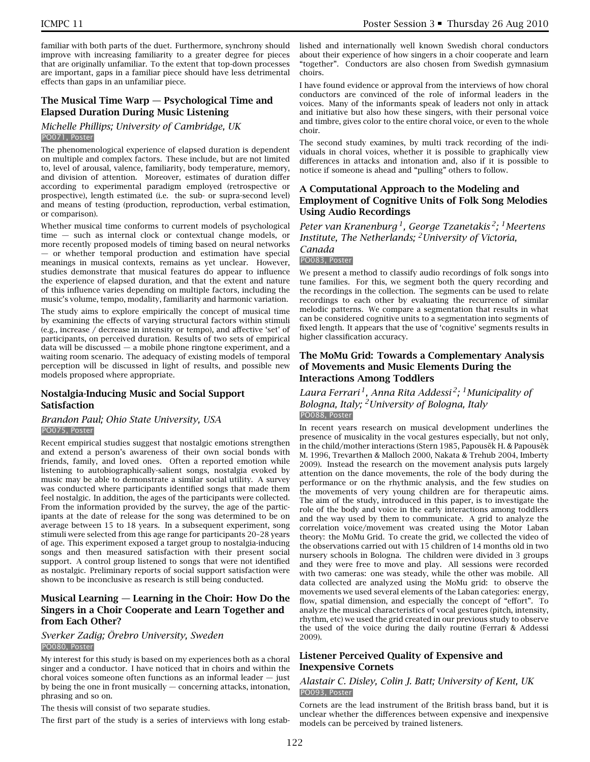familiar with both parts of the duet. Furthermore, synchrony should improve with increasing familiarity to a greater degree for pieces that are originally unfamiliar. To the extent that top-down processes are important, gaps in a familiar piece should have less detrimental effects than gaps in an unfamiliar piece.

## **The Musical Time Warp — Psychological Time and Elapsed Duration During Music Listening**

#### *Michelle Phillips; University of Cambridge, UK* PO071, Poster

The phenomenological experience of elapsed duration is dependent on multiple and complex factors. These include, but are not limited to, level of arousal, valence, familiarity, body temperature, memory, and division of attention. Moreover, estimates of duration differ according to experimental paradigm employed (retrospective or prospective), length estimated (i.e. the sub- or supra-second level) and means of testing (production, reproduction, verbal estimation, or comparison).

Whether musical time conforms to current models of psychological time — such as internal clock or contextual change models, or more recently proposed models of timing based on neural networks — or whether temporal production and estimation have special meanings in musical contexts, remains as yet unclear. However, studies demonstrate that musical features do appear to influence the experience of elapsed duration, and that the extent and nature of this influence varies depending on multiple factors, including the music's volume, tempo, modality, familiarity and harmonic variation.

The study aims to explore empirically the concept of musical time by examining the effects of varying structural factors within stimuli (e.g., increase / decrease in intensity or tempo), and affective 'set' of participants, on perceived duration. Results of two sets of empirical data will be discussed — a mobile phone ringtone experiment, and a waiting room scenario. The adequacy of existing models of temporal perception will be discussed in light of results, and possible new models proposed where appropriate.

## **Nostalgia-Inducing Music and Social Support Satisfaction**

#### *Brandon Paul; Ohio State University, USA* PO075, Poster

Recent empirical studies suggest that nostalgic emotions strengthen and extend a person's awareness of their own social bonds with friends, family, and loved ones. Often a reported emotion while listening to autobiographically-salient songs, nostalgia evoked by music may be able to demonstrate a similar social utility. A survey was conducted where participants identified songs that made them feel nostalgic. In addition, the ages of the participants were collected. From the information provided by the survey, the age of the participants at the date of release for the song was determined to be on average between 15 to 18 years. In a subsequent experiment, song stimuli were selected from this age range for participants 20–28 years of age. This experiment exposed a target group to nostalgia-inducing songs and then measured satisfaction with their present social support. A control group listened to songs that were not identified as nostalgic. Preliminary reports of social support satisfaction were shown to be inconclusive as research is still being conducted.

## **Musical Learning — Learning in the Choir: How Do the Singers in a Choir Cooperate and Learn Together and from Each Other?**

#### *Sverker Zadig; Örebro University, Sweden* PO080, Poster

My interest for this study is based on my experiences both as a choral singer and a conductor. I have noticed that in choirs and within the choral voices someone often functions as an informal leader — just by being the one in front musically — concerning attacks, intonation, phrasing and so on.

The thesis will consist of two separate studies.

The first part of the study is a series of interviews with long estab-

lished and internationally well known Swedish choral conductors about their experience of how singers in a choir cooperate and learn "together". Conductors are also chosen from Swedish gymnasium choirs.

I have found evidence or approval from the interviews of how choral conductors are convinced of the role of informal leaders in the voices. Many of the informants speak of leaders not only in attack and initiative but also how these singers, with their personal voice and timbre, gives color to the entire choral voice, or even to the whole choir.

The second study examines, by multi track recording of the individuals in choral voices, whether it is possible to graphically view differences in attacks and intonation and, also if it is possible to notice if someone is ahead and "pulling" others to follow.

## **A Computational Approach to the Modeling and Employment of Cognitive Units of Folk Song Melodies Using Audio Recordings**

*Peter van Kranenburg 1, George Tzanetakis 2; 1Meertens Institute, The Netherlands; 2University of Victoria, Canada* PO083, Poster

We present a method to classify audio recordings of folk songs into tune families. For this, we segment both the query recording and the recordings in the collection. The segments can be used to relate recordings to each other by evaluating the recurrence of similar melodic patterns. We compare a segmentation that results in what can be considered cognitive units to a segmentation into segments of fixed length. It appears that the use of 'cognitive' segments results in higher classification accuracy.

## **The MoMu Grid: Towards a Complementary Analysis of Movements and Music Elements During the Interactions Among Toddlers**

## *Laura Ferrari 1, Anna Rita Addessi 2; 1Municipality of Bologna, Italy; 2University of Bologna, Italy* PO088, Poster

In recent years research on musical development underlines the presence of musicality in the vocal gestures especially, but not only, in the child/mother interactions (Stern 1985, Papousěk H. & Papousěk M. 1996, Trevarthen & Malloch 2000, Nakata & Trehub 2004, Imberty 2009). Instead the research on the movement analysis puts largely attention on the dance movements, the role of the body during the performance or on the rhythmic analysis, and the few studies on the movements of very young children are for therapeutic aims. The aim of the study, introduced in this paper, is to investigate the role of the body and voice in the early interactions among toddlers and the way used by them to communicate. A grid to analyze the correlation voice/movement was created using the Motor Laban theory: the MoMu Grid. To create the grid, we collected the video of the observations carried out with 15 children of 14 months old in two nursery schools in Bologna. The children were divided in 3 groups and they were free to move and play. All sessions were recorded with two cameras: one was steady, while the other was mobile. All data collected are analyzed using the MoMu grid: to observe the movements we used several elements of the Laban categories: energy, flow, spatial dimension, and especially the concept of "effort". To analyze the musical characteristics of vocal gestures (pitch, intensity, rhythm, etc) we used the grid created in our previous study to observe the used of the voice during the daily routine (Ferrari & Addessi 2009).

## **Listener Perceived Quality of Expensive and Inexpensive Cornets**

#### *Alastair C. Disley, Colin J. Batt; University of Kent, UK* PO093, Poster

Cornets are the lead instrument of the British brass band, but it is unclear whether the differences between expensive and inexpensive models can be perceived by trained listeners.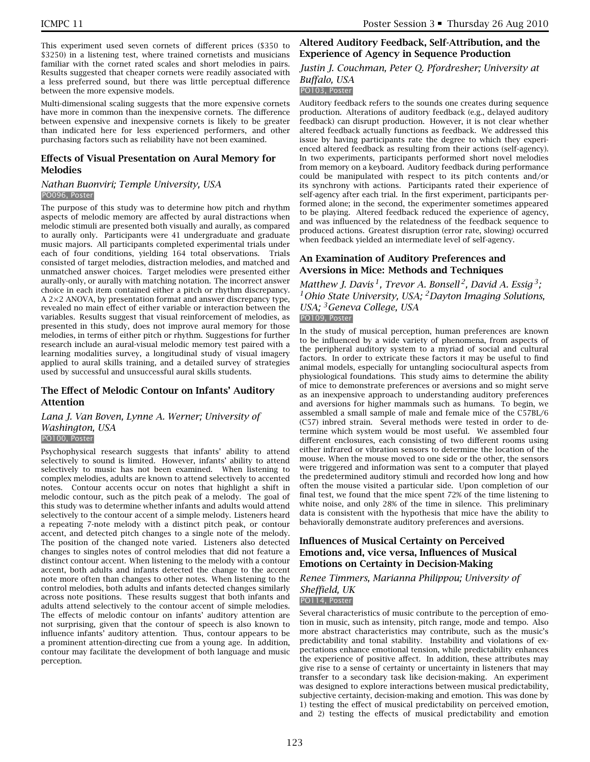This experiment used seven cornets of different prices (\$350 to \$3250) in a listening test, where trained cornetists and musicians familiar with the cornet rated scales and short melodies in pairs. Results suggested that cheaper cornets were readily associated with a less preferred sound, but there was little perceptual difference between the more expensive models.

Multi-dimensional scaling suggests that the more expensive cornets have more in common than the inexpensive cornets. The difference between expensive and inexpensive cornets is likely to be greater than indicated here for less experienced performers, and other purchasing factors such as reliability have not been examined.

## **Effects of Visual Presentation on Aural Memory for Melodies**

### *Nathan Buonviri; Temple University, USA* PO096, Poster

The purpose of this study was to determine how pitch and rhythm aspects of melodic memory are affected by aural distractions when melodic stimuli are presented both visually and aurally, as compared to aurally only. Participants were 41 undergraduate and graduate music majors. All participants completed experimental trials under each of four conditions, yielding 164 total observations. Trials consisted of target melodies, distraction melodies, and matched and unmatched answer choices. Target melodies were presented either aurally-only, or aurally with matching notation. The incorrect answer choice in each item contained either a pitch or rhythm discrepancy. A 2×2 ANOVA, by presentation format and answer discrepancy type, revealed no main effect of either variable or interaction between the variables. Results suggest that visual reinforcement of melodies, as presented in this study, does not improve aural memory for those melodies, in terms of either pitch or rhythm. Suggestions for further research include an aural-visual melodic memory test paired with a learning modalities survey, a longitudinal study of visual imagery applied to aural skills training, and a detailed survey of strategies used by successful and unsuccessful aural skills students.

## **The Effect of Melodic Contour on Infants' Auditory Attention**

## *Lana J. Van Boven, Lynne A. Werner; University of Washington, USA*

#### PO100, Poster

Psychophysical research suggests that infants' ability to attend selectively to sound is limited. However, infants' ability to attend selectively to music has not been examined. When listening to complex melodies, adults are known to attend selectively to accented notes. Contour accents occur on notes that highlight a shift in melodic contour, such as the pitch peak of a melody. The goal of this study was to determine whether infants and adults would attend selectively to the contour accent of a simple melody. Listeners heard a repeating 7-note melody with a distinct pitch peak, or contour accent, and detected pitch changes to a single note of the melody. The position of the changed note varied. Listeners also detected changes to singles notes of control melodies that did not feature a distinct contour accent. When listening to the melody with a contour accent, both adults and infants detected the change to the accent note more often than changes to other notes. When listening to the control melodies, both adults and infants detected changes similarly across note positions. These results suggest that both infants and adults attend selectively to the contour accent of simple melodies. The effects of melodic contour on infants' auditory attention are not surprising, given that the contour of speech is also known to influence infants' auditory attention. Thus, contour appears to be a prominent attention-directing cue from a young age. In addition, contour may facilitate the development of both language and music perception.

## **Altered Auditory Feedback, Self-Attribution, and the Experience of Agency in Sequence Production**

## *Justin J. Couchman, Peter Q. Pfordresher; University at Buffalo, USA*

## PO103, Poster

Auditory feedback refers to the sounds one creates during sequence production. Alterations of auditory feedback (e.g., delayed auditory feedback) can disrupt production. However, it is not clear whether altered feedback actually functions as feedback. We addressed this issue by having participants rate the degree to which they experienced altered feedback as resulting from their actions (self-agency). In two experiments, participants performed short novel melodies from memory on a keyboard. Auditory feedback during performance could be manipulated with respect to its pitch contents and/or its synchrony with actions. Participants rated their experience of self-agency after each trial. In the first experiment, participants performed alone; in the second, the experimenter sometimes appeared to be playing. Altered feedback reduced the experience of agency, and was influenced by the relatedness of the feedback sequence to produced actions. Greatest disruption (error rate, slowing) occurred when feedback yielded an intermediate level of self-agency.

## **An Examination of Auditory Preferences and Aversions in Mice: Methods and Techniques**

*Matthew J. Davis 1, Trevor A. Bonsell 2, David A. Essig 3; 1Ohio State University, USA; 2Dayton Imaging Solutions, USA; 3Geneva College, USA* PO109, Poster

In the study of musical perception, human preferences are known to be influenced by a wide variety of phenomena, from aspects of the peripheral auditory system to a myriad of social and cultural factors. In order to extricate these factors it may be useful to find animal models, especially for untangling sociocultural aspects from physiological foundations. This study aims to determine the ability of mice to demonstrate preferences or aversions and so might serve as an inexpensive approach to understanding auditory preferences and aversions for higher mammals such as humans. To begin, we assembled a small sample of male and female mice of the C57BL/6 (C57) inbred strain. Several methods were tested in order to determine which system would be most useful. We assembled four different enclosures, each consisting of two different rooms using either infrared or vibration sensors to determine the location of the mouse. When the mouse moved to one side or the other, the sensors were triggered and information was sent to a computer that played the predetermined auditory stimuli and recorded how long and how often the mouse visited a particular side. Upon completion of our final test, we found that the mice spent 72% of the time listening to white noise, and only 28% of the time in silence. This preliminary data is consistent with the hypothesis that mice have the ability to behaviorally demonstrate auditory preferences and aversions.

## **Influences of Musical Certainty on Perceived Emotions and, vice versa, Influences of Musical Emotions on Certainty in Decision-Making**

#### *Renee Timmers, Marianna Philippou; University of Sheffield, UK* PO114, Poster

Several characteristics of music contribute to the perception of emotion in music, such as intensity, pitch range, mode and tempo. Also more abstract characteristics may contribute, such as the music's predictability and tonal stability. Instability and violations of expectations enhance emotional tension, while predictability enhances the experience of positive affect. In addition, these attributes may give rise to a sense of certainty or uncertainty in listeners that may transfer to a secondary task like decision-making. An experiment was designed to explore interactions between musical predictability, subjective certainty, decision-making and emotion. This was done by 1) testing the effect of musical predictability on perceived emotion, and 2) testing the effects of musical predictability and emotion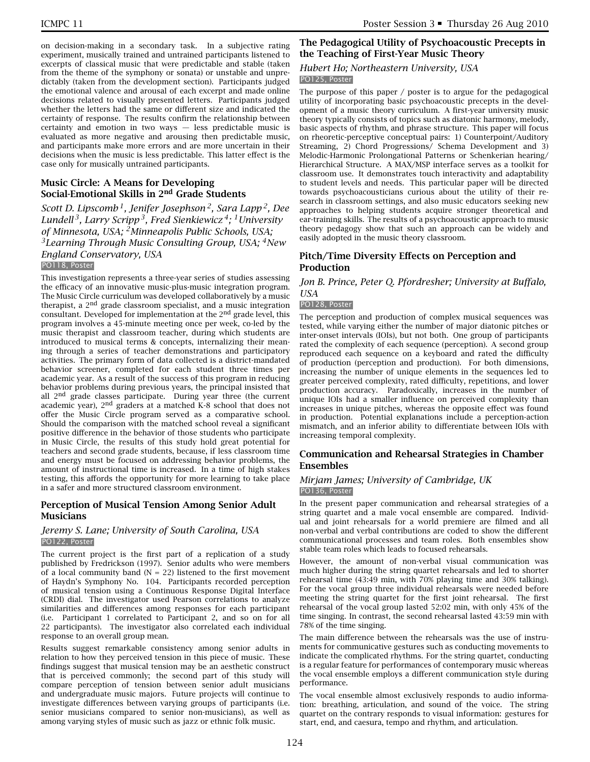on decision-making in a secondary task. In a subjective rating experiment, musically trained and untrained participants listened to excerpts of classical music that were predictable and stable (taken from the theme of the symphony or sonata) or unstable and unpredictably (taken from the development section). Participants judged the emotional valence and arousal of each excerpt and made online decisions related to visually presented letters. Participants judged whether the letters had the same or different size and indicated the certainty of response. The results confirm the relationship between certainty and emotion in two ways — less predictable music is evaluated as more negative and arousing then predictable music, and participants make more errors and are more uncertain in their decisions when the music is less predictable. This latter effect is the case only for musically untrained participants.

## **Music Circle: A Means for Developing Social-Emotional Skills in 2nd Grade Students**

*Scott D. Lipscomb 1, Jenifer Josephson 2, Sara Lapp 2, Dee Lundell 3, Larry Scripp 3, Fred Sienkiewicz 4; 1University of Minnesota, USA; 2Minneapolis Public Schools, USA; 3Learning Through Music Consulting Group, USA; 4New England Conservatory, USA* PO118, Poster

This investigation represents a three-year series of studies assessing the efficacy of an innovative music-plus-music integration program. The Music Circle curriculum was developed collaboratively by a music therapist, a 2<sup>nd</sup> grade classroom specialist, and a music integration consultant. Developed for implementation at the 2nd grade level, this program involves a 45-minute meeting once per week, co-led by the music therapist and classroom teacher, during which students are introduced to musical terms & concepts, internalizing their meaning through a series of teacher demonstrations and participatory activities. The primary form of data collected is a district-mandated behavior screener, completed for each student three times per academic year. As a result of the success of this program in reducing behavior problems during previous years, the principal insisted that all 2<sup>nd</sup> grade classes participate. During year three (the current academic year), 2nd graders at a matched K-8 school that does not offer the Music Circle program served as a comparative school. Should the comparison with the matched school reveal a significant positive difference in the behavior of those students who participate in Music Circle, the results of this study hold great potential for teachers and second grade students, because, if less classroom time and energy must be focused on addressing behavior problems, the amount of instructional time is increased. In a time of high stakes testing, this affords the opportunity for more learning to take place in a safer and more structured classroom environment.

## **Perception of Musical Tension Among Senior Adult Musicians**

#### *Jeremy S. Lane; University of South Carolina, USA* PO122, Poster

The current project is the first part of a replication of a study published by Fredrickson (1997). Senior adults who were members of a local community band (N = 22) listened to the first movement of Haydn's Symphony No. 104. Participants recorded perception of musical tension using a Continuous Response Digital Interface (CRDI) dial. The investigator used Pearson correlations to analyze similarities and differences among responses for each participant (i.e. Participant 1 correlated to Participant 2, and so on for all 22 participants). The investigator also correlated each individual response to an overall group mean.

Results suggest remarkable consistency among senior adults in relation to how they perceived tension in this piece of music. These findings suggest that musical tension may be an aesthetic construct that is perceived commonly; the second part of this study will compare perception of tension between senior adult musicians and undergraduate music majors. Future projects will continue to investigate differences between varying groups of participants (i.e. senior musicians compared to senior non-musicians), as well as among varying styles of music such as jazz or ethnic folk music.

## **The Pedagogical Utility of Psychoacoustic Precepts in the Teaching of First-Year Music Theory**

#### *Hubert Ho; Northeastern University, USA* PO125, Poster

The purpose of this paper / poster is to argue for the pedagogical utility of incorporating basic psychoacoustic precepts in the development of a music theory curriculum. A first-year university music theory typically consists of topics such as diatonic harmony, melody, basic aspects of rhythm, and phrase structure. This paper will focus on rheoretic-perceptive conceptual pairs: 1) Counterpoint/Auditory Streaming, 2) Chord Progressions/ Schema Development and 3) Melodic-Harmonic Prolongational Patterns or Schenkerian hearing/ Hierarchical Structure. A MAX/MSP interface serves as a toolkit for classroom use. It demonstrates touch interactivity and adaptability to student levels and needs. This particular paper will be directed towards psychoacousticians curious about the utility of their research in classroom settings, and also music educators seeking new approaches to helping students acquire stronger theoretical and ear-training skills. The results of a psychoacoustic approach to music theory pedagogy show that such an approach can be widely and easily adopted in the music theory classroom.

## **Pitch/Time Diversity Effects on Perception and Production**

#### *Jon B. Prince, Peter Q. Pfordresher; University at Buffalo, USA*

## PO128, Poster

The perception and production of complex musical sequences was tested, while varying either the number of major diatonic pitches or inter-onset intervals (IOIs), but not both. One group of participants rated the complexity of each sequence (perception). A second group reproduced each sequence on a keyboard and rated the difficulty of production (perception and production). For both dimensions, increasing the number of unique elements in the sequences led to greater perceived complexity, rated difficulty, repetitions, and lower production accuracy. Paradoxically, increases in the number of unique IOIs had a smaller influence on perceived complexity than increases in unique pitches, whereas the opposite effect was found in production. Potential explanations include a perception-action mismatch, and an inferior ability to differentiate between IOIs with increasing temporal complexity.

## **Communication and Rehearsal Strategies in Chamber Ensembles**

#### *Mirjam James; University of Cambridge, UK* PO136, Poster

In the present paper communication and rehearsal strategies of a string quartet and a male vocal ensemble are compared. Individual and joint rehearsals for a world premiere are filmed and all non-verbal and verbal contributions are coded to show the different communicational processes and team roles. Both ensembles show stable team roles which leads to focused rehearsals.

However, the amount of non-verbal visual communication was much higher during the string quartet rehearsals and led to shorter rehearsal time (43:49 min, with 70% playing time and 30% talking). For the vocal group three individual rehearsals were needed before meeting the string quartet for the first joint rehearsal. The first rehearsal of the vocal group lasted 52:02 min, with only 45% of the time singing. In contrast, the second rehearsal lasted 43:59 min with 78% of the time singing.

The main difference between the rehearsals was the use of instruments for communicative gestures such as conducting movements to indicate the complicated rhythms. For the string quartet, conducting is a regular feature for performances of contemporary music whereas the vocal ensemble employs a different communication style during performance.

The vocal ensemble almost exclusively responds to audio information: breathing, articulation, and sound of the voice. The string quartet on the contrary responds to visual information: gestures for start, end, and caesura, tempo and rhythm, and articulation.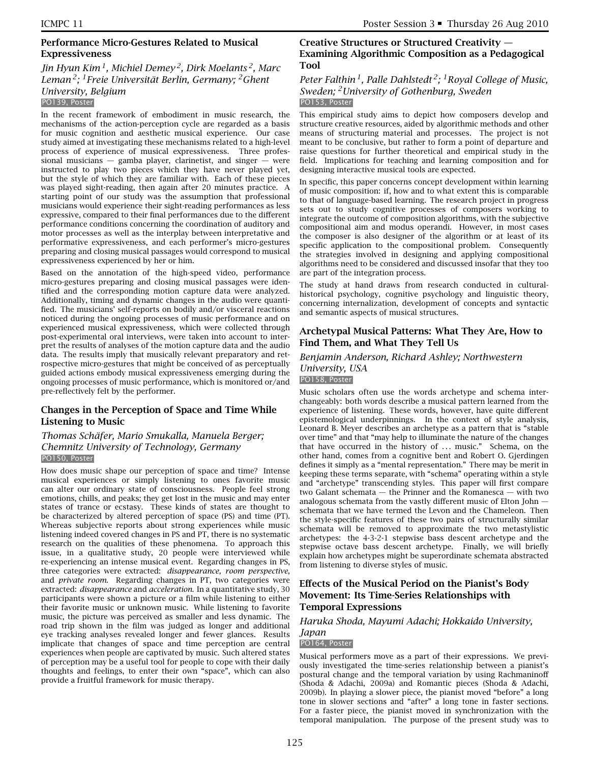## **Performance Micro-Gestures Related to Musical Expressiveness**

## *Jin Hyun Kim 1, Michiel Demey 2, Dirk Moelants 2, Marc Leman 2; 1Freie Universität Berlin, Germany; 2Ghent University, Belgium* PO139, Poster

In the recent framework of embodiment in music research, the mechanisms of the action-perception cycle are regarded as a basis for music cognition and aesthetic musical experience. Our case study aimed at investigating these mechanisms related to a high-level process of experience of musical expressiveness. Three professional musicians  $-$  gamba player, clarinetist, and singer  $-$  were instructed to play two pieces which they have never played yet, but the style of which they are familiar with. Each of these pieces was played sight-reading, then again after 20 minutes practice. A starting point of our study was the assumption that professional musicians would experience their sight-reading performances as less expressive, compared to their final performances due to the different performance conditions concerning the coordination of auditory and motor processes as well as the interplay between interpretative and performative expressiveness, and each performer's micro-gestures preparing and closing musical passages would correspond to musical expressiveness experienced by her or him.

Based on the annotation of the high-speed video, performance micro-gestures preparing and closing musical passages were identified and the corresponding motion capture data were analyzed. Additionally, timing and dynamic changes in the audio were quantified. The musicians' self-reports on bodily and/or visceral reactions noticed during the ongoing processes of music performance and on experienced musical expressiveness, which were collected through post-experimental oral interviews, were taken into account to interpret the results of analyses of the motion capture data and the audio data. The results imply that musically relevant preparatory and retrospective micro-gestures that might be conceived of as perceptually guided actions embody musical expressiveness emerging during the ongoing processes of music performance, which is monitored or/and pre-reflectively felt by the performer.

## **Changes in the Perception of Space and Time While Listening to Music**

### *Thomas Schäfer, Mario Smukalla, Manuela Berger; Chemnitz University of Technology, Germany* PO150, Poster

How does music shape our perception of space and time? Intense musical experiences or simply listening to ones favorite music can alter our ordinary state of consciousness. People feel strong emotions, chills, and peaks; they get lost in the music and may enter states of trance or ecstasy. These kinds of states are thought to be characterized by altered perception of space (PS) and time (PT). Whereas subjective reports about strong experiences while music listening indeed covered changes in PS and PT, there is no systematic research on the qualities of these phenomena. To approach this issue, in a qualitative study, 20 people were interviewed while re-experiencing an intense musical event. Regarding changes in PS, three categories were extracted: *disappearance, room perspective*, and *private room*. Regarding changes in PT, two categories were extracted: *disappearance* and *acceleration*. In a quantitative study, 30 participants were shown a picture or a film while listening to either their favorite music or unknown music. While listening to favorite music, the picture was perceived as smaller and less dynamic. The road trip shown in the film was judged as longer and additional eye tracking analyses revealed longer and fewer glances. Results implicate that changes of space and time perception are central experiences when people are captivated by music. Such altered states of perception may be a useful tool for people to cope with their daily thoughts and feelings, to enter their own "space", which can also provide a fruitful framework for music therapy.

## **Creative Structures or Structured Creativity — Examining Algorithmic Composition as a Pedagogical Tool**

## *Peter Falthin 1, Palle Dahlstedt 2; 1Royal College of Music, Sweden; 2University of Gothenburg, Sweden* PO153, Poster

This empirical study aims to depict how composers develop and structure creative resources, aided by algorithmic methods and other means of structuring material and processes. The project is not meant to be conclusive, but rather to form a point of departure and raise questions for further theoretical and empirical study in the field. Implications for teaching and learning composition and for designing interactive musical tools are expected.

In specific, this paper concerns concept development within learning of music composition: if, how and to what extent this is comparable to that of language-based learning. The research project in progress sets out to study cognitive processes of composers working to integrate the outcome of composition algorithms, with the subjective compositional aim and modus operandi. However, in most cases the composer is also designer of the algorithm or at least of its specific application to the compositional problem. Consequently the strategies involved in designing and applying compositional algorithms need to be considered and discussed insofar that they too are part of the integration process.

The study at hand draws from research conducted in culturalhistorical psychology, cognitive psychology and linguistic theory, concerning internalization, development of concepts and syntactic and semantic aspects of musical structures.

## **Archetypal Musical Patterns: What They Are, How to Find Them, and What They Tell Us**

## *Benjamin Anderson, Richard Ashley; Northwestern University, USA* PO158, Poster

Music scholars often use the words archetype and schema interchangeably: both words describe a musical pattern learned from the experience of listening. These words, however, have quite different epistemological underpinnings. In the context of style analysis, Leonard B. Meyer describes an archetype as a pattern that is "stable over time" and that "may help to illuminate the nature of the changes that have occurred in the history of *...* music." Schema, on the other hand, comes from a cognitive bent and Robert O. Gjerdingen defines it simply as a "mental representation." There may be merit in keeping these terms separate, with "schema" operating within a style and "archetype" transcending styles. This paper will first compare two Galant schemata — the Prinner and the Romanesca — with two analogous schemata from the vastly different music of Elton John schemata that we have termed the Levon and the Chameleon. Then the style-specific features of these two pairs of structurally similar schemata will be removed to approximate the two metastylistic archetypes: the 4-3-2-1 stepwise bass descent archetype and the stepwise octave bass descent archetype. Finally, we will briefly explain how archetypes might be superordinate schemata abstracted from listening to diverse styles of music.

## **Effects of the Musical Period on the Pianist's Body Movement: Its Time-Series Relationships with Temporal Expressions**

## *Haruka Shoda, Mayumi Adachi; Hokkaido University, Japan*

## PO164, Poster

Musical performers move as a part of their expressions. We previously investigated the time-series relationship between a pianist's postural change and the temporal variation by using Rachmaninoff (Shoda & Adachi, 2009a) and Romantic pieces (Shoda & Adachi, 2009b). In playing a slower piece, the pianist moved "before" a long tone in slower sections and "after" a long tone in faster sections. For a faster piece, the pianist moved in synchronization with the temporal manipulation. The purpose of the present study was to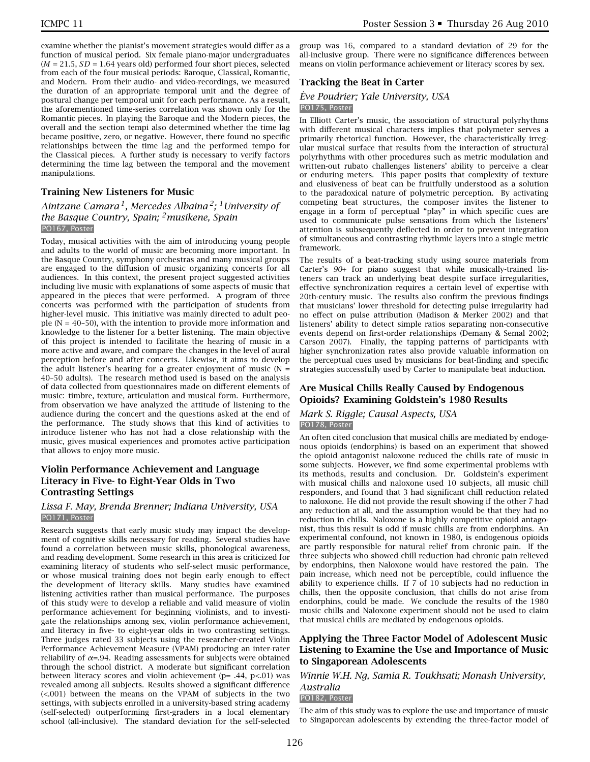examine whether the pianist's movement strategies would differ as a function of musical period. Six female piano-major undergraduates  $(M = 21.5, SD = 1.64$  years old) performed four short pieces, selected from each of the four musical periods: Baroque, Classical, Romantic, and Modern. From their audio- and video-recordings, we measured the duration of an appropriate temporal unit and the degree of postural change per temporal unit for each performance. As a result, the aforementioned time-series correlation was shown only for the Romantic pieces. In playing the Baroque and the Modern pieces, the overall and the section tempi also determined whether the time lag became positive, zero, or negative. However, there found no specific relationships between the time lag and the performed tempo for the Classical pieces. A further study is necessary to verify factors determining the time lag between the temporal and the movement manipulations.

#### **Training New Listeners for Music**

## *Aintzane Camara 1, Mercedes Albaina 2; 1University of the Basque Country, Spain; 2musikene, Spain* PO167, Poster

Today, musical activities with the aim of introducing young people and adults to the world of music are becoming more important. In the Basque Country, symphony orchestras and many musical groups are engaged to the diffusion of music organizing concerts for all audiences. In this context, the present project suggested activities including live music with explanations of some aspects of music that appeared in the pieces that were performed. A program of three concerts was performed with the participation of students from higher-level music. This initiative was mainly directed to adult people ( $N = 40-50$ ), with the intention to provide more information and knowledge to the listener for a better listening. The main objective of this project is intended to facilitate the hearing of music in a more active and aware, and compare the changes in the level of aural perception before and after concerts. Likewise, it aims to develop the adult listener's hearing for a greater enjoyment of music  $(N =$ 40–50 adults). The research method used is based on the analysis of data collected from questionnaires made on different elements of music: timbre, texture, articulation and musical form. Furthermore, from observation we have analyzed the attitude of listening to the audience during the concert and the questions asked at the end of the performance. The study shows that this kind of activities to introduce listener who has not had a close relationship with the music, gives musical experiences and promotes active participation that allows to enjoy more music.

## **Violin Performance Achievement and Language Literacy in Five- to Eight-Year Olds in Two Contrasting Settings**

#### *Lissa F. May, Brenda Brenner; Indiana University, USA* PO171, Poster

Research suggests that early music study may impact the development of cognitive skills necessary for reading. Several studies have found a correlation between music skills, phonological awareness, and reading development. Some research in this area is criticized for examining literacy of students who self-select music performance, or whose musical training does not begin early enough to effect the development of literacy skills. Many studies have examined listening activities rather than musical performance. The purposes of this study were to develop a reliable and valid measure of violin performance achievement for beginning violinists, and to investigate the relationships among sex, violin performance achievement, and literacy in five- to eight-year olds in two contrasting settings. Three judges rated 33 subjects using the researcher-created Violin Performance Achievement Measure (VPAM) producing an inter-rater reliability of *α*=.94. Reading assessments for subjects were obtained through the school district. A moderate but significant correlation between literacy scores and violin achievement ( $p = .44$ ,  $p < .01$ ) was revealed among all subjects. Results showed a significant difference (<.001) between the means on the VPAM of subjects in the two settings, with subjects enrolled in a university-based string academy (self-selected) outperforming first-graders in a local elementary school (all-inclusive). The standard deviation for the self-selected group was 16, compared to a standard deviation of 29 for the all-inclusive group. There were no significance differences between means on violin performance achievement or literacy scores by sex.

#### **Tracking the Beat in Carter**

## *Ève Poudrier; Yale University, USA*

#### PO175, Poster

In Elliott Carter's music, the association of structural polyrhythms with different musical characters implies that polymeter serves a primarily rhetorical function. However, the characteristically irregular musical surface that results from the interaction of structural polyrhythms with other procedures such as metric modulation and written-out rubato challenges listeners' ability to perceive a clear or enduring meters. This paper posits that complexity of texture and elusiveness of beat can be fruitfully understood as a solution to the paradoxical nature of polymetric perception. By activating competing beat structures, the composer invites the listener to engage in a form of perceptual "play" in which specific cues are used to communicate pulse sensations from which the listeners' attention is subsequently deflected in order to prevent integration of simultaneous and contrasting rhythmic layers into a single metric framework.

The results of a beat-tracking study using source materials from Carter's *90*+ for piano suggest that while musically-trained listeners can track an underlying beat despite surface irregularities, effective synchronization requires a certain level of expertise with 20th-century music. The results also confirm the previous findings that musicians' lower threshold for detecting pulse irregularity had no effect on pulse attribution (Madison & Merker 2002) and that listeners' ability to detect simple ratios separating non-consecutive events depend on first-order relationships (Demany & Semal 2002; Carson 2007). Finally, the tapping patterns of participants with higher synchronization rates also provide valuable information on the perceptual cues used by musicians for beat-finding and specific strategies successfully used by Carter to manipulate beat induction.

#### **Are Musical Chills Really Caused by Endogenous Opioids? Examining Goldstein's 1980 Results**

#### *Mark S. Riggle; Causal Aspects, USA* PO178, Poster

An often cited conclusion that musical chills are mediated by endogenous opioids (endorphins) is based on an experiment that showed the opioid antagonist naloxone reduced the chills rate of music in some subjects. However, we find some experimental problems with its methods, results and conclusion. Dr. Goldstein's experiment with musical chills and naloxone used 10 subjects, all music chill responders, and found that 3 had significant chill reduction related to naloxone. He did not provide the result showing if the other 7 had any reduction at all, and the assumption would be that they had no reduction in chills. Naloxone is a highly competitive opioid antagonist, thus this result is odd if music chills are from endorphins. An experimental confound, not known in 1980, is endogenous opioids are partly responsible for natural relief from chronic pain. If the three subjects who showed chill reduction had chronic pain relieved by endorphins, then Naloxone would have restored the pain. The pain increase, which need not be perceptible, could influence the ability to experience chills. If 7 of 10 subjects had no reduction in chills, then the opposite conclusion, that chills do not arise from endorphins, could be made. We conclude the results of the 1980 music chills and Naloxone experiment should not be used to claim that musical chills are mediated by endogenous opioids.

## **Applying the Three Factor Model of Adolescent Music Listening to Examine the Use and Importance of Music to Singaporean Adolescents**

*Winnie W.H. Ng, Samia R. Toukhsati; Monash University, Australia*

#### PO182, Poster

The aim of this study was to explore the use and importance of music to Singaporean adolescents by extending the three-factor model of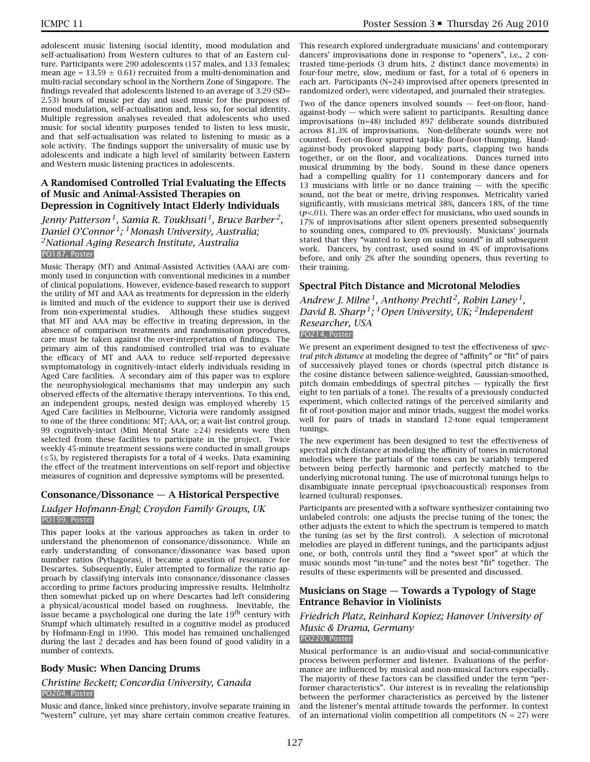adolescent music listening (social identity, mood modulation and self-actualisation) from Western cultures to that of an Eastern culture. Participants were 290 adolescents (157 males, and 133 females; mean age =  $13.59 \pm 0.61$ ) recruited from a multi-denomination and multi-racial secondary school in the Northern Zone of Singapore. The findings revealed that adolescents listened to an average of 3.29 (SD= 2.53) hours of music per day and used music for the purposes of mood modulation, self-actualisation and, less so, for social identity. Multiple regression analyses revealed that adolescents who used music for social identity purposes tended to listen to less music, and that self-actualisation was related to listening to music as a sole activity. The findings support the universality of music use by adolescents and indicate a high level of similarity between Eastern and Western music listening practices in adolescents.

## **A Randomised Controlled Trial Evaluating the Effects of Music and Animal-Assisted Therapies on Depression in Cognitively Intact Elderly Individuals**

*Jenny Patterson 1, Samia R. Toukhsati 1, Bruce Barber 2, Daniel O'Connor 1; 1Monash University, Australia; 2National Aging Research Institute, Australia* PO187, Poster

Music Therapy (MT) and Animal-Assisted Activities (AAA) are commonly used in conjunction with conventional medicines in a number of clinical populations. However, evidence-based research to support the utility of MT and AAA as treatments for depression in the elderly is limited and much of the evidence to support their use is derived from non-experimental studies. Although these studies suggest that MT and AAA may be effective in treating depression, in the absence of comparison treatments and randomisation procedures, care must be taken against the over-interpretation of findings. The primary aim of this randomised controlled trial was to evaluate the efficacy of MT and AAA to reduce self-reported depressive symptomatology in cognitively-intact elderly individuals residing in Aged Care facilities. A secondary aim of this paper was to explore the neurophysiological mechanisms that may underpin any such observed effects of the alternative therapy interventions. To this end, an independent groups, nested design was employed whereby 15 Aged Care facilities in Melbourne, Victoria were randomly assigned to one of the three conditions: MT; AAA, or; a wait-list control group. 99 cognitively-intact (Mini Mental State  $\geq$ 24) residents were then selected from these facilities to participate in the project. Twice weekly 45-minute treatment sessions were conducted in small groups  $(\leq 5)$ , by registered therapists for a total of 4 weeks. Data examining the effect of the treatment interventions on self-report and objective measures of cognition and depressive symptoms will be presented.

## **Consonance/Dissonance — A Historical Perspective**

## *Ludger Hofmann-Engl; Croydon Family Groups, UK* PO199, Poster

This paper looks at the various approaches as taken in order to understand the phenomenon of consonance/dissonance. While an early understanding of consonance/dissonance was based upon number ratios (Pythagoras), it became a question of resonance for Descartes. Subsequently, Euler attempted to formalize the ratio approach by classifying intervals into consonance/dissonance classes according to prime factors producing impressive results. Helmholtz then somewhat picked up on where Descartes had left considering a physical/acoustical model based on roughness. Inevitable, the issue became a psychological one during the late  $19<sup>th</sup>$  century with Stumpf which ultimately resulted in a cognitive model as produced by Hofmann-Engl in 1990. This model has remained unchallenged during the last 2 decades and has been found of good validity in a number of contexts.

## **Body Music: When Dancing Drums**

### *Christine Beckett; Concordia University, Canada* PO204, Poster

Music and dance, linked since prehistory, involve separate training in "western" culture, yet may share certain common creative features.

This research explored undergraduate musicians' and contemporary dancers' improvisations done in response to "openers", i.e., 2 contrasted time-periods (3 drum hits, 2 distinct dance movements) in four-four metre, slow, medium or fast, for a total of 6 openers in each art. Participants (N=24) improvised after openers (presented in randomized order), were videotaped, and journaled their strategies.

Two of the dance openers involved sounds — feet-on-floor, handagainst-body — which were salient to participants. Resulting dance improvisations (n=48) included 897 deliberate sounds distributed across 81.3% of improvisations. Non-deliberate sounds were not counted. Feet-on-floor spurred tap-like floor-foot-thumping. Handagainst-body provoked slapping body parts, clapping two hands together, or on the floor, and vocalizations. Dances turned into musical drumming by the body. Sound in these dance openers had a compelling quality for 11 contemporary dancers and for 13 musicians with little or no dance training — with the specific sound, not the beat or metre, driving responses. Metricality varied significantly, with musicians metrical 38%, dancers 18%, of the time  $(p<.01)$ . There was an order effect for musicians, who used sounds in 17% of improvisations after silent openers presented subsequently to sounding ones, compared to 0% previously. Musicians' journals stated that they "wanted to keep on using sound" in all subsequent work. Dancers, by contrast, used sound in 4% of improvisations before, and only 2% after the sounding openers, thus reverting to their training.

## **Spectral Pitch Distance and Microtonal Melodies**

*Andrew J. Milne 1, Anthony Prechtl 2, Robin Laney 1, David B. Sharp 1; 1Open University, UK; 2Independent Researcher, USA* PO214, Poster

We present an experiment designed to test the effectiveness of *spectral pitch distance* at modeling the degree of "affinity" or "fit" of pairs of successively played tones or chords (spectral pitch distance is the cosine distance between salience-weighted, Gaussian-smoothed, pitch domain embeddings of spectral pitches — typically the first eight to ten partials of a tone). The results of a previously conducted experiment, which collected ratings of the perceived similarity and fit of root-position major and minor triads, suggest the model works well for pairs of triads in standard 12-tone equal temperament tunings.

The new experiment has been designed to test the effectiveness of spectral pitch distance at modeling the affinity of tones in microtonal melodies where the partials of the tones can be variably tempered between being perfectly harmonic and perfectly matched to the underlying microtonal tuning. The use of microtonal tunings helps to disambiguate innate perceptual (psychoacoustical) responses from learned (cultural) responses.

Participants are presented with a software synthesizer containing two unlabeled controls: one adjusts the precise tuning of the tones; the other adjusts the extent to which the spectrum is tempered to match the tuning (as set by the first control). A selection of microtonal melodies are played in different tunings, and the participants adjust one, or both, controls until they find a "sweet spot" at which the music sounds most "in-tune" and the notes best "fit" together. The results of these experiments will be presented and discussed.

## **Musicians on Stage — Towards a Typology of Stage Entrance Behavior in Violinists**

## *Friedrich Platz, Reinhard Kopiez; Hanover University of Music & Drama, Germany*

#### PO220, Poster

Musical performance is an audio-visual and social-communicative process between performer and listener. Evaluations of the performance are influenced by musical and non-musical factors especially. The majority of these factors can be classified under the term "performer characteristics". Our interest is in revealing the relationship between the performer characteristics as perceived by the listener and the listener's mental attitude towards the performer. In context of an international violin competition all competitors ( $N = 27$ ) were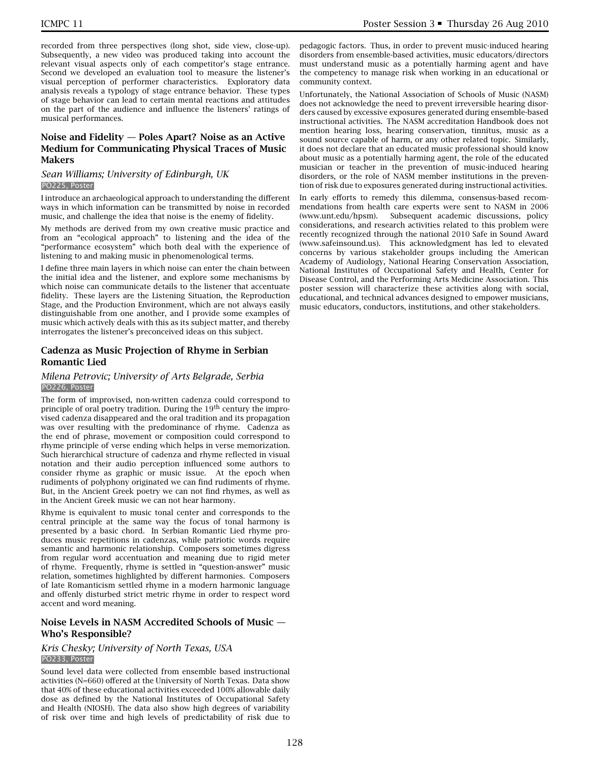recorded from three perspectives (long shot, side view, close-up). Subsequently, a new video was produced taking into account the relevant visual aspects only of each competitor's stage entrance. Second we developed an evaluation tool to measure the listener's visual perception of performer characteristics. Exploratory data analysis reveals a typology of stage entrance behavior. These types of stage behavior can lead to certain mental reactions and attitudes on the part of the audience and influence the listeners' ratings of musical performances.

## **Noise and Fidelity — Poles Apart? Noise as an Active Medium for Communicating Physical Traces of Music Makers**

#### *Sean Williams; University of Edinburgh, UK* PO225, Poster

I introduce an archaeological approach to understanding the different ways in which information can be transmitted by noise in recorded music, and challenge the idea that noise is the enemy of fidelity.

My methods are derived from my own creative music practice and from an "ecological approach" to listening and the idea of the "performance ecosystem" which both deal with the experience of listening to and making music in phenomenological terms.

I define three main layers in which noise can enter the chain between the initial idea and the listener, and explore some mechanisms by which noise can communicate details to the listener that accentuate fidelity. These layers are the Listening Situation, the Reproduction Stage, and the Production Environment, which are not always easily distinguishable from one another, and I provide some examples of music which actively deals with this as its subject matter, and thereby interrogates the listener's preconceived ideas on this subject.

## **Cadenza as Music Projection of Rhyme in Serbian Romantic Lied**

#### *Milena Petrovic; University of Arts Belgrade, Serbia* PO226, Poster

The form of improvised, non-written cadenza could correspond to principle of oral poetry tradition. During the  $19<sup>th</sup>$  century the improvised cadenza disappeared and the oral tradition and its propagation was over resulting with the predominance of rhyme. Cadenza as the end of phrase, movement or composition could correspond to rhyme principle of verse ending which helps in verse memorization. Such hierarchical structure of cadenza and rhyme reflected in visual notation and their audio perception influenced some authors to consider rhyme as graphic or music issue. At the epoch when rudiments of polyphony originated we can find rudiments of rhyme. But, in the Ancient Greek poetry we can not find rhymes, as well as in the Ancient Greek music we can not hear harmony.

Rhyme is equivalent to music tonal center and corresponds to the central principle at the same way the focus of tonal harmony is presented by a basic chord. In Serbian Romantic Lied rhyme produces music repetitions in cadenzas, while patriotic words require semantic and harmonic relationship. Composers sometimes digress from regular word accentuation and meaning due to rigid meter of rhyme. Frequently, rhyme is settled in "question-answer" music relation, sometimes highlighted by different harmonies. Composers of late Romanticism settled rhyme in a modern harmonic language and offenly disturbed strict metric rhyme in order to respect word accent and word meaning.

## **Noise Levels in NASM Accredited Schools of Music — Who's Responsible?**

#### *Kris Chesky; University of North Texas, USA* PO233, Poster

Sound level data were collected from ensemble based instructional activities (N=660) offered at the University of North Texas. Data show that 40% of these educational activities exceeded 100% allowable daily dose as defined by the National Institutes of Occupational Safety and Health (NIOSH). The data also show high degrees of variability of risk over time and high levels of predictability of risk due to

pedagogic factors. Thus, in order to prevent music-induced hearing disorders from ensemble-based activities, music educators/directors must understand music as a potentially harming agent and have the competency to manage risk when working in an educational or community context.

Unfortunately, the National Association of Schools of Music (NASM) does not acknowledge the need to prevent irreversible hearing disorders caused by excessive exposures generated during ensemble-based instructional activities. The NASM accreditation Handbook does not mention hearing loss, hearing conservation, tinnitus, music as a sound source capable of harm, or any other related topic. Similarly, it does not declare that an educated music professional should know about music as a potentially harming agent, the role of the educated musician or teacher in the prevention of music-induced hearing disorders, or the role of NASM member institutions in the prevention of risk due to exposures generated during instructional activities.

In early efforts to remedy this dilemma, consensus-based recommendations from health care experts were sent to NASM in 2006 (www.unt.edu/hpsm). Subsequent academic discussions, policy considerations, and research activities related to this problem were recently recognized through the national 2010 Safe in Sound Award (www.safeinsound.us). This acknowledgment has led to elevated concerns by various stakeholder groups including the American Academy of Audiology, National Hearing Conservation Association, National Institutes of Occupational Safety and Health, Center for Disease Control, and the Performing Arts Medicine Association. This poster session will characterize these activities along with social, educational, and technical advances designed to empower musicians, music educators, conductors, institutions, and other stakeholders.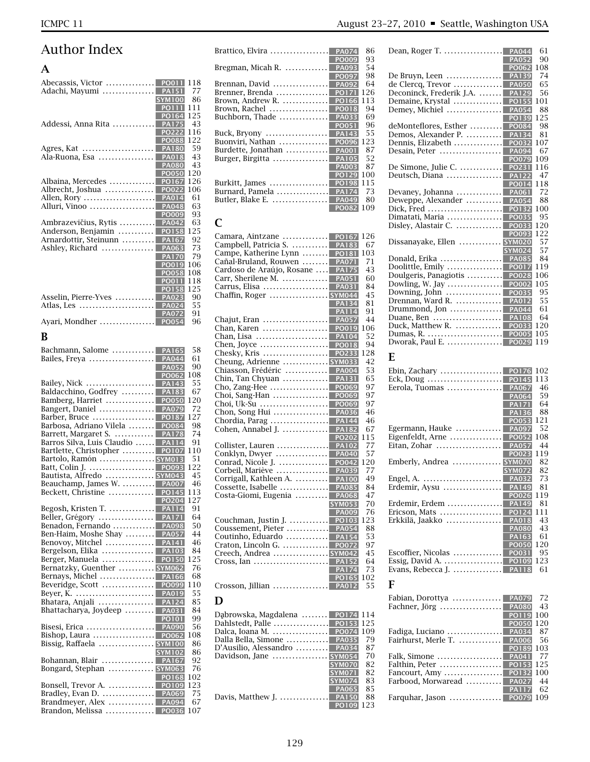# Author Index

## **A**

| Abecassis, Victor  PO011<br>Adachi, Mayumi  PA151<br><b>SYM100</b><br>PO111                                                                      | 118<br>77<br>86<br>111  |
|--------------------------------------------------------------------------------------------------------------------------------------------------|-------------------------|
| PO164<br>Addessi, Anna Rita<br><b>PA175</b><br>PO222<br><b>PO088</b>                                                                             | 125<br>43<br>116<br>122 |
| Agres, Kat<br><b>PA180</b><br>Ala-Ruona, Esa<br>PA018<br><b>PA080</b><br><b>PO050</b>                                                            | 59<br>43<br>43<br>120   |
| Albaina, Mercedes<br>PO167<br>Albrecht, Joshua<br><b>PO022</b><br>Allen, Rory<br><b>PA014</b><br>Alluri, Vinoo<br><b>PA048</b>                   | 126<br>106<br>61<br>63  |
| PO009<br>Ambrazevičius, Rytis<br><b>PA042</b><br>Anderson, Benjamin<br><b>PO158</b><br>Arnardottir, Steinunn<br><b>PA167</b>                     | 93<br>63<br>125<br>92   |
| <b>PA063</b><br>Ashley, Richard<br><b>PA170</b><br>PO019<br><b>PO058</b>                                                                         | 73<br>79<br>106<br>108  |
| <b>PO011</b><br>PO158<br>Asselin, Pierre-Yves<br>PA023<br><b>PA024</b><br>Atlas, Les                                                             | 118<br>125<br>90<br>55  |
| <b>PA072</b><br>Ayari, Mondher<br><b>PO054</b>                                                                                                   | 91<br>96                |
| B                                                                                                                                                |                         |
| Bachmann, Salome<br><b>PA165</b><br>Bailes, Freya<br><b>PA044</b><br><b>PA052</b>                                                                | 58<br>61<br>90          |
| PO062<br>Bailey, Nick<br>PA143<br>Baldacchino, Godfrey<br><b>PA183</b>                                                                           | 108<br>55<br>67         |
| Bamberg, Harriet<br><b>PO050</b><br>Bangert, Daniel<br><b>PA079</b><br>Barber, Bruce<br>PO187<br>Barbosa, Adriano Vilela<br><b>PO084</b>         | 120<br>72<br>127<br>98  |
| Barrett, Margaret S.<br><b>PA178</b><br>Barros Silva, Luis Claudio<br><b>PA114</b><br>Bartlette, Christopher<br>PO107                            | 74<br>91<br>110         |
| Bartolo, Ramón  SYM013<br>Batt, Colin J.<br>PO093<br>Bautista, Alfredo  SYM043<br>Beauchamp, James W.<br><b>PA007</b>                            | 51<br>122<br>45<br>46   |
| Beckett, Christine<br><b>PO145</b><br>PO204<br>Begosh, Kristen T.<br>PA <sub>114</sub>                                                           | 113<br>127<br>91        |
| Beller, Grégory<br><b>PA171</b><br>Benadon, Fernando<br><b>PA098</b><br>Ben-Haim, Moshe Shay<br><b>PA057</b><br>Benovoy, Mitchel<br><b>PA141</b> | 64<br>50<br>44<br>46    |
| Bergelson, Elika  <br><b>PA103</b><br>Berger, Manuela<br><b>PO150</b><br>Bernatzky, Guenther  SYM062                                             | 84<br>125<br>76         |
| Bhatara, Anjali  PA124                                                                                                                           | 68<br>110<br>55<br>85   |
| Bhattacharya, Joydeep  PA031<br><b>PO101</b><br>Bisesi, Erica<br><b>PA090</b>                                                                    | 84<br>99<br>56          |
| Bissig, Raffaela  SYM100<br><b>SYM102</b><br>Bohannan, Blair<br><b>PA167</b>                                                                     | 108<br>86<br>86<br>92   |
| Bongard, Stephan  SYM063<br>PO168                                                                                                                | 76<br>102<br>123        |
| Bradley, Evan D.<br><b>PA069</b><br>Brandmeyer, Alex<br><b>PA094</b><br>Brandon, Melissa  PO036                                                  | 75<br>67<br>107         |

| Brattico, Elvira                                   | PA074<br>86                               |
|----------------------------------------------------|-------------------------------------------|
| Bregman, Micah R.                                  | <b>PO009</b><br>93<br>54<br>PA093         |
|                                                    | PO097<br>98                               |
| Brennan, David<br>Brenner, Brenda                  | 64<br><b>PA092</b><br>126<br><b>PO171</b> |
| Brown, Andrew R.                                   | PO166<br>113                              |
| Brown, Rachel                                      | <b>PO018</b><br>94                        |
| Buchborn, Thade                                    | <b>PA033</b><br>69                        |
|                                                    | PO051<br>96                               |
| Buck, Bryony $\dots\dots\dots\dots\dots\dots$      | 55<br><b>PA143</b>                        |
| Buonviri, Nathan                                   | PO096<br>123                              |
| Burdette, Jonathan<br>Burger, Birgitta             | <b>PA001</b><br>87<br>52<br><b>PA105</b>  |
|                                                    | <b>PA003</b><br>87                        |
|                                                    | <b>PO129</b><br>100                       |
| Burkitt, James                                     | <b>PO198</b><br>115                       |
| Burnard, Pamela                                    | 73<br><b>PA174</b>                        |
| Butler, Blake E.                                   | PA049<br>80                               |
|                                                    | <b>PO082</b><br>109                       |
| C                                                  |                                           |
| Camara, Aintzane                                   | 126<br><b>PO167</b>                       |
| Campbell, Patricia S.                              | <b>PA183</b><br>67                        |
| Campe, Katherine Lynn                              | PO181<br>103                              |
| Cañal-Bruland, Rouwen<br>Cardoso de Araújo, Rosane | <b>PA071</b><br>71<br><b>PA175</b><br>43  |
| Carr, Sherilene M.                                 | <b>PA051</b><br>60                        |
| Carrus, Elisa                                      | <b>PA031</b><br>84                        |
| Chaffin, Roger  SYM044                             | 45                                        |
|                                                    | 81<br><b>PA134</b>                        |
|                                                    | 91<br><b>PA114</b>                        |
| Chajut, Eran                                       | <b>PA057</b><br>44                        |
| Chan, Karen<br>Chan, Lisa                          | PO019<br>106<br>52<br><b>PA104</b>        |
| Chen, Joyce                                        | PO018<br>94                               |
| Chesky, Kris                                       | 128<br>PO233                              |
| Cheung, Adrienne  SYM033                           | 42                                        |
| Chiasson, Frédéric<br>.                            | <b>PA004</b><br>53                        |
| Chin, Tan Chyuan                                   | 65<br><b>PA131</b>                        |
| Cho, Zang-Hee                                      | PO069<br>97                               |
| Choi, Sang-Han<br>Choi, Uk-Su                      | PO069<br>97<br>PO069<br>97                |
| Chon, Song Hui                                     | <b>PA036</b><br>46                        |
| Chordia, Parag $\dots\dots\dots\dots\dots\dots$    | <b>PA144</b><br>46                        |
| Cohen, Annabel J.                                  | <b>PA182</b><br>67                        |
|                                                    | 115<br><b>PO202</b>                       |
| Collister, Lauren<br>Conklyn, Dwyer                | <b>PA102</b><br>77<br>57<br><b>PA040</b>  |
| Conrad, Nicole J.                                  | 120<br><b>PO042</b>                       |
| Corbeil, Mariève                                   | <b>PA039</b><br>77                        |
| Corrigall, Kathleen A.                             | 49<br><b>PA100</b>                        |
| Cossette, Isabelle                                 | <b>PA085</b><br>84                        |
| Costa-Giomi, Eugenia                               | <b>PA068</b><br>47                        |
|                                                    | <b>SYM053</b><br>70<br><b>PA009</b><br>76 |
| Couchman, Justin J.  PO103                         | 123                                       |
| Coussement, Pieter  PA054                          | 88                                        |
| Coutinho, Eduardo                                  | 53<br><b>PA154</b>                        |
| Craton, Lincoln G.                                 | <b>PO072</b><br>97                        |
| Creech, Andrea  SYM042<br>Cross, Ian               | 45<br><b>PA152</b><br>64                  |
|                                                    | 73<br><b>PA174</b>                        |
|                                                    | <b>PO165</b><br>102                       |
| Crosson, Jillian  PA012                            | 55                                        |
| D                                                  |                                           |
| Dąbrowska, Magdalena  PO174                        | 114                                       |
|                                                    | 125                                       |
| Dalca, Ioana M.                                    | <b>PO074</b><br>109                       |
| Dalla Bella, Simone<br>D'Ausilio, Alessandro       | <b>PA035</b><br>79<br>87                  |
| Davidson, Jane  SYM054                             | <b>PA034</b><br>70                        |
|                                                    | <b>SYM070</b><br>82                       |
|                                                    | 82<br><b>SYM071</b>                       |
|                                                    | 83<br><b>SYM074</b>                       |
| Davis, Matthew J.                                  | 85<br><b>PA065</b><br><b>PA150</b><br>88  |
|                                                    | 123<br>PO109                              |
|                                                    |                                           |

| Dean, Roger T.<br><b>PA044</b>                                                   | 61         |
|----------------------------------------------------------------------------------|------------|
| <b>PA052</b><br><b>PO062</b>                                                     | 90<br>108  |
| De Bruyn, Leen  <br><b>PA139</b>                                                 | 74         |
| de Clercq, Trevor<br><b>PA050</b>                                                | 65         |
| Deconinck, Frederik J.A.<br><b>PA129</b>                                         | 56         |
| Demaine, Krystal<br><b>PO155</b><br>Demey, Michiel<br><b>PA054</b>               | 101<br>88  |
| PO139                                                                            | 125        |
| deMonteflores, Esther<br><b>PO084</b>                                            | 98         |
| Demos, Alexander P.<br><b>PA134</b>                                              | 81         |
| Dennis, Elizabeth<br><b>PO032</b><br>Desain, Peter<br>.<br><b>PA094</b>          | 107<br>67  |
| PO079                                                                            | 109        |
| De Simone, Julie C.<br><b>PO231</b>                                              | 116        |
| Deutsch, Diana<br><b>PA122</b>                                                   | 47         |
| PO014<br>Devaney, Johanna<br><b>PA061</b>                                        | 118<br>72  |
| Deweppe, Alexander<br><b>PA054</b>                                               | 88         |
| Dick, Fred<br><b>PO132</b>                                                       | 100        |
| Dimatati, Maria<br><b>PO035</b>                                                  | 95         |
| Disley, Alastair C.<br><b>PO033</b><br>PO093                                     | 120<br>122 |
| Dissanayake, Ellen  SYM020                                                       | 57         |
| <b>SYM024</b>                                                                    | 57         |
| Donald, Erika<br><b>PA085</b><br>Doolittle, Emily<br><b>PO017</b>                | 84<br>119  |
| Doulgeris, Panagiotis<br><b>PO028</b>                                            | 106        |
| Dowling, W. Jay $\dots\dots\dots\dots\dots$<br><b>PO002</b>                      | 105        |
| Downing, John $\dots\dots\dots\dots\dots$<br><b>PO035</b>                        | 95         |
| Drennan, Ward R.<br><b>PA012</b>                                                 | 55         |
| Drummond, Jon $\dots\dots\dots\dots\dots$<br>PA044<br>Duane, Ben<br><b>PA108</b> | 61<br>64   |
| Duck, Matthew R.<br>PO033                                                        | 120        |
| <b>PO005</b>                                                                     | 105        |
| Dworak, Paul E.<br>PO029                                                         | 119        |
| E                                                                                |            |
|                                                                                  |            |
| <b>PO176</b>                                                                     | 102        |
| Ebin, Zachary<br>PO145<br>Eck, Doug                                              | 113        |
| Eerola, Tuomas<br><b>PA067</b>                                                   | 46         |
| <b>PA064</b>                                                                     | 59         |
| <b>PA171</b><br>PA136                                                            | 64<br>88   |
| PO053                                                                            | 121        |
| Egermann, Hauke<br><b>PA097</b>                                                  | 52         |
| Eigenfeldt, Arne<br><b>PO052</b>                                                 | 108        |
| Eitan, Zohar<br><b>PA057</b><br><b>PO023</b>                                     | 44<br>119  |
| Emberly, Andrea<br><mark>SYM070</mark>                                           | 82         |
| SYM072                                                                           | 82         |
|                                                                                  | 73<br>81   |
| POO26                                                                            | 119        |
|                                                                                  | 81         |
|                                                                                  | 111        |
| Erkkilä, Jaakko  PA018<br><b>PA080</b>                                           | 43<br>43   |
| <b>PA163</b>                                                                     | 61         |
| <b>PO050</b>                                                                     | 120        |
|                                                                                  | 95         |
| Evans, Rebecca J.  PA118                                                         | 123<br>61  |
| F                                                                                |            |
|                                                                                  |            |
| Fabian, Dorottya  PA079                                                          | 72         |
| PO119                                                                            | 43<br>100  |
| <b>PO050</b>                                                                     | 120        |
|                                                                                  | 87         |
| Fairhurst, Merle T.  PA006<br>PO189                                              | 56<br>103  |
|                                                                                  | 77<br>125  |

Fancourt, Amy .................. **PO132** <sup>100</sup> Farbood, Morwaread ........... **PA027** <sup>44</sup>

Farquhar, Jason ................ **PO079** <sup>109</sup>

**PA117** <sup>62</sup>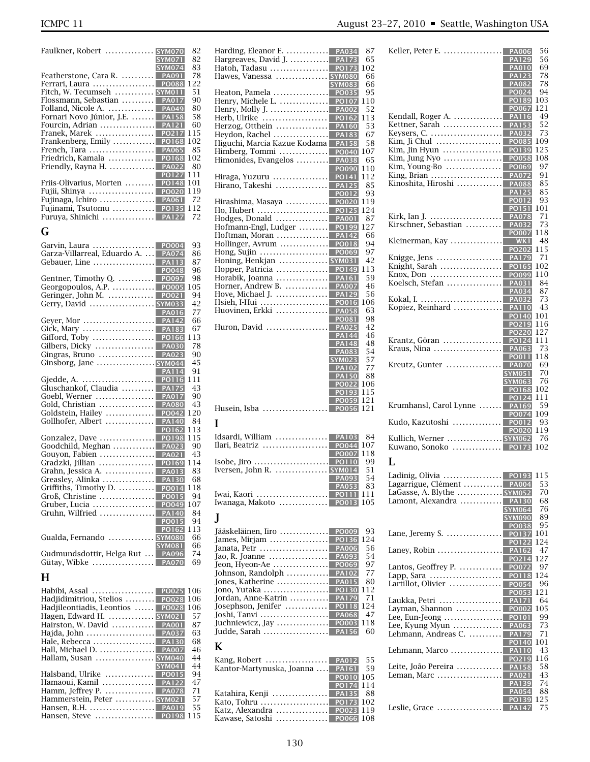| <b>SYM070</b><br>Faulkner, Robert                     | 82  |
|-------------------------------------------------------|-----|
| <b>SYM071</b>                                         | 82  |
| <b>SYM074</b>                                         | 83  |
| Featherstone, Cara R.<br><b>PA091</b>                 | 78  |
| Ferrari, Laura<br><b>PO088</b>                        | 122 |
| Fitch, W. Tecumseh  SYM011                            | 51  |
| Flossmann, Sebastian<br><b>PA017</b>                  | 90  |
| Folland, Nicole A.<br><b>PA049</b>                    | 80  |
| Fornari Novo Júnior, J.E.<br><b>PA158</b>             | 58  |
| Fourcin, Adrian<br><b>PA121</b>                       | 60  |
| Franek, Marek<br>PO217                                | 115 |
| Frankenberg, Emily<br>PO168                           | 102 |
| French, Tara<br><b>PA065</b>                          | 85  |
| Friedrich, Kamala<br><b>PO168</b>                     | 102 |
| Friendly, Rayna H.<br><b>PA022</b>                    | 80  |
| <b>PO127</b>                                          | 111 |
| Friis-Olivarius, Morten<br><b>PO148</b>               | 101 |
| <b>PO020</b><br>Fujii, Shinya                         | 119 |
| Fujinaga, Ichiro $\dots\dots\dots\dots\dots$<br>PA061 | 72  |
| Fujinami, Tsutomu<br><b>PO135</b>                     | 112 |
| Furuya, Shinichi<br><b>PA12</b>                       | 72  |
|                                                       |     |

## **G**

| Garvin, Laura<br>PO004                                    | 93  |
|-----------------------------------------------------------|-----|
| Garza-Villarreal, Eduardo A.<br><b>PA074</b>              | 86  |
| Gebauer, Line<br><b>PA113</b>                             | 87  |
| POO48                                                     | 96  |
| Gentner, Timothy Q.<br>PO097                              | 98  |
| Georgopoulos, A.P. $\dots\dots\dots\dots$<br><b>PO005</b> | 105 |
| Geringer, John M.<br><b>PO021</b>                         | 94  |
| Gerry, David  SYM033                                      | 42  |
| <b>PA016</b>                                              | 77  |
| Gever, Mor<br><b>PA142</b>                                | 66  |
| Gick, Mary<br><b>PA183</b>                                | 67  |
| Gifford, Toby<br>PO166                                    | 113 |
| Gilbers, Dicky<br><b>PA030</b>                            | 78  |
| <b>PA023</b><br>Gingras, Bruno                            | 90  |
|                                                           | 45  |
| <b>PA114</b>                                              | 91  |
| Gjedde, A.<br><b>PO116</b>                                | 111 |
| Gluschankof, Claudia<br><b>PA175</b>                      | 43  |
| Goebl, Werner<br><b>PA017</b>                             | 90  |
| Gold, Christian<br><b>PA080</b>                           | 43  |
| Goldstein, Hailey<br>PO042                                | 120 |
| Gollhofer, Albert<br><b>PA140</b>                         | 84  |
| PO162                                                     | 113 |
| Gonzalez, Dave<br>PO198                                   | 115 |
| Goodchild, Meghan<br><b>PA023</b>                         | 90  |
| Gouyon, Fabien<br><b>PA021</b>                            | 43  |
| Gradzki, Jillian<br>PO169                                 | 114 |
| Grahn, Jessica A.<br><b>PA013</b>                         | 83  |
| Greasley, Alinka<br><b>PA130</b>                          | 68  |
| Griffiths, Timothy D.<br>PO014                            | 118 |
| Groß, Christine<br><b>PO015</b>                           | 94  |
| Gruber, Lucia<br>PO049                                    | 107 |
| Gruhn, Wilfried<br><b>PA140</b>                           | 84  |
| <b>PO015</b>                                              | 94  |
| PO162                                                     | 113 |
| Gualda, Fernando  SYM080                                  | 66  |
| <b>SYM081</b>                                             | 66  |
| Gudmundsdottir, Helga Rut<br><b>PA096</b>                 | 74  |
| Gütay, Wibke  PA070                                       | 69  |
|                                                           |     |

## **H**

| <b>PO025</b><br>Habibi, Assal                                | 106 |
|--------------------------------------------------------------|-----|
| <b>PO028</b><br>Hadjidimitriou, Stelios                      | 106 |
| Hadiileontiadis, Leontios<br>PO028                           | 106 |
| Hagen, Edward H.  SYM021                                     | 57  |
| Hairston, W. David<br><b>PA001</b>                           | 87  |
| Hajda, John<br><b>PA037</b>                                  | 63  |
| Hale, Rebecca<br><b>PA130</b>                                | 68  |
| Hall, Michael D.<br><b>PA007</b>                             | 46  |
| Hallam, Susan  SYM040                                        | 44  |
| <b>SYM041</b>                                                | 44  |
| Halsband, Ulrike $\dots\dots\dots\dots$ PO015                | 94  |
| <b>PA122</b><br>Hamaoui, Kamil                               | 47  |
| Hamm, Jeffrey P. $\dots\dots\dots\dots\dots$<br><b>PA078</b> | 71  |
| Hammerstein, Peter  SYM021                                   | 57  |
| Hansen, R.H.<br><b>PA019</b>                                 | 55  |
| Hansen, Steve<br>PO198                                       | 115 |
|                                                              |     |

| Harding, Eleanor E.  PA034                                                                                                 |                              | 87         |
|----------------------------------------------------------------------------------------------------------------------------|------------------------------|------------|
|                                                                                                                            |                              | 65         |
| Hawes, Vanessa  SYM080                                                                                                     |                              | 102<br>66  |
|                                                                                                                            | <b>SYM083</b>                | 66         |
| Heaton, Pamela                                                                                                             | PO035                        | 95         |
| Henry, Michele L.                                                                                                          | <b>PO107</b>                 | 110        |
| Henry, Molly J.                                                                                                            | <b>PA002</b>                 | 52         |
| Herb, Ulrike  PO162                                                                                                        |                              | 113        |
| Herzog, Otthein                                                                                                            | <b>PA160</b>                 | 53<br>67   |
| Higuchi, Marcia Kazue Kodama                                                                                               | <b>PA158</b>                 | 58         |
| Himberg, Tommi                                                                                                             | <b>PO040</b>                 | 107        |
| Himonides, Evangelos                                                                                                       | <b>PA038</b>                 | 65         |
|                                                                                                                            | <b>PO090</b>                 | 110        |
| Hiraga, Yuzuru  <br>Hirano, Takeshi                                                                                        | <b>PO141</b><br><b>PA125</b> | 112<br>85  |
|                                                                                                                            | PO012                        | 93         |
| Hirashima, Masaya  PO020                                                                                                   |                              | 119        |
| Ho, Hubert <mark>. PO125</mark>                                                                                            |                              | 124        |
| Hodges, Donald                                                                                                             | <b>PA001</b>                 | 87         |
| Hofmann-Engl, Ludger<br>Hoftman, Moran                                                                                     | PO199<br><b>PA142</b>        | 127<br>66  |
| Hollinger, Avrum                                                                                                           | PO018                        | 94         |
| Hong, Sujin                                                                                                                | <b>PO069</b>                 | 97         |
| Honing, Henkjan  SYM031                                                                                                    |                              | 42         |
| Hopper, Patricia                                                                                                           | PO149                        | 113        |
| Horabik, Joanna                                                                                                            | <b>PA161</b>                 | 59         |
| Horner, Andrew B.<br>Hove, Michael J.                                                                                      | <b>PA007</b><br><b>PA129</b> | 46<br>56   |
| Hsieh, I-Hui                                                                                                               | PO016                        | 106        |
| Huovinen, Erkki                                                                                                            | <b>PA058</b>                 | 63         |
|                                                                                                                            | <b>PO081</b>                 | 98         |
| Huron, David                                                                                                               | <b>PA025</b>                 | 42         |
|                                                                                                                            | <b>PA144</b><br>PA148        | 46<br>48   |
|                                                                                                                            | <b>PA083</b>                 | 54         |
|                                                                                                                            | <b>SYM023</b>                | 57         |
|                                                                                                                            | <b>PA102</b>                 | 77         |
|                                                                                                                            |                              |            |
|                                                                                                                            | <b>PA150</b>                 | 88         |
|                                                                                                                            | <b>PO022</b>                 | 106<br>115 |
|                                                                                                                            | PO193<br><b>PO059</b>        | 121        |
|                                                                                                                            | PO056                        | 121        |
|                                                                                                                            |                              |            |
| Husein, Isba<br>I                                                                                                          |                              |            |
|                                                                                                                            | <b>PA103</b>                 | 84         |
|                                                                                                                            | <b>PO044</b><br><b>PO007</b> | 107<br>118 |
|                                                                                                                            | <b>PO110</b>                 | 99         |
|                                                                                                                            |                              | 51         |
| Idsardi, William  <br>Ilari, Beatriz   <br>Isobe, Jiro <mark>.</mark><br>Iversen, John R.  SYM014                          | <b>PA093</b>                 | 54         |
|                                                                                                                            | <b>PA053</b>                 | 83<br>111  |
|                                                                                                                            |                              | 105        |
| Iwanaga, Makoto  PO013                                                                                                     |                              |            |
| J                                                                                                                          |                              |            |
| Jääskeläinen, Iiro                                                                                                         | PO009                        | 93         |
| James, Mirjam                                                                                                              | <b>PO136</b>                 | 124        |
| Janata, Petr                                                                                                               | <b>PA006</b>                 | 56<br>54   |
| Jao, R. Joanne  <br>Jeon, Hyeon-Ae                                                                                         | <b>PA093</b><br>PO069        | 97         |
|                                                                                                                            | <b>PA102</b>                 | 77         |
|                                                                                                                            | <b>PA015</b>                 | 80         |
|                                                                                                                            | <b>PO130</b>                 | 112        |
|                                                                                                                            | <b>PA179</b><br><b>PO118</b> | 71<br>124  |
| Johnson, Randolph<br>Jones, Katherine  <br>Jono, Yutaka  <br>Jordan, Anne-Katrin  <br>Josephson, Jenifer  <br>Joshi, Tanvi | <b>PA068</b>                 | 47         |
|                                                                                                                            |                              | 118        |
|                                                                                                                            |                              | 60         |
|                                                                                                                            |                              |            |
|                                                                                                                            |                              | 55         |
|                                                                                                                            |                              | 59         |
|                                                                                                                            | <b>PO010</b>                 | 105        |
| Judde, Sarah  PA156<br>K<br>Kantor-Martynuska, Joanna  PA161                                                               | <b>PO174</b><br><b>PA135</b> | 114<br>88  |

|                                                | 69<br><b>PA010</b>    |
|------------------------------------------------|-----------------------|
|                                                | 78<br><b>PA123</b>    |
|                                                | 78<br><b>PA082</b>    |
|                                                | 94<br>PO024           |
|                                                | 103<br>PO189          |
|                                                | 121<br>PO067          |
| Kendall, Roger A.                              | <b>PA116</b><br>49    |
| Kettner, Sarah                                 | 52<br><b>PA153</b>    |
| Keysers, C.                                    | 73<br><b>PA032</b>    |
| Kim, Ji Chul                                   | <b>PO085</b><br>109   |
| Kim, Jin Hyun                                  | 125<br>PO139          |
| Kim, Jung Nyo $\dots\dots\dots\dots\dots\dots$ | <b>PO058</b><br>108   |
| Kim, Young-Bo                                  | PO069<br>97           |
|                                                | <b>PA072</b><br>91    |
| King, Brian                                    | 85                    |
| Kinoshita, Hiroshi                             | <b>PA088</b>          |
|                                                | <b>PA125</b><br>85    |
|                                                | <b>PO012</b><br>93    |
|                                                | <b>PO151</b><br>101   |
| Kirk, Ian J.                                   | 71<br><b>PA078</b>    |
| Kirschner, Sebastian                           | <b>PA032</b><br>73    |
|                                                | <b>PO007</b><br>118   |
| Kleinerman, Kay                                | 48<br>WK <sub>1</sub> |
|                                                | PO202<br>115          |
| Knigge, Jens                                   | 71<br><b>PA179</b>    |
| Knight, Sarah                                  | PO165<br>102          |
| Knox, Don                                      | PO099<br>110          |
| Koelsch, Stefan                                | 84<br><b>PA031</b>    |
|                                                | 87<br>PA034           |
|                                                | <b>PA032</b><br>73    |
| Kopiez, Reinhard                               | <b>PA110</b><br>43    |
|                                                | <b>PO140</b><br>101   |
|                                                | 116<br>PO219          |
|                                                | 127<br><b>PO220</b>   |
| Krantz, Göran                                  | 111<br><b>PO124</b>   |
| Kraus, Nina                                    | PA063<br>73           |
|                                                | 118<br><b>PO011</b>   |
| Kreutz, Gunter                                 | 69<br><b>PA070</b>    |
|                                                | <b>SYM051</b><br>70   |
|                                                | <b>SYM063</b><br>76   |
|                                                | 102<br><b>PO168</b>   |
|                                                | 111<br>PO124          |
| Krumhansl, Carol Lynne                         | 59<br><b>PA169</b>    |
|                                                | 109<br><b>PO074</b>   |
| Kudo, Kazutoshi                                | <b>PO012</b><br>93    |
|                                                | <b>PO020</b><br>119   |
| Kullich, Werner  SYM062                        | 76                    |
| POI<br>Kuwano, Sonoko                          | 102                   |
|                                                |                       |

## **L**

|                                                        | 115 |
|--------------------------------------------------------|-----|
| Lagarrigue, Clément  PA004                             | 53  |
| LaGasse, A. Blythe  SYM052                             | 70  |
| Lamont, Alexandra<br><b>PA130</b>                      | 68  |
| <b>SYM064</b>                                          | 76  |
| <b>SYM090</b>                                          | 89  |
| PO038                                                  | 95  |
| Lane, Jeremy S. $\dots$<br><b>PO137</b>                | 101 |
| <b>PO122</b>                                           | 124 |
|                                                        | 47  |
| PO214                                                  | 127 |
| Lantos, Geoffrey P.<br><b>PO072</b>                    | 97  |
| Lapp, Sara<br><b>PO118</b>                             | 124 |
| PO054<br>Lartillot, Olivier                            | 96  |
| PO053                                                  | 121 |
| Laukka, Petri<br><b>PA171</b>                          | 64  |
| Layman, Shannon $\dots\dots\dots\dots$<br><b>PO002</b> | 105 |
| Lee, Eun-Jeong<br><b>PO101</b>                         | 99  |
| Lee, Kyung Myun<br>PA063                               | 73  |
| Lehmann, Andreas C.<br><b>PA179</b>                    | 71  |
| PO140                                                  | 101 |
| Lehmann, Marco<br><b>PA110</b>                         | 43  |
| PO219                                                  | 116 |
| Leite, João Pereira<br><b>PA158</b>                    | 58  |
| Leman, Marc<br><b>PA021</b>                            | 43  |
| <b>PA139</b>                                           | 74  |
| <b>PA054</b>                                           | 88  |
| PO139                                                  | 125 |
| Leslie, Grace<br><b>PA147</b>                          | 75  |
|                                                        |     |

Keller, Peter E. .................. **PA006** <sup>56</sup>

**PA129** <sup>56</sup>

Kato, Tohru ..................... **PO173** <sup>102</sup> Katz, Alexandra ................ **PO023** <sup>119</sup> Kawase, Satoshi ................ **PO066** <sup>108</sup>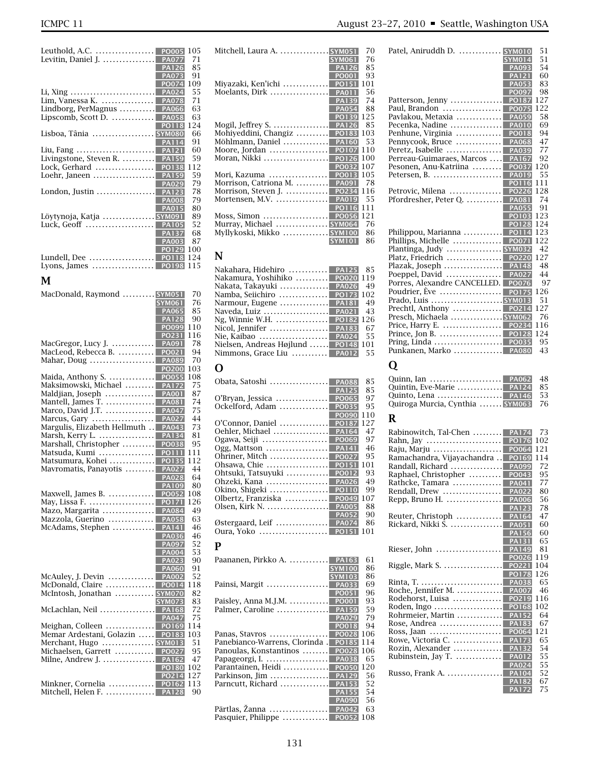| Leuthold, A.C.             | <b>PO005</b> | 105 |
|----------------------------|--------------|-----|
| Levitin, Daniel J.         | <b>PA077</b> | 71  |
|                            | <b>PA126</b> | 85  |
|                            | <b>PA073</b> | 91  |
|                            | <b>PO074</b> | 109 |
|                            |              | 55  |
| Lim, Vanessa K.            | <b>PA078</b> | 71  |
| Lindborg, PerMagnus  PA066 |              | 63  |
| Lipscomb, Scott D.         | <b>PA058</b> | 63  |
|                            | <b>PO118</b> | 124 |
| Lisboa, Tânia  SYM080      |              | 66  |
|                            | <b>PA114</b> | 91  |
| Liu, Fang                  | <b>PA121</b> | 60  |
| Livingstone, Steven R.     | <b>PA159</b> | 59  |
| Lock, Gerhard              | PO138        | 112 |
| Loehr, Janeen              | <b>PA159</b> | 59  |
|                            | <b>PA029</b> | 79  |
|                            |              | 78  |
|                            | <b>PA008</b> | 79  |
|                            | <b>PA015</b> | 80  |
| Löytynoja, Katja  SYM091   |              | 89  |
| Luck, Geoff                | <b>PA105</b> | 52  |
|                            | <b>PA137</b> | 68  |
|                            | <b>PA003</b> | 87  |
|                            | PO129        | 100 |
| Lundell, Dee               | <b>PO118</b> | 124 |
| Lyons, James               | <b>PO198</b> | 115 |
|                            |              |     |

## **M**

| <b>SYM061</b><br><b>PA065</b><br><b>PA128</b><br>PO099<br><b>PO231</b><br>MacGregor, Lucy J.<br><b>PA091</b><br>MacLeod, Rebecca B.<br><b>PO021</b><br>Mahar, Doug<br><b>PA089</b><br><b>PO200</b><br>Maida, Anthony S.<br>PO055<br>Maksimowski, Michael<br><b>PA172</b><br>Maldjian, Joseph<br><b>PA001</b><br>Mantell, James T.<br><b>PA081</b><br>Marco, David J.T.<br><b>PA047</b><br>Marcus, Gary<br><b>PA027</b><br>Margulis, Elizabeth Hellmuth<br><b>PA043</b><br>Marsh, Kerry L.<br><b>PA134</b><br>Marshall, Christopher<br>PO038<br>Matsuda, Kumi<br><b>PO111</b><br>Matsumura, Kohei<br>PO135<br>Mavromatis, Panayotis<br><b>PA027</b><br><b>PA028</b><br><b>PA109</b><br>Maxwell, James B.<br>PO052<br><b>PO171</b><br>May, Lissa F.<br>Mazo, Margarita<br><b>PA084</b><br>Mazzola, Guerino<br><b>PA058</b><br>McAdams, Stephen<br><b>PA141</b><br><b>PA036</b><br><b>PA097</b><br><b>PA004</b><br><b>PA023</b><br><b>PA060</b><br>McAuley, J. Devin $\dots\dots\dots\dots$<br><b>PA002</b><br>McDonald, Claire<br>PO014<br>McIntosh, Jonathan  SYM070<br><b>SYM073</b><br>McLachlan, Neil<br><b>PA168</b><br><b>PA047</b><br>Meighan, Colleen<br>PO169<br>Memar Ardestani, Golazin<br><b>PO183</b><br>Merchant, Hugo  SYM013<br>Michaelsen, Garrett  <br><b>PO027</b><br>Milne, Andrew J.  <br><b>PA162</b><br><b>PO180</b><br>PO214<br>Minkner, Cornelia  PO162<br>Mitchell, Helen F.  PA128 | MacDonald, Raymond  SYM051 | 70        |
|-------------------------------------------------------------------------------------------------------------------------------------------------------------------------------------------------------------------------------------------------------------------------------------------------------------------------------------------------------------------------------------------------------------------------------------------------------------------------------------------------------------------------------------------------------------------------------------------------------------------------------------------------------------------------------------------------------------------------------------------------------------------------------------------------------------------------------------------------------------------------------------------------------------------------------------------------------------------------------------------------------------------------------------------------------------------------------------------------------------------------------------------------------------------------------------------------------------------------------------------------------------------------------------------------------------------------------------------------------------------------------------------------------------|----------------------------|-----------|
|                                                                                                                                                                                                                                                                                                                                                                                                                                                                                                                                                                                                                                                                                                                                                                                                                                                                                                                                                                                                                                                                                                                                                                                                                                                                                                                                                                                                             |                            | 76        |
|                                                                                                                                                                                                                                                                                                                                                                                                                                                                                                                                                                                                                                                                                                                                                                                                                                                                                                                                                                                                                                                                                                                                                                                                                                                                                                                                                                                                             |                            | 85        |
|                                                                                                                                                                                                                                                                                                                                                                                                                                                                                                                                                                                                                                                                                                                                                                                                                                                                                                                                                                                                                                                                                                                                                                                                                                                                                                                                                                                                             |                            | 90        |
|                                                                                                                                                                                                                                                                                                                                                                                                                                                                                                                                                                                                                                                                                                                                                                                                                                                                                                                                                                                                                                                                                                                                                                                                                                                                                                                                                                                                             |                            | 110       |
|                                                                                                                                                                                                                                                                                                                                                                                                                                                                                                                                                                                                                                                                                                                                                                                                                                                                                                                                                                                                                                                                                                                                                                                                                                                                                                                                                                                                             |                            | 116       |
|                                                                                                                                                                                                                                                                                                                                                                                                                                                                                                                                                                                                                                                                                                                                                                                                                                                                                                                                                                                                                                                                                                                                                                                                                                                                                                                                                                                                             |                            | 78        |
|                                                                                                                                                                                                                                                                                                                                                                                                                                                                                                                                                                                                                                                                                                                                                                                                                                                                                                                                                                                                                                                                                                                                                                                                                                                                                                                                                                                                             |                            | 94        |
|                                                                                                                                                                                                                                                                                                                                                                                                                                                                                                                                                                                                                                                                                                                                                                                                                                                                                                                                                                                                                                                                                                                                                                                                                                                                                                                                                                                                             |                            | 70        |
|                                                                                                                                                                                                                                                                                                                                                                                                                                                                                                                                                                                                                                                                                                                                                                                                                                                                                                                                                                                                                                                                                                                                                                                                                                                                                                                                                                                                             |                            | 103       |
|                                                                                                                                                                                                                                                                                                                                                                                                                                                                                                                                                                                                                                                                                                                                                                                                                                                                                                                                                                                                                                                                                                                                                                                                                                                                                                                                                                                                             |                            | 108       |
|                                                                                                                                                                                                                                                                                                                                                                                                                                                                                                                                                                                                                                                                                                                                                                                                                                                                                                                                                                                                                                                                                                                                                                                                                                                                                                                                                                                                             |                            | 75        |
|                                                                                                                                                                                                                                                                                                                                                                                                                                                                                                                                                                                                                                                                                                                                                                                                                                                                                                                                                                                                                                                                                                                                                                                                                                                                                                                                                                                                             |                            | 87        |
|                                                                                                                                                                                                                                                                                                                                                                                                                                                                                                                                                                                                                                                                                                                                                                                                                                                                                                                                                                                                                                                                                                                                                                                                                                                                                                                                                                                                             |                            | 74        |
|                                                                                                                                                                                                                                                                                                                                                                                                                                                                                                                                                                                                                                                                                                                                                                                                                                                                                                                                                                                                                                                                                                                                                                                                                                                                                                                                                                                                             |                            | 75        |
|                                                                                                                                                                                                                                                                                                                                                                                                                                                                                                                                                                                                                                                                                                                                                                                                                                                                                                                                                                                                                                                                                                                                                                                                                                                                                                                                                                                                             |                            | 44        |
|                                                                                                                                                                                                                                                                                                                                                                                                                                                                                                                                                                                                                                                                                                                                                                                                                                                                                                                                                                                                                                                                                                                                                                                                                                                                                                                                                                                                             |                            | 73        |
|                                                                                                                                                                                                                                                                                                                                                                                                                                                                                                                                                                                                                                                                                                                                                                                                                                                                                                                                                                                                                                                                                                                                                                                                                                                                                                                                                                                                             |                            | 81        |
|                                                                                                                                                                                                                                                                                                                                                                                                                                                                                                                                                                                                                                                                                                                                                                                                                                                                                                                                                                                                                                                                                                                                                                                                                                                                                                                                                                                                             |                            | 95        |
|                                                                                                                                                                                                                                                                                                                                                                                                                                                                                                                                                                                                                                                                                                                                                                                                                                                                                                                                                                                                                                                                                                                                                                                                                                                                                                                                                                                                             |                            |           |
|                                                                                                                                                                                                                                                                                                                                                                                                                                                                                                                                                                                                                                                                                                                                                                                                                                                                                                                                                                                                                                                                                                                                                                                                                                                                                                                                                                                                             |                            | 111       |
|                                                                                                                                                                                                                                                                                                                                                                                                                                                                                                                                                                                                                                                                                                                                                                                                                                                                                                                                                                                                                                                                                                                                                                                                                                                                                                                                                                                                             |                            | 112       |
|                                                                                                                                                                                                                                                                                                                                                                                                                                                                                                                                                                                                                                                                                                                                                                                                                                                                                                                                                                                                                                                                                                                                                                                                                                                                                                                                                                                                             |                            | 44        |
|                                                                                                                                                                                                                                                                                                                                                                                                                                                                                                                                                                                                                                                                                                                                                                                                                                                                                                                                                                                                                                                                                                                                                                                                                                                                                                                                                                                                             |                            | 64        |
|                                                                                                                                                                                                                                                                                                                                                                                                                                                                                                                                                                                                                                                                                                                                                                                                                                                                                                                                                                                                                                                                                                                                                                                                                                                                                                                                                                                                             |                            | 80        |
|                                                                                                                                                                                                                                                                                                                                                                                                                                                                                                                                                                                                                                                                                                                                                                                                                                                                                                                                                                                                                                                                                                                                                                                                                                                                                                                                                                                                             |                            | 108       |
|                                                                                                                                                                                                                                                                                                                                                                                                                                                                                                                                                                                                                                                                                                                                                                                                                                                                                                                                                                                                                                                                                                                                                                                                                                                                                                                                                                                                             |                            | 126       |
|                                                                                                                                                                                                                                                                                                                                                                                                                                                                                                                                                                                                                                                                                                                                                                                                                                                                                                                                                                                                                                                                                                                                                                                                                                                                                                                                                                                                             |                            | 49        |
|                                                                                                                                                                                                                                                                                                                                                                                                                                                                                                                                                                                                                                                                                                                                                                                                                                                                                                                                                                                                                                                                                                                                                                                                                                                                                                                                                                                                             |                            | 63        |
|                                                                                                                                                                                                                                                                                                                                                                                                                                                                                                                                                                                                                                                                                                                                                                                                                                                                                                                                                                                                                                                                                                                                                                                                                                                                                                                                                                                                             |                            | 46        |
|                                                                                                                                                                                                                                                                                                                                                                                                                                                                                                                                                                                                                                                                                                                                                                                                                                                                                                                                                                                                                                                                                                                                                                                                                                                                                                                                                                                                             |                            | 46        |
|                                                                                                                                                                                                                                                                                                                                                                                                                                                                                                                                                                                                                                                                                                                                                                                                                                                                                                                                                                                                                                                                                                                                                                                                                                                                                                                                                                                                             |                            | 52        |
|                                                                                                                                                                                                                                                                                                                                                                                                                                                                                                                                                                                                                                                                                                                                                                                                                                                                                                                                                                                                                                                                                                                                                                                                                                                                                                                                                                                                             |                            | 53        |
|                                                                                                                                                                                                                                                                                                                                                                                                                                                                                                                                                                                                                                                                                                                                                                                                                                                                                                                                                                                                                                                                                                                                                                                                                                                                                                                                                                                                             |                            | 90        |
|                                                                                                                                                                                                                                                                                                                                                                                                                                                                                                                                                                                                                                                                                                                                                                                                                                                                                                                                                                                                                                                                                                                                                                                                                                                                                                                                                                                                             |                            | 91        |
|                                                                                                                                                                                                                                                                                                                                                                                                                                                                                                                                                                                                                                                                                                                                                                                                                                                                                                                                                                                                                                                                                                                                                                                                                                                                                                                                                                                                             |                            | 52        |
|                                                                                                                                                                                                                                                                                                                                                                                                                                                                                                                                                                                                                                                                                                                                                                                                                                                                                                                                                                                                                                                                                                                                                                                                                                                                                                                                                                                                             |                            | 118       |
|                                                                                                                                                                                                                                                                                                                                                                                                                                                                                                                                                                                                                                                                                                                                                                                                                                                                                                                                                                                                                                                                                                                                                                                                                                                                                                                                                                                                             |                            | 82        |
|                                                                                                                                                                                                                                                                                                                                                                                                                                                                                                                                                                                                                                                                                                                                                                                                                                                                                                                                                                                                                                                                                                                                                                                                                                                                                                                                                                                                             |                            | 83        |
|                                                                                                                                                                                                                                                                                                                                                                                                                                                                                                                                                                                                                                                                                                                                                                                                                                                                                                                                                                                                                                                                                                                                                                                                                                                                                                                                                                                                             |                            | 72        |
|                                                                                                                                                                                                                                                                                                                                                                                                                                                                                                                                                                                                                                                                                                                                                                                                                                                                                                                                                                                                                                                                                                                                                                                                                                                                                                                                                                                                             |                            | 75        |
|                                                                                                                                                                                                                                                                                                                                                                                                                                                                                                                                                                                                                                                                                                                                                                                                                                                                                                                                                                                                                                                                                                                                                                                                                                                                                                                                                                                                             |                            | 114       |
|                                                                                                                                                                                                                                                                                                                                                                                                                                                                                                                                                                                                                                                                                                                                                                                                                                                                                                                                                                                                                                                                                                                                                                                                                                                                                                                                                                                                             |                            | 103       |
|                                                                                                                                                                                                                                                                                                                                                                                                                                                                                                                                                                                                                                                                                                                                                                                                                                                                                                                                                                                                                                                                                                                                                                                                                                                                                                                                                                                                             |                            | 51        |
|                                                                                                                                                                                                                                                                                                                                                                                                                                                                                                                                                                                                                                                                                                                                                                                                                                                                                                                                                                                                                                                                                                                                                                                                                                                                                                                                                                                                             |                            | 95        |
|                                                                                                                                                                                                                                                                                                                                                                                                                                                                                                                                                                                                                                                                                                                                                                                                                                                                                                                                                                                                                                                                                                                                                                                                                                                                                                                                                                                                             |                            | 47        |
|                                                                                                                                                                                                                                                                                                                                                                                                                                                                                                                                                                                                                                                                                                                                                                                                                                                                                                                                                                                                                                                                                                                                                                                                                                                                                                                                                                                                             |                            | 102       |
|                                                                                                                                                                                                                                                                                                                                                                                                                                                                                                                                                                                                                                                                                                                                                                                                                                                                                                                                                                                                                                                                                                                                                                                                                                                                                                                                                                                                             |                            | 127       |
|                                                                                                                                                                                                                                                                                                                                                                                                                                                                                                                                                                                                                                                                                                                                                                                                                                                                                                                                                                                                                                                                                                                                                                                                                                                                                                                                                                                                             |                            |           |
|                                                                                                                                                                                                                                                                                                                                                                                                                                                                                                                                                                                                                                                                                                                                                                                                                                                                                                                                                                                                                                                                                                                                                                                                                                                                                                                                                                                                             |                            | 113<br>90 |
|                                                                                                                                                                                                                                                                                                                                                                                                                                                                                                                                                                                                                                                                                                                                                                                                                                                                                                                                                                                                                                                                                                                                                                                                                                                                                                                                                                                                             |                            |           |

| Mitchell, Laura A.<br><b>SYM051</b>       | 70 |
|-------------------------------------------|----|
| <b>SYM061</b>                             | 76 |
| <b>PA126</b>                              | 85 |
| PO001                                     | 93 |
| Miyazaki, Ken'ichi<br><b>PO151</b><br>101 |    |
| Moelants, Dirk<br><b>PA011</b>            | 56 |
| <b>PA139</b>                              | 74 |
| <b>PA054</b>                              | 88 |
| 125<br>PO139                              |    |
| <b>PA126</b><br>Mogil, Jeffrey S.         | 85 |
| Mohiyeddini, Changiz<br>PO183<br>103      |    |
| Möhlmann, Daniel<br><b>PA160</b>          | 53 |
| Moore, Jordan<br>110<br><b>PO107</b>      |    |
| Moran, Nikki<br>100<br><b>PO126</b>       |    |
| 107<br><b>PO032</b>                       |    |
| PO013<br>105<br>Mori, Kazuma              |    |
| Morrison, Catriona M.<br><b>PA091</b>     | 78 |
| Morrison, Steven J.<br>116<br>PO234       |    |
| Mortensen, M.V.<br><b>PA019</b>           | 55 |
| 111<br><b>PO116</b>                       |    |
| Moss, Simon<br>121<br><b>PO056</b>        |    |
| Murray, Michael  SYM064                   | 76 |
| Myllykoski, Mikko  SYM100                 | 86 |
| <b>SYM101</b>                             | 86 |
|                                           |    |

# **N**

| Nakahara, Hidehiro  PA125 85        |      |
|-------------------------------------|------|
| Nakamura, Yoshihiko  PO020 119      |      |
| Nakata, Takayuki  PA026             | 49   |
| Namba, Seiichiro  PO173 102         |      |
| Narmour, Eugene  PA181              | -49  |
| Naveda, Luiz  PA021                 | 43   |
|                                     |      |
|                                     |      |
| Nie, Kaibao  PA024                  | - 55 |
| Nielsen, Andreas Højlund  PO148 101 |      |
| Nimmons, Grace Liu  PA012           | 55   |
|                                     |      |

# **O**

| <b>PA088</b><br>Obata, Satoshi                                | 85  |
|---------------------------------------------------------------|-----|
| <b>PA125</b>                                                  | 85  |
| PO065<br>O'Bryan, Jessica                                     | 97  |
| PO035<br>Ockelford, Adam                                      | 95  |
| <b>PO090</b>                                                  | 110 |
| O'Connor, Daniel<br><b>PO187</b>                              | 127 |
| <b>PA164</b><br>Oehler, Michael                               | 47  |
| PO069<br>Ogawa, Seiji                                         | 97  |
| <b>PA141</b><br>Ogg, Mattson $\dots\dots\dots\dots\dots\dots$ | 46  |
| PO027<br>Ohriner, Mitch                                       | 95  |
| Ohsawa, Chie<br><b>PO151</b>                                  | 101 |
| Ohtsuki, Tatsuyuki<br>PO012                                   | 93  |
| Ohzeki, Kana<br><b>PA026</b>                                  | 49  |
| Okino, Shigeki<br><b>PO110</b>                                | 99  |
| Olbertz, Franziska<br>PO049                                   | 107 |
| Olsen, Kirk N.<br><b>PA005</b>                                | 88  |
| <b>PA052</b>                                                  | 90  |
| Østergaard, Leif<br><b>PA074</b>                              | 86  |
| Oura, Yoko<br><b>PO151</b>                                    | 101 |
|                                                               |     |

## **P**

| Paananen, Pirkko A.<br>PA163           | 61  |
|----------------------------------------|-----|
| <b>SYM100</b>                          | 86  |
| <b>SYM103</b>                          | 86  |
| Painsi, Margit<br><b>PA033</b>         | 69  |
| PO051                                  | 96  |
| <b>PO001</b><br>Paisley, Anna M.J.M.   | 93  |
| Palmer, Caroline<br><b>PA159</b>       | 59  |
| <b>PA029</b>                           | 79  |
| <b>PO018</b>                           | 94  |
| Panas, Stavros<br><b>PO028</b>         | 106 |
| Panebianco-Warrens, Clorinda.<br>PO185 | 114 |
| <b>PO028</b><br>Panoulas, Konstantinos | 106 |
| <b>PA038</b><br>Papageorgi, I.         | 65  |
| Parantainen, Heidi<br><b>PO050</b>     | 120 |
| <b>PA129</b><br>Parkinson, Jim         | 56  |
| Parncutt, Richard<br><b>PA153</b>      | 52  |
| <b>PA155</b>                           | 54  |
| <b>PA090</b>                           | 56  |
| Pärtlas, Žanna<br><b>PA042</b>         | 63  |
| Pasquier, Philippe<br><b>PO052</b>     | 108 |
|                                        |     |

| ICMPC 11 | August 23-27, 2010 • Seattle, Washington USA |
|----------|----------------------------------------------|
|          |                                              |

| Patel, Aniruddh D.           | <b>SYM010</b> | 51  |
|------------------------------|---------------|-----|
|                              | <b>SYM014</b> | 51  |
|                              | <b>PA093</b>  | 54  |
|                              | <b>PA121</b>  | 60  |
|                              | <b>PA053</b>  | 83  |
|                              | <b>PO097</b>  | 98  |
| Patterson, Jenny             | PO187         | 127 |
| Paul, Brandon                | <b>PO075</b>  | 122 |
| Pavlakou, Metaxia            | <b>PA059</b>  | 58  |
| Pecenka, Nadine              | <b>PA010</b>  | 69  |
| Penhune, Virginia            | <b>PO018</b>  | 94  |
| Pennycook, Bruce             | PA068         | 47  |
| Peretz, Isabelle             | <b>PA039</b>  | 77  |
| Perreau-Guimaraes, Marcos    | PA167         | 92  |
| Pesonen, Anu-Katriina        | PO037         | 120 |
| Petersen, B.                 | <b>PA019</b>  | 55  |
|                              | PO116         | 111 |
| Petrovic, Milena             | <b>PO226</b>  | 128 |
| Pfordresher, Peter Q.        | <b>PA081</b>  | 74  |
|                              | <b>PA055</b>  | 91  |
|                              | PO103         | 123 |
|                              | <b>PO128</b>  | 124 |
| Philippou, Marianna          | <b>PO114</b>  | 123 |
| Phillips, Michelle           | PO071         | 122 |
| Plantinga, Judy  SYM032      |               | 42  |
| Platz, Friedrich             | <b>PO220</b>  | 127 |
| Plazak, Joseph               | PA148         | 48  |
| Poeppel, David               | <b>PA027</b>  | 44  |
| Porres, Alexandre CANCELLED. | PO076         | 97  |
| Poudrier, Ève                | <b>PO175</b>  | 126 |
|                              |               | 51  |
| Prechtl, Anthony             | <b>PO214</b>  | 127 |
| Presch, Michaela  SYM062     |               | 76  |
| Price, Harry E.              | PO234         | 116 |
| Prince, Jon B.               | <b>PO128</b>  | 124 |
| Pring, Linda                 | <b>PO035</b>  | 95  |
| Punkanen, Marko  PA080       |               | 43  |
|                              |               |     |
|                              |               |     |

# **Q**

| Ouinn, Ian  PA062 48               |  |
|------------------------------------|--|
| Ouintin. Eve-Marie  PA124 85       |  |
| Ouinto. Lena  PA146 53             |  |
| Quiroga Murcia, Cynthia  SYM063 76 |  |
|                                    |  |

# **R**

| Rabinowitch, Tal-Chen      | <b>PA174</b> | 73  |
|----------------------------|--------------|-----|
| Rahn, Jay                  | PO176        | 102 |
| Raju, Marju                | PO064        | 121 |
| Ramachandra, Vijayachandra | PO169        | 114 |
| Randall. Richard           | <b>PA099</b> | 72  |
| Raphael, Christopher       | PO043        | 95  |
| Rathcke, Tamara            | PA041        | 77  |
| Rendall, Drew              | <b>PA022</b> | 80  |
| Repp, Bruno H.             | <b>PA006</b> | 56  |
|                            | <b>PA123</b> | 78  |
| Reuter, Christoph          | <b>PA164</b> | 47  |
| Rickard, Nikki S.          | <b>PA051</b> | 60  |
|                            | <b>PA156</b> | 60  |
|                            | <b>PA131</b> | 65  |
| Rieser, John               | <b>PA149</b> | 81  |
|                            | PO026        | 119 |
| Riggle, Mark S.            | PO221        | 104 |
|                            | <b>PO178</b> | 126 |
| Rinta, T.                  | <b>PA038</b> | 65  |
| Roche, Jennifer M.         | <b>PA007</b> | 46  |
| Rodehorst, Luisa           | PO219        | 116 |
| Roden, Ingo                | <b>PO168</b> | 102 |
| Rohrmeier, Martin          | <b>PA152</b> | 64  |
| Rose, Andrea               | <b>PA183</b> | 67  |
| Ross, Jaan                 | PO064        | 121 |
| Rowe, Victoria C.          | <b>PA173</b> | 65  |
| Rozin, Alexander           | <b>PA132</b> | 54  |
| Rubinstein, Jay T.         | <b>PA012</b> | 55  |
|                            | <b>PA024</b> | 55  |
| Russo, Frank A.            | <b>PA104</b> | 52  |
|                            | <b>PA182</b> | 67  |
|                            | <b>PA172</b> | 75  |
|                            |              |     |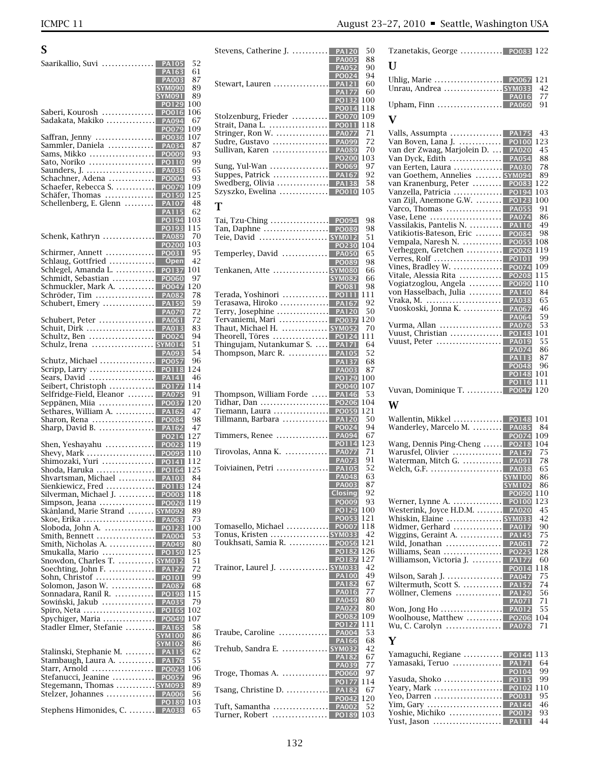| S                                                               |                              |            |
|-----------------------------------------------------------------|------------------------------|------------|
| Saarikallio, Suvi                                               | <b>PA105</b>                 | 52         |
|                                                                 | PA163<br><b>PA003</b>        | 61<br>87   |
|                                                                 | <b>SYM090</b>                | 89         |
|                                                                 | <b>SYM091</b><br>PO129       | 89<br>100  |
| Saberi, Kourosh                                                 | PO016                        | 106        |
| Sadakata, Makiko  PA094                                         |                              | 67         |
| Saffran, Jenny                                                  | <b>PO079</b><br><b>PO036</b> | 109<br>107 |
| Sammler, Daniela                                                | <b>PA034</b>                 | 87         |
| Sams, Mikko<br>Sato, Noriko                                     | PO009<br><b>PO110</b>        | 93<br>99   |
| Saunders, J.                                                    | <b>PA038</b>                 | 65         |
| Schachner, Adena<br>Schaefer, Rebecca S.                        | <b>PO004</b><br><b>PO079</b> | 93<br>109  |
| Schäfer, Thomas                                                 | PO150                        | 125        |
| Schellenberg, E. Glenn                                          | <b>PA107</b><br><b>PA115</b> | 48<br>62   |
|                                                                 | PO194                        | 103        |
| Schenk, Kathryn                                                 | PO193<br><b>PA089</b>        | 115<br>70  |
|                                                                 | <b>PO200</b>                 | 103        |
| Schirmer, Annett<br>Schlaug, Gottfried                          | <b>PO031</b><br>Open         | 95<br>42   |
| Schlegel, Amanda L.                                             | <b>PO137</b>                 | 101        |
| Schmidt, Sebastian<br>Schmuckler, Mark A.                       | <b>PO060</b>                 | 97<br>120  |
| Schröder, Tim                                                   | PO047<br><b>PA082</b>        | 78         |
| Schubert, Emery                                                 | <b>PA159</b>                 | 59         |
| Schubert, Peter                                                 | <b>PA079</b><br><b>PA061</b> | 72<br>72   |
| Schuit, Dirk                                                    | <b>PA013</b>                 | 83         |
| Schultz, Ben<br>Schulz, Irena  SYM014                           | PO024                        | 94<br>51   |
|                                                                 | <b>PA093</b>                 | 54         |
| Schutz, Michael<br>Scripp, Larry                                | PO057<br><b>PO118</b>        | 96<br>124  |
| Sears, David                                                    | <b>PA141</b>                 | 46         |
| Seibert, Christoph<br>Selfridge-Field, Eleanor                  | <b>PO177</b><br><b>PA075</b> | 114<br>91  |
| Seppänen, Miia                                                  | PO037                        | 120        |
| Sethares, William A.<br>Sharon, Rena                            | <b>PA162</b><br>PO084        | 47<br>98   |
| Sharp, David B.                                                 | <b>PA162</b>                 | 47         |
|                                                                 | PO214                        | 127        |
| Shen, Yeshayahu<br>Shevy, Mark $\dots\dots\dots\dots\dots\dots$ | <b>PO023</b><br>PO095        | 119<br>110 |
| Shimozaki, Yuri                                                 | <b>PO141</b>                 | 112        |
| Shoda, Haruka<br>Shvartsman, Michael  PA103                     | PO164                        | 125<br>84  |
| Sienkiewicz, Fred                                               | <b>PO118</b>                 | 124        |
| Silverman, Michael J.<br>Simpson, Jeana                         | <b>PO003</b><br>PO026        | 118<br>119 |
| Skånland, Marie Strand  SYM092                                  |                              | 89         |
| Skoe, Erika  <br>Sloboda, John A.                               | <b>PA063</b><br><b>PO123</b> | 73<br>100  |
| Smith, Bennett                                                  | <b>PA004</b>                 | 53         |
| Smith, Nicholas A.<br>Smukalla, Mario                           | PA049<br><b>PO150</b>        | 80<br>125  |
| Snowdon, Charles T.  SYM012                                     |                              | 51         |
| Soechting, John F.<br>Sohn, Christof                            | <b>PA127</b><br><b>PO101</b> | 72<br>99   |
| Solomon, Jason W.                                               | <b>PA087</b>                 | 68         |
| Sonnadara, Ranil R.  PO198<br>Sowiński, Jakub                   | <b>PA035</b>                 | 115<br>79  |
| Spiro, Neta                                                     | <b>PO165</b>                 | 102        |
| Spychiger, Maria<br>Stadler Elmer, Stefanie                     | PO049<br><b>PA165</b>        | 107<br>58  |
|                                                                 | <b>SYM100</b>                | 86         |
| Stalinski, Stephanie M.  PA115                                  | <b>SYM102</b>                | 86<br>62   |
| Stambaugh, Laura A.                                             | <b>PA176</b>                 | 55         |
| Starr, Arnold                                                   | <b>PO025</b>                 | 106        |
| Stefanucci, Jeanine<br>Stegemann, Thomas  SYM093                | <b>PO057</b>                 | 96<br>89   |
| Stelzer, Johannes                                               | <b>PA006</b>                 | 56         |
| Stephens Himonides, C.  PA038                                   | PO189                        | 103<br>65  |
|                                                                 |                              |            |

| Stevens, Catherine J.  PA120                                | 50<br><b>PA005</b><br>88<br>90<br><b>PA052</b>                  |
|-------------------------------------------------------------|-----------------------------------------------------------------|
| Stewart, Lauren  PA121                                      | PO024<br>94<br>60<br><b>PA177</b><br>60                         |
|                                                             | <b>PO132</b><br>100<br>118<br>PO014                             |
| Stolzenburg, Frieder<br>Strait, Dana L.<br>Stringer, Ron W. | <b>PO070</b><br>109<br>118<br>PO011<br><b>PA077</b><br>71       |
| Sudre, Gustavo<br>Sullivan, Karen                           | <b>PA099</b><br>72<br><b>PA089</b><br>70<br><b>PO200</b><br>103 |
| Swedberg, Olivia  PA138<br>Szyszko, Ewelina  PO010          | 97<br>92<br>58<br>105                                           |
| т                                                           |                                                                 |
| Teie, David  SYM012                                         | 98<br>98<br>51                                                  |
|                                                             | PO230<br>104<br>65                                              |
| Tenkanen, Atte  SYM080                                      | <b>PO089</b><br>98<br>66                                        |
|                                                             | <b>SYM082</b><br>66<br>PO081<br>98<br>111                       |
| Terada, Yoshinori   <br>Terasawa, Hiroko                    | <b>PO111</b><br>92<br><b>PA167</b>                              |
|                                                             | 50                                                              |
| Tervaniemi, Mari  PO037                                     | 120                                                             |
| Thaut, Michael H.  SYM052                                   | 70<br>111                                                       |
| Thingujam, Nutankumar S.  PA171                             | 64                                                              |
| <b>Thompson, Marc R. </b> PA105                             | 52                                                              |
|                                                             | <b>PA137</b><br>68                                              |
|                                                             | <b>PA003</b><br>87<br>PO129<br>100                              |
|                                                             | PO040<br>107                                                    |
| Thompson, William Forde  PA146<br>Tidhar, Dan  PO206        | 53<br>104                                                       |
| Tillmann, Barbara  PA120                                    | 121<br>50                                                       |
|                                                             | PO024<br>94                                                     |
|                                                             | 67<br>123<br><b>PO114</b>                                       |
| Tirovolas, Anna K.  PA077                                   | 71<br><b>PA073</b><br>91                                        |
| Toiviainen, Petri                                           | <b>PA105</b><br>52<br>PA048<br>63                               |
|                                                             | 87<br><b>PA003</b><br><b>Closing</b><br>92                      |
|                                                             | <b>PO009</b><br>93                                              |
|                                                             | 100<br><b>PO129</b>                                             |
| Tomasello, Michael  PO007                                   | 121<br><b>PO053</b><br>118                                      |
| Tonus, Kristen <mark>SYM033</mark>                          | 42                                                              |
| Toukhsati, Samia R.                                         | 121<br>PO056<br><b>PO182</b><br>126                             |
|                                                             | 127<br><b>PO187</b>                                             |
| Trainor, Laurel J.  SYM033                                  | 42<br>49<br>PA100                                               |
|                                                             | <b>PA182</b><br>67                                              |
|                                                             | 77<br><b>PA016</b><br>80<br><b>PA049</b>                        |
|                                                             | <b>PA022</b><br>80                                              |
|                                                             | 109<br><b>PO082</b>                                             |
| Traube, Caroline                                            | 111<br>27<br>53<br><b>PA004</b>                                 |
| Trehub, Sandra E.  SYM032                                   | 68<br>PA166<br>42                                               |
|                                                             | 67<br>PА<br>$\sqrt{182}$<br>77<br><b>PA039</b>                  |
| .<br>Troge, Thomas A.                                       | <b>PO060</b><br>97<br>114<br><b>PO177</b>                       |
| Tsang, Christine D.                                         | 67<br><b>PA182</b><br>120<br>PO042                              |
| Tuft, Samantha<br>.<br>Turner, Robert                       | 52<br><b>PA002</b><br>PO189<br>103                              |
|                                                             |                                                                 |

| Tzanetakis, George  PO083 122                                                                                                                                                                                                                                                                                                                                                                                                                                                                                                                                                                                                                                                                                                                                                                                                                                                                                                                                                                                                                                                                                                  |  |
|--------------------------------------------------------------------------------------------------------------------------------------------------------------------------------------------------------------------------------------------------------------------------------------------------------------------------------------------------------------------------------------------------------------------------------------------------------------------------------------------------------------------------------------------------------------------------------------------------------------------------------------------------------------------------------------------------------------------------------------------------------------------------------------------------------------------------------------------------------------------------------------------------------------------------------------------------------------------------------------------------------------------------------------------------------------------------------------------------------------------------------|--|
| U                                                                                                                                                                                                                                                                                                                                                                                                                                                                                                                                                                                                                                                                                                                                                                                                                                                                                                                                                                                                                                                                                                                              |  |
| 121<br>Unrau, Andrea  SYM033<br>42<br><b>PA016</b>                                                                                                                                                                                                                                                                                                                                                                                                                                                                                                                                                                                                                                                                                                                                                                                                                                                                                                                                                                                                                                                                             |  |
| 77<br>91                                                                                                                                                                                                                                                                                                                                                                                                                                                                                                                                                                                                                                                                                                                                                                                                                                                                                                                                                                                                                                                                                                                       |  |
| V                                                                                                                                                                                                                                                                                                                                                                                                                                                                                                                                                                                                                                                                                                                                                                                                                                                                                                                                                                                                                                                                                                                              |  |
| 43<br>123<br>van der Zwaag, Marjolein D.<br>45<br><b>PA020</b><br>Van Dyck, Edith<br><b>PA054</b><br>88<br>van Eerten, Laura<br><b>PA030</b><br>78<br>van Goethem, Annelies  SYM094<br>89<br>van Kranenburg, Peter<br><b>PO083</b><br>122<br>Vanzella, Patrícia<br>PO194<br>103<br>van Zijl, Anemone G.W.<br><b>PO123</b><br>100<br>Varco, Thomas<br><b>PA055</b><br>91<br><b>PA074</b><br>86<br>Vase, Lene<br>Vassilakis, Pantelis N.<br><b>PA116</b><br>49<br>Vatikiotis-Bateson, Eric<br>PO084<br>98<br>Vempala, Naresh N.<br>108<br><b>PO055</b><br>Verheggen, Gretchen<br>PO026<br>119<br>Verres, Rolf<br><b>PO101</b><br>99<br>Vines, Bradley W. $\dots$<br><b>PO074</b><br>109<br>Vitale, Alessia Rita<br>115<br><b>PO208</b><br>Vogiatzoglou, Angela<br><b>PO090</b><br>110<br>von Hasselbach, Julia<br>84<br><b>PA140</b><br>Vraka, M.<br><b>PA038</b><br>65<br>Vuoskoski, Jonna K.<br>46<br><b>PA067</b><br>59<br>PA064<br>Vurma, Allan<br>53<br><b>PA076</b><br>Vuust, Christian<br><b>PO148</b><br>101<br>Vuust, Peter ………………….  <br><b>PA019</b><br>55<br><b>PA074</b><br>86<br>87<br><b>PA113</b><br>PO048<br>96 |  |
| PO148<br>101<br><b>PO116</b><br>111                                                                                                                                                                                                                                                                                                                                                                                                                                                                                                                                                                                                                                                                                                                                                                                                                                                                                                                                                                                                                                                                                            |  |
| 120                                                                                                                                                                                                                                                                                                                                                                                                                                                                                                                                                                                                                                                                                                                                                                                                                                                                                                                                                                                                                                                                                                                            |  |
| W                                                                                                                                                                                                                                                                                                                                                                                                                                                                                                                                                                                                                                                                                                                                                                                                                                                                                                                                                                                                                                                                                                                              |  |
| Wallentin, Mikkel  PO148<br>101<br>Wanderley, Marcelo M.  PA085<br>84<br><b>PO074</b><br>109<br>Wang, Dennis Ping-Cheng<br>PO218<br>104<br>Warusfel, Olivier<br><b>PA147</b><br>75<br>Waterman, Mitch G.<br><b>PA091</b><br>78<br>Welch, G.F.  <br><b>PA038</b><br>65<br><b>SYM100</b><br>86<br><b>SYM102</b><br>86                                                                                                                                                                                                                                                                                                                                                                                                                                                                                                                                                                                                                                                                                                                                                                                                            |  |
| 110<br>PO090 <br>Werner, Lynne A.<br>123<br><b>PO100</b><br>Westerink, Joyce H.D.M.<br><b>PA020</b><br>45<br>Whiskin, Elaine  SYM033<br>42<br>Widmer, Gerhard<br>90<br><b>PA01</b><br>Wiggins, Geraint A.<br><b>PA145</b><br>75<br>Wild, Jonathan<br><b>PA061</b><br>72<br>Williams, Sean<br><b>PO225</b><br>128<br>Williamson, Victoria J.<br><b>PA177</b><br>60<br>118<br>POO14                                                                                                                                                                                                                                                                                                                                                                                                                                                                                                                                                                                                                                                                                                                                              |  |
| Wilson, Sarah J.<br>75<br><b>PA047</b><br>Wiltermuth, Scott S.<br><b>PA157</b><br>74<br>Wöllner, Clemens<br><b>PA129</b><br>56<br><b>PA071</b><br>71<br>55<br>2<br>Woolhouse, Matthew  PO206<br>104<br>Wu, C. Carolyn<br><b>PA078</b><br>71                                                                                                                                                                                                                                                                                                                                                                                                                                                                                                                                                                                                                                                                                                                                                                                                                                                                                    |  |
| Y                                                                                                                                                                                                                                                                                                                                                                                                                                                                                                                                                                                                                                                                                                                                                                                                                                                                                                                                                                                                                                                                                                                              |  |
| Yamaguchi. Regiane  PO144 113                                                                                                                                                                                                                                                                                                                                                                                                                                                                                                                                                                                                                                                                                                                                                                                                                                                                                                                                                                                                                                                                                                  |  |

| Yamaguchi, Regiane  PO144 113 |          |     |
|-------------------------------|----------|-----|
| Yamasaki, Teruo  PA171 64     |          |     |
|                               | PO104 99 |     |
|                               |          |     |
| Yeary, Mark     PO102   110   |          |     |
|                               |          |     |
|                               |          |     |
|                               |          | -93 |
| Yust. Jason  PA111            |          | 44  |
|                               |          |     |